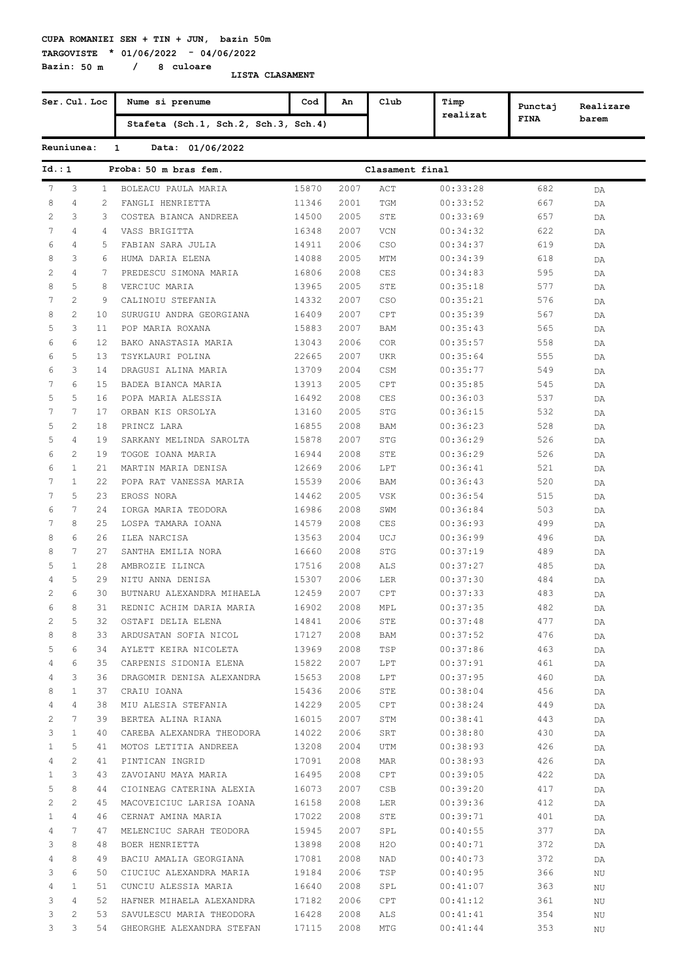**TARGOVISTE \* 01/06/2022 - 04/06/2022 Bazin: 50 m / 8 culoare**

|                |                       | Ser. Cul. Loc  | Nume si prenume                      | Cod   | An   | Club            | Timp     | Punctaj     | Realizare |
|----------------|-----------------------|----------------|--------------------------------------|-------|------|-----------------|----------|-------------|-----------|
|                |                       |                | Stafeta (Sch.1, Sch.2, Sch.3, Sch.4) |       |      |                 | realizat | <b>FINA</b> | barem     |
|                | Reuniunea:            |                | Data: 01/06/2022<br>$\mathbf{1}$     |       |      |                 |          |             |           |
| Id. : 1        |                       |                | Proba: 50 m bras fem.                |       |      | Clasament final |          |             |           |
| 7              | 3                     | $\mathbf{1}$   | BOLEACU PAULA MARIA                  | 15870 | 2007 | ACT             | 00:33:28 | 682         | DA        |
| 8              | $\overline{4}$        | $\overline{2}$ | FANGLI HENRIETTA                     | 11346 | 2001 | TGM             | 00:33:52 | 667         | DA        |
| 2              | 3                     | 3              | COSTEA BIANCA ANDREEA                | 14500 | 2005 | STE             | 00:33:69 | 657         | DA        |
| 7              | $\overline{4}$        | 4              | VASS BRIGITTA                        | 16348 | 2007 | VCN             | 00:34:32 | 622         | DA        |
| 6              | 4                     | 5              | FABIAN SARA JULIA                    | 14911 | 2006 | CSO             | 00:34:37 | 619         | DA        |
| 8              | 3                     | 6              | HUMA DARIA ELENA                     | 14088 | 2005 | <b>MTM</b>      | 00:34:39 | 618         | DA        |
| $\overline{c}$ | $\overline{4}$        | 7              | PREDESCU SIMONA MARIA                | 16806 | 2008 | CES             | 00:34:83 | 595         | DA        |
| 8              | 5                     | 8              | VERCIUC MARIA                        | 13965 | 2005 | STE             | 00:35:18 | 577         | DA        |
| 7              | $\overline{c}$        | 9              | CALINOIU STEFANIA                    | 14332 | 2007 | CSO             | 00:35:21 | 576         | DA        |
| 8              | 2                     | 10             | SURUGIU ANDRA GEORGIANA              | 16409 | 2007 | CPT             | 00:35:39 | 567         | DA        |
| 5              | 3                     | 11             | POP MARIA ROXANA                     | 15883 | 2007 | BAM             | 00:35:43 | 565         | DA        |
| 6              | 6                     | 12             | BAKO ANASTASIA MARIA                 | 13043 | 2006 | COR             | 00:35:57 | 558         | DA        |
| 6              | 5                     | 13             | TSYKLAURI POLINA                     | 22665 | 2007 | <b>UKR</b>      | 00:35:64 | 555         | DA        |
| 6              | 3                     | 14             | DRAGUSI ALINA MARIA                  | 13709 | 2004 | CSM             | 00:35:77 | 549         | DA        |
| 7              | 6                     | 15             | BADEA BIANCA MARIA                   | 13913 | 2005 | CPT             | 00:35:85 | 545         | DA        |
| 5              | 5                     | 16             | POPA MARIA ALESSIA                   | 16492 | 2008 | CES             | 00:36:03 | 537         | DA        |
| 7              | 7                     | 17             | ORBAN KIS ORSOLYA                    | 13160 | 2005 | STG             | 00:36:15 | 532         |           |
| 5              | 2                     | 18             | PRINCZ LARA                          | 16855 | 2008 |                 | 00:36:23 | 528         | DA        |
|                |                       |                |                                      |       |      | BAM             |          |             | DA        |
| 5              | $\overline{4}$        | 19             | SARKANY MELINDA SAROLTA              | 15878 | 2007 | STG             | 00:36:29 | 526         | DA        |
| 6              | $\mathbf{2}^{\prime}$ | 19             | TOGOE IOANA MARIA                    | 16944 | 2008 | STE             | 00:36:29 | 526         | DA        |
| 6              | $\mathbf{1}$          | 21             | MARTIN MARIA DENISA                  | 12669 | 2006 | LPT             | 00:36:41 | 521         | DA        |
| 7              | $\mathbf{1}$          | 22             | POPA RAT VANESSA MARIA               | 15539 | 2006 | BAM             | 00:36:43 | 520         | DA        |
| 7              | 5                     | 23             | EROSS NORA                           | 14462 | 2005 | <b>VSK</b>      | 00:36:54 | 515         | DA        |
| 6              | 7                     | 24             | IORGA MARIA TEODORA                  | 16986 | 2008 | SWM             | 00:36:84 | 503         | DA        |
| 7              | 8                     | 25             | LOSPA TAMARA IOANA                   | 14579 | 2008 | CES             | 00:36:93 | 499         | DA        |
| 8              | 6                     | 26             | ILEA NARCISA                         | 13563 | 2004 | UCJ             | 00:36:99 | 496         | DA        |
| 8              | 7                     | 27             | SANTHA EMILIA NORA                   | 16660 | 2008 | <b>STG</b>      | 00:37:19 | 489         | DA        |
| 5              | $\mathbf{1}$          | 28             | AMBROZIE ILINCA                      | 17516 | 2008 | ALS             | 00:37:27 | 485         | DA        |
| 4              | 5                     | 29             | NITU ANNA DENISA                     | 15307 | 2006 | LER             | 00:37:30 | 484         | DA        |
| $\overline{c}$ | 6                     | 30             | BUTNARU ALEXANDRA MIHAELA            | 12459 | 2007 | CPT             | 00:37:33 | 483         | DA        |
| 6              | 8                     | 31             | REDNIC ACHIM DARIA MARIA             | 16902 | 2008 | MPL             | 00:37:35 | 482         | DA        |
| 2              | 5                     | 32             | OSTAFI DELIA ELENA                   | 14841 | 2006 | STE             | 00:37:48 | 477         | DA        |
| 8              | 8                     | 33             | ARDUSATAN SOFIA NICOL                | 17127 | 2008 | BAM             | 00:37:52 | 476         | DA        |
| 5              | 6                     | 34             | AYLETT KEIRA NICOLETA                | 13969 | 2008 | TSP             | 00:37:86 | 463         | DA        |
| 4              | 6                     | 35             | CARPENIS SIDONIA ELENA               | 15822 | 2007 | LPT             | 00:37:91 | 461         | DA        |
| 4              | 3                     | 36             | DRAGOMIR DENISA ALEXANDRA            | 15653 | 2008 | LPT             | 00:37:95 | 460         | DA        |
| 8              | 1                     | 37             | CRAIU IOANA                          | 15436 | 2006 | STE             | 00:38:04 | 456         | DA        |
| 4              | 4                     | 38             | MIU ALESIA STEFANIA                  | 14229 | 2005 | CPT             | 00:38:24 | 449         | DA        |
| 2              | 7                     | 39             | BERTEA ALINA RIANA                   | 16015 | 2007 | STM             | 00:38:41 | 443         | DA        |
| 3              | 1                     | 40             | CAREBA ALEXANDRA THEODORA            | 14022 | 2006 | SRT             | 00:38:80 | 430         | DA        |
| 1              | 5                     | 41             | MOTOS LETITIA ANDREEA                | 13208 | 2004 | UTM             | 00:38:93 | 426         | DA        |
| 4              | $\mathbf{2}^{\prime}$ | 41             | PINTICAN INGRID                      | 17091 | 2008 | MAR             | 00:38:93 | 426         | DA        |
| 1              | 3                     | 43             | ZAVOIANU MAYA MARIA                  | 16495 | 2008 | CPT             | 00:39:05 | 422         | DA        |
| 5              | 8                     | 44             | CIOINEAG CATERINA ALEXIA             | 16073 | 2007 | CSB             | 00:39:20 | 417         | DA        |
| 2              | 2                     | 45             | MACOVEICIUC LARISA IOANA             | 16158 | 2008 | <b>LER</b>      | 00:39:36 | 412         | DA        |
| 1              | 4                     | 46             | CERNAT AMINA MARIA                   | 17022 | 2008 | STE             | 00:39:71 | 401         | DA        |
| 4              | 7                     | 47             | MELENCIUC SARAH TEODORA              | 15945 | 2007 | SPL             | 00:40:55 | 377         | DA        |
| 3              | 8                     | 48             | BOER HENRIETTA                       | 13898 | 2008 | H2O             | 00:40:71 | 372         | DA        |
| 4              | 8                     | 49             | BACIU AMALIA GEORGIANA               | 17081 | 2008 | NAD             | 00:40:73 | 372         | DA        |
| 3              | 6                     | 50             | CIUCIUC ALEXANDRA MARIA              | 19184 | 2006 | TSP             | 00:40:95 | 366         | ΝU        |
| 4              | 1                     | 51             | CUNCIU ALESSIA MARIA                 | 16640 | 2008 | SPL             | 00:41:07 | 363         | ΝU        |
| 3              | 4                     | 52             | HAFNER MIHAELA ALEXANDRA             | 17182 | 2006 | CPT             | 00:41:12 | 361         | ΝU        |
| 3              | 2                     | 53             | SAVULESCU MARIA THEODORA             | 16428 | 2008 | ALS             | 00:41:41 | 354         | ΝU        |
| 3              | 3                     | 54             | GHEORGHE ALEXANDRA STEFAN            | 17115 | 2008 | MTG             | 00:41:44 | 353         | ΝU        |
|                |                       |                |                                      |       |      |                 |          |             |           |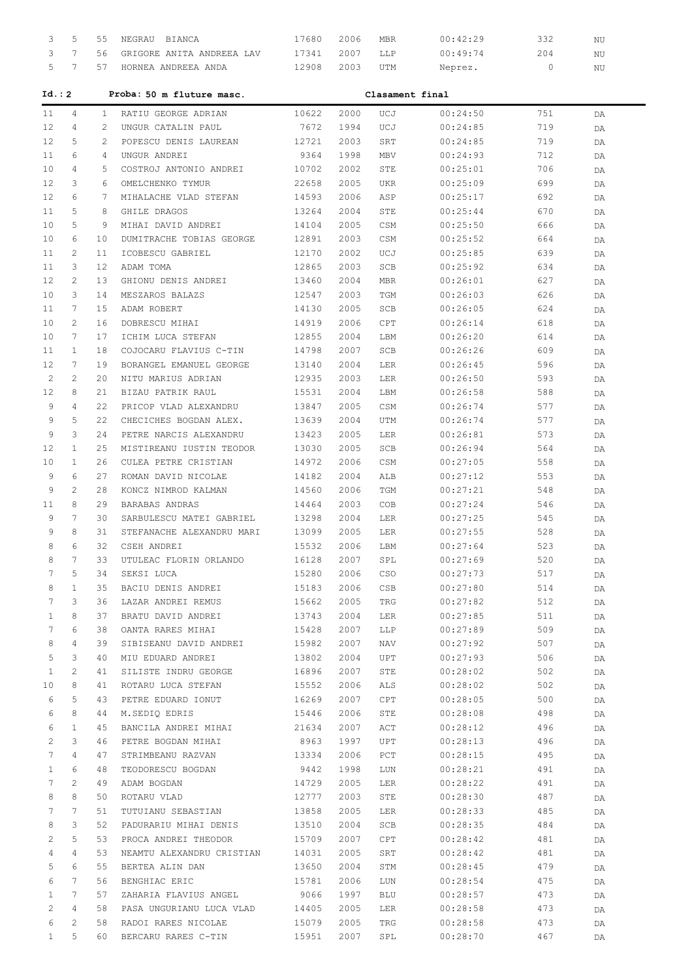| 3            | 5               | 55 | NEGRAU BIANCA             | 17680         | 2006         | MBR             | 00:42:29 | 332        | ΝU |  |
|--------------|-----------------|----|---------------------------|---------------|--------------|-----------------|----------|------------|----|--|
| 3            | 7               | 56 | GRIGORE ANITA ANDREEA LAV | 17341         | 2007         | LLP             | 00:49:74 | 204        | ΝU |  |
| 5            | 7               | 57 | HORNEA ANDREEA ANDA       | 12908         | 2003         | UTM             | Neprez.  | 0          | ΝU |  |
| Id.: 2       |                 |    | Proba: 50 m fluture masc. |               |              | Clasament final |          |            |    |  |
|              |                 |    | RATIU GEORGE ADRIAN       |               |              |                 |          |            |    |  |
| 11           | 4               | 1  |                           | 10622<br>7672 | 2000<br>1994 | UCJ<br>UCJ      | 00:24:50 | 751<br>719 | DA |  |
| 12           | 4               | 2  | UNGUR CATALIN PAUL        |               |              |                 | 00:24:85 |            | DA |  |
| 12           | 5               | 2  | POPESCU DENIS LAUREAN     | 12721         | 2003         | SRT             | 00:24:85 | 719        | DA |  |
| 11           | 6               | 4  | UNGUR ANDREI              | 9364          | 1998         | MBV             | 00:24:93 | 712        | DA |  |
| 10           | 4               | 5  | COSTROJ ANTONIO ANDREI    | 10702         | 2002         | STE             | 00:25:01 | 706        | DA |  |
| 12           | 3               | 6  | OMELCHENKO TYMUR          | 22658         | 2005         | <b>UKR</b>      | 00:25:09 | 699        | DA |  |
| 12           | 6               | 7  | MIHALACHE VLAD STEFAN     | 14593         | 2006         | ASP             | 00:25:17 | 692        | DA |  |
| 11           | 5               | 8  | GHILE DRAGOS              | 13264         | 2004         | STE             | 00:25:44 | 670        | DA |  |
| 10           | 5               | 9  | MIHAI DAVID ANDREI        | 14104         | 2005         | CSM             | 00:25:50 | 666        | DA |  |
| 10           | 6               | 10 | DUMITRACHE TOBIAS GEORGE  | 12891         | 2003         | CSM             | 00:25:52 | 664        | DA |  |
| 11           | 2               | 11 | ICOBESCU GABRIEL          | 12170         | 2002         | UCJ             | 00:25:85 | 639        | DA |  |
| 11           | 3               | 12 | ADAM TOMA                 | 12865         | 2003         | SCB             | 00:25:92 | 634        | DA |  |
| 12           | $\mathbf{2}$    | 13 | GHIONU DENIS ANDREI       | 13460         | 2004         | MBR             | 00:26:01 | 627        | DA |  |
| 10           | 3               | 14 | MESZAROS BALAZS           | 12547         | 2003         | TGM             | 00:26:03 | 626        | DA |  |
| 11           | 7               | 15 | ADAM ROBERT               | 14130         | 2005         | SCB             | 00:26:05 | 624        | DA |  |
| 10           | $\mathbf{2}$    | 16 | DOBRESCU MIHAI            | 14919         | 2006         | CPT             | 00:26:14 | 618        | DA |  |
| 10           | 7               | 17 | ICHIM LUCA STEFAN         | 12855         | 2004         | LBM             | 00:26:20 | 614        | DA |  |
| 11           | $\mathbf{1}$    | 18 | COJOCARU FLAVIUS C-TIN    | 14798         | 2007         | SCB             | 00:26:26 | 609        | DA |  |
| 12           | 7               | 19 | BORANGEL EMANUEL GEORGE   | 13140         | 2004         | LER             | 00:26:45 | 596        | DA |  |
| 2            | $\mathbf{2}$    | 20 | NITU MARIUS ADRIAN        | 12935         | 2003         | LER             | 00:26:50 | 593        | DA |  |
| 12           | 8               | 21 | BIZAU PATRIK RAUL         | 15531         | 2004         | LBM             | 00:26:58 | 588        | DA |  |
| 9            | 4               | 22 | PRICOP VLAD ALEXANDRU     | 13847         | 2005         | CSM             | 00:26:74 | 577        | DA |  |
| 9            | 5               | 22 | CHECICHES BOGDAN ALEX.    | 13639         | 2004         | UTM             | 00:26:74 | 577        | DA |  |
| 9            | 3               | 24 | PETRE NARCIS ALEXANDRU    | 13423         | 2005         | LER             | 00:26:81 | 573        | DA |  |
| 12           | $\mathbf{1}$    | 25 | MISTIREANU IUSTIN TEODOR  | 13030         | 2005         | SCB             | 00:26:94 | 564        |    |  |
|              | $\mathbf{1}$    |    |                           | 14972         | 2006         |                 |          |            | DA |  |
| 10           | 6               | 26 | CULEA PETRE CRISTIAN      |               |              | CSM             | 00:27:05 | 558        | DA |  |
| 9            |                 | 27 | ROMAN DAVID NICOLAE       | 14182         | 2004         | ALB             | 00:27:12 | 553        | DA |  |
| 9            | $\overline{2}$  | 28 | KONCZ NIMROD KALMAN       | 14560         | 2006         | TGM             | 00:27:21 | 548        | DA |  |
| 11           | 8               | 29 | BARABAS ANDRAS            | 14464         | 2003         | COB             | 00:27:24 | 546        | DA |  |
| 9            | 7               | 30 | SARBULESCU MATEI GABRIEL  | 13298         | 2004         | LER             | 00:27:25 | 545        | DA |  |
| 9            | 8               | 31 | STEFANACHE ALEXANDRU MARI | 13099         | 2005         | LER             | 00:27:55 | 528        | DA |  |
| 8            | 6               | 32 | CSEH ANDREI               | 15532         | 2006         | LBM             | 00:27:64 | 523        | DA |  |
| 8            | 7               | 33 | UTULEAC FLORIN ORLANDO    | 16128         | 2007         | SPL             | 00:27:69 | 520        | DA |  |
| 7            | 5               | 34 | SEKSI LUCA                | 15280         | 2006         | CSO             | 00:27:73 | 517        | DA |  |
| 8            | $\mathbf{1}$    | 35 | BACIU DENIS ANDREI        | 15183         | 2006         | CSB             | 00:27:80 | 514        | DA |  |
| 7            | 3               | 36 | LAZAR ANDREI REMUS        | 15662         | 2005         | TRG             | 00:27:82 | 512        | DA |  |
| $\mathbf{1}$ | 8               | 37 | BRATU DAVID ANDREI        | 13743         | 2004         | LER             | 00:27:85 | 511        | DA |  |
| 7            | 6               | 38 | OANTA RARES MIHAI         | 15428         | 2007         | LLP             | 00:27:89 | 509        | DA |  |
| 8            | 4               | 39 | SIBISEANU DAVID ANDREI    | 15982         | 2007         | NAV             | 00:27:92 | 507        | DA |  |
| 5            | 3               | 40 | MIU EDUARD ANDREI         | 13802         | 2004         | UPT             | 00:27:93 | 506        | DA |  |
| 1            | $\overline{c}$  | 41 | SILISTE INDRU GEORGE      | 16896         | 2007         | STE             | 00:28:02 | 502        | DA |  |
| 10           | 8               | 41 | ROTARU LUCA STEFAN        | 15552         | 2006         | ALS             | 00:28:02 | 502        | DA |  |
| 6            | 5               | 43 | PETRE EDUARD IONUT        | 16269         | 2007         | CPT             | 00:28:05 | 500        | DA |  |
| 6            | 8               | 44 | M.SEDIQ EDRIS             | 15446         | 2006         | STE             | 00:28:08 | 498        | DA |  |
| 6            | $\mathbf{1}$    | 45 | BANCILA ANDREI MIHAI      | 21634         | 2007         | ACT             | 00:28:12 | 496        | DA |  |
| 2            | 3               | 46 | PETRE BOGDAN MIHAI        | 8963          | 1997         | UPT             | 00:28:13 | 496        | DA |  |
| 7            | 4               | 47 | STRIMBEANU RAZVAN         | 13334         | 2006         | PCT             | 00:28:15 | 495        | DA |  |
| 1            | 6               | 48 | TEODORESCU BOGDAN         | 9442          | 1998         | LUN             | 00:28:21 | 491        | DA |  |
| 7            | $\overline{2}$  | 49 | ADAM BOGDAN               | 14729         | 2005         | LER             | 00:28:22 | 491        | DA |  |
| 8            | 8               |    |                           |               | 2003         |                 |          |            |    |  |
| 7            | $7\phantom{.0}$ | 50 | ROTARU VLAD               | 12777         | 2005         | STE             | 00:28:30 | 487        | DA |  |
|              |                 | 51 | TUTUIANU SEBASTIAN        | 13858         |              | LER             | 00:28:33 | 485        | DA |  |
| 8            | 3               | 52 | PADURARIU MIHAI DENIS     | 13510         | 2004         | SCB             | 00:28:35 | 484        | DA |  |
| 2            | 5               | 53 | PROCA ANDREI THEODOR      | 15709         | 2007         | CPT             | 00:28:42 | 481        | DA |  |
| 4            | 4               | 53 | NEAMTU ALEXANDRU CRISTIAN | 14031         | 2005         | SRT             | 00:28:42 | 481        | DA |  |
| 5            | 6               | 55 | BERTEA ALIN DAN           | 13650         | 2004         | STM             | 00:28:45 | 479        | DA |  |
| 6            | $7\phantom{.0}$ | 56 | BENGHIAC ERIC             | 15781         | 2006         | LUN             | 00:28:54 | 475        | DA |  |
| 1            | 7               | 57 | ZAHARIA FLAVIUS ANGEL     | 9066          | 1997         | BLU             | 00:28:57 | 473        | DA |  |
| 2            | 4               | 58 | PASA UNGURIANU LUCA VLAD  | 14405         | 2005         | LER             | 00:28:58 | 473        | DA |  |
| 6            | $\overline{c}$  | 58 | RADOI RARES NICOLAE       | 15079         | 2005         | TRG             | 00:28:58 | 473        | DA |  |
| $\mathbf{1}$ | 5               | 60 | BERCARU RARES C-TIN       | 15951         | 2007         | SPL             | 00:28:70 | 467        | DA |  |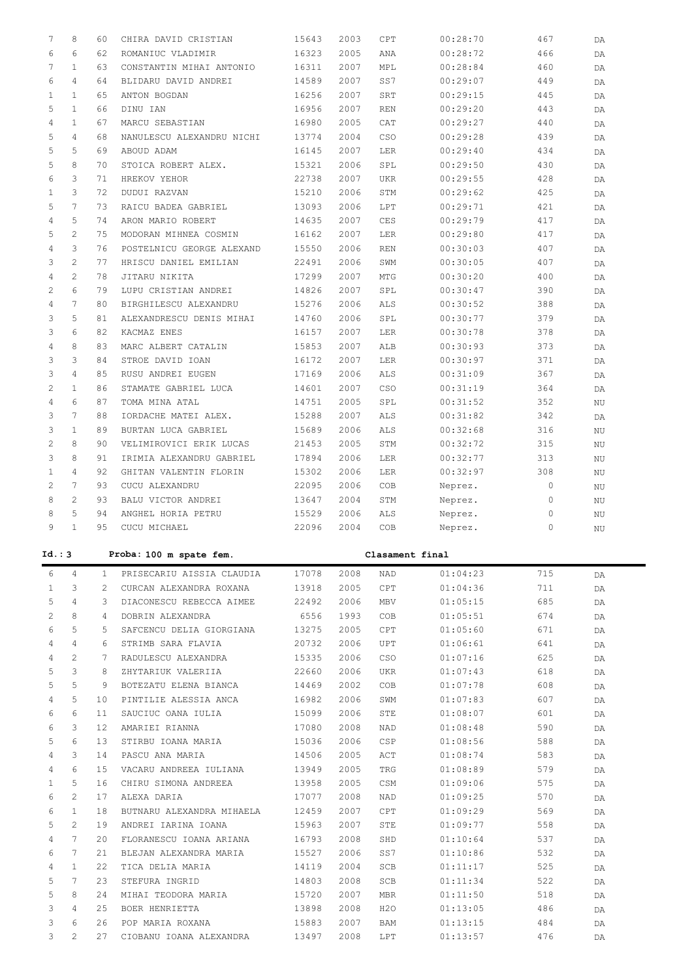| 7                     | 8                     | 60              | CHIRA DAVID CRISTIAN      | 15643 | 2003 | CPT             | 00:28:70             | 467          | DA       |
|-----------------------|-----------------------|-----------------|---------------------------|-------|------|-----------------|----------------------|--------------|----------|
| 6                     | 6                     | 62              | ROMANIUC VLADIMIR         | 16323 | 2005 | ANA             | 00:28:72             | 466          | DA       |
| 7                     | $\mathbf{1}$          | 63              | CONSTANTIN MIHAI ANTONIO  | 16311 | 2007 | MPL             | 00:28:84             | 460          | DA       |
| 6                     | $\overline{4}$        | 64              | BLIDARU DAVID ANDREI      | 14589 | 2007 | SS7             | 00:29:07             | 449          | DA       |
|                       |                       |                 |                           |       |      |                 |                      |              |          |
| $\mathbf{1}$          | $\mathbf{1}$          | 65              | ANTON BOGDAN              | 16256 | 2007 | SRT             | 00:29:15             | 445          | DA       |
| 5                     | $\mathbf{1}$          | 66              | DINU IAN                  | 16956 | 2007 | <b>REN</b>      | 00:29:20             | 443          | DA       |
| 4                     | $\mathbf{1}$          | 67              | MARCU SEBASTIAN           | 16980 | 2005 | CAT             | 00:29:27             | 440          | DA       |
| 5                     | $\overline{4}$        | 68              | NANULESCU ALEXANDRU NICHI | 13774 | 2004 | CSO             | 00:29:28             | 439          | DA       |
| 5                     | 5                     | 69              | ABOUD ADAM                | 16145 | 2007 | LER             | 00:29:40             | 434          | DA       |
| 5                     | 8                     | 70              | STOICA ROBERT ALEX.       | 15321 | 2006 | SPL             | 00:29:50             | 430          | DA       |
|                       |                       |                 |                           |       |      |                 |                      |              |          |
| 6                     | 3                     | 71              | HREKOV YEHOR              | 22738 | 2007 | <b>UKR</b>      | 00:29:55             | 428          | DA       |
| $\mathbf{1}$          | 3                     | 72              | DUDUI RAZVAN              | 15210 | 2006 | STM             | 00:29:62             | 425          | DA       |
| 5                     | 7                     | 73              | RAICU BADEA GABRIEL       | 13093 | 2006 | LPT             | 00:29:71             | 421          | DA       |
| 4                     | 5                     | 74              | ARON MARIO ROBERT         | 14635 | 2007 | CES             | 00:29:79             | 417          | DA       |
| 5                     | $\overline{2}$        | 75              | MODORAN MIHNEA COSMIN     | 16162 | 2007 | LER             | 00:29:80             | 417          | DA       |
| 4                     | 3                     | 76              | POSTELNICU GEORGE ALEXAND | 15550 | 2006 | <b>REN</b>      | 00:30:03             | 407          |          |
|                       |                       |                 |                           |       |      |                 |                      |              | DA       |
| 3                     | $\overline{2}$        | 77              | HRISCU DANIEL EMILIAN     | 22491 | 2006 | SWM             | 00:30:05             | 407          | DA       |
| 4                     | $\overline{c}$        | 78              | JITARU NIKITA             | 17299 | 2007 | MTG             | 00:30:20             | 400          | DA       |
| 2                     | 6                     | 79              | LUPU CRISTIAN ANDREI      | 14826 | 2007 | SPL             | 00:30:47             | 390          | DA       |
| 4                     | 7                     | 80              | BIRGHILESCU ALEXANDRU     | 15276 | 2006 | ALS             | 00:30:52             | 388          | DA       |
| 3                     | 5                     | 81              | ALEXANDRESCU DENIS MIHAI  | 14760 | 2006 | SPL             | 00:30:77             | 379          | DA       |
| 3                     | 6                     | 82              | KACMAZ ENES               | 16157 | 2007 | LER             | 00:30:78             | 378          | DA       |
|                       |                       |                 |                           |       |      |                 |                      |              |          |
| 4                     | 8                     | 83              | MARC ALBERT CATALIN       | 15853 | 2007 | ALB             | 00:30:93             | 373          | DA       |
| 3                     | 3                     | 84              | STROE DAVID IOAN          | 16172 | 2007 | LER             | 00:30:97             | 371          | DA       |
| 3                     | $\overline{4}$        | 85              | RUSU ANDREI EUGEN         | 17169 | 2006 | ALS             | 00:31:09             | 367          | DA       |
| 2                     | $\mathbf{1}$          | 86              | STAMATE GABRIEL LUCA      | 14601 | 2007 | CSO             | 00:31:19             | 364          | DA       |
| 4                     | 6                     | 87              | TOMA MINA ATAL            | 14751 | 2005 | SPL             | 00:31:52             | 352          | ΝU       |
| 3                     | $7\phantom{.0}$       | 88              | IORDACHE MATEI ALEX.      | 15288 | 2007 | ALS             | 00:31:82             | 342          |          |
|                       |                       |                 |                           |       |      |                 |                      |              | DA       |
| 3                     | $\mathbf{1}$          | 89              | BURTAN LUCA GABRIEL       | 15689 | 2006 | ALS             | 00:32:68             | 316          | ΝU       |
| 2                     | 8                     | 90              | VELIMIROVICI ERIK LUCAS   | 21453 | 2005 | STM             | 00:32:72             | 315          | NU       |
| 3                     | 8                     | 91              | IRIMIA ALEXANDRU GABRIEL  | 17894 | 2006 | LER             | 00:32:77             | 313          | ΝU       |
| $\mathbf{1}$          | $\overline{4}$        | 92              | GHITAN VALENTIN FLORIN    | 15302 | 2006 | LER             | 00:32:97             | 308          | NU       |
| $\mathbf{2}^{\prime}$ | $7\phantom{.0}$       | 93              | CUCU ALEXANDRU            | 22095 | 2006 | COB             | Neprez.              | $\mathbf{0}$ | ΝU       |
|                       |                       |                 |                           |       |      |                 |                      |              |          |
|                       |                       |                 |                           |       |      |                 |                      |              |          |
| 8                     | $\overline{2}$        | 93              | BALU VICTOR ANDREI        | 13647 | 2004 | STM             | Neprez.              | $\mathbf{0}$ | ΝU       |
| 8                     | 5                     | 94              | ANGHEL HORIA PETRU        | 15529 | 2006 | ALS             | Neprez.              | $\circ$      | ΝU       |
| 9                     | $\mathbf{1}$          | 95              | CUCU MICHAEL              | 22096 | 2004 | COB             | Neprez.              | 0            | ΝU       |
|                       |                       |                 |                           |       |      |                 |                      |              |          |
|                       |                       |                 | Proba: 100 m spate fem.   |       |      | Clasament final |                      |              |          |
|                       |                       |                 |                           |       |      |                 |                      |              |          |
| 6                     | $\overline{4}$        | $\mathbf{1}$    | PRISECARIU AISSIA CLAUDIA | 17078 | 2008 | NAD             | 01:04:23             | 715          | DA       |
| $\mathbf{1}$          | 3                     | $\overline{2}$  | CURCAN ALEXANDRA ROXANA   | 13918 | 2005 | CPT             | 01:04:36             | 711          | DA       |
| 5                     | $\overline{4}$        | 3               | DIACONESCU REBECCA AIMEE  | 22492 | 2006 | MBV             | 01:05:15             | 685          | DA       |
| 2                     | 8                     | 4               | DOBRIN ALEXANDRA          | 6556  | 1993 | COB             | 01:05:51             | 674          | DA       |
| 6                     | 5                     | 5               | SAFCENCU DELIA GIORGIANA  | 13275 | 2005 | CPT             | 01:05:60             | 671          | DA       |
| 4                     | 4                     | 6               | STRIMB SARA FLAVIA        | 20732 | 2006 | UPT             | 01:06:61             | 641          | DA       |
|                       |                       | 7               |                           |       |      |                 |                      |              |          |
| 4                     | $\mathbf{2}^{\prime}$ |                 | RADULESCU ALEXANDRA       | 15335 | 2006 | CSO             | 01:07:16             | 625          | DA       |
| 5                     | 3                     | 8               | ZHYTARIUK VALERIIA        | 22660 | 2006 | UKR             | 01:07:43             | 618          | DA       |
| 5                     | 5                     | 9               | BOTEZATU ELENA BIANCA     | 14469 | 2002 | COB             | 01:07:78             | 608          | DA       |
| 4                     | 5                     | 10              | PINTILIE ALESSIA ANCA     | 16982 | 2006 | SWM             | 01:07:83             | 607          | DA       |
| 6                     | 6                     | 11              | SAUCIUC OANA IULIA        | 15099 | 2006 | STE             | 01:08:07             | 601          | DA       |
| 6                     | 3                     | 12 <sub>2</sub> | AMARIEI RIANNA            | 17080 | 2008 | NAD             | 01:08:48             | 590          | DA       |
| 5                     | 6                     | 13              |                           |       |      |                 |                      |              |          |
| Id.:3                 |                       |                 | STIRBU IOANA MARIA        | 15036 | 2006 | CSP             | 01:08:56             | 588          | DA       |
| 4                     | 3                     | 14              | PASCU ANA MARIA           | 14506 | 2005 | ACT             | 01:08:74             | 583          | DA       |
| 4                     | 6                     | 15              | VACARU ANDREEA IULIANA    | 13949 | 2005 | TRG             | 01:08:89             | 579          | DA       |
| $\mathbf{1}$          | 5                     | 16              | CHIRU SIMONA ANDREEA      | 13958 | 2005 | CSM             | 01:09:06             | 575          | DA       |
| 6                     | $\mathbf{2}^{\prime}$ | 17              | ALEXA DARIA               | 17077 | 2008 | NAD             | 01:09:25             | 570          | DA       |
| 6                     | $\mathbf{1}$          | 18              | BUTNARU ALEXANDRA MIHAELA | 12459 | 2007 | CPT             | 01:09:29             | 569          | DA       |
| 5                     | $\mathbf{2}^{\prime}$ | 19              | ANDREI IARINA IOANA       | 15963 | 2007 | STE             | 01:09:77             | 558          | DA       |
|                       |                       |                 |                           |       |      |                 |                      |              |          |
| 4                     | $7\phantom{.0}$       | 20              | FLORANESCU IOANA ARIANA   | 16793 | 2008 | SHD             | 01:10:64             | 537          | DA       |
| 6                     | 7                     | 21              | BLEJAN ALEXANDRA MARIA    | 15527 | 2006 | SS7             | 01:10:86             | 532          | DA       |
| 4                     | $\mathbf{1}$          | 22              | TICA DELIA MARIA          | 14119 | 2004 | SCB             | 01:11:17             | 525          | DA       |
| 5                     | $7\phantom{.0}$       | 23              | STEFURA INGRID            | 14803 | 2008 | SCB             | 01:11:34             | 522          | DA       |
| 5                     | 8                     | 24              | MIHAI TEODORA MARIA       | 15720 | 2007 | MBR             | 01:11:50             | 518          | DA       |
| 3                     | 4                     | 25              | BOER HENRIETTA            | 13898 | 2008 | H2O             | 01:13:05             | 486          | DA       |
| 3                     | 6                     | 26              | POP MARIA ROXANA          | 15883 | 2007 | BAM             |                      | 484          |          |
| 3                     | $\overline{2}$        | 27              | CIOBANU IOANA ALEXANDRA   | 13497 | 2008 | LPT             | 01:13:15<br>01:13:57 | 476          | DA<br>DA |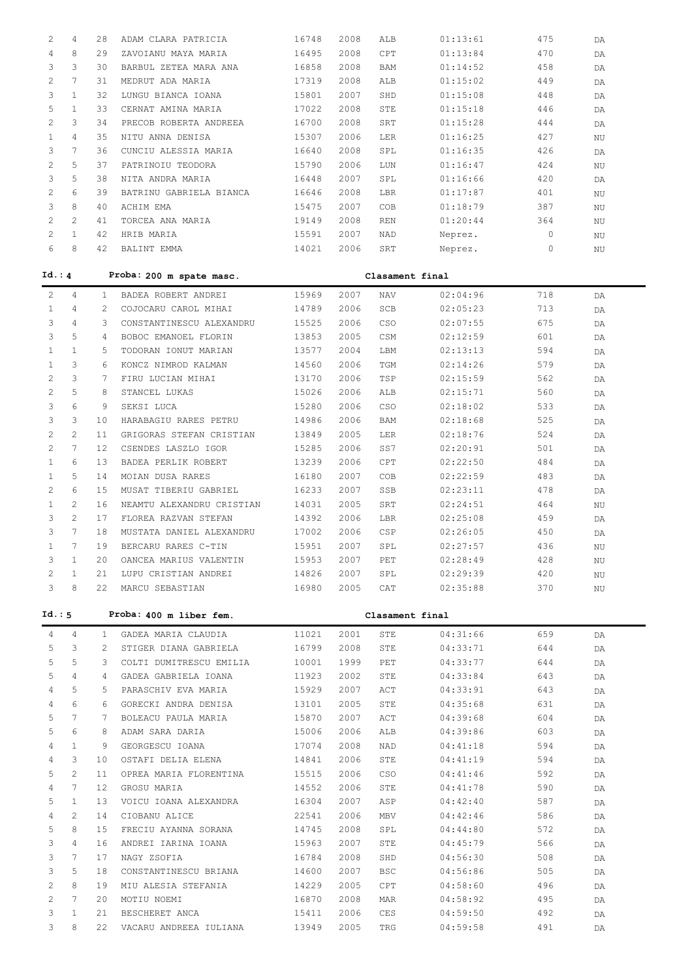| 2            | 4                     | 28 | ADAM CLARA PATRICIA       | 16748 | 2008 | ALB             | 01:13:61 | 475     | DA       |
|--------------|-----------------------|----|---------------------------|-------|------|-----------------|----------|---------|----------|
| 4            | 8                     | 29 | ZAVOIANU MAYA MARIA       | 16495 | 2008 | CPT             | 01:13:84 | 470     |          |
|              |                       |    |                           |       |      |                 |          |         | DA       |
| 3            | 3                     | 30 | BARBUL ZETEA MARA ANA     | 16858 | 2008 | BAM             | 01:14:52 | 458     | DA       |
| 2            | 7                     | 31 | MEDRUT ADA MARIA          | 17319 | 2008 | ALB             | 01:15:02 | 449     | DA       |
| 3            | $\mathbf{1}$          | 32 | LUNGU BIANCA IOANA        | 15801 | 2007 | SHD             | 01:15:08 | 448     | DA       |
| 5            | $\mathbf{1}$          | 33 | CERNAT AMINA MARIA        | 17022 | 2008 | STE             | 01:15:18 | 446     | DA       |
| 2            | 3                     | 34 | PRECOB ROBERTA ANDREEA    | 16700 | 2008 | SRT             | 01:15:28 | 444     | DA       |
| $\mathbf{1}$ | $\overline{4}$        | 35 | NITU ANNA DENISA          | 15307 | 2006 | LER             | 01:16:25 | 427     | NU       |
| 3            | 7                     | 36 | CUNCIU ALESSIA MARIA      | 16640 | 2008 | SPL             | 01:16:35 | 426     | DA       |
| $\mathbf{2}$ | 5                     | 37 | PATRINOIU TEODORA         | 15790 | 2006 | $_{\rm LUN}$    | 01:16:47 | 424     | NU       |
| 3            | 5                     | 38 | NITA ANDRA MARIA          | 16448 | 2007 | SPL             | 01:16:66 | 420     | DA       |
|              | 6                     |    |                           |       |      |                 |          |         |          |
| 2            |                       | 39 | BATRINU GABRIELA BIANCA   | 16646 | 2008 | LBR             | 01:17:87 | 401     | NU       |
| 3            | 8                     | 40 | ACHIM EMA                 | 15475 | 2007 | COB             | 01:18:79 | 387     | NU       |
| 2            | $\overline{2}$        | 41 | TORCEA ANA MARIA          | 19149 | 2008 | REN             | 01:20:44 | 364     | NU       |
| 2            | $\mathbf{1}$          | 42 | HRIB MARIA                | 15591 | 2007 | NAD             | Neprez.  | $\circ$ | NU       |
| 6            | 8                     | 42 | BALINT EMMA               | 14021 | 2006 | SRT             | Neprez.  | 0       | NU       |
| Id.: 4       |                       |    | Proba: 200 m spate masc.  |       |      | Clasament final |          |         |          |
| 2            | 4                     | 1  | BADEA ROBERT ANDREI       | 15969 | 2007 | NAV             | 02:04:96 | 718     | DA       |
| 1            | 4                     | 2  | COJOCARU CAROL MIHAI      | 14789 | 2006 | SCB             | 02:05:23 | 713     |          |
|              |                       |    |                           |       |      |                 |          |         | DA       |
| 3            | $\overline{4}$        | 3  | CONSTANTINESCU ALEXANDRU  | 15525 | 2006 | CSO             | 02:07:55 | 675     | DA       |
| 3            | 5                     | 4  | BOBOC EMANOEL FLORIN      | 13853 | 2005 | CSM             | 02:12:59 | 601     | DA       |
| 1            | $\mathbf{1}$          | 5  | TODORAN IONUT MARIAN      | 13577 | 2004 | LBM             | 02:13:13 | 594     | DA       |
| 1            | 3                     | 6  | KONCZ NIMROD KALMAN       | 14560 | 2006 | TGM             | 02:14:26 | 579     | DA       |
| 2            | 3                     | 7  | FIRU LUCIAN MIHAI         | 13170 | 2006 | TSP             | 02:15:59 | 562     | DA       |
| 2            | 5                     | 8  | STANCEL LUKAS             | 15026 | 2006 | ALB             | 02:15:71 | 560     | DA       |
| 3            | 6                     | 9  | SEKSI LUCA                | 15280 | 2006 | CSO             | 02:18:02 | 533     | DA       |
| 3            | 3                     | 10 | HARABAGIU RARES PETRU     | 14986 | 2006 | BAM             | 02:18:68 | 525     | DA       |
| 2            | $\overline{2}$        | 11 | GRIGORAS STEFAN CRISTIAN  | 13849 | 2005 | LER             | 02:18:76 | 524     | DA       |
| 2            | $7\phantom{.0}$       | 12 | CSENDES LASZLO IGOR       | 15285 | 2006 | SS7             | 02:20:91 | 501     | DA       |
| 1            | 6                     | 13 | BADEA PERLIK ROBERT       | 13239 | 2006 | CPT             | 02:22:50 | 484     |          |
|              | 5                     | 14 | MOIAN DUSA RARES          | 16180 | 2007 | COB             | 02:22:59 | 483     | DA       |
| 1            |                       |    |                           |       |      |                 |          |         | DA       |
| 2            | 6                     | 15 | MUSAT TIBERIU GABRIEL     | 16233 | 2007 | SSB             | 02:23:11 | 478     | DA       |
| 1            | $\mathbf{2}^{\prime}$ | 16 | NEAMTU ALEXANDRU CRISTIAN | 14031 | 2005 | SRT             | 02:24:51 | 464     | $\rm NU$ |
| 3            | $\overline{2}$        | 17 | FLOREA RAZVAN STEFAN      | 14392 | 2006 | LBR             | 02:25:08 | 459     | DA       |
| 3            | $7\phantom{.0}$       | 18 | MUSTATA DANIEL ALEXANDRU  | 17002 | 2006 | CSP             | 02:26:05 | 450     | DA       |
| 1            | $7\phantom{.0}$       | 19 | BERCARU RARES C-TIN       | 15951 | 2007 | SPL             | 02:27:57 | 436     | $\rm NU$ |
| 3            | $\mathbf{1}$          | 20 | OANCEA MARIUS VALENTIN    | 15953 | 2007 | PET             | 02:28:49 | 428     | ΝU       |
| 2            | 1                     | 21 | LUPU CRISTIAN ANDREI      | 14826 | 2007 | SPL             | 02:29:39 | 420     | $\rm NU$ |
| 3            | 8                     | 22 | MARCU SEBASTIAN           | 16980 | 2005 | CAT             | 02:35:88 | 370     | ΝU       |
| Id.: 5       |                       |    | Proba: 400 m liber fem.   |       |      | Clasament final |          |         |          |
| 4            | 4                     | 1  | GADEA MARIA CLAUDIA       | 11021 | 2001 | STE             | 04:31:66 | 659     | DA       |
| 5            | 3                     | 2  | STIGER DIANA GABRIELA     | 16799 | 2008 | STE             | 04:33:71 | 644     | DA       |
| 5            | 5                     | 3  | COLTI DUMITRESCU EMILIA   | 10001 | 1999 | PET             | 04:33:77 | 644     | DA       |
| 5            | 4                     | 4  | GADEA GABRIELA IOANA      | 11923 | 2002 | STE             | 04:33:84 | 643     | DA       |
| 4            | 5                     | 5  | PARASCHIV EVA MARIA       | 15929 | 2007 | ACT             | 04:33:91 | 643     |          |
|              | 6                     |    |                           |       |      |                 |          |         | DA       |
| 4            |                       | 6  | GORECKI ANDRA DENISA      | 13101 | 2005 | STE             | 04:35:68 | 631     | DA       |
| 5            | 7                     | 7  | BOLEACU PAULA MARIA       | 15870 | 2007 | ACT             | 04:39:68 | 604     | DA       |
| 5            | 6                     | 8  | ADAM SARA DARIA           | 15006 | 2006 | ALB             | 04:39:86 | 603     | DA       |
| 4            | $\mathbf{1}$          | 9  | GEORGESCU IOANA           | 17074 | 2008 | NAD             | 04:41:18 | 594     | DA       |
| 4            | 3                     | 10 | OSTAFI DELIA ELENA        | 14841 | 2006 | STE             | 04:41:19 | 594     | DA       |
| 5            | $\mathbf{2}^{\prime}$ | 11 | OPREA MARIA FLORENTINA    | 15515 | 2006 | CSO             | 04:41:46 | 592     | DA       |
| 4            | 7                     | 12 | GROSU MARIA               | 14552 | 2006 | STE             | 04:41:78 | 590     | DA       |
| 5            | $\mathbf{1}$          | 13 | VOICU IOANA ALEXANDRA     | 16304 | 2007 | ASP             | 04:42:40 | 587     | DA       |
| 4            | 2                     | 14 | CIOBANU ALICE             | 22541 | 2006 | MBV             | 04:42:46 | 586     | DA       |
| 5            | 8                     | 15 | FRECIU AYANNA SORANA      | 14745 | 2008 | SPL             | 04:44:80 | 572     | DA       |
| 3            | 4                     | 16 | ANDREI IARINA IOANA       | 15963 | 2007 | STE             | 04:45:79 | 566     | DA       |
| 3            | 7                     | 17 | NAGY ZSOFIA               | 16784 | 2008 | SHD             | 04:56:30 | 508     | DA       |
| 3            | 5                     | 18 | CONSTANTINESCU BRIANA     | 14600 | 2007 | <b>BSC</b>      | 04:56:86 | 505     |          |
|              | 8                     |    |                           |       |      |                 |          |         | DA       |
| 2            |                       | 19 | MIU ALESIA STEFANIA       | 14229 | 2005 | CPT             | 04:58:60 | 496     | DA       |
| 2            | 7                     | 20 | MOTIU NOEMI               | 16870 | 2008 | MAR             | 04:58:92 | 495     | DA       |
| 3            | $\mathbf{1}$          | 21 | BESCHERET ANCA            | 15411 | 2006 | CES             | 04:59:50 | 492     | DA       |
| 3            | 8                     | 22 | VACARU ANDREEA IULIANA    | 13949 | 2005 | TRG             | 04:59:58 | 491     | DA       |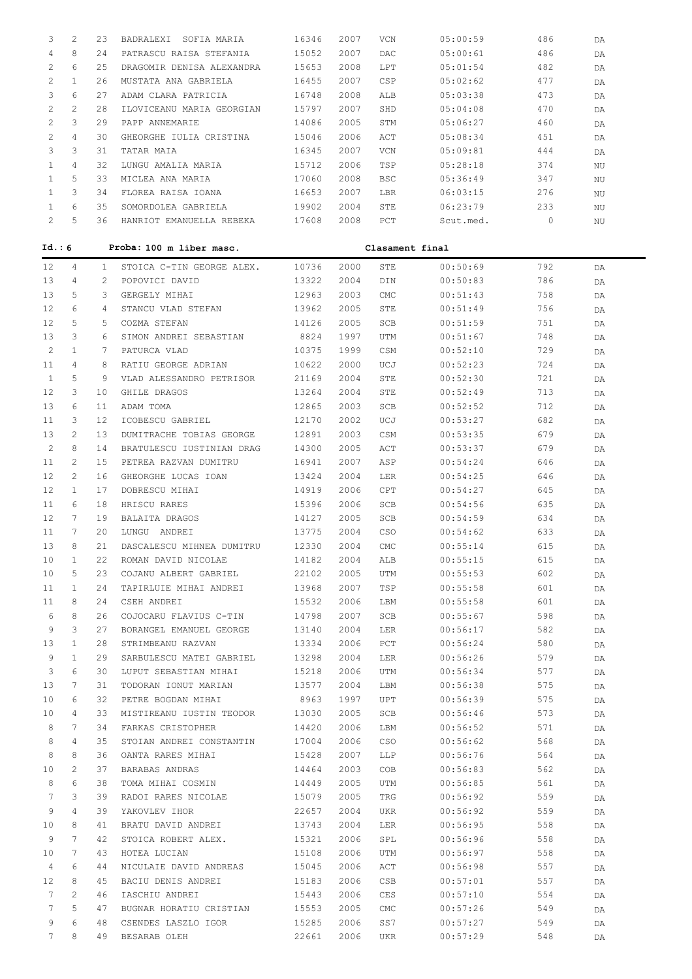| 3            | 2            | 23 | BADRALEXI SOFIA MARIA       | 16346 | 2007 | VCN         | 05:00:59        | 486     | DA |
|--------------|--------------|----|-----------------------------|-------|------|-------------|-----------------|---------|----|
| 4            | 8            | 24 | PATRASCU RAISA STEFANIA     | 15052 | 2007 | DAC         | 05:00:61        | 486     | DA |
| 2            | 6            | 25 | DRAGOMIR DENISA ALEXANDRA   | 15653 | 2008 | LPT         | 05:01:54        | 482     | DA |
| 2            | $\mathbf{1}$ | 26 | MUSTATA ANA GABRIELA        | 16455 | 2007 | CSP         | 05:02:62        | 477     | DA |
| 3            | 6            | 27 | ADAM CLARA PATRICIA         | 16748 | 2008 | ALB         | 05:03:38        | 473     | DA |
| 2            | 2            | 28 | ILOVICEANU MARIA GEORGIAN   | 15797 | 2007 | SHD         | 05:04:08        | 470     | DA |
| 2            | 3            | 29 | PAPP ANNEMARIE              | 14086 | 2005 | STM         | 05:06:27        | 460     | DA |
| 2            | 4            | 30 | GHEORGHE IULIA CRISTINA     | 15046 | 2006 | ACT         | 05:08:34        | 451     | DA |
| 3            | 3            | 31 | TATAR MAIA                  | 16345 | 2007 | VCN         | 05:09:81        | 444     | DA |
| 1            | 4            | 32 | LUNGU AMALIA MARIA          | 15712 | 2006 | TSP         | 05:28:18        | 374     | ΝU |
| 1            | 5            | 33 | MICLEA ANA MARIA            | 17060 | 2008 | <b>BSC</b>  | 05:36:49        | 347     | ΝU |
| 1            | 3            | 34 | FLOREA RAISA IOANA          | 16653 | 2007 | LBR         | 06:03:15        | 276     | ΝU |
| $\mathbf{1}$ | 6            | 35 | SOMORDOLEA GABRIELA         | 19902 | 2004 | STE         | 06:23:79        | 233     |    |
| 2            | 5            |    | 36 HANRIOT EMANUELLA REBEKA | 17608 | 2008 | PCT         | Scut.med.       | $\circ$ | NU |
|              |              |    |                             |       |      |             |                 |         | NU |
| Id.: 6       |              |    | Proba: 100 m liber masc.    |       |      |             | Clasament final |         |    |
| 12           | 4            | 1  | STOICA C-TIN GEORGE ALEX.   | 10736 | 2000 | STE         | 00:50:69        | 792     | DA |
| 13           | 4            | 2  | POPOVICI DAVID              | 13322 | 2004 | DIN         | 00:50:83        | 786     | DA |
| 13           | 5            | 3  | GERGELY MIHAI               | 12963 | 2003 | CMC         | 00:51:43        | 758     | DA |
| 12           | 6            | 4  | STANCU VLAD STEFAN          | 13962 | 2005 | STE         | 00:51:49        | 756     | DA |
| 12           | 5            | 5  | COZMA STEFAN                | 14126 | 2005 | SCB         | 00:51:59        | 751     | DA |
| 13           | 3            | 6  | SIMON ANDREI SEBASTIAN      | 8824  | 1997 | UTM         | 00:51:67        | 748     | DA |
| 2            | 1            | 7  | PATURCA VLAD                | 10375 | 1999 | CSM         | 00:52:10        | 729     | DA |
| 11           | 4            | 8  | RATIU GEORGE ADRIAN         | 10622 | 2000 | UCJ         | 00:52:23        | 724     | DA |
| 1            | 5            | 9  | VLAD ALESSANDRO PETRISOR    | 21169 | 2004 | STE         | 00:52:30        | 721     |    |
| 12           | 3            | 10 |                             | 13264 | 2004 | STE         | 00:52:49        | 713     | DA |
| 13           | 6            | 11 | GHILE DRAGOS                |       |      | SCB         |                 |         | DA |
|              |              |    | ADAM TOMA                   | 12865 | 2003 |             | 00:52:52        | 712     | DA |
| 11           | 3            | 12 | ICOBESCU GABRIEL            | 12170 | 2002 | UCJ         | 00:53:27        | 682     | DA |
| 13           | 2            | 13 | DUMITRACHE TOBIAS GEORGE    | 12891 | 2003 | CSM         | 00:53:35        | 679     | DA |
| 2            | 8            | 14 | BRATULESCU IUSTINIAN DRAG   | 14300 | 2005 | ACT         | 00:53:37        | 679     | DA |
| 11           | 2            | 15 | PETREA RAZVAN DUMITRU       | 16941 | 2007 | ASP         | 00:54:24        | 646     | DA |
| 12           | 2            | 16 | GHEORGHE LUCAS IOAN         | 13424 | 2004 | LER         | 00:54:25        | 646     | DA |
| 12           | 1            | 17 | DOBRESCU MIHAI              | 14919 | 2006 | CPT         | 00:54:27        | 645     | DA |
| 11           | 6            | 18 | HRISCU RARES                | 15396 | 2006 | SCB         | 00:54:56        | 635     | DA |
| 12           | 7            | 19 | BALAITA DRAGOS              | 14127 | 2005 | SCB         | 00:54:59        | 634     | DA |
| 11           | 7            | 20 | LUNGU ANDREI                | 13775 | 2004 | CSO         | 00:54:62        | 633     | DA |
| 13           | 8            | 21 | DASCALESCU MIHNEA DUMITRU   | 12330 | 2004 | CMC         | 00:55:14        | 615     | DA |
| 10           | 1            | 22 | ROMAN DAVID NICOLAE         | 14182 | 2004 | ALB         | 00:55:15        | 615     | DA |
| 10           | 5            | 23 | COJANU ALBERT GABRIEL       | 22102 | 2005 | UTM         | 00:55:53        | 602     | DA |
| 11           | 1            | 24 | TAPIRLUIE MIHAI ANDREI      | 13968 | 2007 | TSP         | 00:55:58        | 601     | DA |
| 11           | 8            | 24 | CSEH ANDREI                 | 15532 | 2006 | LBM         | 00:55:58        | 601     | DA |
| 6            | 8            | 26 | COJOCARU FLAVIUS C-TIN      | 14798 | 2007 | SCB         | 00:55:67        | 598     | DA |
| 9            | 3            | 27 | BORANGEL EMANUEL GEORGE     | 13140 | 2004 | LER         | 00:56:17        | 582     | DA |
| 13           | 1            | 28 | STRIMBEANU RAZVAN           | 13334 | 2006 | PCT         | 00:56:24        | 580     | DA |
| 9            | $\mathbf{1}$ | 29 | SARBULESCU MATEI GABRIEL    | 13298 | 2004 | LER         | 00:56:26        | 579     | DA |
| 3            | 6            | 30 | LUPUT SEBASTIAN MIHAI       | 15218 | 2006 | UTM         | 00:56:34        | 577     | DA |
| 13           | 7            | 31 | TODORAN IONUT MARIAN        | 13577 | 2004 | LBM         | 00:56:38        | 575     | DA |
| 10           | 6            | 32 | PETRE BOGDAN MIHAI          | 8963  | 1997 | UPT         | 00:56:39        | 575     | DA |
| 10           | 4            | 33 | MISTIREANU IUSTIN TEODOR    | 13030 | 2005 | SCB         | 00:56:46        | 573     | DA |
| 8            | 7            | 34 | FARKAS CRISTOPHER           | 14420 | 2006 | LBM         | 00:56:52        | 571     | DA |
| 8            | 4            | 35 | STOIAN ANDREI CONSTANTIN    | 17004 | 2006 | CSO         | 00:56:62        | 568     | DA |
| 8            | 8            | 36 | OANTA RARES MIHAI           | 15428 | 2007 | LLP         | 00:56:76        | 564     | DA |
| 10           | 2            | 37 | BARABAS ANDRAS              | 14464 | 2003 | COB         | 00:56:83        | 562     | DA |
| 8            | 6            | 38 | TOMA MIHAI COSMIN           | 14449 | 2005 | UTM         | 00:56:85        | 561     | DA |
| 7            | 3            | 39 | RADOI RARES NICOLAE         | 15079 | 2005 | TRG         | 00:56:92        | 559     | DA |
| 9            | 4            | 39 | YAKOVLEV IHOR               | 22657 | 2004 | UKR         | 00:56:92        | 559     | DA |
| 10           | 8            | 41 | BRATU DAVID ANDREI          | 13743 | 2004 | LER         | 00:56:95        | 558     | DA |
| 9            | 7            | 42 | STOICA ROBERT ALEX.         | 15321 | 2006 | SPL         | 00:56:96        | 558     | DA |
| 10           | 7            | 43 | HOTEA LUCIAN                | 15108 | 2006 | UTM         | 00:56:97        | 558     | DA |
| 4            | 6            | 44 | NICULAIE DAVID ANDREAS      | 15045 | 2006 | ACT         | 00:56:98        | 557     | DA |
| 12           | 8            | 45 | BACIU DENIS ANDREI          | 15183 | 2006 | CSB         | 00:57:01        | 557     | DA |
| 7            | 2            | 46 | IASCHIU ANDREI              | 15443 | 2006 | CES         | 00:57:10        | 554     | DA |
| 7            | 5            | 47 | BUGNAR HORATIU CRISTIAN     | 15553 | 2005 | ${\rm CMC}$ | 00:57:26        | 549     | DA |
| 9            | 6            | 48 | CSENDES LASZLO IGOR         | 15285 | 2006 | SS7         | 00:57:27        | 549     | DA |
| 7            | 8            | 49 | BESARAB OLEH                | 22661 | 2006 | UKR         | 00:57:29        | 548     | DA |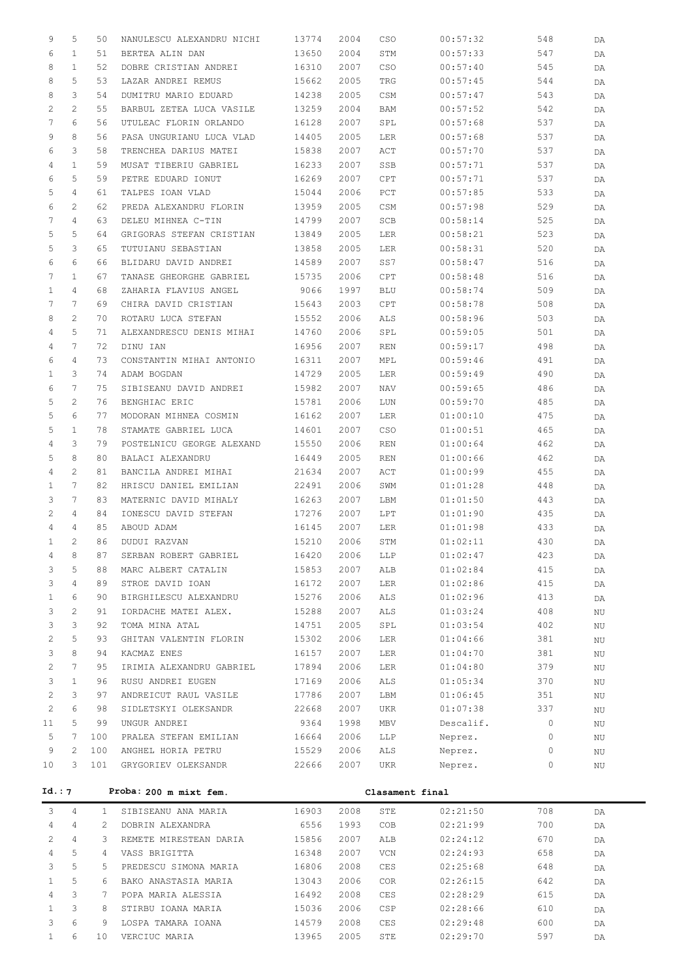| 9                     | 5                     | 50              | NANULESCU ALEXANDRU NICHI    | 13774          | 2004 | CSO             | 00:57:32  | 548            | DA                     |
|-----------------------|-----------------------|-----------------|------------------------------|----------------|------|-----------------|-----------|----------------|------------------------|
| 6                     | $\mathbf{1}$          | 51              | BERTEA ALIN DAN              | 13650          | 2004 | STM             | 00:57:33  | 547            | DA                     |
| 8                     | $\mathbf{1}$          | 52              | DOBRE CRISTIAN ANDREI        | 16310          | 2007 | CSO             | 00:57:40  | 545            | DA                     |
| 8                     | 5                     | 53              | LAZAR ANDREI REMUS           | 15662          | 2005 | TRG             | 00:57:45  | 544            | DA                     |
| 8                     | 3                     | 54              | DUMITRU MARIO EDUARD         | 14238          | 2005 | CSM             | 00:57:47  | 543            | DA                     |
| 2                     | $\mathbf{2}^{\prime}$ | 55              | BARBUL ZETEA LUCA VASILE     | 13259          | 2004 | BAM             | 00:57:52  | 542            |                        |
| 7                     | 6                     |                 |                              |                |      |                 |           |                | DA                     |
|                       |                       | 56              | UTULEAC FLORIN ORLANDO       | 16128          | 2007 | SPL             | 00:57:68  | 537            | DA                     |
| 9                     | 8                     | 56              | PASA UNGURIANU LUCA VLAD     | 14405          | 2005 | <b>LER</b>      | 00:57:68  | 537            | DA                     |
| 6                     | 3                     | 58              | TRENCHEA DARIUS MATEI        | 15838          | 2007 | ACT             | 00:57:70  | 537            | DA                     |
| 4                     | $\mathbf{1}$          | 59              | MUSAT TIBERIU GABRIEL        | 16233          | 2007 | SSB             | 00:57:71  | 537            | DA                     |
| 6                     | 5                     | 59              | PETRE EDUARD IONUT           | 16269          | 2007 | CPT             | 00:57:71  | 537            | DA                     |
| 5                     | $\overline{4}$        | 61              | TALPES IOAN VLAD             | 15044          | 2006 | PCT             | 00:57:85  | 533            | DA                     |
| 6                     | 2                     | 62              | PREDA ALEXANDRU FLORIN       | 13959          | 2005 | CSM             | 00:57:98  | 529            | DA                     |
| 7                     | $\overline{4}$        | 63              | DELEU MIHNEA C-TIN           | 14799          | 2007 | SCB             | 00:58:14  | 525            | DA                     |
| 5                     | 5                     | 64              | GRIGORAS STEFAN CRISTIAN     | 13849          | 2005 | LER             | 00:58:21  | 523            | DA                     |
| 5                     | 3                     | 65              | TUTUIANU SEBASTIAN           | 13858          | 2005 | LER             | 00:58:31  | 520            | DA                     |
| 6                     | 6                     | 66              | BLIDARU DAVID ANDREI         | 14589          | 2007 | SS7             | 00:58:47  | 516            | DA                     |
| 7                     | $\mathbf{1}$          | 67              | TANASE GHEORGHE GABRIEL      | 15735          | 2006 | CPT             | 00:58:48  | 516            | DA                     |
| $\mathbf{1}$          | $\overline{4}$        | 68              | ZAHARIA FLAVIUS ANGEL        | 9066           | 1997 | BLU             | 00:58:74  | 509            | DA                     |
| 7                     | $7\phantom{.0}$       | 69              | CHIRA DAVID CRISTIAN         | 15643          | 2003 | CPT             | 00:58:78  | 508            | DA                     |
| 8                     | $\mathbf{2}^{\prime}$ | 70              | ROTARU LUCA STEFAN           | 15552          | 2006 | ALS             | 00:58:96  | 503            | DA                     |
| 4                     | 5                     | 71              | ALEXANDRESCU DENIS MIHAI     | 14760          | 2006 | SPL             | 00:59:05  | 501            | DA                     |
| 4                     | 7                     | 72              | DINU IAN                     | 16956          | 2007 | REN             | 00:59:17  | 498            | DA                     |
| 6                     | $\overline{4}$        | 73              | CONSTANTIN MIHAI ANTONIO     | 16311          | 2007 | MPL             | 00:59:46  | 491            | DA                     |
| $\mathbf{1}$          | 3                     | 74              | ADAM BOGDAN                  | 14729          | 2005 | LER             | 00:59:49  | 490            | DA                     |
| 6                     | $7\phantom{.0}$       | 75              | SIBISEANU DAVID ANDREI       | 15982          | 2007 | NAV             | 00:59:65  | 486            | DA                     |
| 5                     | $\mathbf{2}^{\prime}$ | 76              | BENGHIAC ERIC                | 15781          | 2006 | LUN             | 00:59:70  | 485            | DA                     |
| 5                     | 6                     | 77              | MODORAN MIHNEA COSMIN        | 16162          | 2007 | LER             | 01:00:10  | 475            |                        |
| 5                     | $\mathbf{1}$          | 78              | STAMATE GABRIEL LUCA         | 14601          | 2007 | CSO             |           | 465            | DA                     |
|                       | 3                     |                 |                              |                |      |                 | 01:00:51  |                | DA                     |
| 4                     |                       | 79              | POSTELNICU GEORGE ALEXAND    | 15550          | 2006 | REN             | 01:00:64  | 462            | DA                     |
| 5                     | 8                     | 80              | BALACI ALEXANDRU             | 16449          | 2005 | <b>REN</b>      | 01:00:66  | 462            | DA                     |
| 4                     | $\mathbf{2}^{\prime}$ | 81              | BANCILA ANDREI MIHAI         | 21634          | 2007 | ACT             | 01:00:99  | 455            | DA                     |
| $\mathbf{1}$          | $7\phantom{.0}$       | 82              | HRISCU DANIEL EMILIAN        | 22491          | 2006 | SWM             | 01:01:28  | 448            | DA                     |
| 3                     | $7\phantom{.0}$       | 83              | MATERNIC DAVID MIHALY        | 16263          | 2007 | LBM             | 01:01:50  | 443            | DA                     |
| 2                     | 4                     | 84              | IONESCU DAVID STEFAN         | 17276          | 2007 | LPT             | 01:01:90  | 435            | DA                     |
| 4                     | 4                     | 85              | ABOUD ADAM                   | 16145          | 2007 | LER             | 01:01:98  | 433            | DA                     |
| $\mathbf{1}$          | $\mathbf{2}^{\prime}$ | 86              | DUDUI RAZVAN                 | 15210          | 2006 | STM             | 01:02:11  | 430            | DA                     |
| 4                     | 8                     |                 | 87 SERBAN ROBERT GABRIEL     | 16420 2006 LLP |      |                 | 01:02:47  | 423            | $\mathsf{D}\mathsf{A}$ |
| 3                     | 5                     | 88              | MARC ALBERT CATALIN          | 15853          | 2007 | ALB             | 01:02:84  | 415            | DA                     |
| 3                     | $\overline{4}$        | 89              | STROE DAVID IOAN             | 16172          | 2007 | LER             | 01:02:86  | 415            | DA                     |
| $\mathbf{1}$          | 6                     | 90              | BIRGHILESCU ALEXANDRU        | 15276          | 2006 | ALS             | 01:02:96  | 413            | DA                     |
| 3                     | $\mathbf{2}^{\prime}$ | 91              | IORDACHE MATEI ALEX.         | 15288          | 2007 | ALS             | 01:03:24  | 408            | NU                     |
| 3                     | 3                     | 92              | TOMA MINA ATAL               | 14751          | 2005 | SPL             | 01:03:54  | 402            | ΝU                     |
| $\overline{c}$        | 5                     | 93              | GHITAN VALENTIN FLORIN       | 15302          | 2006 | LER             | 01:04:66  | 381            | ΝU                     |
| 3                     | 8                     | 94              | KACMAZ ENES                  | 16157          | 2007 | LER             | 01:04:70  | 381            | ΝU                     |
| $\mathbf{2}$          | $7\phantom{.0}$       | 95              | IRIMIA ALEXANDRU GABRIEL     | 17894          | 2006 | LER             | 01:04:80  | 379            | ΝU                     |
| 3                     | $\mathbf{1}$          | 96              | RUSU ANDREI EUGEN            | 17169          | 2006 | ALS             | 01:05:34  | 370            | ΝU                     |
| $\mathbf{2}$          | 3                     | 97              | ANDREICUT RAUL VASILE        | 17786          | 2007 | LBM             | 01:06:45  | 351            | ΝU                     |
| $\mathbf{2}$          | 6                     | 98              | SIDLETSKYI OLEKSANDR         | 22668          | 2007 | UKR             | 01:07:38  | 337            | ΝU                     |
| 11                    | 5                     | 99              | UNGUR ANDREI                 | 9364           | 1998 | MBV             | Descalif. | $\overline{0}$ | ΝU                     |
| 5                     | $7\phantom{.0}$       | 100             | PRALEA STEFAN EMILIAN        | 16664          | 2006 | LLP             | Neprez.   | $\circ$        |                        |
| 9                     | 2                     |                 | 100 ANGHEL HORIA PETRU       |                |      |                 |           | $\circ$        | ΝU                     |
| 10                    | 3                     |                 |                              | 15529<br>22666 | 2006 | ALS             | Neprez.   | $\circ$        | ΝU                     |
|                       |                       |                 | 101 GRYGORIEV OLEKSANDR      |                | 2007 | UKR             | Neprez.   |                | ΝU                     |
| Id.: 7                |                       |                 | Proba: 200 m mixt fem.       |                |      | Clasament final |           |                |                        |
| 3                     | 4                     | $1 -$           | SIBISEANU ANA MARIA          | 16903          | 2008 | STE             | 02:21:50  | 708            | DA                     |
| $\overline{4}$        | 4                     | 2               | DOBRIN ALEXANDRA             | 6556           | 1993 | COB             | 02:21:99  | 700            | DA                     |
| $\mathbf{2}^{\prime}$ | $\overline{4}$        | 3               | REMETE MIRESTEAN DARIA 15856 |                | 2007 | ALB             | 02:24:12  | 670            | DA                     |
| 4                     | 5                     | $4\overline{ }$ | VASS BRIGITTA                | 16348          | 2007 | VCN             | 02:24:93  | 658            | DA                     |
| 3                     | 5                     | 5               | PREDESCU SIMONA MARIA        | 16806          | 2008 | CES             | 02:25:68  | 648            |                        |
| $\mathbf{1}$          | 5                     | 6               |                              |                | 2006 |                 | 02:26:15  |                | DA                     |
|                       |                       |                 | BAKO ANASTASIA MARIA         | 13043          |      | COR             |           | 642            | DA                     |
| 4                     | 3                     | 7               | POPA MARIA ALESSIA           | 16492          | 2008 | CES             | 02:28:29  | 615            | DA                     |
| $\mathbf{1}$          | 3                     | 8               | STIRBU IOANA MARIA           | 15036          | 2006 | CSP             | 02:28:66  | 610            | DA                     |
| 3                     | 6                     | 9               | LOSPA TAMARA IOANA           | 14579          | 2008 | CES             | 02:29:48  | 600            | DA                     |
| $\mathbf{1}$          | 6                     | 10              | VERCIUC MARIA                | 13965          | 2005 | STE             | 02:29:70  | 597            | DA                     |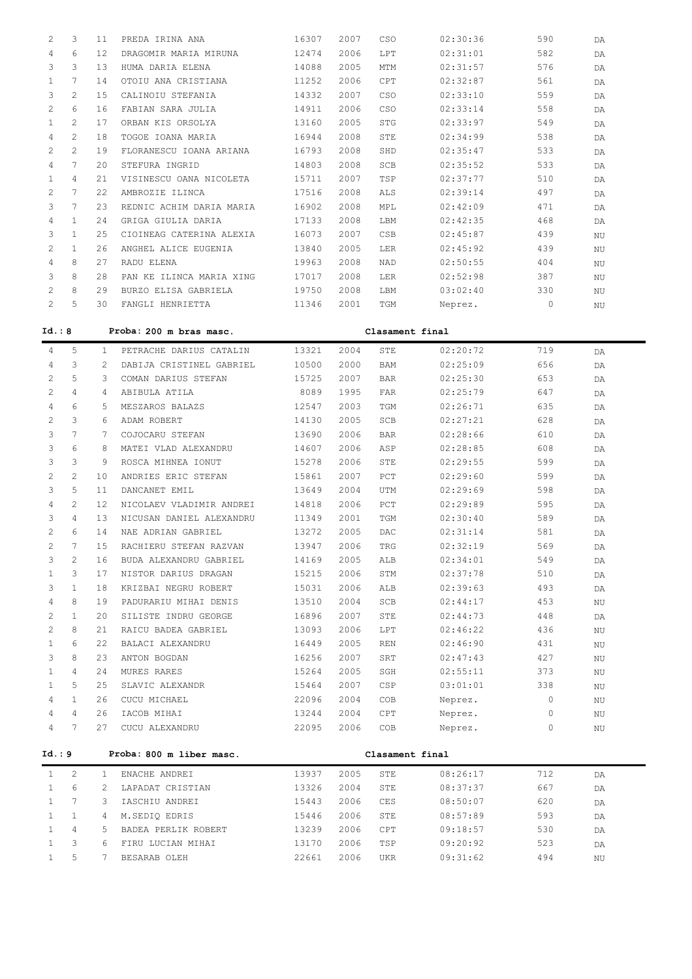| 2                     | 3              | 11   | PREDA IRINA ANA          | 16307 | 2007 | CSO        | 02:30:36 | 590 | <b>DA</b> |
|-----------------------|----------------|------|--------------------------|-------|------|------------|----------|-----|-----------|
| 4                     | 6              | 12.  | DRAGOMIR MARIA MIRUNA    | 12474 | 2006 | T.PT       | 02:31:01 | 582 | <b>DA</b> |
| 3                     | 3              | 13   | HUMA DARTA ELENA         | 14088 | 2005 | <b>MTM</b> | 02:31:57 | 576 | DA        |
|                       | 7              | 14   | OTOIU ANA CRISTIANA      | 11252 | 2006 | CPT        | 02:32:87 | 561 | DA        |
| 3                     | $\mathfrak{D}$ | 15   | CALINOIU STEFANIA        | 14332 | 2007 | CSO        | 02:33:10 | 559 | DA.       |
| $\mathbf{2}^{\prime}$ | 6              | 16   | FABIAN SARA JULIA        | 14911 | 2006 | CSO        | 02:33:14 | 558 | DA        |
|                       | $\mathcal{L}$  | 17   | ORBAN KIS ORSOLYA        | 13160 | 2005 | <b>STG</b> | 02:33:97 | 549 | DA        |
| 4                     | $\mathcal{L}$  | 18   | TOGOE IOANA MARIA        | 16944 | 2008 | STE        | 02:34:99 | 538 | <b>DA</b> |
| $\mathcal{L}$         | $\mathcal{L}$  | 19   | FLORANESCU IOANA ARIANA  | 16793 | 2008 | SHD        | 02:35:47 | 533 | <b>DA</b> |
| 4                     | 7              | 2.0  | STEFURA INGRID           | 14803 | 2008 | SCB        | 02:35:52 | 533 | DA        |
| $\mathbf{1}$          | 4              | 21   | VISINESCU OANA NICOLETA  | 15711 | 2007 | TSP        | 02:37:77 | 510 | DA        |
| $\mathbf{2}^{\prime}$ | 7              | 2.2. | AMBROZIE ILINCA          | 17516 | 2008 | ALS        | 02:39:14 | 497 | DA        |
| 3                     | 7              | 23   | REDNIC ACHIM DARIA MARIA | 16902 | 2008 | MPL        | 02:42:09 | 471 | DA        |
| 4                     | 1              | 24   | GRIGA GIULIA DARIA       | 17133 | 2008 | LBM        | 02:42:35 | 468 | DA        |
| 3                     | 1              | 2.5  | CIOINEAG CATERINA ALEXIA | 16073 | 2007 | <b>CSB</b> | 02:45:87 | 439 | NU        |
| $\mathcal{L}$         | 1              | 26   | ANGHEL ALICE EUGENIA     | 13840 | 2005 | T.ER       | 02:45:92 | 439 | NU        |
| 4                     | 8              | 27   | RADU ELENA               | 19963 | 2008 | <b>NAD</b> | 02:50:55 | 404 | NU        |
| 3                     | 8              | 2.8  | PAN KE ILINCA MARIA XING | 17017 | 2008 | <b>LER</b> | 02:52:98 | 387 | NU        |
| $\mathcal{L}$         | 8              | 29   | BURZO ELISA GABRIELA     | 19750 | 2008 | LBM        | 03:02:40 | 330 | ΝU        |
| 2                     | 5              | 30   | FANGLI HENRIETTA         | 11346 | 2001 | <b>TGM</b> | Neprez.  | 0   | NU        |

| Id.: 8         | Proba: 200 m bras masc.<br>Clasament final |                |                          |                                                                                                                                                                                                                                |      |                 |                             |      |    |
|----------------|--------------------------------------------|----------------|--------------------------|--------------------------------------------------------------------------------------------------------------------------------------------------------------------------------------------------------------------------------|------|-----------------|-----------------------------|------|----|
| $\overline{4}$ | 5                                          | $\mathbf{1}$   | PETRACHE DARIUS CATALIN  | 13321                                                                                                                                                                                                                          | 2004 | STE             | 02:20:72                    | 719  | DA |
| 4              | 3                                          | 2              | DABIJA CRISTINEL GABRIEL | 10500                                                                                                                                                                                                                          | 2000 | <b>BAM</b>      | 02:25:09                    | 656  | DA |
| 2              | 5                                          | 3              | COMAN DARIUS STEFAN      | 15725                                                                                                                                                                                                                          | 2007 | <b>BAR</b>      | 02:25:30                    | 653  | DA |
| $\mathcal{L}$  | 4                                          | $\overline{4}$ | ABIBULA ATILA            | 8089                                                                                                                                                                                                                           | 1995 | <b>FAR</b>      | 02:25:79                    | 647  | DA |
| 4              | 6                                          | 5              | MESZAROS BALAZS          | 12547                                                                                                                                                                                                                          | 2003 | TGM             | 02:26:71                    | 635  | DA |
| 2              | 3                                          | 6              | ADAM ROBERT              | 14130                                                                                                                                                                                                                          | 2005 | SCB             | 02:27:21                    | 628  | DA |
| 3              | $\overline{7}$                             | 7              | COJOCARU STEFAN          | 13690                                                                                                                                                                                                                          | 2006 | <b>BAR</b>      | 02:28:66                    | 610  | DA |
| 3              | 6                                          | 8              | MATEI VLAD ALEXANDRU     | 14607                                                                                                                                                                                                                          | 2006 | ASP             | 02:28:85                    | 608  | DA |
| 3              | 3                                          | 9              | ROSCA MIHNEA IONUT       | 15278                                                                                                                                                                                                                          | 2006 | STE             | 02:29:55                    | 599  | DA |
| 2              | $\overline{2}$                             | 10             | ANDRIES ERIC STEFAN      | 15861                                                                                                                                                                                                                          | 2007 | PCT             | 02:29:60                    | 599  | DA |
| 3              | 5                                          | 11             | DANCANET EMIL            | 13649                                                                                                                                                                                                                          | 2004 | UTM             | 02:29:69                    | 598  | DA |
| 4              | $\overline{c}$                             | 12             | NICOLAEV VLADIMIR ANDREI | 14818                                                                                                                                                                                                                          | 2006 | PCT             | 02:29:89                    | 595  | DA |
| 3              | $\overline{4}$                             | 13             | NICUSAN DANIEL ALEXANDRU | 11349                                                                                                                                                                                                                          | 2001 | TGM             | 02:30:40                    | 589  | DA |
| 2              | 6                                          | 14             | NAE ADRIAN GABRIEL       | 13272                                                                                                                                                                                                                          | 2005 | <b>DAC</b>      | 02:31:14                    | 581  | DA |
| 2              | 7                                          | 15             | RACHIERU STEFAN RAZVAN   | 13947                                                                                                                                                                                                                          | 2006 | TRG             | 02:32:19                    | 569  | DA |
| 3              | $\mathbf{2}$                               | 16             | BUDA ALEXANDRU GABRIEL   | 14169                                                                                                                                                                                                                          | 2005 | ALB             | 02:34:01                    | 549  | DA |
| $\mathbf{1}$   | 3                                          | 17             | NISTOR DARIUS DRAGAN     | 15215                                                                                                                                                                                                                          | 2006 | STM             | 02:37:78                    | 510  | DA |
| 3              | $\mathbf{1}$                               | 18             | KRIZBAI NEGRU ROBERT     | 15031                                                                                                                                                                                                                          | 2006 | ALB             | 02:39:63                    | 493  | DA |
| 4              | 8                                          | 19             | PADURARIU MIHAI DENIS    | 13510                                                                                                                                                                                                                          | 2004 | SCB             | 02:44:17                    | 453  | ΝU |
| 2              | $\mathbf{1}$                               | 20             | SILISTE INDRU GEORGE     | 16896                                                                                                                                                                                                                          | 2007 | STE             | 02:44:73                    | 448  | DA |
| 2              | 8                                          | 21             | RAICU BADEA GABRIEL      | 13093                                                                                                                                                                                                                          | 2006 | LPT             | 02:46:22                    | 436  | ΝU |
| $\mathbf{1}$   | 6                                          | 22             | BALACI ALEXANDRU         | 16449                                                                                                                                                                                                                          | 2005 | <b>REN</b>      | 02:46:90                    | 431  | NU |
| 3              | 8                                          | 23             | ANTON BOGDAN             | 16256                                                                                                                                                                                                                          | 2007 | SRT             | 02:47:43                    | 427  | ΝU |
| $\mathbf{1}$   | 4                                          | 24             | MURES RARES              | 15264                                                                                                                                                                                                                          | 2005 | SGH             | 02:55:11                    | 373  | ΝU |
| $\mathbf{1}$   | 5                                          | 25             | SLAVIC ALEXANDR          | 15464                                                                                                                                                                                                                          | 2007 | CSP             | 03:01:01                    | 338  | ΝU |
| 4              | $\mathbf{1}$                               | 26             | CUCU MICHAEL             | 22096                                                                                                                                                                                                                          | 2004 | COB             | Neprez.                     | 0    | ΝU |
| 4              | $\overline{4}$                             | 26             | IACOB MIHAI              | 13244                                                                                                                                                                                                                          | 2004 | <b>CPT</b>      | Neprez.                     | 0    | ΝU |
| $\overline{4}$ | $7\phantom{.0}$                            | 27             | CUCU ALEXANDRU           | 22095                                                                                                                                                                                                                          | 2006 | COB             | Neprez.                     | 0    | ΝU |
| Id.: 9         |                                            |                | Proba: 800 m liber masc. |                                                                                                                                                                                                                                |      | Clasament final |                             |      |    |
| 1              | $\overline{2}$                             | $\mathbf{1}$   | ENACHE ANDREI            | 13937                                                                                                                                                                                                                          | 2005 | STE             | 08:26:17                    | 712  | DA |
| $\mathbf{1}$   | 6                                          | 2              | LAPADAT CRISTIAN         | 13326                                                                                                                                                                                                                          | 2004 | STE             | 08:37:37                    | 667  | DA |
| $\mathbf{1}$   | $7\phantom{.0}$                            | 3              | IASCHIU ANDREI           | 15443                                                                                                                                                                                                                          | 2006 | CES             | 08:50:07                    | 620  | DA |
| $\mathbf{1}$   | $\mathbf{1}$                               | 4              | M.SEDIQ EDRIS            | 15446                                                                                                                                                                                                                          | 2006 | STE             | 08:57:89                    | 593  | DA |
| $\mathbf{1}$   | 4                                          | 5              | BADEA PERLIK ROBERT      | 13239                                                                                                                                                                                                                          | 2006 | CPT             | 09:18:57                    | 530  | DA |
|                | $\sim$                                     |                |                          | and the theory of the season of the season of the season of the season of the season of the season of the season of the season of the season of the season of the season of the season of the season of the season of the seas |      |                 | $\sim$ $\sim$ $\sim$ $\sim$ | $ -$ |    |

 1 3 6 FIRU LUCIAN MIHAI 13170 2006 TSP 09:20:92 523 DA 1 5 7 BESARAB OLEH 22661 2006 UKR 09:31:62 494 NU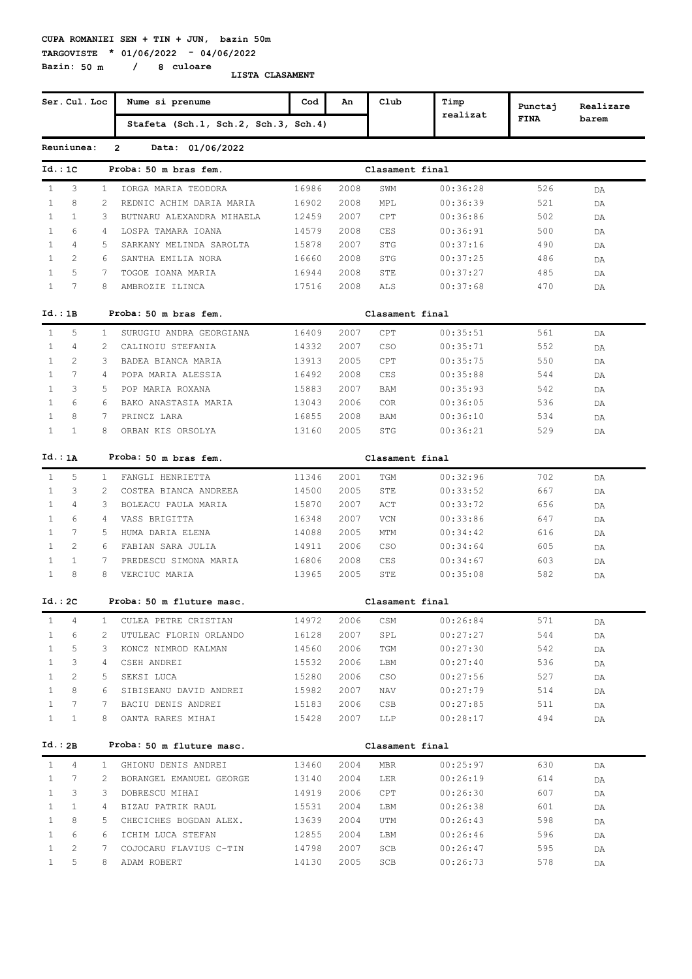#### **CUPA ROMANIEI SEN + TIN + JUN, bazin 50m TARGOVISTE \* 01/06/2022 - 04/06/2022**

**Bazin: 50 m / 8 culoare**

|              | Ser. Cul. Loc  |                | Nume si prenume                      | Cod   | An   | Club            | Timp     |                        |                    |
|--------------|----------------|----------------|--------------------------------------|-------|------|-----------------|----------|------------------------|--------------------|
|              |                |                | Stafeta (Sch.1, Sch.2, Sch.3, Sch.4) |       |      |                 | realizat | Punctaj<br><b>FINA</b> | Realizare<br>barem |
|              | Reuniunea:     |                | $\overline{2}$<br>Data: 01/06/2022   |       |      |                 |          |                        |                    |
| Id.:1C       |                |                | Proba: 50 m bras fem.                |       |      |                 |          |                        |                    |
|              |                |                |                                      |       |      | Clasament final |          |                        |                    |
| $\mathbf{1}$ | 3              | 1              | IORGA MARIA TEODORA                  | 16986 | 2008 | SWM             | 00:36:28 | 526                    | DA                 |
| $\mathbf{1}$ | 8              | 2              | REDNIC ACHIM DARIA MARIA             | 16902 | 2008 | MPL             | 00:36:39 | 521                    | DA                 |
| $\mathbf{1}$ | $\mathbf{1}$   | 3              | BUTNARU ALEXANDRA MIHAELA            | 12459 | 2007 | CPT             | 00:36:86 | 502                    | DA                 |
| $\mathbf{1}$ | 6              | $\overline{4}$ | LOSPA TAMARA IOANA                   | 14579 | 2008 | <b>CES</b>      | 00:36:91 | 500                    | DA                 |
| $\mathbf{1}$ | 4              | 5              | SARKANY MELINDA SAROLTA              | 15878 | 2007 | <b>STG</b>      | 00:37:16 | 490                    | DA                 |
| $\mathbf{1}$ | 2              | 6              | SANTHA EMILIA NORA                   | 16660 | 2008 | STG             | 00:37:25 | 486                    | DA                 |
| $\mathbf{1}$ | 5              | 7              | TOGOE IOANA MARIA                    | 16944 | 2008 | STE             | 00:37:27 | 485                    | DA                 |
| $\mathbf{1}$ | 7              | 8              | AMBROZIE ILINCA                      | 17516 | 2008 | ALS             | 00:37:68 | 470                    | DA                 |
| Id.:1B       |                |                | Proba: 50 m bras fem.                |       |      | Clasament final |          |                        |                    |
| $\mathbf{1}$ | 5              | $\mathbf{1}$   | SURUGIU ANDRA GEORGIANA              | 16409 | 2007 | CPT             | 00:35:51 | 561                    | DA                 |
| 1            | 4              | 2              | CALINOIU STEFANIA                    | 14332 | 2007 | CSO             | 00:35:71 | 552                    | DA                 |
| $\mathbf{1}$ | $\overline{2}$ | 3              | BADEA BIANCA MARIA                   | 13913 | 2005 | CPT             | 00:35:75 | 550                    | DA                 |
| $\mathbf{1}$ | 7              | 4              | POPA MARIA ALESSIA                   | 16492 | 2008 | CES             | 00:35:88 | 544                    | DA                 |
| $\mathbf{1}$ | 3              | 5.             | POP MARIA ROXANA                     | 15883 | 2007 | BAM             | 00:35:93 | 542                    | DA                 |
| $\mathbf{1}$ | 6              | 6              | BAKO ANASTASIA MARIA                 | 13043 | 2006 | <b>COR</b>      | 00:36:05 | 536                    | DA                 |
| $\mathbf{1}$ | 8              | 7              | PRINCZ LARA                          | 16855 | 2008 | BAM             | 00:36:10 | 534                    | DA                 |
| 1            | $\mathbf{1}$   | 8              | ORBAN KIS ORSOLYA                    | 13160 | 2005 | STG             | 00:36:21 | 529                    | DA                 |
| Id.: 1A      |                |                | Proba: 50 m bras fem.                |       |      | Clasament final |          |                        |                    |
| $\mathbf{1}$ | 5              | 1              | FANGLI HENRIETTA                     | 11346 | 2001 | TGM             | 00:32:96 | 702                    | DA                 |
| $\mathbf{1}$ | 3              | 2              | COSTEA BIANCA ANDREEA                | 14500 | 2005 | STE             | 00:33:52 | 667                    | DA                 |
| $\mathbf{1}$ | 4              | 3              | BOLEACU PAULA MARIA                  | 15870 | 2007 | ACT             | 00:33:72 | 656                    | DA                 |
| $\mathbf{1}$ | 6              | 4              | VASS BRIGITTA                        | 16348 | 2007 | VCN             | 00:33:86 | 647                    | DA                 |
| $\mathbf{1}$ | 7              | 5              | HUMA DARIA ELENA                     | 14088 | 2005 | MTM             | 00:34:42 | 616                    | DA                 |
| $\mathbf{1}$ | 2              | 6              | FABIAN SARA JULIA                    | 14911 | 2006 | CSO             | 00:34:64 | 605                    | DA                 |
| $\mathbf{1}$ | $\mathbf{1}$   | 7              | PREDESCU SIMONA MARIA                | 16806 | 2008 | CES             | 00:34:67 | 603                    | DA                 |
| $\mathbf{1}$ | 8              | 8              | VERCIUC MARIA                        | 13965 | 2005 | STE             | 00:35:08 | 582                    | DA                 |
| Id.:2C       |                |                | Proba: 50 m fluture masc.            |       |      | Clasament final |          |                        |                    |
| $\mathbf{1}$ | 4              | 1              | CULEA PETRE CRISTIAN                 | 14972 | 2006 | CSM             | 00:26:84 | 571                    | DA                 |
| $\mathbf{1}$ | 6              | 2              | UTULEAC FLORIN ORLANDO               | 16128 | 2007 | SPL             | 00:27:27 | 544                    | DA                 |
| $\mathbf{1}$ | 5              | 3              | KONCZ NIMROD KALMAN                  | 14560 | 2006 | TGM             | 00:27:30 | 542                    | DA                 |
| $\mathbf{1}$ | 3              | 4              | CSEH ANDREI                          | 15532 | 2006 | LBM             | 00:27:40 | 536                    | DA                 |
| $\mathbf{1}$ | 2              | 5              | SEKSI LUCA                           | 15280 | 2006 | CSO             | 00:27:56 | 527                    | DA                 |
| $\mathbf{1}$ | 8              | 6              | SIBISEANU DAVID ANDREI               | 15982 | 2007 | NAV             | 00:27:79 | 514                    |                    |
| $\mathbf{1}$ | 7              | 7              | BACIU DENIS ANDREI                   | 15183 | 2006 | CSB             | 00:27:85 | 511                    | DA                 |
| $\mathbf{1}$ | $\mathbf{1}$   | 8              | OANTA RARES MIHAI                    | 15428 | 2007 | LLP             | 00:28:17 | 494                    | DA<br>DA           |
|              |                |                |                                      |       |      |                 |          |                        |                    |
| Id.:2B       |                |                | Proba: 50 m fluture masc.            |       |      | Clasament final |          |                        |                    |
| $\mathbf{1}$ | 4              | $1 -$          | GHIONU DENIS ANDREI                  | 13460 | 2004 | <b>MBR</b>      | 00:25:97 | 630                    | DA                 |
| $\mathbf{1}$ | 7              | 2              | BORANGEL EMANUEL GEORGE              | 13140 | 2004 | LER             | 00:26:19 | 614                    | DA                 |
| $\mathbf{1}$ | 3              | 3              | DOBRESCU MIHAI                       | 14919 | 2006 | CPT             | 00:26:30 | 607                    | DA                 |
| $\mathbf{1}$ | $\mathbf{1}$   | 4              | BIZAU PATRIK RAUL                    | 15531 | 2004 | LBM             | 00:26:38 | 601                    | DA                 |
| $\mathbf{1}$ | 8              | 5.             | CHECICHES BOGDAN ALEX.               | 13639 | 2004 | UTM             | 00:26:43 | 598                    | DA                 |
| $\mathbf{1}$ | 6              | 6              | ICHIM LUCA STEFAN                    | 12855 | 2004 | LBM             | 00:26:46 | 596                    | DA                 |
| $\mathbf{1}$ | 2              | 7              | COJOCARU FLAVIUS C-TIN               | 14798 | 2007 | SCB             | 00:26:47 | 595                    | DA                 |
| $\mathbf{1}$ | 5              | 8              | ADAM ROBERT                          | 14130 | 2005 | SCB             | 00:26:73 | 578                    | DA                 |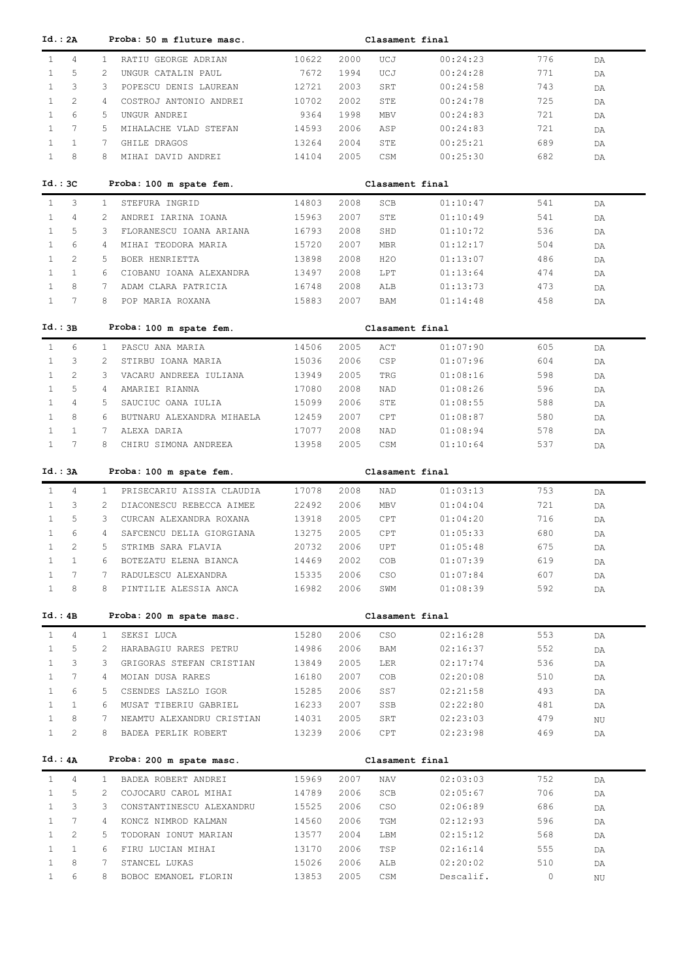| Id.: 2A      |                       |                       | Proba: 50 m fluture masc. |       |      | Clasament final |           |     |          |  |
|--------------|-----------------------|-----------------------|---------------------------|-------|------|-----------------|-----------|-----|----------|--|
| $\mathbf{1}$ | $\overline{4}$        | $\mathbf{1}$          | RATIU GEORGE ADRIAN       | 10622 | 2000 | UCJ             | 00:24:23  | 776 | DA       |  |
| $\mathbf{1}$ | 5                     | 2                     | UNGUR CATALIN PAUL        | 7672  | 1994 | UCJ             | 00:24:28  | 771 | DA       |  |
| $\mathbf{1}$ | 3                     | 3                     | POPESCU DENIS LAUREAN     | 12721 | 2003 | SRT             | 00:24:58  | 743 | DA       |  |
| $\mathbf{1}$ | $\overline{2}$        | 4                     | COSTROJ ANTONIO ANDREI    | 10702 | 2002 | STE             | 00:24:78  | 725 | DA       |  |
| $\mathbf{1}$ | 6                     | 5                     | UNGUR ANDREI              | 9364  | 1998 | MBV             | 00:24:83  | 721 | DA       |  |
| $\mathbf{1}$ | $7\phantom{.0}$       | 5                     | MIHALACHE VLAD STEFAN     | 14593 | 2006 | ASP             | 00:24:83  | 721 | DA       |  |
| $\mathbf{1}$ | $\mathbf{1}$          | 7                     | GHILE DRAGOS              | 13264 | 2004 | STE             | 00:25:21  | 689 | DA       |  |
| $\mathbf{1}$ | 8                     | 8                     | MIHAI DAVID ANDREI        | 14104 | 2005 | CSM             | 00:25:30  | 682 | DA       |  |
| $Id.:$ 3C    |                       |                       | Proba: 100 m spate fem.   |       |      | Clasament final |           |     |          |  |
| $\mathbf{1}$ | 3                     | $\mathbf{1}$          | STEFURA INGRID            | 14803 | 2008 | SCB             | 01:10:47  | 541 |          |  |
| $\mathbf{1}$ | $\overline{4}$        | 2                     | ANDREI IARINA IOANA       | 15963 | 2007 | STE             | 01:10:49  | 541 | DA<br>DA |  |
| $\mathbf{1}$ | 5                     | 3                     | FLORANESCU IOANA ARIANA   | 16793 | 2008 | SHD             | 01:10:72  | 536 | DA       |  |
| $\mathbf{1}$ | 6                     | 4                     | MIHAI TEODORA MARIA       | 15720 | 2007 | <b>MBR</b>      | 01:12:17  | 504 | DA       |  |
| $\mathbf{1}$ | 2                     | 5                     | BOER HENRIETTA            | 13898 | 2008 | H2O             | 01:13:07  | 486 | DA       |  |
| $\mathbf{1}$ | $\mathbf{1}$          | 6                     | CIOBANU IOANA ALEXANDRA   | 13497 | 2008 | LPT             | 01:13:64  | 474 | DA       |  |
| $\mathbf{1}$ | 8                     | 7                     | ADAM CLARA PATRICIA       | 16748 | 2008 | ALB             | 01:13:73  | 473 | DA       |  |
| $\mathbf{1}$ | 7                     | 8                     | POP MARIA ROXANA          | 15883 | 2007 | BAM             | 01:14:48  | 458 | DA       |  |
|              |                       |                       |                           |       |      |                 |           |     |          |  |
| Id.:3B       |                       |                       | Proba: 100 m spate fem.   |       |      | Clasament final |           |     |          |  |
| $\mathbf{1}$ | 6                     | $\mathbf{1}$          | PASCU ANA MARIA           | 14506 | 2005 | ACT             | 01:07:90  | 605 | DA       |  |
| $\mathbf{1}$ | 3                     | $\overline{2}$        | STIRBU IOANA MARIA        | 15036 | 2006 | CSP             | 01:07:96  | 604 | DA       |  |
| $\mathbf{1}$ | 2                     | 3                     | VACARU ANDREEA IULIANA    | 13949 | 2005 | TRG             | 01:08:16  | 598 | DA       |  |
| $\mathbf{1}$ | 5                     | $\overline{4}$        | AMARIEI RIANNA            | 17080 | 2008 | NAD             | 01:08:26  | 596 | DA       |  |
| $\mathbf{1}$ | $\overline{4}$        | 5                     | SAUCIUC OANA IULIA        | 15099 | 2006 | STE             | 01:08:55  | 588 | DA       |  |
| $\mathbf{1}$ | 8                     | 6                     | BUTNARU ALEXANDRA MIHAELA | 12459 | 2007 | CPT             | 01:08:87  | 580 | DA       |  |
| $\mathbf{1}$ | $\mathbf{1}$          | 7                     | ALEXA DARIA               | 17077 | 2008 | NAD             | 01:08:94  | 578 | DA       |  |
| $\mathbf{1}$ | 7                     | 8                     | CHIRU SIMONA ANDREEA      | 13958 | 2005 | CSM             | 01:10:64  | 537 | DA       |  |
| Id.: 3A      |                       |                       | Proba: 100 m spate fem.   |       |      | Clasament final |           |     |          |  |
| $\mathbf{1}$ | 4                     | $\mathbf{1}$          | PRISECARIU AISSIA CLAUDIA | 17078 | 2008 | NAD             | 01:03:13  | 753 | DA       |  |
| $\mathbf{1}$ | 3                     | $\overline{2}$        | DIACONESCU REBECCA AIMEE  | 22492 | 2006 | MBV             | 01:04:04  | 721 | DA       |  |
| $\mathbf{1}$ | 5                     | 3                     | CURCAN ALEXANDRA ROXANA   | 13918 | 2005 | CPT             | 01:04:20  | 716 | DA       |  |
| $\mathbf{1}$ | 6                     | 4                     | SAFCENCU DELIA GIORGIANA  | 13275 | 2005 | CPT             | 01:05:33  | 680 | DA       |  |
| $\mathbf{1}$ | 2                     | 5.                    | STRIMB SARA FLAVIA        | 20732 | 2006 | UPT             | 01:05:48  | 675 | DA       |  |
| $\mathbf{1}$ | $\mathbf{1}$          | 6                     | BOTEZATU ELENA BIANCA     | 14469 | 2002 | COB             | 01:07:39  | 619 | DA       |  |
| $\mathbf{1}$ | 7                     | 7                     | RADULESCU ALEXANDRA       | 15335 | 2006 | CSO             | 01:07:84  | 607 | DA       |  |
| $\mathbf{1}$ | 8                     | 8                     | PINTILIE ALESSIA ANCA     | 16982 | 2006 | SWM             | 01:08:39  | 592 | DA       |  |
|              |                       |                       |                           |       |      |                 |           |     |          |  |
| Id.:4B       |                       |                       | Proba: 200 m spate masc.  |       |      | Clasament final |           |     |          |  |
| $\mathbf{1}$ | $\overline{4}$        | $\mathbf{1}$          | SEKSI LUCA                | 15280 | 2006 | CSO             | 02:16:28  | 553 | DA       |  |
| $\mathbf{1}$ | 5                     | $\mathbf{2}^{\prime}$ | HARABAGIU RARES PETRU     | 14986 | 2006 | BAM             | 02:16:37  | 552 | DA       |  |
| $\mathbf{1}$ | 3                     | 3                     | GRIGORAS STEFAN CRISTIAN  | 13849 | 2005 | LER             | 02:17:74  | 536 | DA       |  |
| $\mathbf{1}$ | $7\phantom{.0}$       | $4\overline{ }$       | MOIAN DUSA RARES          | 16180 | 2007 | COB             | 02:20:08  | 510 | DA       |  |
| $\mathbf{1}$ | 6                     | 5                     | CSENDES LASZLO IGOR       | 15285 | 2006 | SS7             | 02:21:58  | 493 | DA       |  |
| $\mathbf{1}$ | $\mathbf{1}$          | 6                     | MUSAT TIBERIU GABRIEL     | 16233 | 2007 | SSB             | 02:22:80  | 481 | DA       |  |
| $\mathbf{1}$ | 8                     | 7                     | NEAMTU ALEXANDRU CRISTIAN | 14031 | 2005 | SRT             | 02:23:03  | 479 | ΝU       |  |
| $\mathbf{1}$ | 2                     | 8                     | BADEA PERLIK ROBERT       | 13239 | 2006 | CPT             | 02:23:98  | 469 | DA       |  |
| Id.: 4A      |                       |                       | Proba: 200 m spate masc.  |       |      | Clasament final |           |     |          |  |
| $\mathbf{1}$ | $\overline{4}$        | $\mathbf{1}$          | BADEA ROBERT ANDREI       | 15969 | 2007 | NAV             | 02:03:03  | 752 | DA       |  |
| $\mathbf{1}$ | 5                     | $\overline{2}$        | COJOCARU CAROL MIHAI      | 14789 | 2006 | SCB             | 02:05:67  | 706 | DA       |  |
| $\mathbf{1}$ |                       | 3                     | CONSTANTINESCU ALEXANDRU  | 15525 | 2006 | CSO             | 02:06:89  | 686 | DA       |  |
|              | 3                     |                       |                           |       |      |                 |           |     |          |  |
| $\mathbf{1}$ | $7\phantom{.0}$       | $4\overline{ }$       | KONCZ NIMROD KALMAN       | 14560 | 2006 | TGM             | 02:12:93  | 596 | DA       |  |
| $\mathbf{1}$ | $\mathbf{2}^{\prime}$ | 5                     | TODORAN IONUT MARIAN      | 13577 | 2004 | LBM             | 02:15:12  | 568 | DA       |  |
| $\mathbf{1}$ | $\mathbf{1}$          | 6                     | FIRU LUCIAN MIHAI         | 13170 | 2006 | TSP             | 02:16:14  | 555 | DA       |  |
| $\mathbf{1}$ | 8                     | 7                     | STANCEL LUKAS             | 15026 | 2006 | ALB             | 02:20:02  | 510 | DA       |  |
| $\mathbf{1}$ | 6                     | 8                     | BOBOC EMANOEL FLORIN      | 13853 | 2005 | CSM             | Descalif. | 0   | ΝU       |  |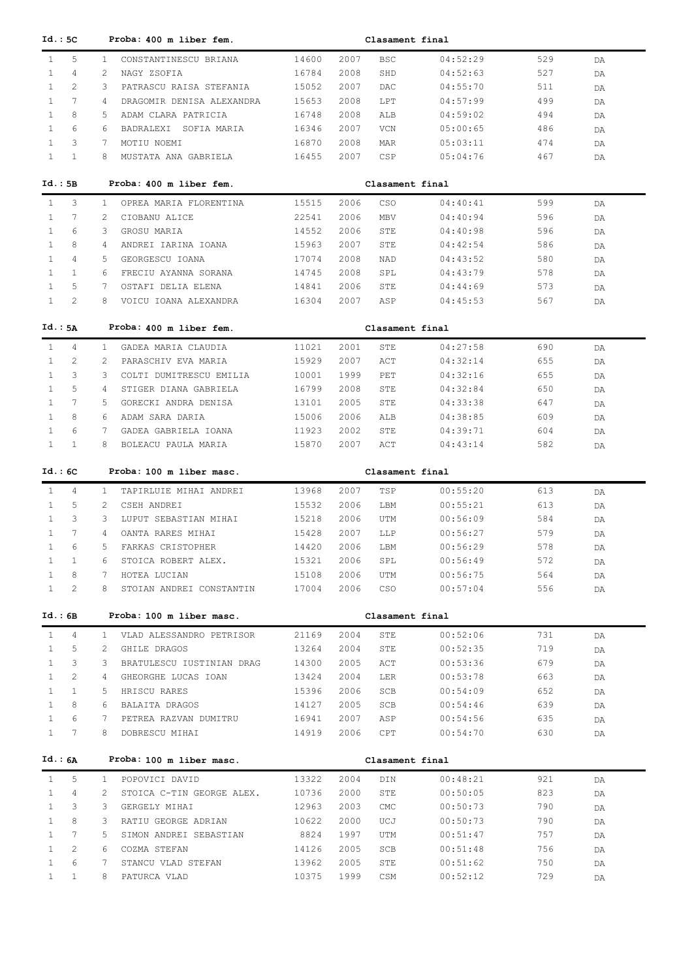| Id. : 5C                     |                 | Proba: 400 m liber fem.                  |       |      | Clasament final |          |     |    |
|------------------------------|-----------------|------------------------------------------|-------|------|-----------------|----------|-----|----|
| $\mathbf{1}$                 | 5               | $\mathbf{1}$<br>CONSTANTINESCU BRIANA    | 14600 | 2007 | <b>BSC</b>      | 04:52:29 | 529 | DA |
| $\mathbf{1}$                 | 4               | 2<br>NAGY ZSOFIA                         | 16784 | 2008 | SHD             | 04:52:63 | 527 | DA |
| $\mathbf{1}$                 | 2               | 3<br>PATRASCU RAISA STEFANIA             | 15052 | 2007 | DAC             | 04:55:70 | 511 | DA |
| $\mathbf{1}$                 | $7\phantom{.0}$ | 4<br>DRAGOMIR DENISA ALEXANDRA           | 15653 | 2008 | LPT             | 04:57:99 | 499 | DA |
| $\mathbf{1}$                 | 8               | 5<br>ADAM CLARA PATRICIA                 | 16748 | 2008 | ALB             | 04:59:02 | 494 | DA |
| $\mathbf{1}$                 | 6               | 6<br>BADRALEXI SOFIA MARIA               | 16346 | 2007 | <b>VCN</b>      | 05:00:65 | 486 | DA |
| $\mathbf{1}$                 | 3               | 7<br>MOTIU NOEMI                         | 16870 | 2008 | MAR             | 05:03:11 | 474 | DA |
| $\mathbf{1}$                 | $\mathbf{1}$    | 8<br>MUSTATA ANA GABRIELA                | 16455 | 2007 | CSP             | 05:04:76 | 467 | DA |
|                              |                 |                                          |       |      |                 |          |     |    |
| Id.:5B                       |                 | Proba: 400 m liber fem.                  |       |      | Clasament final |          |     |    |
| $\mathbf{1}$                 | 3               | $\mathbf{1}$<br>OPREA MARIA FLORENTINA   | 15515 | 2006 | <b>CSO</b>      | 04:40:41 | 599 | DA |
| $\mathbf{1}$                 | 7               | 2<br>CIOBANU ALICE                       | 22541 | 2006 | <b>MBV</b>      | 04:40:94 | 596 | DA |
| 1                            | 6               | 3<br>GROSU MARIA                         | 14552 | 2006 | STE             | 04:40:98 | 596 | DA |
| $\mathbf{1}$                 | 8               | 4<br>ANDREI IARINA IOANA                 | 15963 | 2007 | STE             | 04:42:54 | 586 | DA |
| $\mathbf{1}$                 | 4               | 5<br>GEORGESCU IOANA                     | 17074 | 2008 | NAD             | 04:43:52 | 580 | DA |
| $\mathbf{1}$                 | $\mathbf{1}$    | 6<br>FRECIU AYANNA SORANA                | 14745 | 2008 | SPL             | 04:43:79 | 578 | DA |
| 1                            | 5               | 7<br>OSTAFI DELIA ELENA                  | 14841 | 2006 | STE             | 04:44:69 | 573 | DA |
| $\mathbf{1}$                 | 2               | 8<br>VOICU IOANA ALEXANDRA               | 16304 | 2007 | ASP             | 04:45:53 | 567 | DA |
|                              |                 |                                          |       |      |                 |          |     |    |
| Id.: 5A                      |                 | Proba: 400 m liber fem.                  |       |      | Clasament final |          |     |    |
| $\mathbf{1}$                 | 4               | $\mathbf{1}$<br>GADEA MARIA CLAUDIA      | 11021 | 2001 | STE             | 04:27:58 | 690 | DA |
| $\mathbf{1}$                 | 2               | 2<br>PARASCHIV EVA MARIA                 | 15929 | 2007 | ACT             | 04:32:14 | 655 | DA |
| $\mathbf{1}$                 | 3               | 3<br>COLTI DUMITRESCU EMILIA             | 10001 | 1999 | PET             | 04:32:16 | 655 | DA |
| $\mathbf{1}$                 | 5               | 4<br>STIGER DIANA GABRIELA               | 16799 | 2008 | STE             | 04:32:84 | 650 | DA |
| $\mathbf{1}$                 | 7               | 5.<br>GORECKI ANDRA DENISA               | 13101 | 2005 | STE             | 04:33:38 | 647 | DA |
| $\mathbf{1}$                 | 8               | 6<br>ADAM SARA DARIA                     | 15006 | 2006 | ALB             | 04:38:85 | 609 | DA |
| $\mathbf{1}$                 | 6               | 7<br>GADEA GABRIELA IOANA                | 11923 | 2002 | STE             | 04:39:71 | 604 | DA |
| $\mathbf{1}$                 | $\mathbf{1}$    | 8<br>BOLEACU PAULA MARIA                 | 15870 | 2007 | ACT             | 04:43:14 | 582 | DA |
| Id.:6C                       |                 | Proba: 100 m liber masc.                 |       |      | Clasament final |          |     |    |
|                              |                 |                                          |       |      |                 |          |     |    |
|                              |                 |                                          |       |      |                 |          |     |    |
| $\mathbf{1}$                 | 4               | $\mathbf{1}$<br>TAPIRLUIE MIHAI ANDREI   | 13968 | 2007 | TSP             | 00:55:20 | 613 | DA |
| $\mathbf{1}$                 | 5               | 2<br>CSEH ANDREI                         | 15532 | 2006 | LBM             | 00:55:21 | 613 | DA |
| $\mathbf{1}$                 | 3               | 3<br>LUPUT SEBASTIAN MIHAI               | 15218 | 2006 | UTM             | 00:56:09 | 584 | DA |
| $\mathbf{1}$                 | 7               | 4<br>OANTA RARES MIHAI                   | 15428 | 2007 | LLP             | 00:56:27 | 579 | DA |
| $\mathbf{1}$                 | 6               | 5<br>FARKAS CRISTOPHER                   | 14420 | 2006 | LBM             | 00:56:29 | 578 | DA |
| $\mathbf{1}$                 | $\mathbf{1}$    | STOICA ROBERT ALEX.<br>6                 | 15321 | 2006 | SPL             | 00:56:49 | 572 | DA |
| $\mathbf{1}$                 | 8               | HOTEA LUCIAN<br>7                        | 15108 | 2006 | UTM             | 00:56:75 | 564 | DA |
| $\mathbf{1}$                 | 2               | 8<br>STOIAN ANDREI CONSTANTIN            | 17004 | 2006 | CSO             | 00:57:04 | 556 | DA |
| Id.:6B                       |                 | Proba: 100 m liber masc.                 |       |      | Clasament final |          |     |    |
|                              |                 |                                          |       |      |                 |          |     |    |
| $\mathbf{1}$                 | $\overline{4}$  | VLAD ALESSANDRO PETRISOR<br>$\mathbf{1}$ | 21169 | 2004 | STE             | 00:52:06 | 731 | DA |
| $\mathbf{1}$                 | 5               | GHILE DRAGOS<br>2                        | 13264 | 2004 | STE             | 00:52:35 | 719 | DA |
| $\mathbf{1}$                 | 3               | BRATULESCU IUSTINIAN DRAG<br>3           | 14300 | 2005 | ACT             | 00:53:36 | 679 | DA |
| $\mathbf{1}$                 | 2               | GHEORGHE LUCAS IOAN<br>$\overline{4}$    | 13424 | 2004 | LER             | 00:53:78 | 663 | DA |
| $\mathbf{1}$                 | $\mathbf{1}$    | HRISCU RARES<br>5.                       | 15396 | 2006 | SCB             | 00:54:09 | 652 | DA |
| $\mathbf{1}$                 | 8               | 6<br>BALAITA DRAGOS                      | 14127 | 2005 | SCB             | 00:54:46 | 639 | DA |
| $\mathbf{1}$<br>$\mathbf{1}$ | 6<br>7          | 7<br>PETREA RAZVAN DUMITRU<br>8          | 16941 | 2007 | ASP<br>CPT      | 00:54:56 | 635 | DA |
|                              |                 | DOBRESCU MIHAI                           | 14919 | 2006 |                 | 00:54:70 | 630 | DA |
| Id.: 6A                      |                 | Proba: 100 m liber masc.                 |       |      | Clasament final |          |     |    |
| $\mathbf{1}$                 | 5               | POPOVICI DAVID<br>$\mathbf{1}$           | 13322 | 2004 | DIN             | 00:48:21 | 921 | DA |
| $\mathbf{1}$                 | 4               | 2<br>STOICA C-TIN GEORGE ALEX.           | 10736 | 2000 | STE             | 00:50:05 | 823 | DA |
| $\mathbf{1}$                 | 3               | 3<br>GERGELY MIHAI                       | 12963 | 2003 | CMC             | 00:50:73 | 790 | DA |
| $\mathbf{1}$                 | 8               | RATIU GEORGE ADRIAN<br>3                 | 10622 | 2000 | UCJ             | 00:50:73 | 790 | DA |
| $\mathbf{1}$                 | 7               | SIMON ANDREI SEBASTIAN<br>5.             | 8824  | 1997 | UTM             | 00:51:47 | 757 | DA |
| $\mathbf{1}$                 | 2               | COZMA STEFAN<br>6                        | 14126 | 2005 | SCB             | 00:51:48 | 756 | DA |
| 1                            | 6               | 7<br>STANCU VLAD STEFAN                  | 13962 | 2005 | STE             | 00:51:62 | 750 | DA |
| $\mathbf{1}$                 | $\mathbf{1}$    | 8<br>PATURCA VLAD                        | 10375 | 1999 | CSM             | 00:52:12 | 729 | DA |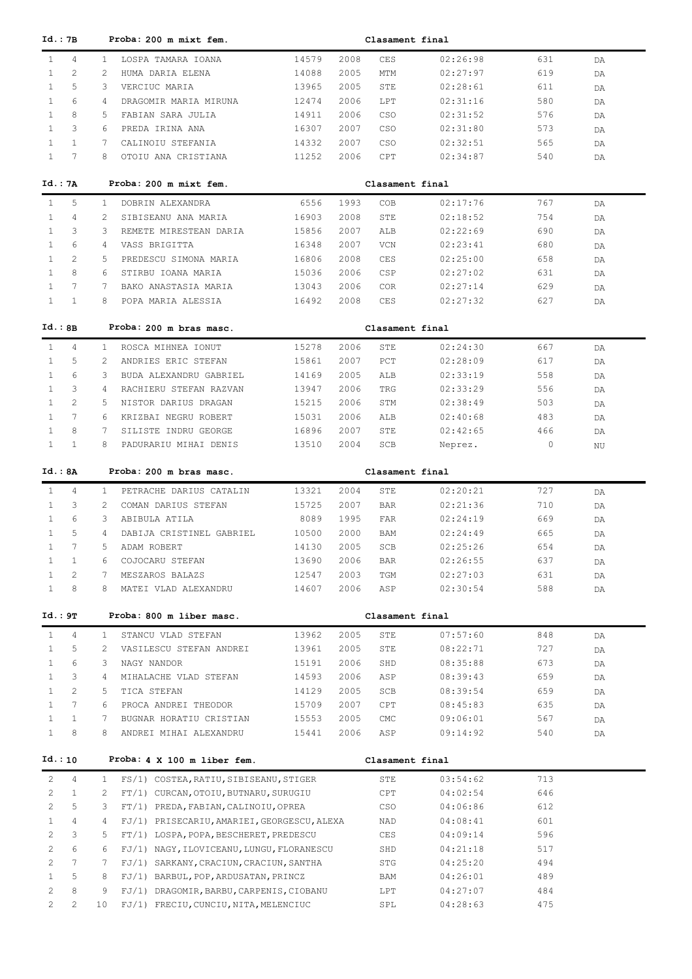|                       | Id.: 7B         |                 | Proba: 200 m mixt fem.                      |       |      | Clasament final |          |     |    |
|-----------------------|-----------------|-----------------|---------------------------------------------|-------|------|-----------------|----------|-----|----|
| $\mathbf{1}$          | 4               | $\mathbf{1}$    | LOSPA TAMARA IOANA                          | 14579 | 2008 | CES             | 02:26:98 | 631 | DA |
| $\mathbf{1}$          | 2               | 2               | HUMA DARIA ELENA                            | 14088 | 2005 | MTM             | 02:27:97 | 619 | DA |
| $\mathbf{1}$          | 5               | 3               | VERCIUC MARIA                               | 13965 | 2005 | STE             | 02:28:61 | 611 | DA |
| $\mathbf{1}$          | 6               | 4               | DRAGOMIR MARIA MIRUNA                       | 12474 | 2006 | LPT             | 02:31:16 | 580 | DA |
| $\mathbf{1}$          | 8               | 5               | FABIAN SARA JULIA                           | 14911 | 2006 | <b>CSO</b>      | 02:31:52 | 576 | DA |
| $\mathbf{1}$          | 3               | 6               | PREDA IRINA ANA                             | 16307 | 2007 | <b>CSO</b>      | 02:31:80 | 573 | DA |
| $\mathbf{1}$          | $\mathbf{1}$    | 7               | CALINOIU STEFANIA                           | 14332 | 2007 | <b>CSO</b>      | 02:32:51 | 565 | DA |
| $\mathbf{1}$          | $7\phantom{.0}$ | 8               | OTOIU ANA CRISTIANA                         | 11252 | 2006 | CPT             | 02:34:87 | 540 | DA |
|                       |                 |                 |                                             |       |      |                 |          |     |    |
|                       | Id. : 7A        |                 | Proba: 200 m mixt fem.                      |       |      | Clasament final |          |     |    |
| $\mathbf{1}$          | 5               | $\mathbf{1}$    | DOBRIN ALEXANDRA                            | 6556  | 1993 | COB             | 02:17:76 | 767 | DA |
| $\mathbf{1}$          | 4               | 2               | SIBISEANU ANA MARIA                         | 16903 | 2008 | STE             | 02:18:52 | 754 | DA |
| $\mathbf{1}$          | 3               | 3               | REMETE MIRESTEAN DARIA                      | 15856 | 2007 | ALB             | 02:22:69 | 690 | DA |
| $\mathbf{1}$          | 6               | 4               | VASS BRIGITTA                               | 16348 | 2007 | VCN             | 02:23:41 | 680 | DA |
| $\mathbf{1}$          | $\mathbf{2}$    | 5               | PREDESCU SIMONA MARIA                       | 16806 | 2008 | CES             | 02:25:00 | 658 | DA |
| $\mathbf{1}$          | 8               | 6               | STIRBU IOANA MARIA                          | 15036 | 2006 | CSP             | 02:27:02 | 631 | DA |
| $\mathbf{1}$          | 7               | 7               | BAKO ANASTASIA MARIA                        | 13043 | 2006 | <b>COR</b>      | 02:27:14 | 629 | DA |
| $\mathbf{1}$          | $\mathbf{1}$    | 8               | POPA MARIA ALESSIA                          | 16492 | 2008 | <b>CES</b>      | 02:27:32 | 627 | DA |
|                       |                 |                 |                                             |       |      |                 |          |     |    |
|                       | Id.:BB          |                 | Proba: 200 m bras masc.                     |       |      | Clasament final |          |     |    |
| $\mathbf{1}$          | 4               | $\mathbf{1}$    | ROSCA MIHNEA IONUT                          | 15278 | 2006 | STE             | 02:24:30 | 667 | DA |
| $\mathbf{1}$          | 5               | 2               | ANDRIES ERIC STEFAN                         | 15861 | 2007 | PCT             | 02:28:09 | 617 | DA |
| $\mathbf{1}$          | 6               | 3               | BUDA ALEXANDRU GABRIEL                      | 14169 | 2005 | ALB             | 02:33:19 | 558 | DA |
| $\mathbf{1}$          | 3               | 4               | RACHIERU STEFAN RAZVAN                      | 13947 | 2006 | TRG             | 02:33:29 | 556 | DA |
| $\mathbf{1}$          | 2               | 5.              | NISTOR DARIUS DRAGAN                        | 15215 | 2006 | STM             | 02:38:49 | 503 | DA |
| $\mathbf{1}$          | $\overline{7}$  | 6               | KRIZBAI NEGRU ROBERT                        | 15031 | 2006 | ALB             | 02:40:68 | 483 | DA |
| $\mathbf{1}$          | 8               | 7               | SILISTE INDRU GEORGE                        | 16896 | 2007 | STE             | 02:42:65 | 466 | DA |
| $\mathbf{1}$          | $\mathbf{1}$    | 8               | PADURARIU MIHAI DENIS                       | 13510 | 2004 | SCB             | Neprez.  | 0   | ΝU |
|                       |                 |                 |                                             |       |      |                 |          |     |    |
|                       | Id.: 8A         |                 | Proba: 200 m bras masc.                     |       |      | Clasament final |          |     |    |
| $\mathbf{1}$          | 4               | $\mathbf{1}$    | PETRACHE DARIUS CATALIN                     | 13321 | 2004 | STE             | 02:20:21 | 727 | DA |
| $\mathbf{1}$          | 3               | $\overline{2}$  | COMAN DARIUS STEFAN                         | 15725 | 2007 | <b>BAR</b>      | 02:21:36 | 710 | DA |
| 1                     | 6               | 3               | ABIBULA ATILA                               | 8089  | 1995 | <b>FAR</b>      | 02:24:19 | 669 | DA |
| $\mathbf{1}$          | 5               | 4               | DABIJA CRISTINEL GABRIEL                    | 10500 | 2000 | BAM             | 02:24:49 | 665 | DA |
| $\mathbf{1}$          | $7\phantom{.0}$ | 5.              | ADAM ROBERT                                 | 14130 | 2005 | SCB             | 02:25:26 | 654 | DA |
| $\mathbf{1}$          | $\mathbf{1}$    | 6               | COJOCARU STEFAN                             | 13690 | 2006 | BAR             | 02:26:55 | 637 | DA |
| $\mathbf{1}$          | 2               | 7               | MESZAROS BALAZS                             | 12547 | 2003 | TGM             | 02:27:03 | 631 | DA |
| $\mathbf{1}$          | 8               | 8               | MATEI VLAD ALEXANDRU                        | 14607 | 2006 | ASP             | 02:30:54 | 588 | DA |
|                       |                 |                 |                                             |       |      |                 |          |     |    |
|                       | Id.: 9T         |                 | Proba: 800 m liber masc.                    |       |      | Clasament final |          |     |    |
| $\mathbf{1}$          | 4               | $\mathbf{1}$    | STANCU VLAD STEFAN                          | 13962 | 2005 | STE             | 07:57:60 | 848 | DA |
| $\mathbf{1}$          | 5               | 2               | VASILESCU STEFAN ANDREI                     | 13961 | 2005 | STE             | 08:22:71 | 727 | DA |
| $\mathbf{1}$          | 6               | 3               | NAGY NANDOR                                 | 15191 | 2006 | SHD             | 08:35:88 | 673 | DA |
| $\mathbf{1}$          | 3               | 4               | MIHALACHE VLAD STEFAN                       | 14593 | 2006 | ASP             | 08:39:43 | 659 | DA |
| $\mathbf{1}$          | 2               | 5               | TICA STEFAN                                 | 14129 | 2005 | SCB             | 08:39:54 | 659 | DA |
| $\mathbf{1}$          | 7               | 6               | PROCA ANDREI THEODOR                        | 15709 | 2007 | CPT             | 08:45:83 | 635 | DA |
| $\mathbf{1}$          | $\mathbf{1}$    | 7               | BUGNAR HORATIU CRISTIAN                     | 15553 | 2005 | CMC             | 09:06:01 | 567 | DA |
| $\mathbf{1}$          | 8               | 8               | ANDREI MIHAI ALEXANDRU                      | 15441 | 2006 | ASP             | 09:14:92 | 540 | DA |
|                       |                 |                 |                                             |       |      |                 |          |     |    |
|                       | Id.:10          |                 | Proba: 4 X 100 m liber fem.                 |       |      | Clasament final |          |     |    |
| 2                     | 4               | $\mathbf{1}$    | FS/1) COSTEA, RATIU, SIBISEANU, STIGER      |       |      | STE             | 03:54:62 | 713 |    |
| 2                     | $\mathbf{1}$    | 2               | FT/1) CURCAN, OTOIU, BUTNARU, SURUGIU       |       |      | CPT             | 04:02:54 | 646 |    |
| $\mathbf{2}^{\prime}$ | 5               | 3               | FT/1) PREDA, FABIAN, CALINOIU, OPREA        |       |      | CSO             | 04:06:86 | 612 |    |
| $\mathbf{1}$          | 4               | 4               | FJ/1) PRISECARIU, AMARIEI, GEORGESCU, ALEXA |       |      | NAD             | 04:08:41 | 601 |    |
| 2                     | 3               | 5               | FT/1) LOSPA, POPA, BESCHERET, PREDESCU      |       |      | CES             | 04:09:14 | 596 |    |
| $\mathbf{2}^{\prime}$ | 6               | 6               | FJ/1) NAGY, ILOVICEANU, LUNGU, FLORANESCU   |       |      | SHD             | 04:21:18 | 517 |    |
| 2                     | 7               | 7               | FJ/1) SARKANY, CRACIUN, CRACIUN, SANTHA     |       |      | STG             | 04:25:20 | 494 |    |
| $\mathbf{1}$          | 5               | 8               | FJ/1) BARBUL, POP, ARDUSATAN, PRINCZ        |       |      | BAM             | 04:26:01 | 489 |    |
| 2                     | 8               | 9               | FJ/1) DRAGOMIR, BARBU, CARPENIS, CIOBANU    |       |      | LPT             | 04:27:07 | 484 |    |
| $\mathbf{2}^{\prime}$ | 2               | 10 <sub>1</sub> | FJ/1) FRECIU, CUNCIU, NITA, MELENCIUC       |       |      | SPL             | 04:28:63 | 475 |    |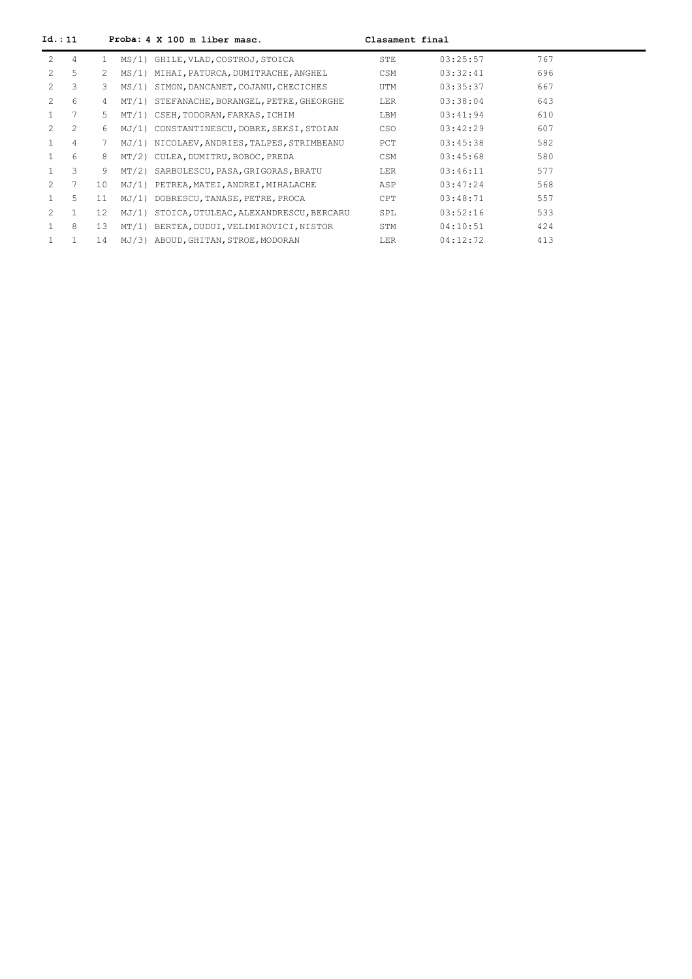| Id. : 11      |                |                 |       | Proba: 4 X 100 m liber masc.                | Clasament final |          |     |  |
|---------------|----------------|-----------------|-------|---------------------------------------------|-----------------|----------|-----|--|
| $\mathcal{L}$ | 4              | $\mathbf{1}$    |       | MS/1) GHILE, VLAD, COSTROJ, STOICA          | STE             | 03:25:57 | 767 |  |
|               | 5              | $2^{\circ}$     |       | MS/1) MIHAI, PATURCA, DUMITRACHE, ANGHEL    | CSM             | 03:32:41 | 696 |  |
|               | 3              | 3.              | MS/1) | SIMON, DANCANET, COJANU, CHECICHES          | UTM             | 03:35:37 | 667 |  |
| $\mathcal{L}$ | 6              | 4               |       | MT/1) STEFANACHE, BORANGEL, PETRE, GHEORGHE | LER             | 03:38:04 | 643 |  |
|               | 7              | 5.              |       | MT/1) CSEH, TODORAN, FARKAS, ICHIM          | LBM             | 03:41:94 | 610 |  |
|               | $\overline{c}$ | 6               |       | MJ/1) CONSTANTINESCU, DOBRE, SEKSI, STOIAN  | CSO             | 03:42:29 | 607 |  |
|               | 4              | 7               |       | MJ/1) NICOLAEV, ANDRIES, TALPES, STRIMBEANU | PCT             | 03:45:38 | 582 |  |
|               | 6              | 8               |       | MT/2) CULEA, DUMITRU, BOBOC, PREDA          | CSM             | 03:45:68 | 580 |  |
|               | 3              | 9               |       | MT/2) SARBULESCU, PASA, GRIGORAS, BRATU     | <b>LER</b>      | 03:46:11 | 577 |  |
| $\mathcal{P}$ | 7              | 10 <sup>°</sup> | MJ/1  | PETREA, MATEI, ANDREI, MIHALACHE            | ASP             | 03:47:24 | 568 |  |
|               | 5              | 11              |       | MJ/1) DOBRESCU, TANASE, PETRE, PROCA        | CPT             | 03:48:71 | 557 |  |
| $\mathcal{P}$ |                | 12              | MJ/1) | STOICA, UTULEAC, ALEXANDRESCU, BERCARU      | SPL             | 03:52:16 | 533 |  |
|               | 8              | 13              |       | MT/1) BERTEA, DUDUI, VELIMIROVICI, NISTOR   | STM             | 04:10:51 | 424 |  |
|               |                | 14              |       | MJ/3) ABOUD, GHITAN, STROE, MODORAN         | LER             | 04:12:72 | 413 |  |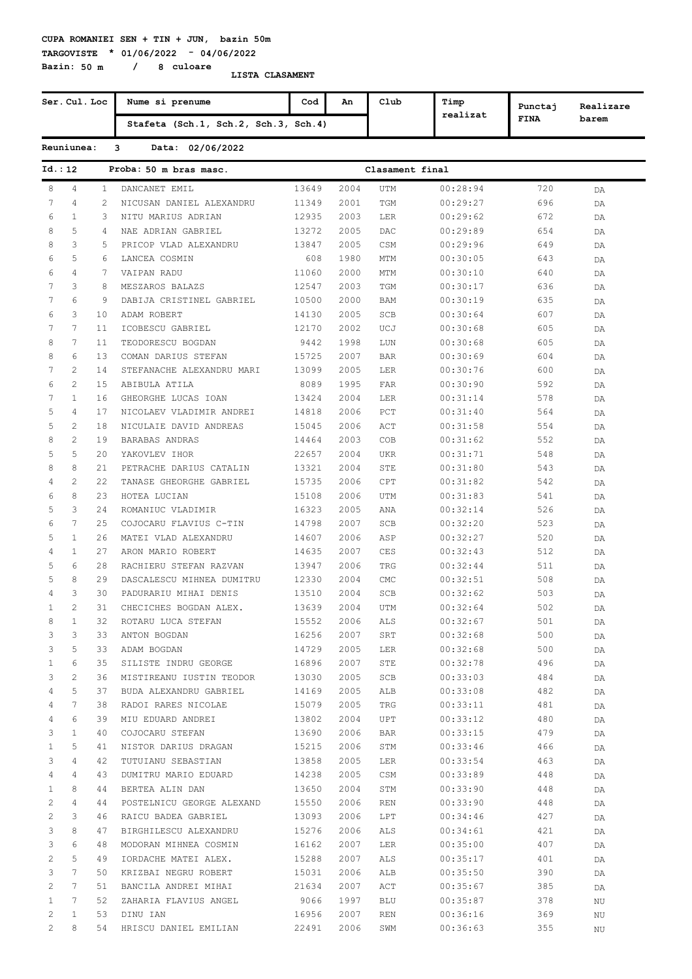**TARGOVISTE \* 01/06/2022 - 04/06/2022 Bazin: 50 m / 8 culoare**

|                | Ser. Cul. Loc         |                | Nume si prenume                      | Cod   | An   | Club            | Timp     | Punctaj     | Realizare |
|----------------|-----------------------|----------------|--------------------------------------|-------|------|-----------------|----------|-------------|-----------|
|                |                       |                | Stafeta (Sch.1, Sch.2, Sch.3, Sch.4) |       |      |                 | realizat | <b>FINA</b> | barem     |
|                | Reuniunea:            |                | 3<br>Data: 02/06/2022                |       |      |                 |          |             |           |
| Id.:12         |                       |                | Proba: 50 m bras masc.               |       |      | Clasament final |          |             |           |
| 8              | 4                     | $\mathbf{1}$   | DANCANET EMIL                        | 13649 | 2004 | UTM             | 00:28:94 | 720         | DA        |
| 7              | $\overline{4}$        | $\overline{c}$ | NICUSAN DANIEL ALEXANDRU             | 11349 | 2001 | TGM             | 00:29:27 | 696         | DA        |
| 6              | $\mathbf{1}$          | 3              | NITU MARIUS ADRIAN                   | 12935 | 2003 | LER             | 00:29:62 | 672         | DA        |
| 8              | 5                     | 4              | NAE ADRIAN GABRIEL                   | 13272 | 2005 | DAC             | 00:29:89 | 654         | DA        |
| 8              | 3                     | .5             | PRICOP VLAD ALEXANDRU                | 13847 | 2005 | CSM             | 00:29:96 | 649         | DA        |
| 6              | 5                     | 6              | LANCEA COSMIN                        | 608   | 1980 | MTM             | 00:30:05 | 643         | DA        |
| 6              | $\overline{4}$        | 7              | VAIPAN RADU                          | 11060 | 2000 | MTM             | 00:30:10 | 640         | DA        |
| 7              | 3                     | 8              | MESZAROS BALAZS                      | 12547 | 2003 | TGM             | 00:30:17 | 636         | DA        |
| 7              | 6                     | 9              | DABIJA CRISTINEL GABRIEL             | 10500 | 2000 | BAM             | 00:30:19 | 635         | DA        |
| 6              | 3                     | 10             | ADAM ROBERT                          | 14130 | 2005 | SCB             | 00:30:64 | 607         | DA        |
| 7              | $7\phantom{.0}$       | 11             | ICOBESCU GABRIEL                     | 12170 | 2002 | UCJ             | 00:30:68 | 605         | DA        |
| 8              | $7\phantom{.0}$       | 11             | TEODORESCU BOGDAN                    | 9442  | 1998 | LUN             | 00:30:68 | 605         | DA        |
| 8              | 6                     | 13             | COMAN DARIUS STEFAN                  | 15725 | 2007 | <b>BAR</b>      | 00:30:69 | 604         | DA        |
| 7              | $\overline{c}$        | 14             | STEFANACHE ALEXANDRU MARI            | 13099 | 2005 | LER             | 00:30:76 | 600         | DA        |
| 6              | $\mathbf{2}$          | 15             | ABIBULA ATILA                        | 8089  | 1995 | FAR             | 00:30:90 | 592         | DA        |
| 7              | $\mathbf{1}$          | 16             | GHEORGHE LUCAS IOAN                  | 13424 | 2004 | LER             | 00:31:14 | 578         | DA        |
| 5              | $\overline{4}$        | 17             | NICOLAEV VLADIMIR ANDREI             | 14818 | 2006 | PCT             | 00:31:40 | 564         | DA        |
| 5              | $\overline{c}$        | 18             | NICULAIE DAVID ANDREAS               | 15045 | 2006 | ACT             | 00:31:58 | 554         | DA        |
| 8              | 2                     | 19             | BARABAS ANDRAS                       | 14464 | 2003 | COB             | 00:31:62 | 552         | DA        |
| 5              | 5                     | 20             | YAKOVLEV IHOR                        | 22657 | 2004 | UKR             | 00:31:71 | 548         | DA        |
| 8              | 8                     | 21             | PETRACHE DARIUS CATALIN              | 13321 | 2004 | STE             | 00:31:80 | 543         | DA        |
| 4              | 2                     | 22             | TANASE GHEORGHE GABRIEL              | 15735 | 2006 | CPT             | 00:31:82 | 542         | DA        |
| 6              | 8                     | 23             | HOTEA LUCIAN                         | 15108 | 2006 | <b>UTM</b>      | 00:31:83 | 541         | DA        |
| 5              | 3                     | 24             | ROMANIUC VLADIMIR                    | 16323 | 2005 | ANA             | 00:32:14 | 526         | DA        |
| 6              | $7\phantom{.0}$       | 25             | COJOCARU FLAVIUS C-TIN               | 14798 | 2007 | SCB             | 00:32:20 | 523         | DA        |
| 5              | $\mathbf{1}$          | 26             | MATEI VLAD ALEXANDRU                 | 14607 | 2006 | ASP             | 00:32:27 | 520         | DA        |
| 4              | $\mathbf{1}$          | 27             | ARON MARIO ROBERT                    | 14635 | 2007 | CES             | 00:32:43 | 512         | DA        |
| 5              | 6                     | 28             | RACHIERU STEFAN RAZVAN               | 13947 | 2006 | TRG             | 00:32:44 | 511         | DA        |
| 5              | 8                     | 29             | DASCALESCU MIHNEA DUMITRU            | 12330 | 2004 | CMC             | 00:32:51 | 508         | DA        |
| 4              | 3                     | 30             | PADURARIU MIHAI DENIS                | 13510 | 2004 | SCB             | 00:32:62 | 503         | DA        |
| $\mathbf{1}$   | $\mathfrak{D}$        | 31             | CHECICHES BOGDAN ALEX.               | 13639 | 2004 | UTM             | 00:32:64 | 502         | DA        |
| 8              | $\mathbf{1}$          | 32             | ROTARU LUCA STEFAN                   | 15552 | 2006 | ALS             | 00:32:67 | 501         | DA        |
| 3              | 3                     | 33             | ANTON BOGDAN                         | 16256 | 2007 | SRT             | 00:32:68 | 500         | DA        |
| 3              | 5                     | 33             | ADAM BOGDAN                          | 14729 | 2005 | LER             | 00:32:68 | 500         | DA        |
| $\mathbf{1}$   | 6                     | 35             | SILISTE INDRU GEORGE                 | 16896 | 2007 | STE             | 00:32:78 | 496         | DA        |
| 3              | $\mathbf{2}^{\prime}$ | 36             | MISTIREANU IUSTIN TEODOR             | 13030 | 2005 | SCB             | 00:33:03 | 484         | DA        |
| 4              | 5                     | 37             | BUDA ALEXANDRU GABRIEL               | 14169 | 2005 | ALB             | 00:33:08 | 482         | DA        |
| 4              | $7\phantom{.0}$       | 38             | RADOI RARES NICOLAE                  | 15079 | 2005 | TRG             | 00:33:11 | 481         | DA        |
| 4              | 6                     | 39             | MIU EDUARD ANDREI                    | 13802 | 2004 | UPT             | 00:33:12 | 480         | DA        |
| 3              | $\mathbf{1}$          | 40             | COJOCARU STEFAN                      | 13690 | 2006 | <b>BAR</b>      | 00:33:15 | 479         | DA        |
| $\mathbf{1}$   | 5                     | 41             | NISTOR DARIUS DRAGAN                 | 15215 | 2006 | STM             | 00:33:46 | 466         | DA        |
| 3              | 4                     | 42             | TUTUIANU SEBASTIAN                   | 13858 | 2005 | LER             | 00:33:54 | 463         | DA        |
| 4              | 4                     | 43             | DUMITRU MARIO EDUARD                 | 14238 | 2005 | CSM             | 00:33:89 | 448         | DA        |
| $\mathbf{1}$   | 8                     | 44             | BERTEA ALIN DAN                      | 13650 | 2004 | STM             | 00:33:90 | 448         | DA        |
| 2              | 4                     | 44             | POSTELNICU GEORGE ALEXAND            | 15550 | 2006 | REN             | 00:33:90 | 448         | DA        |
| 2              | 3                     | 46             | RAICU BADEA GABRIEL                  | 13093 | 2006 | LPT             | 00:34:46 | 427         | DA        |
| 3              | 8                     | 47             | BIRGHILESCU ALEXANDRU                | 15276 | 2006 | ALS             | 00:34:61 | 421         | DA        |
| 3              | 6                     | 48             | MODORAN MIHNEA COSMIN                | 16162 | 2007 | LER             | 00:35:00 | 407         | DA        |
| 2              | 5                     | 49             | IORDACHE MATEI ALEX.                 | 15288 | 2007 | ALS             | 00:35:17 | 401         | DA        |
| 3              | 7                     | 50             | KRIZBAI NEGRU ROBERT                 | 15031 | 2006 | ALB             | 00:35:50 | 390         | DA        |
| 2              | $7\phantom{.0}$       | 51             | BANCILA ANDREI MIHAI                 | 21634 | 2007 | ACT             | 00:35:67 | 385         | DA        |
| $\mathbf{1}$   | $7\phantom{.0}$       | 52             | ZAHARIA FLAVIUS ANGEL                | 9066  | 1997 | <b>BLU</b>      | 00:35:87 | 378         | ΝU        |
| 2              | $\mathbf{1}$          | 53             | DINU IAN                             | 16956 | 2007 | <b>REN</b>      | 00:36:16 | 369         | ΝU        |
| $\overline{c}$ | 8                     | 54             | HRISCU DANIEL EMILIAN                | 22491 | 2006 | SWM             | 00:36:63 | 355         | ΝU        |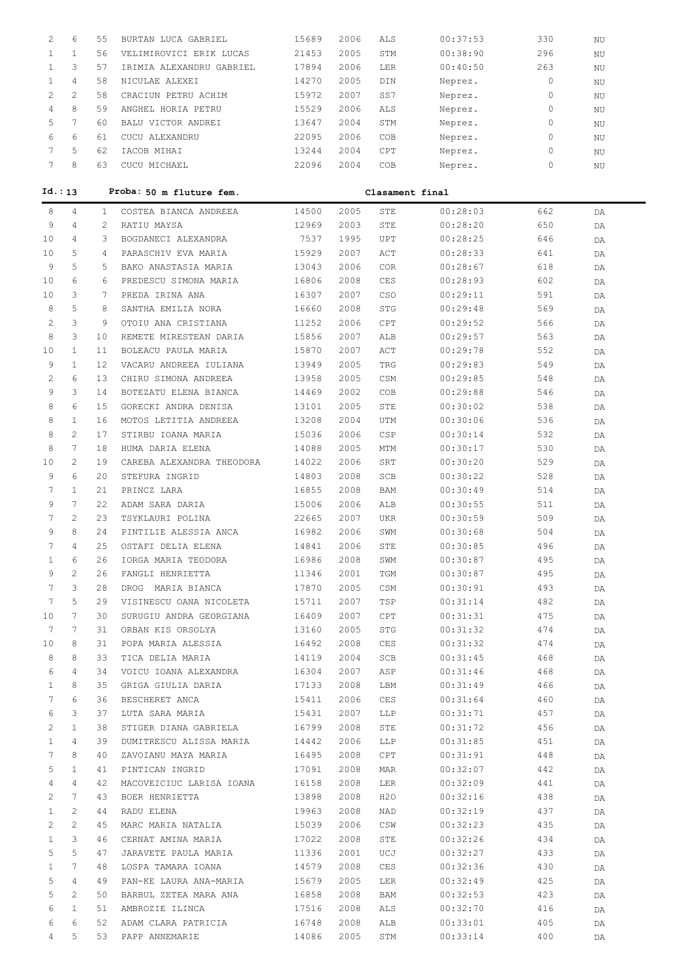| 2            | 6                     | 55           | BURTAN LUCA GABRIEL       | 15689 | 2006 | ALS             | 00:37:53 | 330      | NU |  |
|--------------|-----------------------|--------------|---------------------------|-------|------|-----------------|----------|----------|----|--|
| $\mathbf{1}$ | $\mathbf{1}$          | 56           | VELIMIROVICI ERIK LUCAS   | 21453 | 2005 | STM             | 00:38:90 | 296      | NU |  |
| $\mathbf{1}$ | 3                     | 57           | IRIMIA ALEXANDRU GABRIEL  | 17894 | 2006 | LER             | 00:40:50 | 263      | NU |  |
| $\mathbf{1}$ | $\overline{4}$        | 58           | NICULAE ALEXEI            | 14270 | 2005 | DIN             | Neprez.  | $\circ$  | NU |  |
| $\mathbf{2}$ | $\overline{c}$        | 58           | CRACIUN PETRU ACHIM       | 15972 | 2007 | SS7             | Neprez.  | 0        | NU |  |
| 4            | 8                     | 59           | ANGHEL HORIA PETRU        | 15529 | 2006 | ALS             | Neprez.  | 0        | NU |  |
| 5            | 7                     | 60           | BALU VICTOR ANDREI        | 13647 | 2004 | STM             | Neprez.  | 0        | NU |  |
| 6            | 6                     | 61           | CUCU ALEXANDRU            | 22095 | 2006 | COB             | Neprez.  | 0        | NU |  |
| 7            | 5                     | 62           | IACOB MIHAI               | 13244 | 2004 | CPT             | Neprez.  | 0        |    |  |
| 7            | 8                     | 63           |                           |       | 2004 |                 |          | $\Omega$ | ΝU |  |
|              |                       |              | CUCU MICHAEL              | 22096 |      | COB             | Neprez.  |          | ΝU |  |
|              | Id.: 13               |              | Proba: 50 m fluture fem.  |       |      | Clasament final |          |          |    |  |
|              |                       |              |                           |       |      |                 |          |          |    |  |
| 8            | $\overline{4}$        | $\mathbf{1}$ | COSTEA BIANCA ANDREEA     | 14500 | 2005 | STE             | 00:28:03 | 662      | DA |  |
| 9            | 4                     | 2            | RATIU MAYSA               | 12969 | 2003 | STE             | 00:28:20 | 650      | DA |  |
| 10           | 4                     | 3            | BOGDANECI ALEXANDRA       | 7537  | 1995 | <b>UPT</b>      | 00:28:25 | 646      | DA |  |
| 10           | 5                     | 4            | PARASCHIV EVA MARIA       | 15929 | 2007 | ACT             | 00:28:33 | 641      | DA |  |
| 9            | 5                     | 5            | BAKO ANASTASIA MARIA      | 13043 | 2006 | <b>COR</b>      | 00:28:67 | 618      | DA |  |
| 10           | 6                     | 6            | PREDESCU SIMONA MARIA     | 16806 | 2008 | CES             | 00:28:93 | 602      | DA |  |
| 10           | 3                     | 7            | PREDA IRINA ANA           | 16307 | 2007 | CSO             | 00:29:11 | 591      | DA |  |
| 8            | 5                     | 8            | SANTHA EMILIA NORA        | 16660 | 2008 | STG             | 00:29:48 | 569      | DA |  |
| $\mathbf{2}$ | 3                     | 9            | OTOIU ANA CRISTIANA       | 11252 | 2006 | CPT             | 00:29:52 | 566      | DA |  |
| 8            | 3                     | 10           | REMETE MIRESTEAN DARIA    | 15856 | 2007 | ALB             | 00:29:57 | 563      | DA |  |
| 10           | $\mathbf{1}$          | 11           | BOLEACU PAULA MARIA       | 15870 | 2007 | ACT             | 00:29:78 | 552      | DA |  |
| 9            | $\mathbf{1}$          | 12           | VACARU ANDREEA IULIANA    | 13949 | 2005 | TRG             | 00:29:83 | 549      | DA |  |
| 2            | 6                     | 13           | CHIRU SIMONA ANDREEA      | 13958 | 2005 | CSM             | 00:29:85 | 548      | DA |  |
| 9            | 3                     | 14           | BOTEZATU ELENA BIANCA     | 14469 | 2002 | COB             | 00:29:88 | 546      | DA |  |
| 8            | 6                     | 15           | GORECKI ANDRA DENISA      | 13101 | 2005 | STE             | 00:30:02 | 538      | DA |  |
| 8            | $\mathbf{1}$          | 16           | MOTOS LETITIA ANDREEA     | 13208 | 2004 | UTM             | 00:30:06 | 536      | DA |  |
| 8            | $\overline{2}$        | 17           | STIRBU IOANA MARIA        | 15036 | 2006 | CSP             | 00:30:14 | 532      | DA |  |
| 8            | $7\overline{ }$       | 18           | HUMA DARIA ELENA          | 14088 | 2005 | MTM             | 00:30:17 | 530      | DA |  |
| 10           | $\overline{2}$        | 19           | CAREBA ALEXANDRA THEODORA | 14022 | 2006 | SRT             | 00:30:20 | 529      | DA |  |
| 9            | 6                     | 20           | STEFURA INGRID            | 14803 | 2008 | SCB             | 00:30:22 | 528      | DA |  |
| 7            | $\mathbf{1}$          | 21           | PRINCZ LARA               | 16855 | 2008 | BAM             | 00:30:49 | 514      | DA |  |
| 9            | $7^{\circ}$           | 22           | ADAM SARA DARIA           | 15006 | 2006 | ALB             | 00:30:55 | 511      | DA |  |
| 7            | $\overline{2}$        | 23           | TSYKLAURI POLINA          | 22665 | 2007 | <b>UKR</b>      | 00:30:59 | 509      | DA |  |
| 9            | 8                     | 24           | PINTILIE ALESSIA ANCA     | 16982 | 2006 | SWM             | 00:30:68 | 504      | DA |  |
| 7            | 4                     | 25           | OSTAFI DELIA ELENA        | 14841 | 2006 | STE             | 00:30:85 | 496      | DA |  |
| 1            | 6                     | 26           | IORGA MARIA TEODORA       | 16986 | 2008 | SWM             | 00:30:87 | 495      | DA |  |
| 9            | 2                     | 26           | FANGLI HENRIETTA          | 11346 | 2001 | TGM             | 00:30:87 | 495      | DA |  |
| 7            | 3                     | 28           | DROG MARIA BIANCA         | 17870 | 2005 | CSM             | 00:30:91 | 493      | DA |  |
| 7            | 5                     | 29           | VISINESCU OANA NICOLETA   | 15711 | 2007 | TSP             | 00:31:14 | 482      | DA |  |
| 10           | 7                     | 30           | SURUGIU ANDRA GEORGIANA   | 16409 | 2007 | CPT             | 00:31:31 | 475      | DA |  |
| 7            | 7                     | 31           | ORBAN KIS ORSOLYA         | 13160 | 2005 | STG             | 00:31:32 | 474      | DA |  |
| 10           | 8                     | 31           | POPA MARIA ALESSIA        | 16492 | 2008 | CES             | 00:31:32 | 474      | DA |  |
| 8            | 8                     | 33           | TICA DELIA MARIA          | 14119 | 2004 | SCB             | 00:31:45 | 468      | DA |  |
| 6            | 4                     | 34           | VOICU IOANA ALEXANDRA     | 16304 | 2007 | ASP             | 00:31:46 | 468      | DA |  |
| 1            | 8                     | 35           | GRIGA GIULIA DARIA        | 17133 | 2008 | LBM             | 00:31:49 | 466      | DA |  |
| 7            | 6                     | 36           | BESCHERET ANCA            | 15411 | 2006 | CES             | 00:31:64 | 460      | DA |  |
| 6            | 3                     | 37           | LUTA SARA MARIA           | 15431 | 2007 | LLP             | 00:31:71 | 457      | DA |  |
| 2            | $\mathbf{1}$          | 38           | STIGER DIANA GABRIELA     | 16799 | 2008 | STE             | 00:31:72 | 456      | DA |  |
| $\mathbf{1}$ | $\overline{4}$        | 39           | DUMITRESCU ALISSA MARIA   | 14442 | 2006 | LLP             | 00:31:85 | 451      | DA |  |
| 7            | 8                     | 40           | ZAVOIANU MAYA MARIA       | 16495 | 2008 | CPT             | 00:31:91 | 448      | DA |  |
| 5            | $\mathbf{1}$          | 41           | PINTICAN INGRID           | 17091 | 2008 | MAR             | 00:32:07 | 442      | DA |  |
| 4            | 4                     | 42           | MACOVEICIUC LARISA IOANA  | 16158 | 2008 | LER             | 00:32:09 | 441      | DA |  |
| 2            | $7^{\circ}$           | 43           | BOER HENRIETTA            | 13898 | 2008 | H2O             | 00:32:16 | 438      | DA |  |
| 1            | $\mathbf{2}^{\prime}$ | 44           | RADU ELENA                | 19963 | 2008 | NAD             | 00:32:19 | 437      | DA |  |
| 2            | $\mathbf{2}^{\prime}$ | 45           | MARC MARIA NATALIA        | 15039 | 2006 | CSW             | 00:32:23 | 435      | DA |  |
| 1            | 3                     | 46           | CERNAT AMINA MARIA        | 17022 | 2008 | STE             | 00:32:26 | 434      | DA |  |
| 5            | 5                     | 47           | JARAVETE PAULA MARIA      | 11336 | 2001 | UCJ             | 00:32:27 | 433      | DA |  |
| $\mathbf{1}$ | 7                     | 48           | LOSPA TAMARA IOANA        | 14579 | 2008 | CES             | 00:32:36 | 430      | DA |  |
| 5            | 4                     | 49           | PAN-KE LAURA ANA-MARIA    | 15679 | 2005 | LER             | 00:32:49 | 425      | DA |  |
| 5            | 2                     | 50           | BARBUL ZETEA MARA ANA     | 16858 | 2008 | BAM             | 00:32:53 | 423      | DA |  |
| 6            | $\mathbf{1}$          | 51           | AMBROZIE ILINCA           | 17516 | 2008 | ALS             | 00:32:70 | 416      | DA |  |
| 6            | 6                     | 52           | ADAM CLARA PATRICIA       | 16748 | 2008 | ALB             | 00:33:01 | 405      | DA |  |
| 4            | 5                     | 53           | PAPP ANNEMARIE            | 14086 | 2005 | STM             | 00:33:14 | 400      | DA |  |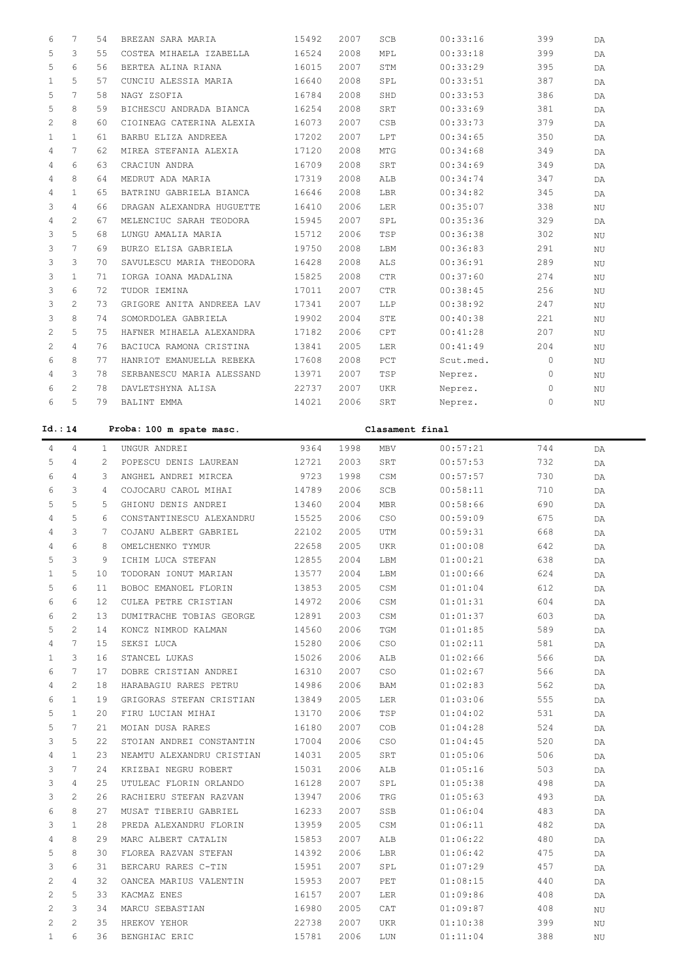| 6            | 7              | 54 | BREZAN SARA MARIA         | 15492 | 2007 | SCB        | 00:33:16  | 399      | DA        |
|--------------|----------------|----|---------------------------|-------|------|------------|-----------|----------|-----------|
| 5            | 3              | 55 | COSTEA MIHAELA IZABELLA   | 16524 | 2008 | MPL        | 00:33:18  | 399      | DA        |
| 5            | 6              | 56 | BERTEA ALINA RIANA        | 16015 | 2007 | STM        | 00:33:29  | 395      | DA        |
| $\mathbf{1}$ | 5              | 57 | CUNCIU ALESSIA MARIA      | 16640 | 2008 | SPL        | 00:33:51  | 387      | DA        |
| 5            | 7              | 58 | NAGY ZSOFIA               | 16784 | 2008 | SHD        | 00:33:53  | 386      | DA        |
| 5            | 8              | 59 | BICHESCU ANDRADA BIANCA   | 16254 | 2008 | SRT        | 00:33:69  | 381      | DA        |
| 2            | 8              | 60 | CIOINEAG CATERINA ALEXIA  | 16073 | 2007 | <b>CSB</b> | 00:33:73  | 379      | DA        |
| 1            | $\mathbf{1}$   | 61 | BARBU ELIZA ANDREEA       | 17202 | 2007 | LPT        | 00:34:65  | 350      | DA        |
| 4            | $\overline{7}$ | 62 | MIREA STEFANIA ALEXIA     | 17120 | 2008 | <b>MTG</b> | 00:34:68  | 349      | DA        |
| 4            | 6              | 63 | CRACIUN ANDRA             | 16709 | 2008 | SRT        | 00:34:69  | 349      | DA        |
| 4            | 8              | 64 | MEDRUT ADA MARIA          | 17319 | 2008 | ALB        | 00:34:74  | 347      | DA        |
| 4            | $\mathbf{1}$   | 65 | BATRINU GABRIELA BIANCA   | 16646 | 2008 | LBR        | 00:34:82  | 345      | DA        |
| 3            | 4              | 66 | DRAGAN ALEXANDRA HUGUETTE | 16410 | 2006 | <b>LER</b> | 00:35:07  | 338      | NU        |
| 4            | $\overline{2}$ | 67 | MELENCIUC SARAH TEODORA   | 15945 | 2007 | SPL        | 00:35:36  | 329      | DA.       |
| 3            | 5              | 68 | LUNGU AMALIA MARIA        | 15712 | 2006 | TSP        | 00:36:38  | 302      | <b>NU</b> |
| 3            | 7              | 69 | BURZO ELISA GABRIELA      | 19750 | 2008 | LBM        | 00:36:83  | 291      | NU        |
| 3            | 3              | 70 | SAVULESCU MARIA THEODORA  | 16428 | 2008 | ALS        | 00:36:91  | 289      | NU        |
| 3            | $\mathbf{1}$   | 71 | IORGA IOANA MADALINA      | 15825 | 2008 | <b>CTR</b> | 00:37:60  | 274      | NU        |
| 3            | 6              | 72 | TUDOR IEMINA              | 17011 | 2007 | <b>CTR</b> | 00:38:45  | 256      | NU        |
| 3            | $\mathfrak{D}$ | 73 | GRIGORE ANITA ANDREEA LAV | 17341 | 2007 | LLP        | 00:38:92  | 247      | <b>NU</b> |
| 3            | 8              | 74 | SOMORDOLEA GABRIELA       | 19902 | 2004 | STE        | 00:40:38  | 221      | NU        |
| 2            | 5              | 75 | HAFNER MIHAELA ALEXANDRA  | 17182 | 2006 | CPT        | 00:41:28  | 207      | NU        |
| 2            | $\overline{4}$ | 76 | BACIUCA RAMONA CRISTINA   | 13841 | 2005 | <b>LER</b> | 00:41:49  | 204      | NU        |
| 6            | 8              | 77 | HANRIOT EMANUELLA REBEKA  | 17608 | 2008 | $PCT$      | Scut.med. | $\Omega$ | NU        |
| 4            | 3              | 78 | SERBANESCU MARIA ALESSAND | 13971 | 2007 | TSP        | Neprez.   | $\Omega$ | NU        |
| 6            | $\overline{2}$ | 78 | DAVLETSHYNA ALISA         | 22737 | 2007 | <b>UKR</b> | Neprez.   | 0        | ΝU        |
| 6            | 5              | 79 | BALINT EMMA               | 14021 | 2006 | SRT        | Neprez.   | $\circ$  | NU        |
|              |                |    |                           |       |      |            |           |          |           |

| Id.: 14        |                 |    | Proba: 100 m spate masc.<br>Clasament final |       |      |            |          |     |    |  |  |
|----------------|-----------------|----|---------------------------------------------|-------|------|------------|----------|-----|----|--|--|
| 4              | $\overline{4}$  | 1  | UNGUR ANDREI                                | 9364  | 1998 | <b>MBV</b> | 00:57:21 | 744 | DA |  |  |
| 5              | $\overline{4}$  | 2  | POPESCU DENIS LAUREAN                       | 12721 | 2003 | SRT        | 00:57:53 | 732 | DA |  |  |
| 6              | 4               | 3  | ANGHEL ANDREI MIRCEA                        | 9723  | 1998 | CSM        | 00:57:57 | 730 | DA |  |  |
| 6              | 3               | 4  | COJOCARU CAROL MIHAI                        | 14789 | 2006 | SCB        | 00:58:11 | 710 | DA |  |  |
| 5              | 5               | 5  | GHIONU DENIS ANDREI                         | 13460 | 2004 | <b>MBR</b> | 00:58:66 | 690 | DA |  |  |
| 4              | 5               | 6  | CONSTANTINESCU ALEXANDRU                    | 15525 | 2006 | CSO        | 00:59:09 | 675 | DA |  |  |
| 4              | 3               | 7  | COJANU ALBERT GABRIEL                       | 22102 | 2005 | UTM        | 00:59:31 | 668 | DA |  |  |
| $\overline{4}$ | $6\overline{6}$ | 8  | OMELCHENKO TYMUR                            | 22658 | 2005 | UKR        | 01:00:08 | 642 | DA |  |  |
| 5              | 3               | 9  | ICHIM LUCA STEFAN                           | 12855 | 2004 | LBM        | 01:00:21 | 638 | DA |  |  |
| $\mathbf{1}$   | 5               | 10 | TODORAN IONUT MARIAN                        | 13577 | 2004 | LBM        | 01:00:66 | 624 | DA |  |  |
| 5              | 6               | 11 | BOBOC EMANOEL FLORIN                        | 13853 | 2005 | CSM        | 01:01:04 | 612 | DA |  |  |
| 6              | 6               | 12 | CULEA PETRE CRISTIAN                        | 14972 | 2006 | CSM        | 01:01:31 | 604 | DA |  |  |
| 6              | $\overline{2}$  | 13 | DUMITRACHE TOBIAS GEORGE                    | 12891 | 2003 | CSM        | 01:01:37 | 603 | DA |  |  |
| 5              | $\mathcal{L}$   | 14 | KONCZ NIMROD KALMAN                         | 14560 | 2006 | TGM        | 01:01:85 | 589 | DA |  |  |
| 4              | $7\phantom{.0}$ | 15 | SEKSI LUCA                                  | 15280 | 2006 | CSO        | 01:02:11 | 581 | DA |  |  |
| $\mathbf{1}$   | 3               | 16 | STANCEL LUKAS                               | 15026 | 2006 | ALB        | 01:02:66 | 566 | DA |  |  |
| 6              | 7               | 17 | DOBRE CRISTIAN ANDREI                       | 16310 | 2007 | CSO        | 01:02:67 | 566 | DA |  |  |
| 4              | $\mathfrak{D}$  | 18 | HARABAGIU RARES PETRU                       | 14986 | 2006 | BAM        | 01:02:83 | 562 | DA |  |  |
| 6              | $\mathbf{1}$    | 19 | GRIGORAS STEFAN CRISTIAN                    | 13849 | 2005 | <b>LER</b> | 01:03:06 | 555 | DA |  |  |
| 5              | $\mathbf{1}$    | 20 | FIRU LUCIAN MIHAI                           | 13170 | 2006 | TSP        | 01:04:02 | 531 | DA |  |  |
| 5              | $7\phantom{.0}$ | 21 | MOIAN DUSA RARES                            | 16180 | 2007 | COB        | 01:04:28 | 524 | DA |  |  |
| 3              | 5               | 22 | STOIAN ANDREI CONSTANTIN                    | 17004 | 2006 | CSO        | 01:04:45 | 520 | DA |  |  |
| 4              | $\mathbf{1}$    | 23 | NEAMTU ALEXANDRU CRISTIAN                   | 14031 | 2005 | SRT        | 01:05:06 | 506 | DA |  |  |
| 3              | $7\phantom{.0}$ | 24 | KRIZBAI NEGRU ROBERT                        | 15031 | 2006 | ALB        | 01:05:16 | 503 | DA |  |  |
| 3              | 4               | 25 | UTULEAC FLORIN ORLANDO                      | 16128 | 2007 | SPL        | 01:05:38 | 498 | DA |  |  |
| 3              | $\overline{c}$  | 26 | RACHIERU STEFAN RAZVAN                      | 13947 | 2006 | TRG        | 01:05:63 | 493 | DA |  |  |
| 6              | 8               | 27 | MUSAT TIBERIU GABRIEL                       | 16233 | 2007 | SSB        | 01:06:04 | 483 | DA |  |  |
| 3              | $\mathbf{1}$    | 28 | PREDA ALEXANDRU FLORIN                      | 13959 | 2005 | CSM        | 01:06:11 | 482 | DA |  |  |
| 4              | 8               | 29 | MARC ALBERT CATALIN                         | 15853 | 2007 | ALB        | 01:06:22 | 480 | DA |  |  |
| 5              | 8               | 30 | FLOREA RAZVAN STEFAN                        | 14392 | 2006 | LBR        | 01:06:42 | 475 | DA |  |  |
| 3              | 6               | 31 | BERCARU RARES C-TIN                         | 15951 | 2007 | SPL        | 01:07:29 | 457 | DA |  |  |
| 2              | $\overline{4}$  | 32 | OANCEA MARIUS VALENTIN                      | 15953 | 2007 | PET        | 01:08:15 | 440 | DA |  |  |
| 2              | 5               | 33 | KACMAZ ENES                                 | 16157 | 2007 | LER        | 01:09:86 | 408 | DA |  |  |
| 2              | 3               | 34 | MARCU SEBASTIAN                             | 16980 | 2005 | CAT        | 01:09:87 | 408 | NU |  |  |
| $\overline{2}$ | $\mathbf{2}$    | 35 | HREKOV YEHOR                                | 22738 | 2007 | <b>UKR</b> | 01:10:38 | 399 | NU |  |  |
| $\mathbf{1}$   | 6               | 36 | BENGHIAC ERIC                               | 15781 | 2006 | LUN        | 01:11:04 | 388 | NU |  |  |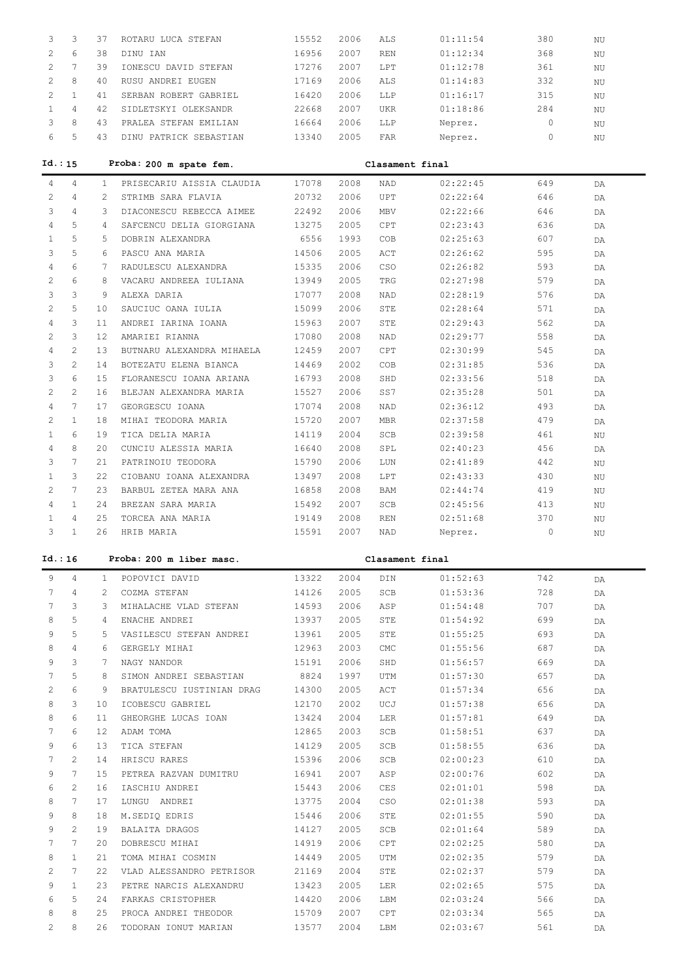| 3                     | 3                     | 37              | ROTARU LUCA STEFAN        | 15552 | 2006 | ALS             | 01:11:54 | 380      | NU          |
|-----------------------|-----------------------|-----------------|---------------------------|-------|------|-----------------|----------|----------|-------------|
| $\overline{c}$        | 6                     | 38              | DINU IAN                  | 16956 | 2007 | <b>REN</b>      | 01:12:34 | 368      | NU          |
| $\overline{2}$        | $7^{\circ}$           | 39              | IONESCU DAVID STEFAN      | 17276 | 2007 | LPT             | 01:12:78 | 361      | NU          |
| $\overline{c}$        | 8                     | 40              | RUSU ANDREI EUGEN         | 17169 | 2006 | ALS             | 01:14:83 | 332      |             |
|                       |                       |                 |                           |       |      |                 |          |          | $_{\rm NU}$ |
| $\mathbf{2}$          | $\mathbf{1}$          | 41              | SERBAN ROBERT GABRIEL     | 16420 | 2006 | LLP             | 01:16:17 | 315      | ΝU          |
| $\mathbf{1}$          | $\overline{4}$        | 42              | SIDLETSKYI OLEKSANDR      | 22668 | 2007 | UKR             | 01:18:86 | 284      | ΝU          |
| 3                     | 8                     | 43              | PRALEA STEFAN EMILIAN     | 16664 | 2006 | LLP             | Neprez.  | 0        | $\rm N U$   |
| 6                     | 5                     | 43              | DINU PATRICK SEBASTIAN    | 13340 | 2005 | FAR             | Neprez.  | $\Omega$ | $\rm N U$   |
|                       |                       |                 |                           |       |      |                 |          |          |             |
| Id.: 15               |                       |                 | Proba: 200 m spate fem.   |       |      | Clasament final |          |          |             |
| $\overline{4}$        | 4                     | $\mathbf{1}$    | PRISECARIU AISSIA CLAUDIA | 17078 | 2008 | <b>NAD</b>      | 02:22:45 | 649      | DA          |
| $\mathbf{2}^{\prime}$ | $\overline{4}$        | $\overline{2}$  | STRIMB SARA FLAVIA        | 20732 | 2006 | <b>UPT</b>      | 02:22:64 | 646      |             |
|                       |                       |                 |                           |       |      |                 |          |          | DA          |
| 3                     | $\overline{4}$        | 3               | DIACONESCU REBECCA AIMEE  | 22492 | 2006 | <b>MBV</b>      | 02:22:66 | 646      | DA          |
| $\overline{4}$        | 5                     | $\overline{4}$  | SAFCENCU DELIA GIORGIANA  | 13275 | 2005 | CPT             | 02:23:43 | 636      | DA          |
| $\mathbf{1}$          | 5                     | 5               | DOBRIN ALEXANDRA          | 6556  | 1993 | COB             | 02:25:63 | 607      | DA          |
| 3                     | 5                     | 6               | PASCU ANA MARIA           | 14506 | 2005 | ACT             | 02:26:62 | 595      | DA          |
| $\overline{4}$        | 6                     | 7               | RADULESCU ALEXANDRA       | 15335 | 2006 | CSO             | 02:26:82 | 593      | DA          |
| $\mathbf{2}$          | 6                     | 8               | VACARU ANDREEA IULIANA    | 13949 | 2005 | TRG             | 02:27:98 | 579      | DA          |
| 3                     | 3                     | 9               | ALEXA DARIA               | 17077 | 2008 | NAD             | 02:28:19 | 576      | DA          |
| $\mathbf{2}$          | 5                     | 10 <sup>°</sup> | SAUCIUC OANA IULIA        | 15099 | 2006 | <b>STE</b>      | 02:28:64 | 571      | DA          |
| $\overline{4}$        | 3                     | 11              | ANDREI IARINA IOANA       | 15963 | 2007 | <b>STE</b>      | 02:29:43 | 562      | DA          |
| $\overline{2}$        | 3                     | 12 <sup>2</sup> | AMARIEI RIANNA            | 17080 | 2008 | NAD             | 02:29:77 | 558      | DA          |
| $\overline{4}$        | $\overline{2}$        | 13              | BUTNARU ALEXANDRA MIHAELA | 12459 | 2007 | <b>CPT</b>      | 02:30:99 | 545      | DA          |
| 3                     | $\overline{2}$        | 14              | BOTEZATU ELENA BIANCA     | 14469 | 2002 | COB             | 02:31:85 | 536      |             |
| 3                     | 6                     | 15              | FLORANESCU IOANA ARIANA   | 16793 | 2008 | SHD             | 02:33:56 | 518      | DA          |
|                       |                       |                 |                           |       |      |                 |          |          | DA          |
| $\overline{c}$        | $\overline{2}$        | 16              | BLEJAN ALEXANDRA MARIA    | 15527 | 2006 | SS7             | 02:35:28 | 501      | DA          |
| $\overline{4}$        | $7\phantom{.0}$       | 17              | GEORGESCU IOANA           | 17074 | 2008 | NAD             | 02:36:12 | 493      | DA          |
| $\overline{2}$        | $\mathbf{1}$          | 18              | MIHAI TEODORA MARIA       | 15720 | 2007 | <b>MBR</b>      | 02:37:58 | 479      | DA          |
| $\mathbf{1}$          | 6                     | 19              | TICA DELIA MARIA          | 14119 | 2004 | SCB             | 02:39:58 | 461      | ΝU          |
| $\overline{4}$        | 8                     | 20              | CUNCIU ALESSIA MARIA      | 16640 | 2008 | SPL             | 02:40:23 | 456      | DA          |
| 3                     | $7\phantom{.0}$       | 21              | PATRINOIU TEODORA         | 15790 | 2006 | LUN             | 02:41:89 | 442      | NU          |
| $\mathbf{1}$          | 3                     | 22              | CIOBANU IOANA ALEXANDRA   | 13497 | 2008 | <b>LPT</b>      | 02:43:33 | 430      | NU          |
| $\overline{2}$        | $7\overline{ }$       | 23              | BARBUL ZETEA MARA ANA     | 16858 | 2008 | <b>BAM</b>      | 02:44:74 | 419      | NU          |
| $\overline{4}$        | $\mathbf{1}$          | 24              | BREZAN SARA MARIA         | 15492 | 2007 | SCB             | 02:45:56 | 413      | NU          |
| $\mathbf{1}$          | $\overline{4}$        | 25              | TORCEA ANA MARIA          | 19149 | 2008 | <b>REN</b>      | 02:51:68 | 370      | NU          |
| 3                     | $\mathbf{1}$          | 26              | HRIB MARIA                | 15591 | 2007 | NAD             | Neprez.  | $\circ$  | ΝU          |
|                       |                       |                 |                           |       |      |                 |          |          |             |
| Id.: 16               |                       |                 | Proba: 200 m liber masc.  |       |      | Clasament final |          |          |             |
| 9                     | $\overline{4}$        | $\mathbf{1}$    | POPOVICI DAVID            | 13322 | 2004 | DIN             | 01:52:63 | 742      |             |
| 7                     | 4                     | 2               |                           |       | 2005 | SCB             | 01:53:36 |          | DA          |
|                       |                       |                 | COZMA STEFAN              | 14126 |      |                 |          | 728      | DA          |
| 7                     | 3                     | 3               | MIHALACHE VLAD STEFAN     | 14593 | 2006 | ASP             | 01:54:48 | 707      | DA          |
| 8                     | 5                     | 4               | ENACHE ANDREI             | 13937 | 2005 | STE             | 01:54:92 | 699      | DA          |
| 9                     | 5                     | 5               | VASILESCU STEFAN ANDREI   | 13961 | 2005 | STE             | 01:55:25 | 693      | DA          |
| 8                     | $\overline{4}$        | 6               | GERGELY MIHAI             | 12963 | 2003 | <b>CMC</b>      | 01:55:56 | 687      | DA          |
| 9                     | 3                     | 7               | NAGY NANDOR               | 15191 | 2006 | SHD             | 01:56:57 | 669      | DA          |
| 7                     | 5                     | 8               | SIMON ANDREI SEBASTIAN    | 8824  | 1997 | UTM             | 01:57:30 | 657      | DA          |
| 2                     | 6                     | 9               | BRATULESCU IUSTINIAN DRAG | 14300 | 2005 | ACT             | 01:57:34 | 656      | DA          |
| 8                     | 3                     | 10              | ICOBESCU GABRIEL          | 12170 | 2002 | UCJ             | 01:57:38 | 656      | DA          |
| 8                     | 6                     | 11              | GHEORGHE LUCAS IOAN       | 13424 | 2004 | LER             | 01:57:81 | 649      | DA          |
| 7                     | 6                     | 12 <sub>2</sub> | ADAM TOMA                 | 12865 | 2003 | SCB             | 01:58:51 | 637      | DA          |
| 9                     | 6                     | 13              | TICA STEFAN               | 14129 | 2005 | SCB             | 01:58:55 | 636      | DA          |
| 7                     | 2                     | 14              | HRISCU RARES              | 15396 | 2006 | SCB             | 02:00:23 | 610      | DA          |
| 9                     | 7                     | 15              | PETREA RAZVAN DUMITRU     | 16941 | 2007 | ASP             | 02:00:76 | 602      | DA          |
| 6                     | $\overline{c}$        | 16              | IASCHIU ANDREI            | 15443 | 2006 | CES             | 02:01:01 | 598      |             |
|                       |                       |                 |                           |       |      |                 |          |          | DA          |
| 8                     | 7                     | 17              | LUNGU ANDREI              | 13775 | 2004 | CSO             | 02:01:38 | 593      | DA          |
| 9                     | 8                     | 18              | M.SEDIQ EDRIS             | 15446 | 2006 | STE             | 02:01:55 | 590      | DA          |
| 9                     | $\mathbf{2}^{\prime}$ | 19              | BALAITA DRAGOS            | 14127 | 2005 | SCB             | 02:01:64 | 589      | DA          |
| 7                     | 7                     | 20              | DOBRESCU MIHAI            | 14919 | 2006 | CPT             | 02:02:25 | 580      | DA          |
| 8                     | $\mathbf{1}$          | 21              | TOMA MIHAI COSMIN         | 14449 | 2005 | UTM             | 02:02:35 | 579      | DA          |
| 2                     | 7                     | 22              | VLAD ALESSANDRO PETRISOR  | 21169 | 2004 | STE             | 02:02:37 | 579      | DA          |
| 9                     | $\mathbf{1}$          | 23              | PETRE NARCIS ALEXANDRU    | 13423 | 2005 | LER             | 02:02:65 | 575      | DA          |
| 6                     | 5                     | 24              | FARKAS CRISTOPHER         | 14420 | 2006 | LBM             | 02:03:24 | 566      | DA          |
| 8                     | 8                     | 25              | PROCA ANDREI THEODOR      | 15709 | 2007 | CPT             | 02:03:34 | 565      | DA          |
| $\mathbf{2}^{\prime}$ | 8                     | 26              | TODORAN IONUT MARIAN      | 13577 | 2004 | LBM             | 02:03:67 | 561      | DA          |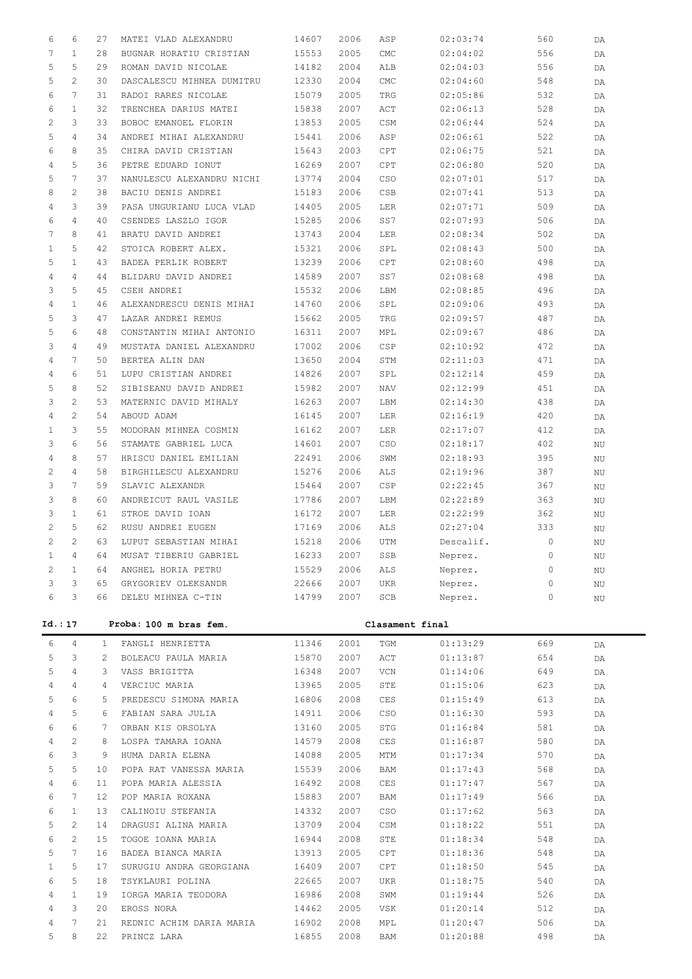| 6            | 6                     | 27           | MATEI VLAD ALEXANDRU                         | 14607          | 2006           | ASP             | 02:03:74             | 560            | DA        |
|--------------|-----------------------|--------------|----------------------------------------------|----------------|----------------|-----------------|----------------------|----------------|-----------|
| 7            | $\mathbf{1}$          | 28           | BUGNAR HORATIU CRISTIAN                      | 15553          | 2005           | CMC             | 02:04:02             | 556            | DA        |
| 5            | 5                     | 29           | ROMAN DAVID NICOLAE                          | 14182          | 2004           | ALB             | 02:04:03             | 556            | DA        |
| 5            | $\overline{2}$        | 30           | DASCALESCU MIHNEA DUMITRU                    | 12330          | 2004           | <b>CMC</b>      | 02:04:60             | 548            | DA        |
| 6            | $7\phantom{.0}$       | 31           | RADOI RARES NICOLAE                          | 15079          | 2005           | TRG             | 02:05:86             | 532            | DA        |
| 6            | $\mathbf{1}$          | 32           | TRENCHEA DARIUS MATEI                        | 15838          | 2007           | ACT             | 02:06:13             | 528            | DA        |
| 2            | 3                     | 33           | BOBOC EMANOEL FLORIN                         | 13853          | 2005           | CSM             | 02:06:44             | 524            | DA        |
| 5            | $\overline{4}$        | 34           | ANDREI MIHAI ALEXANDRU                       | 15441          | 2006           | ASP             | 02:06:61             | 522            | DA        |
| 6            | 8                     | 35           | CHIRA DAVID CRISTIAN                         | 15643          | 2003           | CPT             | 02:06:75             | 521            | DA        |
| 4            | 5                     | 36           | PETRE EDUARD IONUT                           | 16269          | 2007           | CPT             | 02:06:80             | 520            | DA        |
| 5            | $7\phantom{.0}$       | 37           | NANULESCU ALEXANDRU NICHI                    | 13774          | 2004           | <b>CSO</b>      | 02:07:01             | 517            | DA        |
| 8            | $\overline{2}$        | 38           | BACIU DENIS ANDREI                           | 15183          | 2006           | CSB             | 02:07:41             | 513            | DA        |
| 4            | 3                     | 39           | PASA UNGURIANU LUCA VLAD                     | 14405          | 2005           | LER             | 02:07:71             | 509            | DA        |
| 6            | $\overline{4}$        | 40           | CSENDES LASZLO IGOR                          | 15285          | 2006           | SS7             | 02:07:93             | 506            | DA        |
| 7            | 8                     | 41           | BRATU DAVID ANDREI                           | 13743          | 2004           | LER             | 02:08:34             | 502            | DA        |
| 1            | 5                     | 42           | STOICA ROBERT ALEX.                          | 15321          | 2006           | SPL             | 02:08:43             | 500            | DA        |
| 5            | $\mathbf{1}$          | 43           | BADEA PERLIK ROBERT                          | 13239          | 2006           | CPT             | 02:08:60             | 498            | DA        |
| 4            | $\overline{4}$        | 44           | BLIDARU DAVID ANDREI                         | 14589          | 2007           | SS7             | 02:08:68             | 498            | DA        |
| 3            | 5                     | 45           | CSEH ANDREI                                  | 15532          | 2006           | LBM             | 02:08:85             | 496            | DA        |
| 4            | $\mathbf{1}$          | 46           | ALEXANDRESCU DENIS MIHAI                     | 14760          | 2006           | SPL             | 02:09:06             | 493            | DA        |
| 5            | 3                     | 47           | LAZAR ANDREI REMUS                           | 15662          | 2005           | TRG             | 02:09:57             | 487            | DA        |
| 5            | 6                     | 48           | CONSTANTIN MIHAI ANTONIO                     | 16311          | 2007           | MPL             | 02:09:67             | 486            | DA        |
| 3            | $\overline{4}$        | 49           | MUSTATA DANIEL ALEXANDRU                     | 17002          | 2006           | CSP             | 02:10:92             | 472            | DA        |
| 4            | 7                     | 50           | BERTEA ALIN DAN                              | 13650          | 2004           | STM             | 02:11:03             | 471            | DA        |
| 4            | 6                     | 51           | LUPU CRISTIAN ANDREI                         | 14826          | 2007           | SPL             | 02:12:14             | 459            | DA        |
| 5            | 8                     | 52           | SIBISEANU DAVID ANDREI                       | 15982          | 2007           | NAV             | 02:12:99             | 451            | DA        |
| 3            | $\overline{2}$        | 53           | MATERNIC DAVID MIHALY                        | 16263          | 2007           | LBM             | 02:14:30             | 438            | DA        |
| 4            | $\overline{2}$        | 54           | ABOUD ADAM                                   | 16145          | 2007           | LER             | 02:16:19             | 420            | DA        |
| 1            | 3                     | 55           | MODORAN MIHNEA COSMIN                        | 16162          | 2007           | LER             | 02:17:07             | 412            | DA        |
| 3            | 6                     | 56           | STAMATE GABRIEL LUCA                         | 14601          | 2007           | CSO             | 02:18:17             | 402            | ΝU        |
| 4            | 8                     | 57           | HRISCU DANIEL EMILIAN                        | 22491          | 2006           | SWM             | 02:18:93             | 395            | ΝU        |
| 2            | $\overline{4}$        | 58           | BIRGHILESCU ALEXANDRU                        | 15276          | 2006           | ALS             | 02:19:96             | 387            | ΝU        |
|              |                       |              |                                              |                |                |                 |                      |                |           |
| 3            | $7\phantom{.0}$       | 59           | SLAVIC ALEXANDR                              | 15464          | 2007           | CSP             | 02:22:45             | 367            | ΝU        |
| 3            | 8                     | 60           | ANDREICUT RAUL VASILE                        | 17786          | 2007           | LBM             | 02:22:89             | 363            | ΝU        |
| 3            | $\mathbf{1}$          | 61           | STROE DAVID IOAN                             | 16172          | 2007           | LER             | 02:22:99             | 362            | ΝU        |
| 2            | 5                     | 62           | RUSU ANDREI EUGEN                            | 17169          | 2006           | ALS             | 02:27:04             | 333            | ΝU        |
| 2            | $\mathbf{2}^{\prime}$ | 63           | LUPUT SEBASTIAN MIHAI                        | 15218          | 2006           | UTM             | Descalif.            | $\circ$        | ΝU        |
| $\mathbf{1}$ | $4\overline{ }$       |              | 64 MUSAT TIBERIU GABRIEL                     |                | 16233 2007 SSB |                 | Neprez.              | $\overline{0}$ | ΝU        |
| 2            | $\mathbf{1}$          | 64           | ANGHEL HORIA PETRU                           | 15529          | 2006           | ALS             | Neprez.              | 0              | ΝU        |
| 3            | 3                     | 65           | GRYGORIEV OLEKSANDR                          | 22666          | 2007           | UKR             | Neprez.              | 0              | $\rm N U$ |
| 6            | 3                     | 66           | DELEU MIHNEA C-TIN                           | 14799          | 2007           | SCB             | Neprez.              | 0              | ΝU        |
|              | Id.: 17               |              | Proba: 100 m bras fem.                       |                |                | Clasament final |                      |                |           |
|              |                       |              |                                              |                |                |                 |                      |                |           |
| 6            | 4                     | $\mathbf{1}$ | FANGLI HENRIETTA                             | 11346          | 2001           | TGM             | 01:13:29             | 669            | DA        |
| 5            | 3                     | 2            | BOLEACU PAULA MARIA                          | 15870          | 2007           | ACT             | 01:13:87             | 654            | DA        |
| 5            | $\overline{4}$        | 3            | VASS BRIGITTA                                | 16348          | 2007           | VCN             | 01:14:06             | 649            | DA        |
| 4            | $\overline{4}$        | 4            | VERCIUC MARIA                                | 13965          | 2005           | STE             | 01:15:06             | 623            | DA        |
| 5            | 6                     | 5            | PREDESCU SIMONA MARIA                        | 16806          | 2008           | CES             | 01:15:49             | 613            | DA        |
| 4            | 5                     | 6            | FABIAN SARA JULIA                            | 14911          | 2006           | CSO             | 01:16:30             | 593            | DA        |
| 6            | 6                     | 7            | ORBAN KIS ORSOLYA                            | 13160          | 2005           | STG             | 01:16:84             | 581            | DA        |
| 4            | $\mathbf{2}^{\prime}$ | 8            | LOSPA TAMARA IOANA                           | 14579          | 2008           | CES             | 01:16:87             | 580            | DA        |
| 6<br>5       | 3<br>5                | 9<br>10      | HUMA DARIA ELENA                             | 14088          | 2005           | MTM             | 01:17:34             | 570            | DA        |
| 4            | 6                     | 11           | POPA RAT VANESSA MARIA<br>POPA MARIA ALESSIA | 15539<br>16492 | 2006<br>2008   | BAM<br>CES      | 01:17:43<br>01:17:47 | 568<br>567     | DA        |
| 6            | 7                     | $12 \,$      | POP MARIA ROXANA                             | 15883          | 2007           | BAM             | 01:17:49             | 566            | DA<br>DA  |
| 6            | $\mathbf{1}$          | 13           | CALINOIU STEFANIA                            | 14332          | 2007           | CSO             | 01:17:62             | 563            | DA        |
| 5            | $\mathbf{2}^{\prime}$ | 14           | DRAGUSI ALINA MARIA                          | 13709          | 2004           | CSM             | 01:18:22             | 551            | DA        |
| 6            | $\mathbf{2}$          | 15           | TOGOE IOANA MARIA                            | 16944          | 2008           | STE             | 01:18:34             | 548            | DA        |
| 5            | 7                     | 16           | BADEA BIANCA MARIA                           | 13913          | 2005           | CPT             | 01:18:36             | 548            | DA        |
| $\mathbf{1}$ | 5                     | 17           | SURUGIU ANDRA GEORGIANA                      | 16409          | 2007           | CPT             | 01:18:50             | 545            | DA        |
| 6            | 5                     | 18           | TSYKLAURI POLINA                             | 22665          | 2007           | UKR             | 01:18:75             | 540            | DA        |
| 4            | $\mathbf{1}$          | 19           | IORGA MARIA TEODORA                          | 16986          | 2008           | SWM             | 01:19:44             | 526            | DA        |
| 4            | 3                     | 20           | EROSS NORA                                   | 14462          | 2005           | VSK             | 01:20:14             | 512            | DA        |
| 4            | 7                     | 21           | REDNIC ACHIM DARIA MARIA                     | 16902          | 2008           | MPL             | 01:20:47             | 506            | DA        |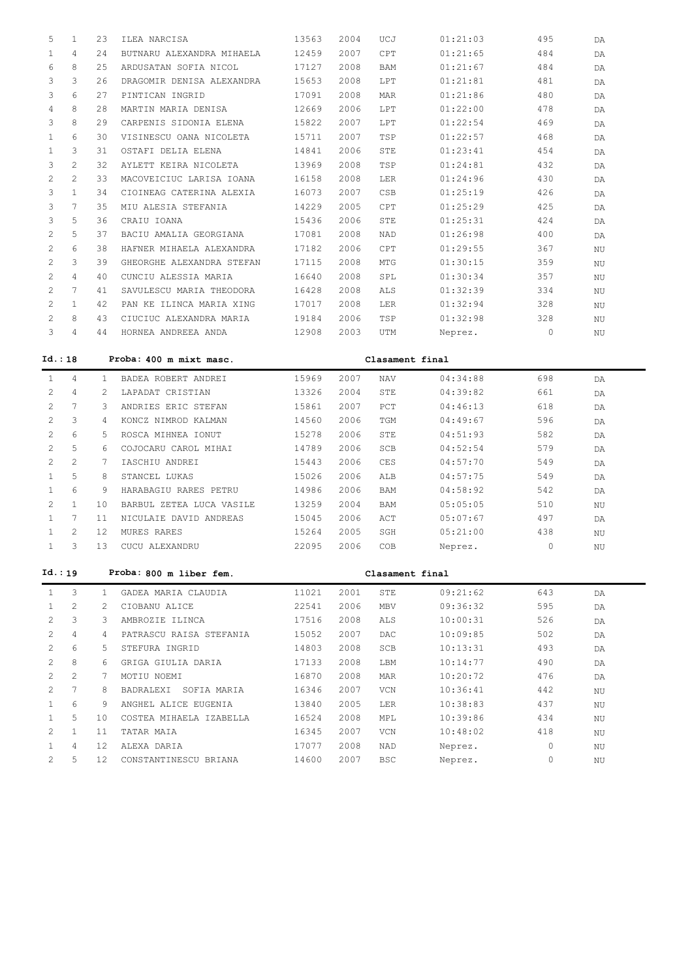| 5              | $\mathbf{1}$          | 23              | ILEA NARCISA              | 13563 | 2004 | UCJ             | 01:21:03 | 495         | DA |  |
|----------------|-----------------------|-----------------|---------------------------|-------|------|-----------------|----------|-------------|----|--|
| $\mathbf{1}$   | 4                     | 24              | BUTNARU ALEXANDRA MIHAELA | 12459 | 2007 | ${\tt CPT}$     | 01:21:65 | 484         | DA |  |
| 6              | 8                     | 25              | ARDUSATAN SOFIA NICOL     | 17127 | 2008 | BAM             | 01:21:67 | 484         | DA |  |
| 3              | 3                     | 26              | DRAGOMIR DENISA ALEXANDRA | 15653 | 2008 | LPT             | 01:21:81 | 481         | DA |  |
| 3              | 6                     | 27              | PINTICAN INGRID           | 17091 | 2008 | MAR             | 01:21:86 | 480         | DA |  |
| 4              | 8                     | 28              | MARTIN MARIA DENISA       | 12669 | 2006 | LPT             | 01:22:00 | 478         | DA |  |
| 3              | 8                     | 29              | CARPENIS SIDONIA ELENA    | 15822 | 2007 | LPT             | 01:22:54 | 469         | DA |  |
| $\mathbf{1}$   | 6                     | 30              | VISINESCU OANA NICOLETA   | 15711 | 2007 | TSP             | 01:22:57 | 468         | DA |  |
| $\mathbf{1}$   | 3                     | 31              | OSTAFI DELIA ELENA        | 14841 | 2006 | STE             | 01:23:41 | 454         | DA |  |
| 3              | $\overline{2}$        | 32              | AYLETT KEIRA NICOLETA     | 13969 | 2008 | TSP             | 01:24:81 | 432         | DA |  |
| 2              | $\overline{2}$        | 33              | MACOVEICIUC LARISA IOANA  | 16158 | 2008 | LER             | 01:24:96 | 430         | DA |  |
| 3              | $\mathbf{1}$          | 34              | CIOINEAG CATERINA ALEXIA  | 16073 | 2007 | CSB             | 01:25:19 | 426         | DA |  |
| 3              | $7\phantom{.0}$       | 35              | MIU ALESIA STEFANIA       | 14229 | 2005 | CPT             | 01:25:29 | 425         | DA |  |
| 3              | 5                     | 36              | CRAIU IOANA               | 15436 | 2006 | STE             | 01:25:31 | 424         | DA |  |
| 2              | 5                     | 37              | BACIU AMALIA GEORGIANA    | 17081 | 2008 | $\mathtt{NAD}$  | 01:26:98 | 400         | DA |  |
| 2              | 6                     | 38              | HAFNER MIHAELA ALEXANDRA  | 17182 | 2006 | CPT             | 01:29:55 | 367         | NU |  |
| 2              | 3                     | 39              | GHEORGHE ALEXANDRA STEFAN | 17115 | 2008 | MTG             | 01:30:15 | 359         | ΝU |  |
| 2              | $\overline{4}$        | 40              | CUNCIU ALESSIA MARIA      | 16640 | 2008 | SPL             | 01:30:34 | 357         | ΝU |  |
| 2              | $7\phantom{.0}$       | 41              | SAVULESCU MARIA THEODORA  | 16428 | 2008 | ALS             | 01:32:39 | 334         | NU |  |
| 2              | $\mathbf{1}$          | 42              | PAN KE ILINCA MARIA XING  | 17017 | 2008 | LER             | 01:32:94 | 328         | ΝU |  |
| $\overline{c}$ | 8                     | 43              | CIUCIUC ALEXANDRA MARIA   | 19184 | 2006 | TSP             | 01:32:98 | 328         | ΝU |  |
| 3              | 4                     | 44              | HORNEA ANDREEA ANDA       | 12908 | 2003 | UTM             | Neprez.  | 0           | ΝU |  |
|                |                       |                 |                           |       |      |                 |          |             |    |  |
| Id.: 18        |                       |                 | Proba: 400 m mixt masc.   |       |      | Clasament final |          |             |    |  |
| $\mathbf{1}$   | $\overline{4}$        | $\mathbf{1}$    | BADEA ROBERT ANDREI       | 15969 | 2007 | <b>NAV</b>      | 04:34:88 | 698         | DA |  |
| 2              | $\overline{4}$        | 2               | LAPADAT CRISTIAN          | 13326 | 2004 | STE             | 04:39:82 | 661         | DA |  |
| $\overline{c}$ | 7                     | 3               | ANDRIES ERIC STEFAN       | 15861 | 2007 | $_{\rm PCT}$    | 04:46:13 | 618         | DA |  |
| 2              | 3                     | 4               | KONCZ NIMROD KALMAN       | 14560 | 2006 | TGM             | 04:49:67 | 596         | DA |  |
| 2              | 6                     | 5               | ROSCA MIHNEA IONUT        | 15278 | 2006 | STE             | 04:51:93 | 582         | DA |  |
|                |                       |                 |                           |       |      |                 | 04:52:54 |             | DA |  |
| $\overline{c}$ | 5                     | 6               | COJOCARU CAROL MIHAI      | 14789 | 2006 | $_{\rm SCB}$    |          | 579         |    |  |
| $\overline{2}$ | $\overline{c}$        | 7               | IASCHIU ANDREI            | 15443 | 2006 | CES             | 04:57:70 | 549         | DA |  |
| $\mathbf{1}$   | 5                     | 8               | STANCEL LUKAS             | 15026 | 2006 | ALB             | 04:57:75 | 549         | DA |  |
| $\mathbf{1}$   | 6                     | 9               | HARABAGIU RARES PETRU     | 14986 | 2006 | BAM             | 04:58:92 | 542         | DA |  |
| $\overline{2}$ | $\mathbf{1}$          | 10              | BARBUL ZETEA LUCA VASILE  | 13259 | 2004 | BAM             | 05:05:05 | 510         | ΝU |  |
| $\mathbf{1}$   | $7\phantom{.0}$       | 11              | NICULAIE DAVID ANDREAS    | 15045 | 2006 | ACT             | 05:07:67 | 497         | DA |  |
| $\mathbf{1}$   | $\mathbf{2}^{\prime}$ | 12              | MURES RARES               | 15264 | 2005 | SGH             | 05:21:00 | 438         | ΝU |  |
| $\mathbf{1}$   | 3                     | 13              | CUCU ALEXANDRU            | 22095 | 2006 | COB             | Neprez.  | $\mathbf 0$ | ΝU |  |
|                |                       |                 |                           |       |      |                 |          |             |    |  |
| Id.:19         |                       |                 | Proba: 800 m liber fem.   |       |      | Clasament final |          |             |    |  |
| $\mathbf{1}$   | 3                     | $\mathbf{1}$    | GADEA MARIA CLAUDIA       | 11021 | 2001 | STE             | 09:21:62 | 643         | DA |  |
| $\mathbf{1}$   | $\mathbf{2}^{\prime}$ | $\mathbf{2}$    | CIOBANU ALICE             | 22541 | 2006 | MBV             | 09:36:32 | 595         | DA |  |
| 2              | 3                     | $3 -$           | AMBROZIE ILINCA           | 17516 | 2008 | ALS             | 10:00:31 | 526         | DA |  |
| 2              | $\overline{4}$        | $\overline{4}$  | PATRASCU RAISA STEFANIA   | 15052 | 2007 | DAC             | 10:09:85 | 502         | DA |  |
| 2              | 6                     | 5               | STEFURA INGRID            | 14803 | 2008 | SCB             | 10:13:31 | 493         | DA |  |
| 2              | 8                     | 6               | GRIGA GIULIA DARIA        | 17133 | 2008 | LBM             | 10:14:77 | 490         | DA |  |
| 2              | $\overline{2}$        | $7^{\circ}$     | MOTIU NOEMI               | 16870 | 2008 | MAR             | 10:20:72 | 476         | DA |  |
| 2              | 7                     | 8               | BADRALEXI SOFIA MARIA     | 16346 | 2007 | VCN             | 10:36:41 | 442         | ΝU |  |
| $\mathbf{1}$   | 6                     | 9               | ANGHEL ALICE EUGENIA      | 13840 | 2005 | LER             | 10:38:83 | 437         | ΝU |  |
| $\mathbf{1}$   | 5                     | 10 <sub>1</sub> | COSTEA MIHAELA IZABELLA   | 16524 | 2008 | MPL             | 10:39:86 | 434         | ΝU |  |
| 2              | $\mathbf{1}$          | 11              | TATAR MAIA                | 16345 | 2007 | VCN             | 10:48:02 | 418         | ΝU |  |
| $\mathbf{1}$   | 4                     | 12 <sup>7</sup> | ALEXA DARIA               | 17077 | 2008 | NAD             | Neprez.  | 0           | ΝU |  |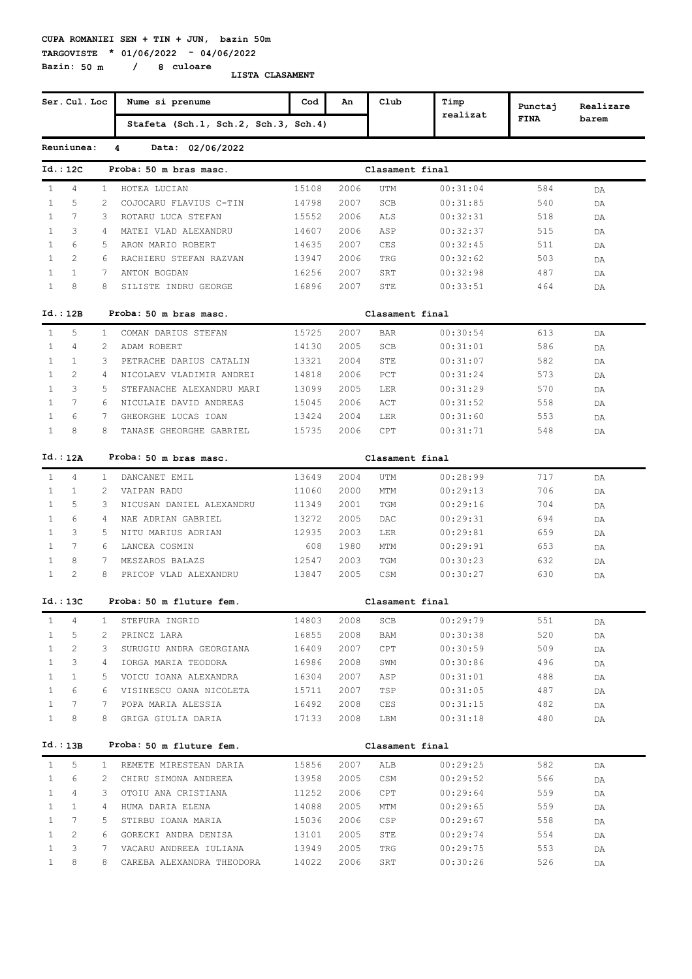**TARGOVISTE \* 01/06/2022 - 04/06/2022 Bazin: 50 m / 8 culoare**

|              | Ser. Cul. Loc  |              | Nume si prenume                      | Cod   | An   | Club            | Timp     | Punctaj     | Realizare |
|--------------|----------------|--------------|--------------------------------------|-------|------|-----------------|----------|-------------|-----------|
|              |                |              | Stafeta (Sch.1, Sch.2, Sch.3, Sch.4) |       |      |                 | realizat | <b>FINA</b> | barem     |
|              | Reuniunea:     |              | Data: 02/06/2022<br>4                |       |      |                 |          |             |           |
|              | Id.: 12C       |              | Proba: 50 m bras masc.               |       |      | Clasament final |          |             |           |
| $\mathbf{1}$ | 4              | $\mathbf{1}$ | HOTEA LUCIAN                         | 15108 | 2006 | UTM             | 00:31:04 | 584         | DA        |
| $\mathbf{1}$ | 5              | 2            | COJOCARU FLAVIUS C-TIN               | 14798 | 2007 | SCB             | 00:31:85 | 540         | DA        |
| $\mathbf{1}$ | 7              | 3            | ROTARU LUCA STEFAN                   | 15552 | 2006 | ALS             | 00:32:31 | 518         | DA        |
| $\mathbf{1}$ | 3              | 4            | MATEI VLAD ALEXANDRU                 | 14607 | 2006 | ASP             | 00:32:37 | 515         | DA        |
| $\mathbf{1}$ | 6              | 5            | ARON MARIO ROBERT                    | 14635 | 2007 | <b>CES</b>      | 00:32:45 | 511         | DA        |
| $\mathbf{1}$ | 2              | 6            | RACHIERU STEFAN RAZVAN               | 13947 | 2006 | TRG             | 00:32:62 | 503         | DA        |
| $\mathbf{1}$ | $\mathbf{1}$   | 7            | ANTON BOGDAN                         | 16256 | 2007 | SRT             | 00:32:98 | 487         | DA        |
| $\mathbf{1}$ | 8              | 8            | SILISTE INDRU GEORGE                 | 16896 | 2007 | STE             | 00:33:51 | 464         | DA        |
|              | Id.: 12B       |              | Proba: 50 m bras masc.               |       |      | Clasament final |          |             |           |
| $\mathbf{1}$ | 5              | $\mathbf{1}$ | COMAN DARIUS STEFAN                  | 15725 | 2007 | <b>BAR</b>      | 00:30:54 | 613         | DA        |
| $\mathbf{1}$ | 4              | 2            | ADAM ROBERT                          | 14130 | 2005 | SCB             | 00:31:01 | 586         | DA        |
| $\mathbf{1}$ | $\mathbf{1}$   | 3            | PETRACHE DARIUS CATALIN              | 13321 | 2004 | STE             | 00:31:07 | 582         | DA        |
| $\mathbf{1}$ | $\overline{2}$ | 4            | NICOLAEV VLADIMIR ANDREI             | 14818 | 2006 | PCT             | 00:31:24 | 573         | DA        |
| $\mathbf{1}$ | 3              | 5            | STEFANACHE ALEXANDRU MARI            | 13099 | 2005 | LER             | 00:31:29 | 570         | DA        |
| $\mathbf{1}$ | 7              | 6            | NICULAIE DAVID ANDREAS               | 15045 | 2006 | ACT             | 00:31:52 | 558         | DA        |
| $\mathbf{1}$ | 6              | 7            | GHEORGHE LUCAS IOAN                  | 13424 | 2004 | LER             | 00:31:60 | 553         | DA        |
| $\mathbf{1}$ | 8              | 8            | TANASE GHEORGHE GABRIEL              | 15735 | 2006 | CPT             | 00:31:71 | 548         | DA        |
|              | Id.: 12A       |              | Proba: 50 m bras masc.               |       |      | Clasament final |          |             |           |
| $\mathbf{1}$ | 4              | 1            | DANCANET EMIL                        | 13649 | 2004 | UTM             | 00:28:99 | 717         | DA        |
| $\mathbf{1}$ | $\mathbf{1}$   | 2            | VAIPAN RADU                          | 11060 | 2000 | MTM             | 00:29:13 | 706         | DA        |
| $\mathbf{1}$ | 5              | 3            | NICUSAN DANIEL ALEXANDRU             | 11349 | 2001 | TGM             | 00:29:16 | 704         | DA        |
| $\mathbf{1}$ | 6              | 4            | NAE ADRIAN GABRIEL                   | 13272 | 2005 | DAC             | 00:29:31 | 694         | DA        |
| $\mathbf{1}$ | 3              | 5            | NITU MARIUS ADRIAN                   | 12935 | 2003 | LER             | 00:29:81 | 659         | DA        |
| $\mathbf{1}$ | 7              | 6            | LANCEA COSMIN                        | 608   | 1980 | MTM             | 00:29:91 | 653         | DA        |
| $\mathbf{1}$ | 8              | 7            | MESZAROS BALAZS                      | 12547 | 2003 | TGM             | 00:30:23 | 632         | DA        |
| $\mathbf{1}$ | $\overline{c}$ | 8            | PRICOP VLAD ALEXANDRU                | 13847 | 2005 | CSM             | 00:30:27 | 630         | DA        |
|              | Id.: 13C       |              | Proba: 50 m fluture fem.             |       |      | Clasament final |          |             |           |
| $\mathbf{1}$ | 4              | 1            | STEFURA INGRID                       | 14803 | 2008 | SCB             | 00:29:79 | 551         | DA        |
| $\mathbf{1}$ | 5              | 2            | PRINCZ LARA                          | 16855 | 2008 | BAM             | 00:30:38 | 520         | DA        |
| 1            | 2              | 3            | SURUGIU ANDRA GEORGIANA              | 16409 | 2007 | CPT             | 00:30:59 | 509         | DA        |
| $\mathbf{1}$ | 3              | 4            | IORGA MARIA TEODORA                  | 16986 | 2008 | SWM             | 00:30:86 | 496         | DA        |
| 1            | $\mathbf{1}$   | 5            | VOICU IOANA ALEXANDRA                | 16304 | 2007 | ASP             | 00:31:01 | 488         | DA        |
| 1            | 6              | 6            | VISINESCU OANA NICOLETA              | 15711 | 2007 | TSP             | 00:31:05 | 487         | DA        |
| $\mathbf{1}$ | 7              | 7            | POPA MARIA ALESSIA                   | 16492 | 2008 | CES             | 00:31:15 | 482         | DA        |
| $\mathbf{1}$ | 8              | 8            | GRIGA GIULIA DARIA                   | 17133 | 2008 | LBM             | 00:31:18 | 480         | DA        |
|              | Id.: 13B       |              | Proba: 50 m fluture fem.             |       |      | Clasament final |          |             |           |
| 1            | 5              | $\mathbf{1}$ | REMETE MIRESTEAN DARIA               | 15856 | 2007 | ALB             | 00:29:25 | 582         | DA        |
| $\mathbf{1}$ | 6              | 2            | CHIRU SIMONA ANDREEA                 | 13958 | 2005 | CSM             | 00:29:52 | 566         | DA        |
| $\mathbf{1}$ | 4              | 3            | OTOIU ANA CRISTIANA                  | 11252 | 2006 | CPT             | 00:29:64 | 559         | DA        |
| $\mathbf{1}$ | $\mathbf{1}$   | 4            | HUMA DARIA ELENA                     | 14088 | 2005 | MTM             | 00:29:65 | 559         | DA        |
| 1            | 7              | 5            | STIRBU IOANA MARIA                   | 15036 | 2006 | CSP             | 00:29:67 | 558         | DA        |
| 1            | 2              | 6            | GORECKI ANDRA DENISA                 | 13101 | 2005 | STE             | 00:29:74 | 554         | DA        |
| 1            | 3              | 7            | VACARU ANDREEA IULIANA               | 13949 | 2005 | TRG             | 00:29:75 | 553         | DA        |
| $\mathbf{1}$ | 8              | 8            | CAREBA ALEXANDRA THEODORA            | 14022 | 2006 | SRT             | 00:30:26 | 526         | DA        |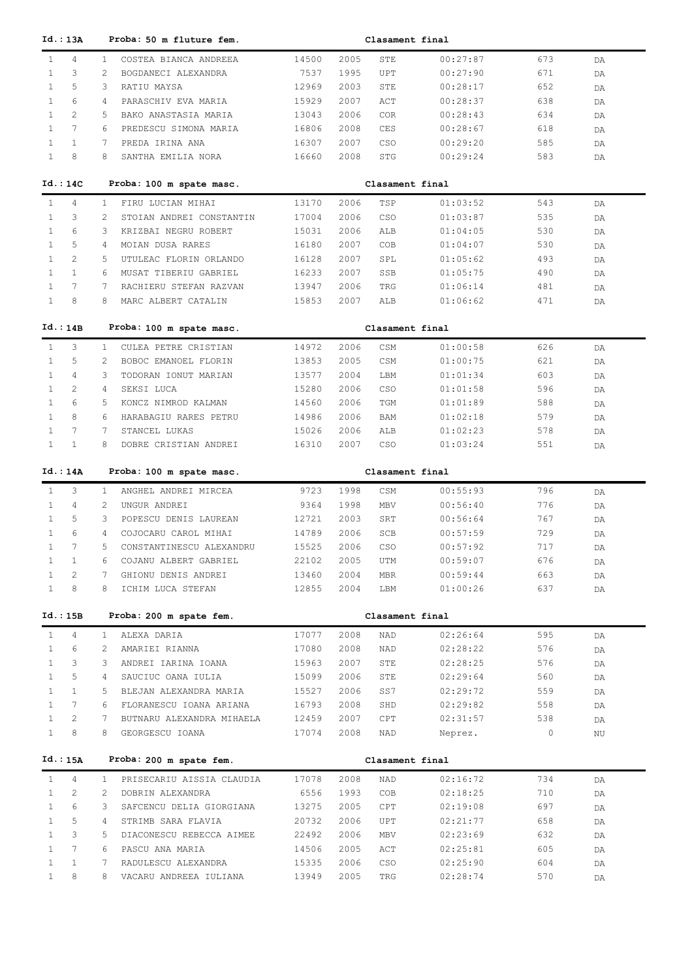| Id.: 13A                                          |                | Proba: 50 m fluture fem.                      |                |              | Clasament final |                      |            |          |
|---------------------------------------------------|----------------|-----------------------------------------------|----------------|--------------|-----------------|----------------------|------------|----------|
| $\overline{4}$<br>$\mathbf{1}$                    | $\mathbf{1}$   | COSTEA BIANCA ANDREEA                         | 14500          | 2005         | STE             | 00:27:87             | 673        | DA       |
| 3<br>$\mathbf{1}$                                 | 2              | BOGDANECI ALEXANDRA                           | 7537           | 1995         | UPT             | 00:27:90             | 671        | DA       |
| 5<br>$\mathbf{1}$                                 | 3              | RATIU MAYSA                                   | 12969          | 2003         | STE             | 00:28:17             | 652        | DA       |
| 6<br>$\mathbf{1}$                                 | 4              | PARASCHIV EVA MARIA                           | 15929          | 2007         | ACT             | 00:28:37             | 638        | DA       |
| $\overline{2}$<br>$\mathbf{1}$                    | 5              | BAKO ANASTASIA MARIA                          | 13043          | 2006         | <b>COR</b>      | 00:28:43             | 634        | DA       |
| $7\phantom{.0}$<br>$\mathbf{1}$                   | 6              | PREDESCU SIMONA MARIA                         | 16806          | 2008         | CES             | 00:28:67             | 618        | DA       |
| $\mathbf{1}$<br>$\mathbf{1}$                      | 7              | PREDA IRINA ANA                               | 16307          | 2007         | CSO             | 00:29:20             | 585        | DA       |
| $\mathbf{1}$<br>8                                 | 8              | SANTHA EMILIA NORA                            | 16660          | 2008         | STG             | 00:29:24             | 583        | DA       |
|                                                   |                |                                               |                |              |                 |                      |            |          |
| Id.:14C                                           |                | Proba: 100 m spate masc.                      |                |              | Clasament final |                      |            |          |
|                                                   |                |                                               |                |              |                 |                      |            |          |
| $\overline{4}$<br>$\mathbf{1}$                    | $\mathbf{1}$   | FIRU LUCIAN MIHAI                             | 13170          | 2006         | TSP             | 01:03:52             | 543        | DA       |
| 3<br>$\mathbf{1}$                                 | 2              | STOIAN ANDREI CONSTANTIN                      | 17004          | 2006         | CSO             | 01:03:87             | 535        | DA       |
| 6<br>$\mathbf{1}$                                 | 3              | KRIZBAI NEGRU ROBERT                          | 15031          | 2006         | ALB             | 01:04:05             | 530        | DA       |
| 5<br>$\mathbf{1}$                                 | 4              | MOIAN DUSA RARES                              | 16180          | 2007         | COB             | 01:04:07             | 530        | DA       |
| $\mathbf{2}$<br>$\mathbf{1}$                      | 5              | UTULEAC FLORIN ORLANDO                        | 16128          | 2007         | SPL             | 01:05:62             | 493        | DA       |
| $\mathbf{1}$<br>$\mathbf{1}$                      | 6              | MUSAT TIBERIU GABRIEL                         | 16233          | 2007         | SSB             | 01:05:75             | 490        | DA       |
| 7<br>$\mathbf{1}$                                 | 7              | RACHIERU STEFAN RAZVAN                        | 13947          | 2006         | TRG             | 01:06:14             | 481        | DA       |
| $\mathbf{1}$<br>8                                 | 8              | MARC ALBERT CATALIN                           | 15853          | 2007         | ALB             | 01:06:62             | 471        | DA       |
| Id.:14B                                           |                | Proba: 100 m spate masc.                      |                |              | Clasament final |                      |            |          |
|                                                   |                |                                               |                |              |                 |                      |            |          |
| 3<br>$\mathbf{1}$                                 | $\mathbf{1}$   | CULEA PETRE CRISTIAN                          | 14972          | 2006         | CSM             | 01:00:58             | 626        | DA       |
| 5<br>$\mathbf{1}$                                 | 2              | BOBOC EMANOEL FLORIN                          | 13853          | 2005         | CSM             | 01:00:75             | 621        | DA       |
| $\overline{4}$<br>$\mathbf{1}$                    | 3              | TODORAN IONUT MARIAN                          | 13577          | 2004         | LBM             | 01:01:34             | 603        | DA       |
| $\mathbf{1}$<br>$\overline{2}$                    | $\overline{4}$ | SEKSI LUCA                                    | 15280          | 2006         | CSO             | 01:01:58             | 596        | DA       |
| $\mathbf{1}$<br>6                                 | 5              | KONCZ NIMROD KALMAN                           | 14560          | 2006         | TGM             | 01:01:89             | 588        | DA       |
| $\mathbf{1}$<br>8                                 | 6              | HARABAGIU RARES PETRU                         | 14986          | 2006         | BAM             | 01:02:18             | 579        | DA       |
| $\mathbf{1}$<br>$7\phantom{.0}$                   | 7              | STANCEL LUKAS                                 | 15026          | 2006         | ALB             | 01:02:23             | 578        | DA       |
| $\mathbf{1}$<br>$\mathbf{1}$                      | 8              | DOBRE CRISTIAN ANDREI                         | 16310          | 2007         | <b>CSO</b>      | 01:03:24             | 551        | DA       |
|                                                   |                |                                               |                |              |                 |                      |            |          |
|                                                   |                |                                               |                |              |                 |                      |            |          |
| Id.: 14A                                          |                | Proba: 100 m spate masc.                      |                |              | Clasament final |                      |            |          |
| 3<br>$\mathbf{1}$                                 | $\mathbf{1}$   | ANGHEL ANDREI MIRCEA                          | 9723           | 1998         | CSM             | 00:55:93             | 796        | DA       |
| $\mathbf{1}$<br>4                                 | 2              | UNGUR ANDREI                                  | 9364           | 1998         | MBV             | 00:56:40             | 776        | DA       |
| 5<br>$\mathbf{1}$                                 | 3              | POPESCU DENIS LAUREAN                         | 12721          | 2003         | SRT             | 00:56:64             | 767        | DA       |
| 6<br>$\mathbf{1}$                                 | $\overline{4}$ | COJOCARU CAROL MIHAI                          | 14789          | 2006         | SCB             | 00:57:59             | 729        | DA       |
| 7<br>$\mathbf{1}$                                 | 5              | CONSTANTINESCU ALEXANDRU                      | 15525          | 2006         | <b>CSO</b>      | 00:57:92             | 717        | DA       |
| 1                                                 | 6              | COJANU ALBERT GABRIEL                         | 22102          | 2005         | UTM             | 00:59:07             | 676        | DA       |
| 2<br>$\mathbf{1}$                                 | 7              | GHIONU DENIS ANDREI                           | 13460          | 2004         | MBR             | 00:59:44             | 663        | DA       |
| $\,8\,$<br>$\mathbf{1}$                           | 8              | ICHIM LUCA STEFAN                             | 12855          | 2004         | LBM             | 01:00:26             | 637        | DA       |
|                                                   |                |                                               |                |              |                 |                      |            |          |
| Id.:15B                                           |                | Proba: 200 m spate fem.                       |                |              | Clasament final |                      |            |          |
| $\overline{4}$<br>$\mathbf{1}$                    | 1              | ALEXA DARIA                                   | 17077          | 2008         | NAD             | 02:26:64             | 595        | DA       |
| 6<br>$\mathbf{1}$                                 | 2              | AMARIEI RIANNA                                | 17080          | 2008         | NAD             | 02:28:22             | 576        | DA       |
| 3<br>$\mathbf{1}$                                 | 3              | ANDREI IARINA IOANA                           | 15963          | 2007         | STE             | 02:28:25             | 576        | DA       |
| 5<br>$\mathbf{1}$                                 | $\overline{4}$ | SAUCIUC OANA IULIA                            | 15099          | 2006         | STE             | 02:29:64             | 560        | DA       |
| $\mathbf{1}$<br>$\mathbf{1}$                      | 5              | BLEJAN ALEXANDRA MARIA                        | 15527          | 2006         | SS7             | 02:29:72             | 559        | DA       |
| 7<br>$\mathbf{1}$                                 | 6              | FLORANESCU IOANA ARIANA                       | 16793          | 2008         | SHD             | 02:29:82             | 558        | DA       |
| $\mathbf{2}^{\prime}$<br>$\mathbf{1}$             | 7              | BUTNARU ALEXANDRA MIHAELA                     | 12459          | 2007         | CPT             | 02:31:57             | 538        | DA       |
| 8<br>$\mathbf{1}$                                 | 8              | GEORGESCU IOANA                               | 17074          | 2008         | NAD             | Neprez.              | 0          | ΝU       |
|                                                   |                |                                               |                |              |                 |                      |            |          |
| Id.: 15A                                          |                | Proba: 200 m spate fem.                       |                |              | Clasament final |                      |            |          |
| $\mathbf{1}$<br>4                                 | $\mathbf{1}$   | PRISECARIU AISSIA CLAUDIA                     | 17078          | 2008         | NAD             | 02:16:72             | 734        | DA       |
| $\mathbf{2}^{\prime}$<br>$\mathbf{1}$             | 2              | DOBRIN ALEXANDRA                              | 6556           | 1993         | COB             | 02:18:25             | 710        | DA       |
| 6<br>$\mathbf{1}$                                 | 3              | SAFCENCU DELIA GIORGIANA                      | 13275          | 2005         | CPT             | 02:19:08             | 697        | DA       |
| $\mathbf{1}$<br>5                                 | $\overline{4}$ | STRIMB SARA FLAVIA                            | 20732          | 2006         | UPT             | 02:21:77             | 658        | DA       |
| 3<br>$\mathbf{1}$                                 | 5              | DIACONESCU REBECCA AIMEE                      | 22492          | 2006         | MBV             | 02:23:69             | 632        | DA       |
| 7<br>$\mathbf{1}$                                 | 6              | PASCU ANA MARIA                               | 14506          | 2005         | ACT             | 02:25:81             | 605        | DA       |
| $\mathbf{1}$<br>$\mathbf{1}$<br>$\mathbf{1}$<br>8 | 7<br>8         | RADULESCU ALEXANDRA<br>VACARU ANDREEA IULIANA | 15335<br>13949 | 2006<br>2005 | CSO<br>TRG      | 02:25:90<br>02:28:74 | 604<br>570 | DA<br>DA |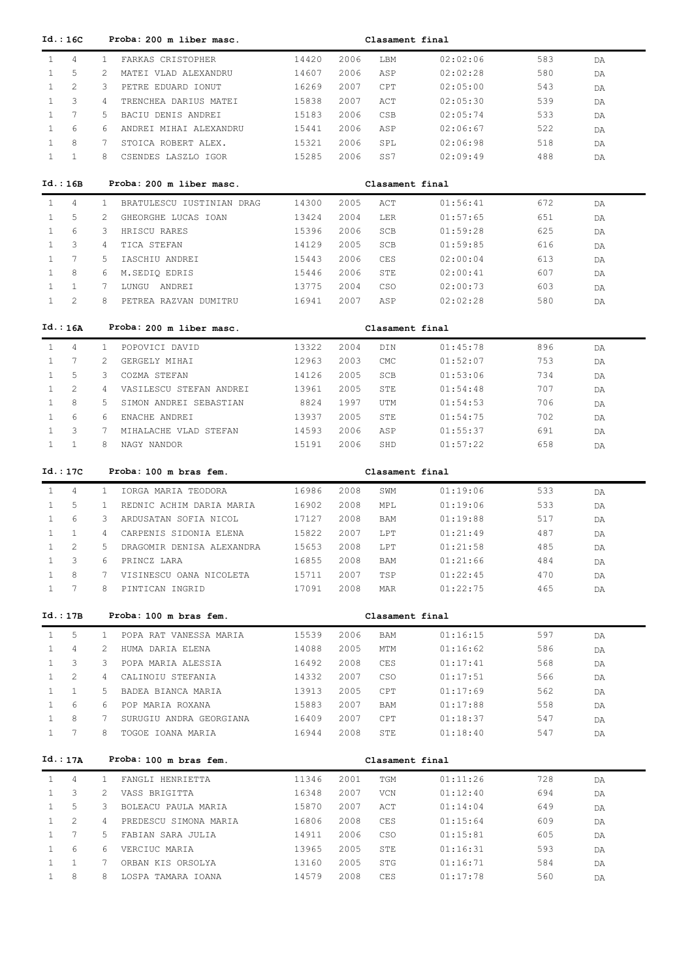| Id.: 16C                                             |              | Proba: 200 m liber masc.                   |                |              | Clasament final |                      |            |          |
|------------------------------------------------------|--------------|--------------------------------------------|----------------|--------------|-----------------|----------------------|------------|----------|
| $\mathbf{1}$<br>4                                    | $\mathbf{1}$ | FARKAS CRISTOPHER                          | 14420          | 2006         | LBM             | 02:02:06             | 583        | DA       |
| $\mathbf{1}$<br>5                                    | 2            | MATEI VLAD ALEXANDRU                       | 14607          | 2006         | ASP             | 02:02:28             | 580        | DA       |
| $\overline{2}$<br>$\mathbf{1}$                       | 3            | PETRE EDUARD IONUT                         | 16269          | 2007         | CPT             | 02:05:00             | 543        | DA       |
| 3<br>$\mathbf{1}$                                    | 4            | TRENCHEA DARIUS MATEI                      | 15838          | 2007         | ACT             | 02:05:30             | 539        | DA       |
| $\mathbf{1}$<br>7                                    | 5            | BACIU DENIS ANDREI                         | 15183          | 2006         | CSB             | 02:05:74             | 533        | DA       |
| $\mathbf{1}$<br>6                                    | 6            | ANDREI MIHAI ALEXANDRU                     | 15441          | 2006         | ASP             | 02:06:67             | 522        | DA       |
| $\mathbf{1}$<br>8                                    | 7            | STOICA ROBERT ALEX.                        | 15321          | 2006         | SPL             | 02:06:98             | 518        | DA       |
| $\mathbf{1}$<br>1                                    | 8            | CSENDES LASZLO IGOR                        | 15285          | 2006         | SS7             | 02:09:49             | 488        | DA       |
|                                                      |              |                                            |                |              |                 |                      |            |          |
| Id.: 16B                                             |              | Proba: 200 m liber masc.                   |                |              | Clasament final |                      |            |          |
| 4<br>$\mathbf{1}$                                    | $\mathbf{1}$ | BRATULESCU IUSTINIAN DRAG                  | 14300          | 2005         | ACT             | 01:56:41             | 672        | DA       |
| 5<br>1                                               | 2            | GHEORGHE LUCAS IOAN                        | 13424          | 2004         | LER             | 01:57:65             | 651        | DA       |
| 6<br>1                                               | 3            | HRISCU RARES                               | 15396          | 2006         | SCB             | 01:59:28             | 625        | DA       |
| 3<br>1                                               | 4            | TICA STEFAN                                | 14129          | 2005         | SCB             | 01:59:85             | 616        | DA       |
| 7<br>1                                               | 5            | IASCHIU ANDREI                             | 15443          | 2006         | CES             | 02:00:04             | 613        | DA       |
| 8<br>1                                               | 6            | M.SEDIQ EDRIS                              | 15446          | 2006         | STE             | 02:00:41             | 607        | DA       |
| 1<br>1                                               | 7            | LUNGU ANDREI                               | 13775          | 2004         | CSO             | 02:00:73             | 603        | DA       |
| 2<br>$\mathbf{1}$                                    | 8            | PETREA RAZVAN DUMITRU                      | 16941          | 2007         | ASP             | 02:02:28             | 580        | DA       |
| Id.: 16A                                             |              | Proba: 200 m liber masc.                   |                |              | Clasament final |                      |            |          |
| $\mathbf{1}$<br>4                                    | $\mathbf{1}$ | POPOVICI DAVID                             | 13322          | 2004         | DIN             | 01:45:78             | 896        |          |
| $\mathbf{1}$<br>7                                    | 2            | GERGELY MIHAI                              | 12963          | 2003         | CMC             | 01:52:07             | 753        | DA<br>DA |
| 5<br>$\mathbf{1}$                                    | 3            | COZMA STEFAN                               | 14126          | 2005         | SCB             | 01:53:06             | 734        |          |
| $\overline{2}$<br>$\mathbf{1}$                       | 4            | VASILESCU STEFAN ANDREI                    | 13961          | 2005         | STE             | 01:54:48             | 707        | DA       |
| $\mathbf{1}$<br>8                                    | 5            | SIMON ANDREI SEBASTIAN                     | 8824           | 1997         | UTM             |                      | 706        | DA       |
| $\mathbf{1}$<br>6                                    | 6            | ENACHE ANDREI                              | 13937          | 2005         | STE             | 01:54:53<br>01:54:75 | 702        | DA       |
| $\mathbf{1}$<br>3                                    | 7            | MIHALACHE VLAD STEFAN                      | 14593          | 2006         | ASP             | 01:55:37             | 691        | DA       |
| $\mathbf{1}$<br>$\mathbf{1}$                         | 8            | NAGY NANDOR                                | 15191          | 2006         | SHD             | 01:57:22             | 658        | DA       |
|                                                      |              |                                            |                |              |                 |                      |            | DA       |
| Id.:17C                                              |              | Proba: 100 m bras fem.                     |                |              | Clasament final |                      |            |          |
|                                                      |              |                                            |                |              |                 |                      |            |          |
|                                                      | $\mathbf{1}$ |                                            |                |              |                 |                      |            |          |
| 4<br>$\mathbf{1}$<br>5<br>$\mathbf{1}$               | $\mathbf{1}$ | IORGA MARIA TEODORA                        | 16986          | 2008         | SWM<br>MPL      | 01:19:06             | 533        | DA       |
| 6<br>1                                               | 3            | REDNIC ACHIM DARIA MARIA                   | 16902          | 2008         |                 | 01:19:06             | 533<br>517 | DA       |
| $\mathbf{1}$<br>$\mathbf{1}$                         | 4            | ARDUSATAN SOFIA NICOL                      | 17127          | 2008         | BAM<br>LPT      | 01:19:88             | 487        | DA       |
| 2<br>$\mathbf{1}$                                    | 5            | CARPENIS SIDONIA ELENA                     | 15822          | 2007         |                 | 01:21:49             |            | DA       |
|                                                      |              | DRAGOMIR DENISA ALEXANDRA                  | 15653          | 2008         | LPT             | 01:21:58             | 485        | DA       |
| 3                                                    | 6<br>7       | PRINCZ LARA                                | 16855          | 2008         | BAM             | 01:21:66             | 484        | DA       |
| $\mathbf{1}$<br>8<br>$7\phantom{.0}$<br>$\mathbf{1}$ | 8            | VISINESCU OANA NICOLETA<br>PINTICAN INGRID | 15711<br>17091 | 2007<br>2008 | TSP<br>MAR      | 01:22:45<br>01:22:75 | 470<br>465 | DA       |
|                                                      |              |                                            |                |              |                 |                      |            | DA       |
| Id.:17B                                              |              | Proba: 100 m bras fem.                     |                |              | Clasament final |                      |            |          |
| 5<br>$\mathbf{1}$                                    | $\mathbf{1}$ | POPA RAT VANESSA MARIA                     | 15539          | 2006         | BAM             | 01:16:15             | 597        | DA       |
| 4<br>$\mathbf{1}$                                    | 2            | HUMA DARIA ELENA                           | 14088          | 2005         | MTM             | 01:16:62             | 586        | DA       |
| 3<br>1                                               | 3            | POPA MARIA ALESSIA                         | 16492          | 2008         | CES             | 01:17:41             | 568        | DA       |
| $\mathbf{2}^{\prime}$<br>1                           | 4            | CALINOIU STEFANIA                          | 14332          | 2007         | <b>CSO</b>      | 01:17:51             | 566        | DA       |
| $\mathbf{1}$<br>1                                    | 5            | BADEA BIANCA MARIA                         | 13913          | 2005         | CPT             | 01:17:69             | 562        | DA       |
| 6<br>1                                               | 6            | POP MARIA ROXANA                           | 15883          | 2007         | BAM             | 01:17:88             | 558        | DA       |
| 8<br>$\mathbf{1}$                                    | 7            | SURUGIU ANDRA GEORGIANA                    | 16409          | 2007         | CPT             | 01:18:37             | 547        | DA       |
| 7<br>$\mathbf{1}$                                    | 8            | TOGOE IOANA MARIA                          | 16944          | 2008         | STE             | 01:18:40             | 547        | DA       |
|                                                      |              |                                            |                |              |                 |                      |            |          |
| Id.: 17A                                             |              | Proba: 100 m bras fem.                     |                |              | Clasament final |                      |            |          |
| $\mathbf{1}$<br>4                                    | $\mathbf{1}$ | FANGLI HENRIETTA                           | 11346          | 2001         | TGM             | 01:11:26             | 728        | DA       |
| 3<br>$\mathbf{1}$                                    | 2            | VASS BRIGITTA                              | 16348          | 2007         | VCN             | 01:12:40             | 694        | DA       |
| 5<br>$\mathbf{1}$                                    | 3            | BOLEACU PAULA MARIA                        | 15870          | 2007         | ACT             | 01:14:04             | 649        | DA       |
| $\mathbf{1}$<br>2                                    | 4            | PREDESCU SIMONA MARIA                      | 16806          | 2008         | CES             | 01:15:64             | 609        | DA       |
| $7\phantom{.0}$<br>$\mathbf{1}$                      | 5            | FABIAN SARA JULIA                          | 14911          | 2006         | <b>CSO</b>      | 01:15:81             | 605        | DA       |
| $\mathbf{1}$<br>6                                    | 6            | VERCIUC MARIA                              | 13965          | 2005         | STE             | 01:16:31             | 593        | DA       |
| $\mathbf{1}$<br>$\mathbf{1}$<br>8<br>$\mathbf{1}$    | 7<br>8       | ORBAN KIS ORSOLYA<br>LOSPA TAMARA IOANA    | 13160<br>14579 | 2005<br>2008 | STG<br>CES      | 01:16:71<br>01:17:78 | 584<br>560 | DA<br>DA |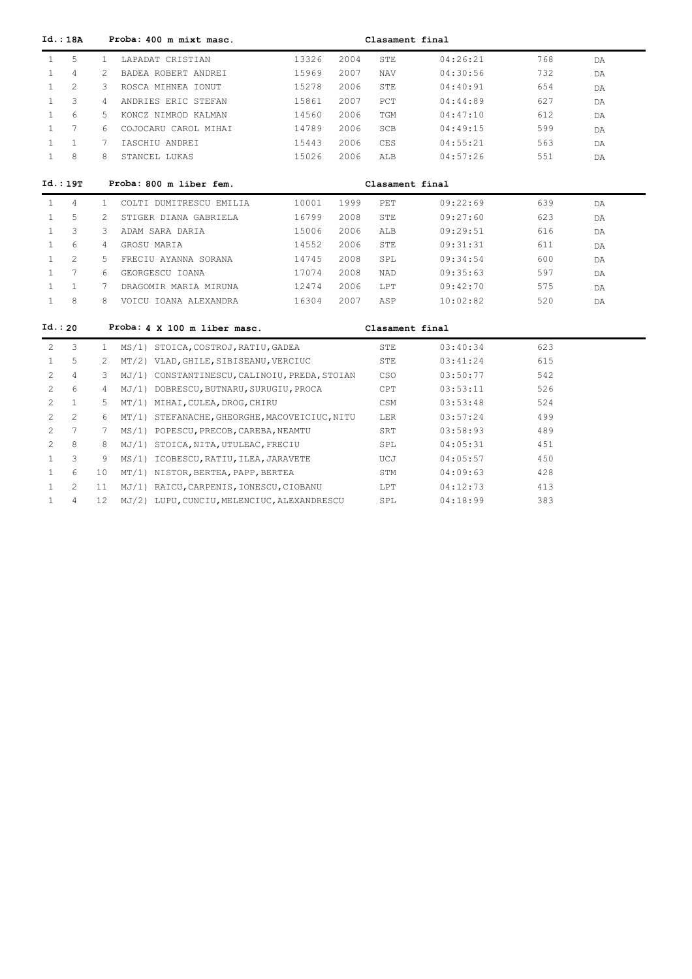|                       | Id.: 18A        |                   | Proba: 400 m mixt masc.                       | Clasament final |      |                 |          |     |    |  |  |
|-----------------------|-----------------|-------------------|-----------------------------------------------|-----------------|------|-----------------|----------|-----|----|--|--|
| $\mathbf{1}$          | 5               | $\mathbf{1}$      | LAPADAT CRISTIAN                              | 13326           | 2004 | STE             | 04:26:21 | 768 | DA |  |  |
| $\mathbf{1}$          | 4               | 2                 | BADEA ROBERT ANDREI                           | 15969           | 2007 | NAV             | 04:30:56 | 732 | DA |  |  |
| $\mathbf{1}$          | $\overline{2}$  | 3                 | ROSCA MIHNEA IONUT                            | 15278           | 2006 | STE             | 04:40:91 | 654 | DA |  |  |
| $\mathbf{1}$          | 3               | 4                 | ANDRIES ERIC STEFAN                           | 15861           | 2007 | PCT             | 04:44:89 | 627 | DA |  |  |
| $\mathbf{1}$          | 6               | .5                | KONCZ NIMROD KALMAN                           | 14560           | 2006 | TGM             | 04:47:10 | 612 | DA |  |  |
| $\mathbf{1}$          | $7\phantom{.0}$ | 6                 | COJOCARU CAROL MIHAI                          | 14789           | 2006 | SCB             | 04:49:15 | 599 | DA |  |  |
| $\mathbf{1}$          | $\mathbf{1}$    | 7                 | IASCHIU ANDREI                                | 15443           | 2006 | CES             | 04:55:21 | 563 | DA |  |  |
| $\mathbf{1}$          | 8               | 8                 | STANCEL LUKAS                                 | 15026           | 2006 | ALB             | 04:57:26 | 551 | DA |  |  |
|                       | Id.:19T         |                   | Proba: 800 m liber fem.                       |                 |      | Clasament final |          |     |    |  |  |
| $\mathbf{1}$          | 4               | $\mathbf{1}$      | COLTI DUMITRESCU EMILIA                       | 10001           | 1999 | PET             | 09:22:69 | 639 | DA |  |  |
| $\mathbf{1}$          | 5               | 2                 | STIGER DIANA GABRIELA                         | 16799           | 2008 | STE             | 09:27:60 | 623 | DA |  |  |
| $\mathbf{1}$          | 3               | 3                 | ADAM SARA DARIA                               | 15006           | 2006 | ALB             | 09:29:51 | 616 | DA |  |  |
| $\mathbf{1}$          | 6               | $4\overline{ }$   | GROSU MARIA                                   | 14552           | 2006 | STE             | 09:31:31 | 611 | DA |  |  |
| $\mathbf{1}$          | 2               | 5                 | FRECIU AYANNA SORANA                          | 14745           | 2008 | SPL             | 09:34:54 | 600 | DA |  |  |
| $\mathbf{1}$          | $7\overline{ }$ | 6                 | GEORGESCU IOANA                               | 17074           | 2008 | NAD             | 09:35:63 | 597 | DA |  |  |
| $\mathbf{1}$          | $\mathbf{1}$    | 7                 | DRAGOMIR MARIA MIRUNA                         | 12474           | 2006 | LPT             | 09:42:70 | 575 | DA |  |  |
| $\mathbf{1}$          | 8               | 8                 | VOICU IOANA ALEXANDRA                         | 16304           | 2007 | ASP             | 10:02:82 | 520 | DA |  |  |
| Id.: 20               |                 |                   | Proba: 4 X 100 m liber masc.                  |                 |      | Clasament final |          |     |    |  |  |
| $\mathbf{2}^{\prime}$ | 3               | $\mathbf{1}$      | MS/1) STOICA, COSTROJ, RATIU, GADEA           |                 |      | STE             | 03:40:34 | 623 |    |  |  |
| $\mathbf{1}$          | 5               | 2                 | MT/2) VLAD, GHILE, SIBISEANU, VERCIUC         |                 |      | STE             | 03:41:24 | 615 |    |  |  |
| 2                     | 4               | 3                 | MJ/1) CONSTANTINESCU, CALINOIU, PREDA, STOIAN |                 |      | CSO             | 03:50:77 | 542 |    |  |  |
| $\mathbf{2}^{\prime}$ | 6               | 4                 | MJ/1) DOBRESCU, BUTNARU, SURUGIU, PROCA       |                 |      | CPT             | 03:53:11 | 526 |    |  |  |
| 2                     | $\mathbf{1}$    | 5                 | MT/1) MIHAI, CULEA, DROG, CHIRU               |                 |      | CSM             | 03:53:48 | 524 |    |  |  |
| 2                     | $\overline{2}$  | 6                 | MT/1) STEFANACHE, GHEORGHE, MACOVEICIUC, NITU |                 |      | LER             | 03:57:24 | 499 |    |  |  |
| 2                     | $7\phantom{.0}$ | 7                 | MS/1) POPESCU, PRECOB, CAREBA, NEAMTU         |                 |      | SRT             | 03:58:93 | 489 |    |  |  |
| 2                     | 8               | 8                 | MJ/1) STOICA, NITA, UTULEAC, FRECIU           |                 |      | SPL             | 04:05:31 | 451 |    |  |  |
| $\mathbf{1}$          | 3               | 9                 | MS/1) ICOBESCU, RATIU, ILEA, JARAVETE         |                 |      | UCJ             | 04:05:57 | 450 |    |  |  |
| $\mathbf{1}$          | 6               | 10                | MT/1) NISTOR, BERTEA, PAPP, BERTEA            |                 |      | STM             | 04:09:63 | 428 |    |  |  |
| $\mathbf{1}$          | 2               | 11                | MJ/1) RAICU, CARPENIS, IONESCU, CIOBANU       |                 |      | LPT             | 04:12:73 | 413 |    |  |  |
| $\mathbf{1}$          | 4               | $12 \overline{ }$ | MJ/2) LUPU, CUNCIU, MELENCIUC, ALEXANDRESCU   |                 |      | SPL             | 04:18:99 | 383 |    |  |  |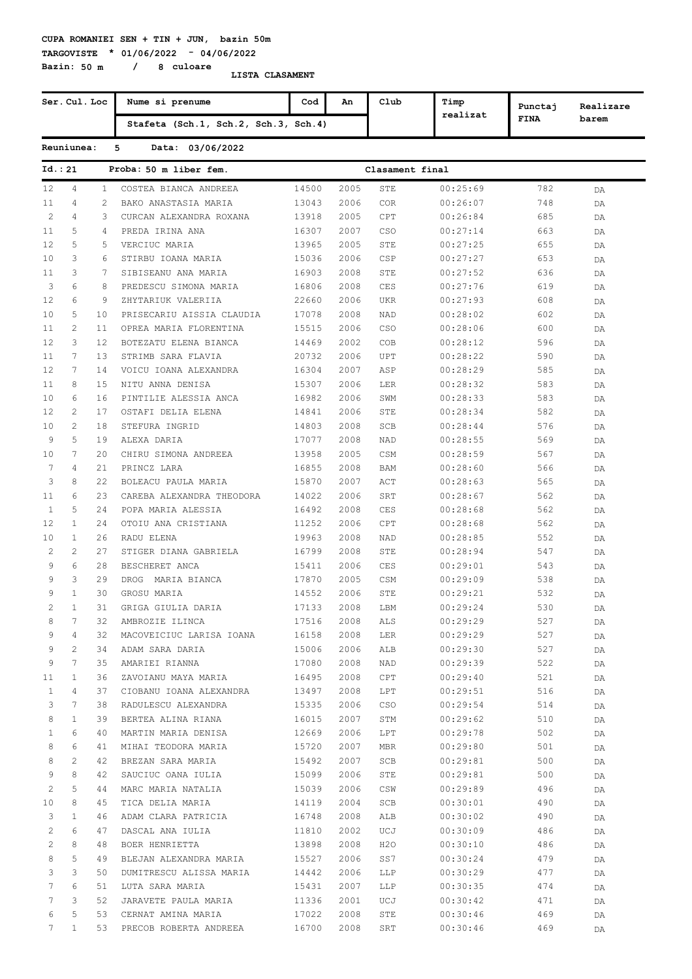**TARGOVISTE \* 01/06/2022 - 04/06/2022 Bazin: 50 m / 8 culoare**

|                | Ser. Cul. Loc  |              | Nume si prenume                      | Cod   | An   | Club            | Timp     | Punctaj     | Realizare |
|----------------|----------------|--------------|--------------------------------------|-------|------|-----------------|----------|-------------|-----------|
|                |                |              | Stafeta (Sch.1, Sch.2, Sch.3, Sch.4) |       |      |                 | realizat | <b>FINA</b> | barem     |
|                | Reuniunea:     |              | 5<br>Data: 03/06/2022                |       |      |                 |          |             |           |
| Id. : 21       |                |              | Proba: 50 m liber fem.               |       |      | Clasament final |          |             |           |
| 12             | 4              | $\mathbf{1}$ | COSTEA BIANCA ANDREEA                | 14500 | 2005 | STE             | 00:25:69 | 782         | DA        |
| 11             | 4              | 2            | BAKO ANASTASIA MARIA                 | 13043 | 2006 | <b>COR</b>      | 00:26:07 | 748         | DA        |
| $\mathbf{2}$   | 4              | 3            | CURCAN ALEXANDRA ROXANA              | 13918 | 2005 | CPT             | 00:26:84 | 685         | DA        |
| 11             | 5              | 4            | PREDA IRINA ANA                      | 16307 | 2007 | CSO             | 00:27:14 | 663         | DA        |
| 12             | 5              | 5            | VERCIUC MARIA                        | 13965 | 2005 | STE             | 00:27:25 | 655         | DA        |
| 10             | 3              | 6            | STIRBU IOANA MARIA                   | 15036 | 2006 | CSP             | 00:27:27 | 653         | DA        |
| 11             | 3              | 7            | SIBISEANU ANA MARIA                  | 16903 | 2008 | STE             | 00:27:52 | 636         | DA        |
| 3              | 6              | 8            | PREDESCU SIMONA MARIA                | 16806 | 2008 | CES             | 00:27:76 | 619         | DA        |
| 12             | 6              | 9            | ZHYTARIUK VALERIIA                   | 22660 | 2006 | <b>UKR</b>      | 00:27:93 | 608         | DA        |
| 10             | 5              | 10           | PRISECARIU AISSIA CLAUDIA            | 17078 | 2008 | NAD             | 00:28:02 | 602         | DA        |
| 11             | $\mathbf{2}$   | 11           | OPREA MARIA FLORENTINA               | 15515 | 2006 | CSO             | 00:28:06 | 600         | DA        |
| 12             | 3              | 12           | BOTEZATU ELENA BIANCA                | 14469 | 2002 | COB             | 00:28:12 | 596         | DA        |
| 11             | 7              | 13           | STRIMB SARA FLAVIA                   | 20732 | 2006 | UPT             | 00:28:22 | 590         | DA        |
| 12             | 7              | 14           | VOICU IOANA ALEXANDRA                | 16304 | 2007 | ASP             | 00:28:29 | 585         |           |
| 11             | 8              | 15           | NITU ANNA DENISA                     | 15307 | 2006 | LER             | 00:28:32 | 583         | DA        |
| 10             | 6              | 16           | PINTILIE ALESSIA ANCA                | 16982 | 2006 | SWM             | 00:28:33 | 583         | DA        |
|                | $\overline{2}$ |              |                                      |       |      |                 |          |             | DA        |
| 12             |                | 17           | OSTAFI DELIA ELENA                   | 14841 | 2006 | STE             | 00:28:34 | 582         | DA        |
| 10             | 2              | 18           | STEFURA INGRID                       | 14803 | 2008 | SCB             | 00:28:44 | 576         | DA        |
| 9              | 5              | 19           | ALEXA DARIA                          | 17077 | 2008 | NAD             | 00:28:55 | 569         | DA        |
| 10             | 7              | 20           | CHIRU SIMONA ANDREEA                 | 13958 | 2005 | CSM             | 00:28:59 | 567         | DA        |
| 7              | 4              | 21           | PRINCZ LARA                          | 16855 | 2008 | BAM             | 00:28:60 | 566         | DA        |
| 3              | 8              | 22           | BOLEACU PAULA MARIA                  | 15870 | 2007 | ACT             | 00:28:63 | 565         | DA        |
| 11             | 6              | 23           | CAREBA ALEXANDRA THEODORA            | 14022 | 2006 | SRT             | 00:28:67 | 562         | DA        |
| 1              | 5              | 24           | POPA MARIA ALESSIA                   | 16492 | 2008 | CES             | 00:28:68 | 562         | DA        |
| 12             | $\mathbf{1}$   | 24           | OTOIU ANA CRISTIANA                  | 11252 | 2006 | CPT             | 00:28:68 | 562         | DA        |
| 10             | $\mathbf{1}$   | 26           | RADU ELENA                           | 19963 | 2008 | NAD             | 00:28:85 | 552         | DA        |
| 2              | $\mathbf{2}$   | 27           | STIGER DIANA GABRIELA                | 16799 | 2008 | STE             | 00:28:94 | 547         | DA        |
| 9              | 6              | 28           | BESCHERET ANCA                       | 15411 | 2006 | CES             | 00:29:01 | 543         | DA        |
| 9              | 3              | 29           | DROG<br>MARIA BIANCA                 | 17870 | 2005 | CSM             | 00:29:09 | 538         | DA        |
| 9              | $\mathbf{1}$   | 30           | GROSU MARIA                          | 14552 | 2006 | STE             | 00:29:21 | 532         | DA        |
| $\overline{c}$ | $\mathbf{1}$   | 31           | GRIGA GIULIA DARIA                   | 17133 | 2008 | LBM             | 00:29:24 | 530         | DA        |
| 8              | 7              | 32           | AMBROZIE ILINCA                      | 17516 | 2008 | ALS             | 00:29:29 | 527         | DA        |
| 9              | 4              | 32           | MACOVEICIUC LARISA IOANA             | 16158 | 2008 | LER             | 00:29:29 | 527         | DA        |
| 9              | 2              | 34           | ADAM SARA DARIA                      | 15006 | 2006 | ALB             | 00:29:30 | 527         | DA        |
| 9              | 7              | 35           | AMARIEI RIANNA                       | 17080 | 2008 | NAD             | 00:29:39 | 522         | DA        |
| 11             | $\mathbf{1}$   | 36           | ZAVOIANU MAYA MARIA                  | 16495 | 2008 | CPT             | 00:29:40 | 521         | DA        |
| $\mathbf{1}$   | 4              | 37           | CIOBANU IOANA ALEXANDRA              | 13497 | 2008 | LPT             | 00:29:51 | 516         | DA        |
| 3              | 7              | 38           | RADULESCU ALEXANDRA                  | 15335 | 2006 | CSO             | 00:29:54 | 514         | DA        |
| 8              | $\mathbf{1}$   | 39           | BERTEA ALINA RIANA                   | 16015 | 2007 | STM             | 00:29:62 | 510         | DA        |
| $\mathbf{1}$   | 6              | 40           | MARTIN MARIA DENISA                  | 12669 | 2006 | LPT             | 00:29:78 | 502         | DA        |
| 8              | 6              | 41           | MIHAI TEODORA MARIA                  | 15720 | 2007 | MBR             | 00:29:80 | 501         | DA        |
| 8              | 2              | 42           | BREZAN SARA MARIA                    | 15492 | 2007 | SCB             | 00:29:81 | 500         | DA        |
| 9              | 8              | 42           | SAUCIUC OANA IULIA                   | 15099 | 2006 | STE             | 00:29:81 | 500         | DA        |
| 2              | 5              | 44           | MARC MARIA NATALIA                   | 15039 | 2006 | CSW             | 00:29:89 | 496         | DA        |
| 10             | 8              | 45           | TICA DELIA MARIA                     | 14119 | 2004 | SCB             | 00:30:01 | 490         | DA        |
| 3              | $\mathbf{1}$   | 46           | ADAM CLARA PATRICIA                  | 16748 | 2008 | ALB             | 00:30:02 | 490         | DA        |
| 2              | 6              | 47           | DASCAL ANA IULIA                     | 11810 | 2002 | UCJ             | 00:30:09 | 486         | DA        |
| $\overline{c}$ | 8              | 48           | BOER HENRIETTA                       | 13898 | 2008 | H2O             | 00:30:10 | 486         | DA        |
| 8              | 5              | 49           | BLEJAN ALEXANDRA MARIA               | 15527 | 2006 | SS7             | 00:30:24 | 479         | DA        |
| 3              | 3              | 50           | DUMITRESCU ALISSA MARIA              | 14442 | 2006 | LLP             | 00:30:29 | 477         | DA        |
| 7              | 6              | 51           | LUTA SARA MARIA                      | 15431 | 2007 | LLP             | 00:30:35 | 474         | DA        |
| 7              | 3              | 52           | JARAVETE PAULA MARIA                 | 11336 | 2001 | UCJ             | 00:30:42 | 471         | DA        |
| 6              | 5              | 53           | CERNAT AMINA MARIA                   | 17022 | 2008 | STE             | 00:30:46 | 469         | DA        |
| 7              | $\mathbf{1}$   | 53           | PRECOB ROBERTA ANDREEA               | 16700 | 2008 | SRT             | 00:30:46 | 469         | DA        |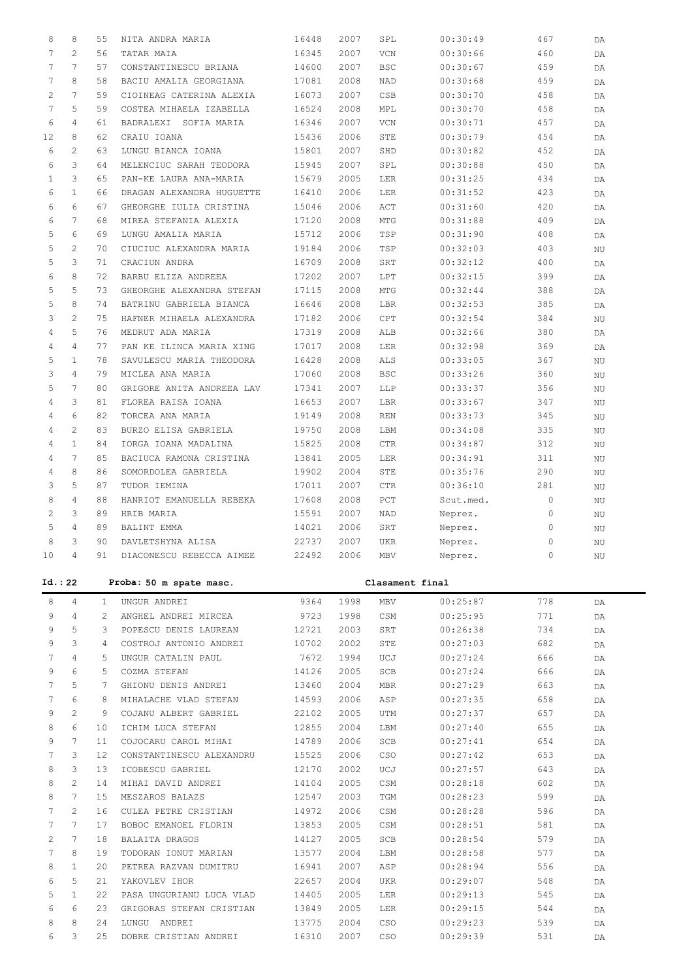| 8              | 8                     | 55              | NITA ANDRA MARIA          | 16448 | 2007 | SPL             | 00:30:49  | 467         | DA          |
|----------------|-----------------------|-----------------|---------------------------|-------|------|-----------------|-----------|-------------|-------------|
| 7              | $\overline{2}$        | 56              | TATAR MAIA                | 16345 | 2007 | VCN             | 00:30:66  | 460         | DA          |
| 7              | $7\phantom{.0}$       | 57              | CONSTANTINESCU BRIANA     | 14600 | 2007 | <b>BSC</b>      | 00:30:67  | 459         | DA          |
| 7              | 8                     | 58              | BACIU AMALIA GEORGIANA    | 17081 | 2008 | NAD             | 00:30:68  | 459         | DA          |
|                | 7                     |                 | CIOINEAG CATERINA ALEXIA  |       |      |                 |           |             |             |
| 2              |                       | 59              |                           | 16073 | 2007 | CSB             | 00:30:70  | 458         | DA          |
| 7              | 5                     | 59              | COSTEA MIHAELA IZABELLA   | 16524 | 2008 | MPL             | 00:30:70  | 458         | DA          |
| 6              | 4                     | 61              | BADRALEXI SOFIA MARIA     | 16346 | 2007 | VCN             | 00:30:71  | 457         | DA          |
| 12             | 8                     | 62              | CRAIU IOANA               | 15436 | 2006 | STE             | 00:30:79  | 454         | DA          |
| 6              | $\overline{2}$        | 63              | LUNGU BIANCA IOANA        | 15801 | 2007 | SHD             | 00:30:82  | 452         | DA          |
|                |                       |                 |                           |       |      |                 |           |             |             |
| 6              | 3                     | 64              | MELENCIUC SARAH TEODORA   | 15945 | 2007 | SPL             | 00:30:88  | 450         | DA          |
| $\mathbf{1}$   | 3                     | 65              | PAN-KE LAURA ANA-MARIA    | 15679 | 2005 | LER             | 00:31:25  | 434         | DA          |
| 6              | $\mathbf{1}$          | 66              | DRAGAN ALEXANDRA HUGUETTE | 16410 | 2006 | LER             | 00:31:52  | 423         | DA          |
| 6              | 6                     | 67              | GHEORGHE IULIA CRISTINA   | 15046 | 2006 | ACT             | 00:31:60  | 420         | DA          |
| 6              | 7                     | 68              | MIREA STEFANIA ALEXIA     | 17120 | 2008 | MTG             | 00:31:88  | 409         | DA          |
| 5              | 6                     | 69              | LUNGU AMALIA MARIA        | 15712 | 2006 | TSP             | 00:31:90  | 408         | DA          |
|                |                       |                 |                           |       |      |                 |           |             |             |
| 5              | $\mathbf{2}^{\prime}$ | 70              | CIUCIUC ALEXANDRA MARIA   | 19184 | 2006 | TSP             | 00:32:03  | 403         | $_{\rm NU}$ |
| 5              | 3                     | 71              | CRACIUN ANDRA             | 16709 | 2008 | SRT             | 00:32:12  | 400         | DA          |
| 6              | 8                     | 72              | BARBU ELIZA ANDREEA       | 17202 | 2007 | LPT             | 00:32:15  | 399         | DA          |
| 5              | 5                     | 73              | GHEORGHE ALEXANDRA STEFAN | 17115 | 2008 | MTG             | 00:32:44  | 388         | DA          |
| 5              | 8                     | 74              | BATRINU GABRIELA BIANCA   | 16646 | 2008 | LBR             | 00:32:53  | 385         | DA          |
| 3              | $\overline{2}$        | 75              | HAFNER MIHAELA ALEXANDRA  | 17182 | 2006 | CPT             | 00:32:54  | 384         | ΝU          |
|                |                       |                 |                           |       |      |                 |           |             |             |
| $\overline{4}$ | 5                     | 76              | MEDRUT ADA MARIA          | 17319 | 2008 | ALB             | 00:32:66  | 380         | DA          |
| $\overline{4}$ | $\overline{4}$        | 77              | PAN KE ILINCA MARIA XING  | 17017 | 2008 | LER             | 00:32:98  | 369         | DA          |
| 5              | $\mathbf{1}$          | 78              | SAVULESCU MARIA THEODORA  | 16428 | 2008 | ALS             | 00:33:05  | 367         | $_{\rm NU}$ |
| 3              | $\overline{4}$        | 79              | MICLEA ANA MARIA          | 17060 | 2008 | <b>BSC</b>      | 00:33:26  | 360         | ΝU          |
| 5              | $7\phantom{.0}$       | 80              | GRIGORE ANITA ANDREEA LAV | 17341 | 2007 | LLP             | 00:33:37  | 356         | ΝU          |
| $\overline{4}$ | 3                     | 81              | FLOREA RAISA IOANA        | 16653 | 2007 | LBR             | 00:33:67  | 347         | ΝU          |
|                |                       |                 |                           |       |      |                 |           |             |             |
| 4              | 6                     | 82              | TORCEA ANA MARIA          | 19149 | 2008 | <b>REN</b>      | 00:33:73  | 345         | ΝU          |
| 4              | $\overline{2}$        | 83              | BURZO ELISA GABRIELA      | 19750 | 2008 | LBM             | 00:34:08  | 335         | $_{\rm NU}$ |
| 4              | $\mathbf{1}$          | 84              | IORGA IOANA MADALINA      | 15825 | 2008 | CTR             | 00:34:87  | 312         | ΝU          |
| 4              | $7\phantom{.0}$       | 85              | BACIUCA RAMONA CRISTINA   | 13841 | 2005 | LER             | 00:34:91  | 311         | ΝU          |
| 4              | 8                     | 86              | SOMORDOLEA GABRIELA       | 19902 | 2004 | STE             | 00:35:76  | 290         | ΝU          |
| 3              | 5                     | 87              | TUDOR IEMINA              | 17011 | 2007 | CTR             | 00:36:10  | 281         | ΝU          |
| 8              | 4                     | 88              | HANRIOT EMANUELLA REBEKA  | 17608 | 2008 | PCT             | Scut.med. | 0           |             |
|                |                       |                 |                           |       |      |                 |           |             | ΝU          |
| 2              | 3                     | 89              | HRIB MARIA                | 15591 | 2007 | NAD             | Neprez.   | $\circ$     | ΝU          |
| 5              | $\overline{4}$        | 89              | BALINT EMMA               | 14021 | 2006 | SRT             | Neprez.   | 0           | ΝU          |
| 8              | 3                     | 90              | DAVLETSHYNA ALISA         | 22737 | 2007 | <b>UKR</b>      | Neprez.   | 0           | ΝU          |
| $10$           | 4                     | 91              | DIACONESCU REBECCA AIMEE  | 22492 | 2006 | MBV             | Neprez.   | $\mathbb O$ | ΝU          |
|                |                       |                 |                           |       |      |                 |           |             |             |
|                | Id.: 22               |                 | Proba: 50 m spate masc.   |       |      | Clasament final |           |             |             |
|                |                       |                 |                           |       |      |                 |           |             |             |
| 8              | 4                     | 1               | UNGUR ANDREI              | 9364  | 1998 | MBV             | 00:25:87  | 778         | DA          |
| 9              | $\overline{4}$        | $\overline{2}$  | ANGHEL ANDREI MIRCEA      | 9723  | 1998 | CSM             | 00:25:95  | 771         | DA          |
| 9              | 5                     | 3               | POPESCU DENIS LAUREAN     | 12721 | 2003 | SRT             | 00:26:38  | 734         | DA          |
| 9              | 3                     | $\overline{4}$  | COSTROJ ANTONIO ANDREI    | 10702 | 2002 | STE             | 00:27:03  | 682         | DA          |
| 7              | $\overline{4}$        | 5               | UNGUR CATALIN PAUL        | 7672  | 1994 | UCJ             | 00:27:24  | 666         | DA          |
| 9              | 6                     | 5               | COZMA STEFAN              | 14126 | 2005 | SCB             | 00:27:24  | 666         |             |
|                |                       |                 |                           |       |      |                 |           |             | DA          |
| 7              | 5                     | 7               | GHIONU DENIS ANDREI       | 13460 | 2004 | <b>MBR</b>      | 00:27:29  | 663         | DA          |
| 7              | 6                     | 8               | MIHALACHE VLAD STEFAN     | 14593 | 2006 | ASP             | 00:27:35  | 658         | DA          |
| 9              | $\overline{2}$        | 9               | COJANU ALBERT GABRIEL     | 22102 | 2005 | UTM             | 00:27:37  | 657         | DA          |
| 8              |                       |                 |                           |       |      |                 |           |             |             |
| 9              | 6                     | 10              | ICHIM LUCA STEFAN         | 12855 | 2004 | LBM             | 00:27:40  | 655         |             |
| 7              |                       |                 |                           |       |      |                 |           |             | DA          |
|                | $7\phantom{.0}$       | 11              | COJOCARU CAROL MIHAI      | 14789 | 2006 | SCB             | 00:27:41  | 654         | DA          |
| 8              | 3                     | 12 <sup>2</sup> | CONSTANTINESCU ALEXANDRU  | 15525 | 2006 | CSO             | 00:27:42  | 653         | DA          |
|                | 3                     | 13              | ICOBESCU GABRIEL          | 12170 | 2002 | UCJ             | 00:27:57  | 643         | DA          |
| 8              | $\mathbf{2}^{\prime}$ | 14              | MIHAI DAVID ANDREI        | 14104 | 2005 | CSM             | 00:28:18  | 602         | DA          |
| 8              | $7\phantom{.0}$       | 15              | MESZAROS BALAZS           | 12547 | 2003 | TGM             | 00:28:23  | 599         | DA          |
| 7              | $\overline{2}$        | 16              | CULEA PETRE CRISTIAN      | 14972 | 2006 | CSM             | 00:28:28  | 596         | DA          |
| 7              | $7\phantom{.0}$       | 17              | BOBOC EMANOEL FLORIN      | 13853 | 2005 | CSM             | 00:28:51  | 581         |             |
|                |                       |                 |                           |       |      |                 |           |             | DA          |
| 2              | $7\phantom{.0}$       | 18              | BALAITA DRAGOS            | 14127 | 2005 | SCB             | 00:28:54  | 579         | DA          |
| 7              | 8                     | 19              | TODORAN IONUT MARIAN      | 13577 | 2004 | LBM             | 00:28:58  | 577         | DA          |
| 8              | $\mathbf{1}$          | 20              | PETREA RAZVAN DUMITRU     | 16941 | 2007 | ASP             | 00:28:94  | 556         | DA          |
| 6              | 5                     | 21              | YAKOVLEV IHOR             | 22657 | 2004 | UKR             | 00:29:07  | 548         | DA          |
| 5              | $\mathbf{1}$          | 22              | PASA UNGURIANU LUCA VLAD  | 14405 | 2005 | LER             | 00:29:13  | 545         | DA          |
| 6              | 6                     | 23              | GRIGORAS STEFAN CRISTIAN  | 13849 | 2005 | LER             | 00:29:15  | 544         | DA          |
| 8              | 8                     | 24              | LUNGU ANDREI              | 13775 | 2004 | CSO             | 00:29:23  | 539         | DA          |
| 6              | 3                     | 25              | DOBRE CRISTIAN ANDREI     | 16310 | 2007 | CSO             | 00:29:39  | 531         | DA          |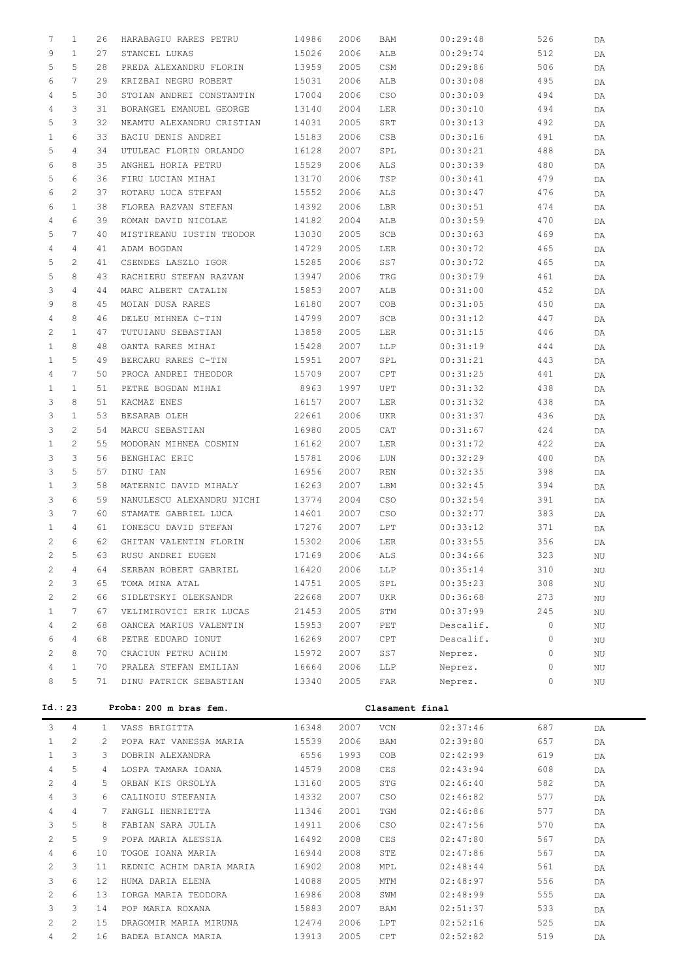| 7              | $\mathbf{1}$          | 26           | HARABAGIU RARES PETRU     | 14986 | 2006 | BAM             | 00:29:48  | 526 | DA |
|----------------|-----------------------|--------------|---------------------------|-------|------|-----------------|-----------|-----|----|
| 9              | $\mathbf{1}$          | 27           | STANCEL LUKAS             | 15026 | 2006 | ALB             | 00:29:74  | 512 | DA |
| 5              | 5                     | 28           | PREDA ALEXANDRU FLORIN    | 13959 | 2005 | CSM             | 00:29:86  | 506 | DA |
| 6              | 7                     | 29           | KRIZBAI NEGRU ROBERT      | 15031 | 2006 | ALB             | 00:30:08  | 495 | DA |
| 4              | 5                     | 30           | STOIAN ANDREI CONSTANTIN  | 17004 | 2006 | CSO             | 00:30:09  | 494 | DA |
| 4              | 3                     | 31           | BORANGEL EMANUEL GEORGE   | 13140 | 2004 | LER             | 00:30:10  | 494 | DA |
| 5              | 3                     | 32           | NEAMTU ALEXANDRU CRISTIAN | 14031 | 2005 | SRT             | 00:30:13  | 492 | DA |
| $\mathbf{1}$   | 6                     | 33           | BACIU DENIS ANDREI        | 15183 | 2006 | CSB             | 00:30:16  | 491 | DA |
| 5              | $\overline{4}$        | 34           | UTULEAC FLORIN ORLANDO    | 16128 | 2007 | SPL             | 00:30:21  | 488 | DA |
| 6              | 8                     | 35           | ANGHEL HORIA PETRU        | 15529 | 2006 | ALS             | 00:30:39  | 480 | DA |
| 5              | 6                     | 36           | FIRU LUCIAN MIHAI         | 13170 | 2006 | TSP             | 00:30:41  | 479 | DA |
| 6              | 2                     | 37           | ROTARU LUCA STEFAN        | 15552 | 2006 | ALS             | 00:30:47  | 476 | DA |
| 6              | $\mathbf{1}$          | 38           | FLOREA RAZVAN STEFAN      | 14392 | 2006 | LBR             | 00:30:51  | 474 | DA |
| 4              | 6                     | 39           | ROMAN DAVID NICOLAE       | 14182 | 2004 | ALB             | 00:30:59  | 470 | DA |
| 5              | 7                     | 40           | MISTIREANU IUSTIN TEODOR  | 13030 | 2005 | $_{\rm SCB}$    | 00:30:63  | 469 | DA |
| 4              | 4                     | 41           | ADAM BOGDAN               | 14729 | 2005 | LER             | 00:30:72  | 465 | DA |
| 5              | 2                     | 41           | CSENDES LASZLO IGOR       | 15285 | 2006 | SS7             | 00:30:72  | 465 | DA |
| 5              | 8                     | 43           | RACHIERU STEFAN RAZVAN    | 13947 | 2006 | TRG             | 00:30:79  | 461 | DA |
| 3              | 4                     | 44           | MARC ALBERT CATALIN       | 15853 | 2007 | ALB             | 00:31:00  | 452 |    |
| 9              | 8                     | 45           | MOIAN DUSA RARES          | 16180 | 2007 | COB             | 00:31:05  | 450 | DA |
| 4              | 8                     | 46           |                           | 14799 | 2007 | SCB             | 00:31:12  |     | DA |
|                |                       |              | DELEU MIHNEA C-TIN        |       |      |                 |           | 447 | DA |
| $\overline{2}$ | $\mathbf{1}$          | 47           | TUTUIANU SEBASTIAN        | 13858 | 2005 | LER             | 00:31:15  | 446 | DA |
| $\mathbf{1}$   | 8                     | 48           | OANTA RARES MIHAI         | 15428 | 2007 | LLP             | 00:31:19  | 444 | DA |
| $\mathbf{1}$   | 5                     | 49           | BERCARU RARES C-TIN       | 15951 | 2007 | SPL             | 00:31:21  | 443 | DA |
| 4              | 7                     | 50           | PROCA ANDREI THEODOR      | 15709 | 2007 | CPT             | 00:31:25  | 441 | DA |
| $\mathbf{1}$   | $\mathbf{1}$          | 51           | PETRE BOGDAN MIHAI        | 8963  | 1997 | UPT             | 00:31:32  | 438 | DA |
| 3              | 8                     | 51           | KACMAZ ENES               | 16157 | 2007 | LER             | 00:31:32  | 438 | DA |
| 3              | $\mathbf{1}$          | 53           | BESARAB OLEH              | 22661 | 2006 | UKR             | 00:31:37  | 436 | DA |
| 3              | 2                     | 54           | MARCU SEBASTIAN           | 16980 | 2005 | CAT             | 00:31:67  | 424 | DA |
| $\mathbf{1}$   | 2                     | 55           | MODORAN MIHNEA COSMIN     | 16162 | 2007 | LER             | 00:31:72  | 422 | DA |
| 3              | 3                     | 56           | BENGHIAC ERIC             | 15781 | 2006 | LUN             | 00:32:29  | 400 | DA |
| 3              | 5                     | 57           | DINU IAN                  | 16956 | 2007 | REN             | 00:32:35  | 398 | DA |
| $\mathbf{1}$   | 3                     | 58           | MATERNIC DAVID MIHALY     | 16263 | 2007 | LBM             | 00:32:45  | 394 | DA |
| 3              | 6                     | 59           | NANULESCU ALEXANDRU NICHI | 13774 | 2004 | CSO             | 00:32:54  | 391 | DA |
| 3              | 7                     | 60           | STAMATE GABRIEL LUCA      | 14601 | 2007 | CSO             | 00:32:77  | 383 | DA |
| $\mathbf{1}$   | 4                     | 61           | IONESCU DAVID STEFAN      | 17276 | 2007 | LPT             | 00:33:12  | 371 | DA |
| $\overline{2}$ | 6                     | 62           | GHITAN VALENTIN FLORIN    | 15302 | 2006 | LER             | 00:33:55  | 356 | DA |
| 2              | 5                     | 63           | RUSU ANDREI EUGEN         | 17169 | 2006 | ALS             | 00:34:66  | 323 | ΝU |
| 2              | 4                     | 64           | SERBAN ROBERT GABRIEL     | 16420 | 2006 | LLP             | 00:35:14  | 310 | ΝU |
| 2              | 3                     | 65           | TOMA MINA ATAL            | 14751 | 2005 | SPL             | 00:35:23  | 308 | ΝU |
| $\mathbf{2}$   | $\mathbf{2}^{\prime}$ | 66           | SIDLETSKYI OLEKSANDR      | 22668 | 2007 | UKR             | 00:36:68  | 273 | ΝU |
| $\mathbf{1}$   | $7\phantom{.0}$       | 67           | VELIMIROVICI ERIK LUCAS   | 21453 | 2005 | STM             | 00:37:99  | 245 | ΝU |
| 4              | $\mathbf{2}^{\prime}$ | 68           | OANCEA MARIUS VALENTIN    | 15953 | 2007 | PET             | Descalif. | 0   | ΝU |
| 6              | 4                     | 68           | PETRE EDUARD IONUT        | 16269 | 2007 | CPT             | Descalif. | 0   | ΝU |
| 2              | 8                     | 70           | CRACIUN PETRU ACHIM       | 15972 | 2007 | SS7             | Neprez.   | 0   | ΝU |
| 4              | $\mathbf{1}$          | 70           | PRALEA STEFAN EMILIAN     | 16664 | 2006 | LLP             | Neprez.   | 0   | ΝU |
| 8              | 5                     | 71           | DINU PATRICK SEBASTIAN    | 13340 | 2005 | FAR             | Neprez.   | 0   | ΝU |
|                |                       |              |                           |       |      |                 |           |     |    |
|                | Id.: 23               |              | Proba: 200 m bras fem.    |       |      | Clasament final |           |     |    |
| 3              | 4                     | $\mathbf{1}$ | VASS BRIGITTA             | 16348 | 2007 | VCN             | 02:37:46  | 687 | DA |
| 1              | 2                     | 2            | POPA RAT VANESSA MARIA    | 15539 | 2006 | BAM             | 02:39:80  | 657 | DA |
| 1              | 3                     | 3            | DOBRIN ALEXANDRA          | 6556  | 1993 | COB             | 02:42:99  | 619 | DA |
| 4              | 5                     | 4            | LOSPA TAMARA IOANA        | 14579 | 2008 | CES             | 02:43:94  | 608 | DA |
| 2              | 4                     | 5.           | ORBAN KIS ORSOLYA         | 13160 | 2005 | STG             | 02:46:40  | 582 | DA |
| 4              | 3                     | 6            | CALINOIU STEFANIA         | 14332 | 2007 | CSO             | 02:46:82  | 577 | DA |
| 4              | $\overline{4}$        | 7            | FANGLI HENRIETTA          | 11346 | 2001 | TGM             | 02:46:86  | 577 | DA |
|                |                       |              |                           |       |      |                 |           |     |    |

 3 5 8 FABIAN SARA JULIA 14911 2006 CSO 02:47:56 570 DA 2 5 9 POPA MARIA ALESSIA 16492 2008 CES 02:47:80 567 DA 4 6 10 TOGOE IOANA MARIA 16944 2008 STE 02:47:86 567 DA 2 3 11 REDNIC ACHIM DARIA MARIA 16902 2008 MPL 02:48:44 561 DA 3 6 12 HUMA DARIA ELENA 14088 2005 MTM 02:48:97 556 DA 2 6 13 IORGA MARIA TEODORA 16986 2008 SWM 02:48:99 555 DA 3 3 14 POP MARIA ROXANA 15883 2007 BAM 02:51:37 533 DA 2 2 15 DRAGOMIR MARIA MIRUNA 12474 2006 LPT 02:52:16 525 DA 4 2 16 BADEA BIANCA MARIA 13913 2005 CPT 02:52:82 519 DA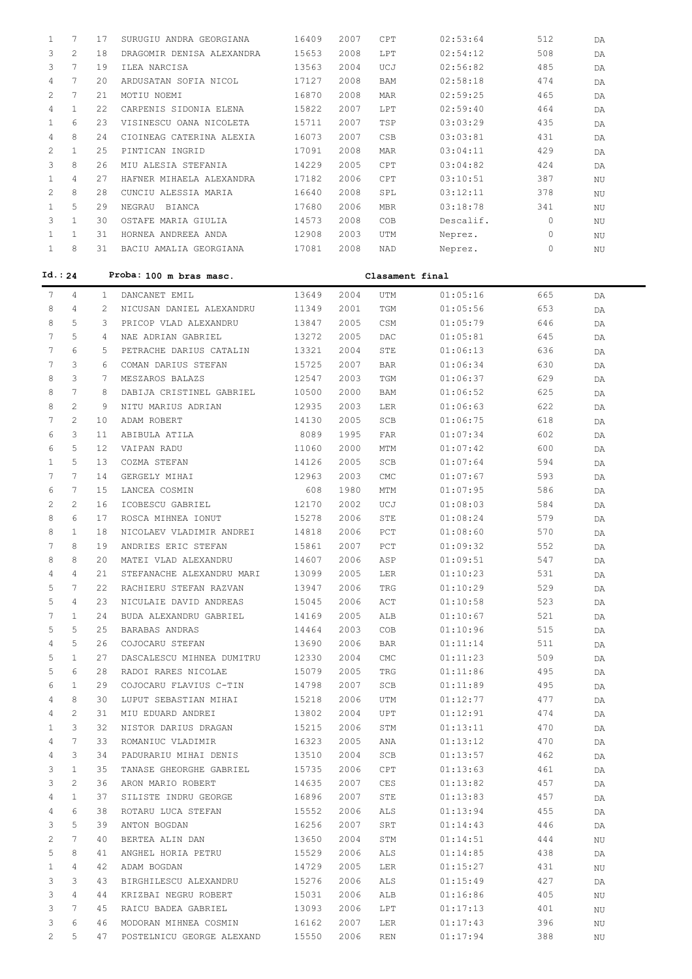| $\mathbf{1}$    | 7                     | 17           | SURUGIU ANDRA GEORGIANA                      | 16409          | 2007         | CPT                | 02:53:64             | 512        | DA |
|-----------------|-----------------------|--------------|----------------------------------------------|----------------|--------------|--------------------|----------------------|------------|----|
| 3               | $\overline{2}$        | 18           | DRAGOMIR DENISA ALEXANDRA                    | 15653          | 2008         | <b>LPT</b>         | 02:54:12             | 508        | DA |
| 3               | $\overline{7}$        | 19           | ILEA NARCISA                                 | 13563          | 2004         | UCJ                | 02:56:82             | 485        | DA |
| $\overline{4}$  | $\overline{7}$        | 20           | ARDUSATAN SOFIA NICOL                        | 17127          | 2008         | <b>BAM</b>         | 02:58:18             | 474        | DA |
| $\mathbf{2}$    | $7\overline{ }$       | 21           | MOTIU NOEMI                                  | 16870          | 2008         | MAR                | 02:59:25             | 465        | DA |
| $\overline{4}$  | $\mathbf{1}$          | 22           | CARPENIS SIDONIA ELENA                       | 15822          | 2007         | LPT                | 02:59:40             | 464        | DA |
| $\mathbf{1}$    | 6                     | 23           | VISINESCU OANA NICOLETA                      | 15711          | 2007         | TSP                | 03:03:29             | 435        | DA |
| $\overline{4}$  | 8                     | 24           | CIOINEAG CATERINA ALEXIA                     | 16073          | 2007         | CSB                | 03:03:81             | 431        | DA |
| $\mathbf{2}$    | $\mathbf{1}$          | 25           | PINTICAN INGRID                              | 17091          | 2008         | MAR                | 03:04:11             | 429        | DA |
| 3               | 8                     | 26           | MIU ALESIA STEFANIA                          | 14229          | 2005         | CPT                | 03:04:82             | 424        |    |
| $\mathbf{1}$    | $\overline{4}$        | 27           | HAFNER MIHAELA ALEXANDRA                     | 17182          | 2006         | CPT                | 03:10:51             | 387        | DA |
| 2               | 8                     | 28           |                                              | 16640          | 2008         | SPL                | 03:12:11             | 378        | ΝU |
|                 | 5                     |              | CUNCIU ALESSIA MARIA                         |                |              |                    |                      |            | ΝU |
| $\mathbf{1}$    |                       | 29           | NEGRAU BIANCA                                | 17680          | 2006         | <b>MBR</b>         | 03:18:78             | 341        | ΝU |
| 3               | $\mathbf{1}$          | 30           | OSTAFE MARIA GIULIA                          | 14573          | 2008         | COB                | Descalif.            | $\circ$    | ΝU |
| $\mathbf{1}$    | $\mathbf{1}$          | 31           | HORNEA ANDREEA ANDA                          | 12908          | 2003         | UTM                | Neprez.              | 0          | ΝU |
| $\mathbf{1}$    | 8                     | 31           | BACIU AMALIA GEORGIANA                       | 17081          | 2008         | NAD                | Neprez.              | 0          | ΝU |
| Id.: 24         |                       |              | Proba: 100 m bras masc.                      |                |              | Clasament final    |                      |            |    |
| $7\phantom{.0}$ | $\overline{4}$        | $\mathbf{1}$ | DANCANET EMIL                                | 13649          | 2004         | UTM                | 01:05:16             | 665        | DA |
| 8               | $\overline{4}$        | 2            | NICUSAN DANIEL ALEXANDRU                     | 11349          | 2001         | TGM                | 01:05:56             | 653        | DA |
| 8               | 5                     | 3            | PRICOP VLAD ALEXANDRU                        | 13847          | 2005         | CSM                | 01:05:79             | 646        | DA |
| 7               | 5                     | 4            | NAE ADRIAN GABRIEL                           | 13272          | 2005         | $\mathop{\sf DAC}$ | 01:05:81             | 645        | DA |
| 7               | 6                     | 5            | PETRACHE DARIUS CATALIN                      | 13321          | 2004         | STE                | 01:06:13             | 636        | DA |
| 7               | 3                     | 6            | COMAN DARIUS STEFAN                          | 15725          | 2007         | <b>BAR</b>         | 01:06:34             | 630        | DA |
| 8               | 3                     | 7            | MESZAROS BALAZS                              | 12547          | 2003         | TGM                | 01:06:37             | 629        | DA |
| 8               | 7                     | 8            | DABIJA CRISTINEL GABRIEL                     | 10500          | 2000         | BAM                | 01:06:52             | 625        | DA |
| 8               | $\overline{c}$        | 9            | NITU MARIUS ADRIAN                           | 12935          | 2003         | LER                | 01:06:63             | 622        | DA |
| 7               | $\overline{c}$        | 10           | ADAM ROBERT                                  | 14130          | 2005         | SCB                | 01:06:75             | 618        | DA |
| 6               | 3                     | 11           | ABIBULA ATILA                                | 8089           | 1995         | FAR                | 01:07:34             | 602        | DA |
| 6               | 5                     | 12           | VAIPAN RADU                                  | 11060          | 2000         | MTM                | 01:07:42             | 600        | DA |
| $\mathbf{1}$    | 5                     | 13           | COZMA STEFAN                                 | 14126          | 2005         | SCB                | 01:07:64             | 594        | DA |
| 7               | 7                     | 14           | GERGELY MIHAI                                | 12963          | 2003         | $\mathop{\rm CMC}$ | 01:07:67             | 593        | DA |
| 6               | $7\phantom{.0}$       | 15           | LANCEA COSMIN                                | 608            | 1980         | <b>MTM</b>         | 01:07:95             | 586        | DA |
| 2               | $\overline{c}$        | 16           | ICOBESCU GABRIEL                             | 12170          | 2002         | UCJ                | 01:08:03             | 584        | DA |
| 8               | 6                     | 17           | ROSCA MIHNEA IONUT                           | 15278          | 2006         | STE                | 01:08:24             | 579        | DA |
| 8               | $\mathbf{1}$          | 18           | NICOLAEV VLADIMIR ANDREI                     | 14818          | 2006         | PCT                | 01:08:60             | 570        | DA |
| 7               | 8                     | 19           | ANDRIES ERIC STEFAN                          | 15861          | 2007         | PCT                | 01:09:32             | 552        | DA |
| 8               | 8                     | 20           | MATEI VLAD ALEXANDRU                         | 14607          | 2006         | ASP                | 01:09:51             | 547        | DA |
| 4               | 4                     | 21           | STEFANACHE ALEXANDRU MARI                    | 13099          | 2005         | LER                | 01:10:23             | 531        | DA |
| 5               | 7                     | 22           | RACHIERU STEFAN RAZVAN                       | 13947          | 2006         | TRG                | 01:10:29             | 529        | DA |
| 5               | 4                     | 23           | NICULAIE DAVID ANDREAS                       | 15045          | 2006         | ACT                | 01:10:58             | 523        |    |
| 7               | $\mathbf{1}$          | 24           | BUDA ALEXANDRU GABRIEL                       | 14169          | 2005         | ALB                | 01:10:67             | 521        | DA |
| 5               | 5                     | 25           | BARABAS ANDRAS                               | 14464          | 2003         | COB                | 01:10:96             | 515        | DA |
|                 | 5                     | 26           |                                              |                |              |                    |                      |            | DA |
| 4<br>5          | $\mathbf{1}$          | 27           | COJOCARU STEFAN<br>DASCALESCU MIHNEA DUMITRU | 13690<br>12330 | 2006<br>2004 | BAR                | 01:11:14<br>01:11:23 | 511<br>509 | DA |
| 5               | 6                     | 28           | RADOI RARES NICOLAE                          | 15079          | 2005         | CMC<br>TRG         | 01:11:86             | 495        | DA |
| 6               | $\mathbf{1}$          | 29           | COJOCARU FLAVIUS C-TIN                       | 14798          | 2007         | SCB                | 01:11:89             | 495        | DA |
|                 | 8                     |              |                                              |                |              |                    |                      |            | DA |
| 4<br>4          | 2                     | 30<br>31     | LUPUT SEBASTIAN MIHAI<br>MIU EDUARD ANDREI   | 15218          | 2006<br>2004 | UTM                | 01:12:77<br>01:12:91 | 477<br>474 | DA |
|                 |                       |              |                                              | 13802          |              | UPT                |                      |            | DA |
| 1               | 3                     | 32           | NISTOR DARIUS DRAGAN                         | 15215          | 2006         | STM                | 01:13:11             | 470        | DA |
| 4               | 7                     | 33           | ROMANIUC VLADIMIR                            | 16323          | 2005         | ANA                | 01:13:12             | 470        | DA |
| 4               | 3                     | 34           | PADURARIU MIHAI DENIS                        | 13510          | 2004         | SCB                | 01:13:57             | 462        | DA |
| 3               | $\mathbf{1}$          | 35           | TANASE GHEORGHE GABRIEL                      | 15735          | 2006         | CPT                | 01:13:63             | 461        | DA |
| 3               | $\mathbf{2}^{\prime}$ | 36           | ARON MARIO ROBERT                            | 14635          | 2007         | CES                | 01:13:82             | 457        | DA |
| 4               | $\mathbf{1}$          | 37           | SILISTE INDRU GEORGE                         | 16896          | 2007         | STE                | 01:13:83             | 457        | DA |
| 4               | 6                     | 38           | ROTARU LUCA STEFAN                           | 15552          | 2006         | ALS                | 01:13:94             | 455        | DA |
| 3               | 5                     | 39           | ANTON BOGDAN                                 | 16256          | 2007         | SRT                | 01:14:43             | 446        | DA |
| 2               | 7                     | 40           | BERTEA ALIN DAN                              | 13650          | 2004         | STM                | 01:14:51             | 444        | ΝU |
| 5               | 8                     | 41           | ANGHEL HORIA PETRU                           | 15529          | 2006         | ALS                | 01:14:85             | 438        | DA |
| 1               | 4                     | 42           | ADAM BOGDAN                                  | 14729          | 2005         | LER                | 01:15:27             | 431        | ΝU |
| 3               | 3                     | 43           | BIRGHILESCU ALEXANDRU                        | 15276          | 2006         | ALS                | 01:15:49             | 427        | DA |
| 3               | 4                     | 44           | KRIZBAI NEGRU ROBERT                         | 15031          | 2006         | ALB                | 01:16:86             | 405        | ΝU |
| 3               | 7                     | 45           | RAICU BADEA GABRIEL                          | 13093          | 2006         | LPT                | 01:17:13             | 401        | ΝU |
| 3               | 6                     | 46           | MODORAN MIHNEA COSMIN                        | 16162          | 2007         | LER                | 01:17:43             | 396        | ΝU |
| 2               | 5                     | 47           | POSTELNICU GEORGE ALEXAND                    | 15550          | 2006         | REN                | 01:17:94             | 388        | ΝU |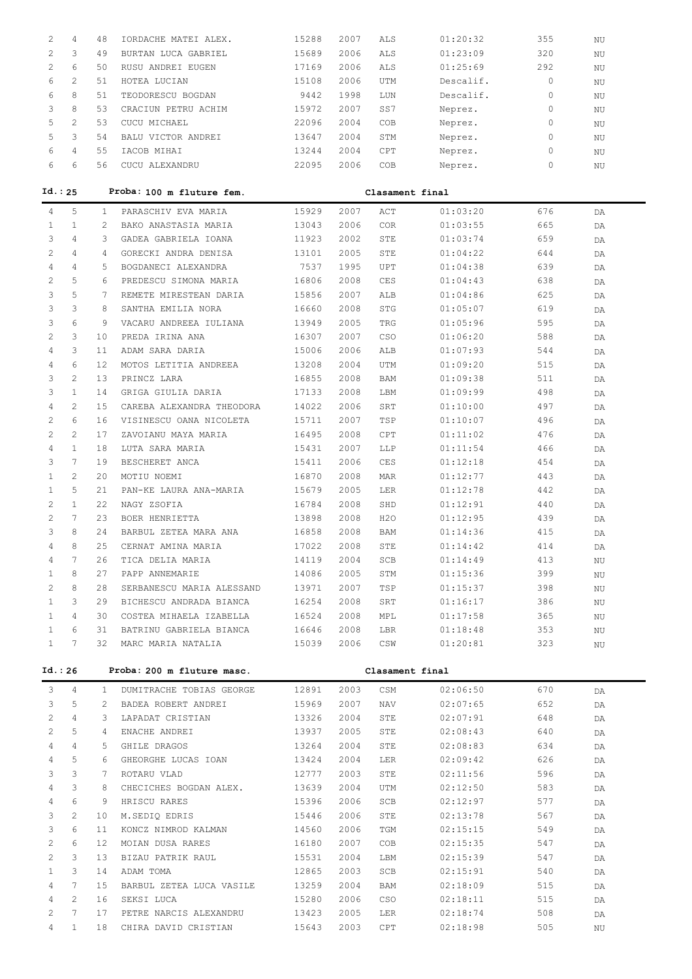| 2                     | 4                                        | 48                | IORDACHE MATEI ALEX.                 | 15288          | 2007         | ALS             | 01:20:32             | 355        | ΝU |
|-----------------------|------------------------------------------|-------------------|--------------------------------------|----------------|--------------|-----------------|----------------------|------------|----|
| $\overline{c}$        | 3                                        | 49                | BURTAN LUCA GABRIEL                  | 15689          | 2006         | ALS             | 01:23:09             | 320        | ΝU |
| $\overline{c}$        | 6                                        | 50                | RUSU ANDREI EUGEN                    | 17169          | 2006         | ALS             | 01:25:69             | 292        | ΝU |
| 6                     | $\overline{2}$                           | 51                | HOTEA LUCIAN                         | 15108          | 2006         | UTM             | Descalif.            | $\circ$    | ΝU |
| 6                     | 8                                        | 51                | TEODORESCU BOGDAN                    | 9442           | 1998         | LUN             | Descalif.            | $\circ$    | ΝU |
| 3                     | 8                                        | 53                | CRACIUN PETRU ACHIM                  | 15972          | 2007         | SS7             | Neprez.              | $\circ$    | ΝU |
| 5                     | $\overline{2}$                           | 53                | CUCU MICHAEL                         | 22096          | 2004         | COB             | Neprez.              | $\circ$    | ΝU |
| 5                     | 3                                        | 54                | BALU VICTOR ANDREI                   | 13647          | 2004         | STM             | Neprez.              | $\circ$    | ΝU |
| 6                     | $\overline{4}$                           | 55                | IACOB MIHAI                          | 13244          | 2004         | <b>CPT</b>      | Neprez.              | $\circ$    | ΝU |
| 6                     | 6                                        | 56                | CUCU ALEXANDRU                       | 22095          | 2006         | COB             | Neprez.              | $\circ$    | ΝU |
|                       |                                          |                   |                                      |                |              |                 |                      |            |    |
|                       | Id.: 25                                  |                   | Proba: 100 m fluture fem.            |                |              | Clasament final |                      |            |    |
| $\overline{4}$        | 5                                        | $\mathbf{1}$      | PARASCHIV EVA MARIA                  | 15929          | 2007         | ACT             | 01:03:20             | 676        | DA |
| $\mathbf{1}$          | $\mathbf{1}$                             | $\overline{2}$    | BAKO ANASTASIA MARIA                 | 13043          | 2006         | <b>COR</b>      | 01:03:55             | 665        | DA |
| 3                     | $\overline{4}$                           | 3                 | GADEA GABRIELA IOANA                 | 11923          | 2002         | STE             | 01:03:74             | 659        | DA |
| 2                     | $\overline{4}$                           | $\overline{4}$    | GORECKI ANDRA DENISA                 | 13101          | 2005         | STE             | 01:04:22             | 644        | DA |
| $\overline{4}$        | $\overline{4}$                           | 5                 | BOGDANECI ALEXANDRA                  | 7537           | 1995         | UPT             | 01:04:38             | 639        | DA |
| $\mathbf{2}^{\prime}$ | 5                                        | 6                 | PREDESCU SIMONA MARIA                | 16806          | 2008         | CES             | 01:04:43             | 638        | DA |
| 3                     | 5                                        | 7                 | REMETE MIRESTEAN DARIA               | 15856          | 2007         | ALB             | 01:04:86             | 625        | DA |
| 3                     | 3                                        | 8                 | SANTHA EMILIA NORA                   | 16660          | 2008         | STG             | 01:05:07             | 619        | DA |
| 3                     | 6                                        | 9                 | VACARU ANDREEA IULIANA               | 13949          | 2005         | TRG             | 01:05:96             | 595        | DA |
| $\overline{c}$        | 3                                        | 10 <sup>°</sup>   | PREDA IRINA ANA                      | 16307          | 2007         | CSO             | 01:06:20             | 588        | DA |
| $\overline{4}$        | 3                                        | 11                | ADAM SARA DARIA                      | 15006          | 2006         | ALB             | 01:07:93             | 544        | DA |
| 4                     | 6                                        | $12 \overline{ }$ | MOTOS LETITIA ANDREEA                | 13208          | 2004         | UTM             | 01:09:20             | 515        | DA |
| 3                     | $\overline{c}$                           | 13                | PRINCZ LARA                          | 16855          | 2008         | BAM             | 01:09:38             | 511        | DA |
| 3                     | $\mathbf{1}$                             | 14                | GRIGA GIULIA DARIA                   | 17133          | 2008         | LBM             | 01:09:99             | 498        | DA |
| $\overline{4}$        | $\overline{c}$                           | 15                | CAREBA ALEXANDRA THEODORA            | 14022          | 2006         | SRT             | 01:10:00             | 497        | DA |
| $\mathbf{2}^{\prime}$ | 6                                        | 16                | VISINESCU OANA NICOLETA              | 15711          | 2007         | TSP             | 01:10:07             | 496        | DA |
| $\overline{2}$        | $\overline{2}$                           | 17                | ZAVOIANU MAYA MARIA                  | 16495          | 2008         | CPT             | 01:11:02             | 476        | DA |
| $\overline{4}$        | $\mathbf{1}$                             | 18                | LUTA SARA MARIA                      | 15431          | 2007         | LLP             | 01:11:54             | 466        | DA |
| 3                     | $7\phantom{.0}$                          | 19                | BESCHERET ANCA                       | 15411          | 2006         | CES             | 01:12:18             | 454        | DA |
| $\mathbf{1}$          | $\overline{c}$                           | 20                | MOTIU NOEMI                          | 16870          | 2008         | MAR             | 01:12:77             | 443        | DA |
| $\mathbf{1}$          | 5                                        | 21                | PAN-KE LAURA ANA-MARIA               | 15679          | 2005         | LER             | 01:12:78             | 442        | DA |
| $\mathbf{2}^{\prime}$ | $\mathbf{1}$                             | 22                | NAGY ZSOFIA                          | 16784          | 2008         | SHD             | 01:12:91             | 440        | DA |
| $\overline{c}$        | $7\phantom{.0}$                          | 23                | BOER HENRIETTA                       | 13898          | 2008         | H2O             | 01:12:95             | 439        | DA |
| 3                     | 8                                        | 24                | BARBUL ZETEA MARA ANA                | 16858          | 2008         | BAM             | 01:14:36             | 415        | DA |
| 4                     | 8                                        | 25                | CERNAT AMINA MARIA                   | 17022          | 2008         | STE             | 01:14:42             | 414        | DA |
| 4                     | 7                                        | 26                | TICA DELIA MARIA                     | 14119          | 2004         | SCB             | 01:14:49             | 413        | NU |
| 1                     | 8                                        | 27                | PAPP ANNEMARIE                       | 14086          | 2005         | STM             | 01:15:36             | 399        | ΝU |
| 2                     | 8                                        | 28                | SERBANESCU MARIA ALESSAND            | 13971          | 2007         | TSP             | 01:15:37             | 398        | NU |
| $\mathbf{1}$          | 3                                        | 29                | BICHESCU ANDRADA BIANCA              | 16254          | 2008         | SRT             | 01:16:17             | 386        | NU |
| 1                     | $\overline{4}$                           | 30                | COSTEA MIHAELA IZABELLA              | 16524          | 2008         | MPL             | 01:17:58             | 365        | NU |
| $\mathbf{1}$          | 6                                        | 31                | BATRINU GABRIELA BIANCA              | 16646          | 2008         | LBR             | 01:18:48             | 353        | NU |
| $\mathbf{1}$          | 7                                        | 32                | MARC MARIA NATALIA                   | 15039          | 2006         | CSW             | 01:20:81             | 323        | NU |
|                       | Id.: 26                                  |                   | Proba: 200 m fluture masc.           |                |              | Clasament final |                      |            |    |
|                       |                                          |                   |                                      |                |              |                 |                      |            |    |
| 3                     | 4                                        | 1                 | DUMITRACHE TOBIAS GEORGE             | 12891          | 2003         | CSM             | 02:06:50             | 670        | DA |
| 3                     | 5                                        | $\mathbf{2}$      | BADEA ROBERT ANDREI                  | 15969          | 2007         | NAV             | 02:07:65             | 652        | DA |
| 2                     | $\overline{4}$                           | 3                 | LAPADAT CRISTIAN                     | 13326          | 2004         | STE             | 02:07:91             | 648        | DA |
| 2                     | 5                                        | 4                 | ENACHE ANDREI                        | 13937          | 2005         | STE             | 02:08:43             | 640        | DA |
| 4                     | $\overline{4}$                           | 5                 | GHILE DRAGOS                         | 13264          | 2004         | STE             | 02:08:83             | 634        | DA |
| 4                     | 5                                        | 6                 | GHEORGHE LUCAS IOAN                  | 13424          | 2004         | LER             | 02:09:42             | 626        | DA |
| 3                     | 3                                        | 7                 | ROTARU VLAD                          | 12777          | 2003         | STE             | 02:11:56             | 596        | DA |
| 4                     | 3                                        | 8                 | CHECICHES BOGDAN ALEX.               | 13639          | 2004         | UTM             | 02:12:50             | 583        | DA |
| 4                     | 6                                        | 9                 | HRISCU RARES                         | 15396          | 2006         | SCB             | 02:12:97             | 577        | DA |
| 3                     | 2                                        | 10                | M.SEDIQ EDRIS                        | 15446          | 2006         | STE             | 02:13:78             | 567        | DA |
| 3                     | 6                                        | 11                | KONCZ NIMROD KALMAN                  | 14560          | 2006         | TGM             | 02:15:15             | 549        | DA |
| 2                     | 6                                        | 12                | MOIAN DUSA RARES                     | 16180          | 2007         | COB             | 02:15:35             | 547        | DA |
| 2                     | 3                                        | 13                | BIZAU PATRIK RAUL                    | 15531          | 2004         | LBM             | 02:15:39             | 547        | DA |
| 1                     | 3                                        | 14                | ADAM TOMA                            | 12865          | 2003         | SCB             | 02:15:91             | 540        | DA |
| 4                     | $7\phantom{.0}$<br>$\mathbf{2}^{\prime}$ | 15                | BARBUL ZETEA LUCA VASILE             | 13259          | 2004         | BAM             | 02:18:09             | 515        | DA |
| 4<br>2                | $7\phantom{.0}$                          | 16<br>17          | SEKSI LUCA<br>PETRE NARCIS ALEXANDRU | 15280<br>13423 | 2006<br>2005 | CSO<br>LER      | 02:18:11<br>02:18:74 | 515<br>508 | DA |
| 4                     | $\mathbf{1}$                             |                   | 18 CHIRA DAVID CRISTIAN              | 15643          | 2003         | CPT             | 02:18:98             | 505        | DA |
|                       |                                          |                   |                                      |                |              |                 |                      |            | ΝU |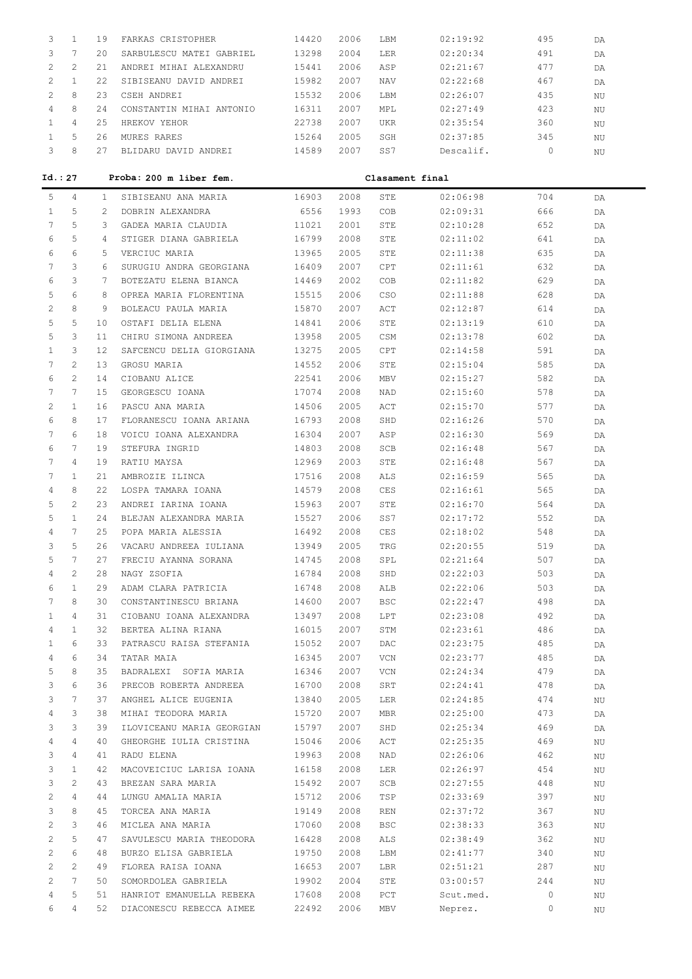|   |   | 19 | FARKAS CRISTOPHER          | 14420 | 2006 | T.BM       | 02:19:92  | 495 | DA |
|---|---|----|----------------------------|-------|------|------------|-----------|-----|----|
|   |   | 20 | SARBULESCU MATEI GABRIEL   | 13298 | 2004 | LER        | 02:20:34  | 491 | DΑ |
|   |   | 21 | ANDRET MIHAT<br>ALEXANDRU) | 15441 | 2006 | ASP        | 02:21:67  | 477 | DA |
|   |   | 22 | SIBISEANU DAVID ANDREI     | 15982 | 2007 | <b>NAV</b> | 02:22:68  | 467 | DA |
|   | 8 | 23 | CSEH ANDRET                | 15532 | 2006 | LBM        | 02:26:07  | 435 | ΝU |
| 4 | 8 | 24 | CONSTANTIN MIHAI ANTONIO   | 16311 | 2007 | MPL        | 02:27:49  | 423 | ΝU |
|   | 4 | 25 | HREKOV<br>YEHOR            | 22738 | 2007 | <b>UKR</b> | 02:35:54  | 360 | ΝU |
|   | 5 | 26 | MURES RARES                | 15264 | 2005 | SGH        | 02:37:85  | 345 | ΝU |
|   | 8 |    | BLIDARU DAVID ANDREI       | 14589 | 2007 | SS7        | Descalif. |     | NU |

| Id.: 27        |                       |                 | Proba: 200 m liber fem.   | Clasament final |      |            |           |         |    |  |
|----------------|-----------------------|-----------------|---------------------------|-----------------|------|------------|-----------|---------|----|--|
| 5              | 4                     | $\mathbf{1}$    | SIBISEANU ANA MARIA       | 16903           | 2008 | STE        | 02:06:98  | 704     | DA |  |
| $\mathbf{1}$   | 5                     | 2               | DOBRIN ALEXANDRA          | 6556            | 1993 | COB        | 02:09:31  | 666     | DA |  |
| 7              | 5                     | 3               | GADEA MARIA CLAUDIA       | 11021           | 2001 | STE        | 02:10:28  | 652     | DA |  |
| 6              | 5                     | $4\overline{ }$ | STIGER DIANA GABRIELA     | 16799           | 2008 | STE        | 02:11:02  | 641     | DA |  |
| 6              | 6                     | 5               | VERCIUC MARIA             | 13965           | 2005 | STE        | 02:11:38  | 635     | DA |  |
| 7              | 3                     | 6               | SURUGIU ANDRA GEORGIANA   | 16409           | 2007 | CPT        | 02:11:61  | 632     | DA |  |
| 6              | 3                     | $7^{\circ}$     | BOTEZATU ELENA BIANCA     | 14469           | 2002 | COB        | 02:11:82  | 629     | DA |  |
| 5              | 6                     | 8               | OPREA MARIA FLORENTINA    | 15515           | 2006 | <b>CSO</b> | 02:11:88  | 628     | DA |  |
| 2              | 8                     | 9               | BOLEACU PAULA MARIA       | 15870           | 2007 | ACT        | 02:12:87  | 614     | DA |  |
| 5              | 5                     | 10              | OSTAFI DELIA ELENA        | 14841           | 2006 | STE        | 02:13:19  | 610     | DA |  |
| 5              | 3                     | 11              | CHIRU SIMONA ANDREEA      | 13958           | 2005 | CSM        | 02:13:78  | 602     | DA |  |
| $\mathbf{1}$   | 3                     | 12              | SAFCENCU DELIA GIORGIANA  | 13275           | 2005 | CPT        | 02:14:58  | 591     | DA |  |
| 7              | $\mathbf{2}^{\prime}$ | 13              | GROSU MARIA               | 14552           | 2006 | STE        | 02:15:04  | 585     | DA |  |
| 6              | 2                     | 14              | CIOBANU ALICE             | 22541           | 2006 | MBV        | 02:15:27  | 582     | DA |  |
| 7              | $7\phantom{.0}$       | 15              | GEORGESCU IOANA           | 17074           | 2008 | NAD        | 02:15:60  | 578     | DA |  |
| 2              | $\mathbf{1}$          | 16              | PASCU ANA MARIA           | 14506           | 2005 | ACT        | 02:15:70  | 577     | DA |  |
| 6              | 8                     | 17              | FLORANESCU IOANA ARIANA   | 16793           | 2008 | SHD        | 02:16:26  | 570     | DA |  |
| 7              | 6                     | 18              | VOICU IOANA ALEXANDRA     | 16304           | 2007 | ASP        | 02:16:30  | 569     | DA |  |
| 6              | 7                     | 19              | STEFURA INGRID            | 14803           | 2008 | SCB        | 02:16:48  | 567     | DA |  |
| 7              | $\overline{4}$        | 19              | RATIU MAYSA               | 12969           | 2003 | STE        | 02:16:48  | 567     | DA |  |
| 7              | $\mathbf{1}$          | 21              | AMBROZIE ILINCA           | 17516           | 2008 | ALS        | 02:16:59  | 565     | DA |  |
| 4              | 8                     | 22              | LOSPA TAMARA IOANA        | 14579           | 2008 | CES        | 02:16:61  | 565     | DA |  |
| 5              | 2                     | 23              | ANDREI IARINA IOANA       | 15963           | 2007 | STE        | 02:16:70  | 564     | DA |  |
| 5              | $\mathbf{1}$          | 24              | BLEJAN ALEXANDRA MARIA    | 15527           | 2006 | SS7        | 02:17:72  | 552     | DA |  |
| 4              | 7                     | 25              | POPA MARIA ALESSIA        | 16492           | 2008 | CES        | 02:18:02  | 548     | DA |  |
| 3              | 5                     | 26              | VACARU ANDREEA IULIANA    | 13949           | 2005 | TRG        | 02:20:55  | 519     | DA |  |
| 5              | $7\phantom{.0}$       | 27              | FRECIU AYANNA SORANA      | 14745           | 2008 | SPL        | 02:21:64  | 507     | DA |  |
| 4              | 2                     | 28              | NAGY ZSOFIA               | 16784           | 2008 | SHD        | 02:22:03  | 503     | DA |  |
| 6              | $\mathbf{1}$          | 29              | ADAM CLARA PATRICIA       | 16748           | 2008 | ALB        | 02:22:06  | 503     | DA |  |
| 7              | 8                     | 30              | CONSTANTINESCU BRIANA     | 14600           | 2007 | <b>BSC</b> | 02:22:47  | 498     | DA |  |
| $\mathbf{1}$   | 4                     | 31              | CIOBANU IOANA ALEXANDRA   | 13497           | 2008 | LPT        | 02:23:08  | 492     | DA |  |
| 4              | $\mathbf{1}$          | 32              | BERTEA ALINA RIANA        | 16015           | 2007 | STM        | 02:23:61  | 486     | DA |  |
| 1              | 6                     | 33              | PATRASCU RAISA STEFANIA   | 15052           | 2007 | DAC        | 02:23:75  | 485     | DA |  |
| 4              | 6                     | 34              | TATAR MAIA                | 16345           | 2007 | VCN        | 02:23:77  | 485     | DA |  |
| 5              | 8                     | 35              | BADRALEXI SOFIA MARIA     | 16346           | 2007 | VCN        | 02:24:34  | 479     | DA |  |
| 3              | 6                     | 36              | PRECOB ROBERTA ANDREEA    | 16700           | 2008 | SRT        | 02:24:41  | 478     | DA |  |
| 3              | 7                     | 37              | ANGHEL ALICE EUGENIA      | 13840           | 2005 | LER        | 02:24:85  | 474     | ΝU |  |
| 4              | 3                     | 38              | MIHAI TEODORA MARIA       | 15720           | 2007 | MBR        | 02:25:00  | 473     | DA |  |
| 3              | 3                     | 39              | ILOVICEANU MARIA GEORGIAN | 15797           | 2007 | SHD        | 02:25:34  | 469     | DA |  |
| 4              | $\overline{4}$        | 40              | GHEORGHE IULIA CRISTINA   | 15046           | 2006 | ACT        | 02:25:35  | 469     | ΝU |  |
| 3              | $\overline{4}$        | 41              | RADU ELENA                | 19963           | 2008 | NAD        | 02:26:06  | 462     | ΝU |  |
| 3              | $\mathbf{1}$          | 42              | MACOVEICIUC LARISA IOANA  | 16158           | 2008 | LER        | 02:26:97  | 454     | ΝU |  |
| 3              | $\mathbf{2}^{\prime}$ | 43              | BREZAN SARA MARIA         | 15492           | 2007 | SCB        | 02:27:55  | 448     | ΝU |  |
| 2              | $\overline{4}$        | 44              | LUNGU AMALIA MARIA        | 15712           | 2006 | TSP        | 02:33:69  | 397     | ΝU |  |
| 3              | 8                     | 45              | TORCEA ANA MARIA          | 19149           | 2008 | REN        | 02:37:72  | 367     | ΝU |  |
| 2              | 3                     | 46              | MICLEA ANA MARIA          | 17060           | 2008 | BSC        | 02:38:33  | 363     | ΝU |  |
| 2              | 5                     | 47              | SAVULESCU MARIA THEODORA  | 16428           | 2008 | ALS        | 02:38:49  | 362     | ΝU |  |
| 2              | 6                     | 48              | BURZO ELISA GABRIELA      | 19750           | 2008 | LBM        | 02:41:77  | 340     | ΝU |  |
| $\overline{2}$ | $\mathbf{2}^{\prime}$ | 49              | FLOREA RAISA IOANA        | 16653           | 2007 | LBR        | 02:51:21  | 287     | ΝU |  |
| 2              | 7                     | 50              | SOMORDOLEA GABRIELA       | 19902           | 2004 | STE        | 03:00:57  | 244     | ΝU |  |
| 4              | 5                     | 51              | HANRIOT EMANUELLA REBEKA  | 17608           | 2008 | PCT        | Scut.med. | $\circ$ | ΝU |  |
| 6              | $\overline{4}$        | 52              | DIACONESCU REBECCA AIMEE  | 22492           | 2006 | MBV        | Neprez.   | $\circ$ | NU |  |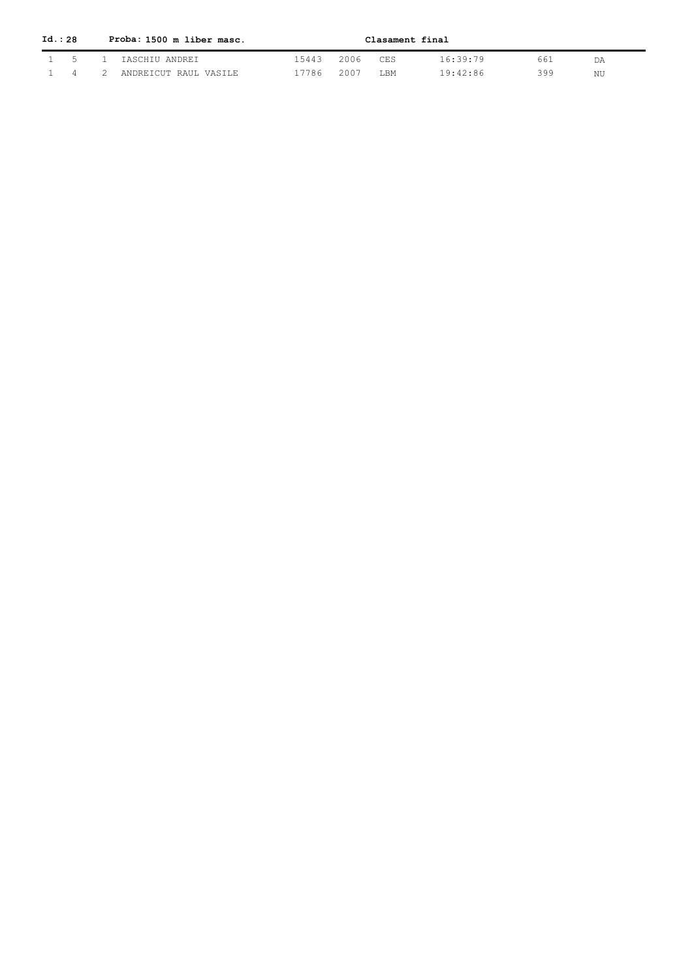| Id. : 28 |  | Proba: 1500 m liber masc.   |            |          |      | Clasament final |     |    |
|----------|--|-----------------------------|------------|----------|------|-----------------|-----|----|
|          |  | 1 5 1 IASCHIU ANDREI        | 15443      | 2006 CES |      | 16:39:79        | 661 | DA |
|          |  | 1 4 2 ANDREICUT RAUL VASILE | 17786 2007 |          | T.BM | 19:42:86        | 399 | NU |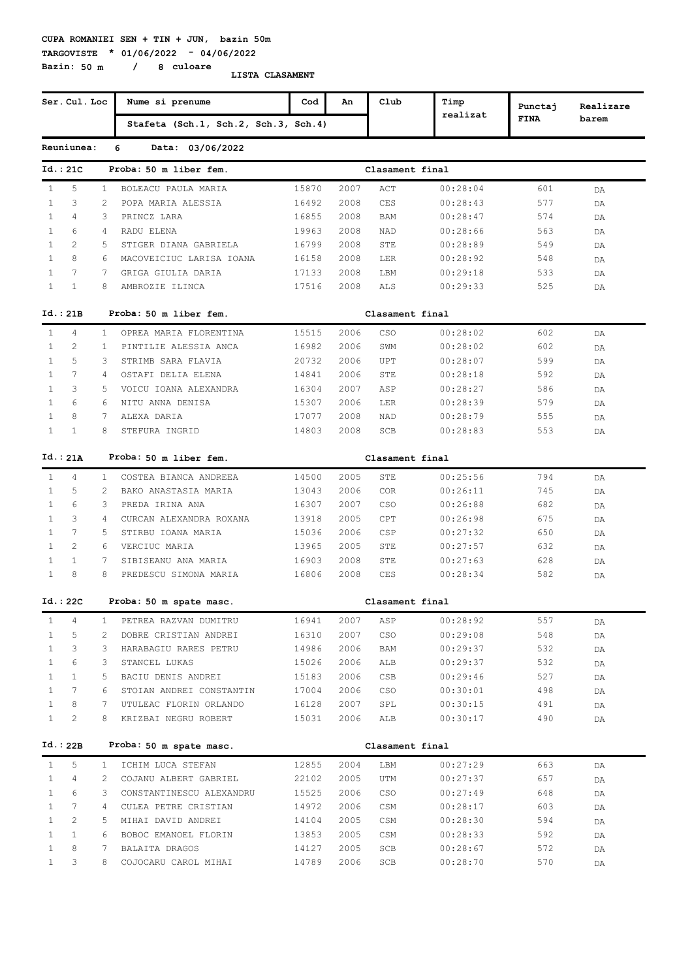**TARGOVISTE \* 01/06/2022 - 04/06/2022 Bazin: 50 m / 8 culoare**

|              | Ser. Cul. Loc  |               | Nume si prenume                      | Cod   | An   | Club            | Timp     | Punctaj     | Realizare |
|--------------|----------------|---------------|--------------------------------------|-------|------|-----------------|----------|-------------|-----------|
|              |                |               | Stafeta (Sch.1, Sch.2, Sch.3, Sch.4) |       |      |                 | realizat | <b>FINA</b> | barem     |
|              | Reuniunea:     |               | 6<br>Data: 03/06/2022                |       |      |                 |          |             |           |
|              | Id.: 21C       |               | Proba: 50 m liber fem.               |       |      | Clasament final |          |             |           |
| $\mathbf{1}$ | 5              | 1             | BOLEACU PAULA MARIA                  | 15870 | 2007 | ACT             | 00:28:04 | 601         | DA        |
| $\mathbf{1}$ | 3              | 2             | POPA MARIA ALESSIA                   | 16492 | 2008 | CES             | 00:28:43 | 577         | DA        |
| $\mathbf{1}$ | 4              | 3             | PRINCZ LARA                          | 16855 | 2008 | <b>BAM</b>      | 00:28:47 | 574         | DA        |
| $\mathbf{1}$ | 6              | 4             | RADU ELENA                           | 19963 | 2008 | <b>NAD</b>      | 00:28:66 | 563         | DA        |
| $\mathbf{1}$ | 2              | 5             | STIGER DIANA GABRIELA                | 16799 | 2008 | STE             | 00:28:89 | 549         | DA        |
| $\mathbf{1}$ | 8              | 6             | MACOVEICIUC LARISA IOANA             | 16158 | 2008 | LER             | 00:28:92 | 548         | DA        |
| 1            | 7              | 7             | GRIGA GIULIA DARIA                   | 17133 | 2008 | LBM             | 00:29:18 | 533         | DA        |
| 1            | $\mathbf{1}$   | 8             | AMBROZIE ILINCA                      | 17516 | 2008 | ALS             | 00:29:33 | 525         | DA        |
|              | Id.: 21B       |               | Proba: 50 m liber fem.               |       |      | Clasament final |          |             |           |
| $\mathbf{1}$ | 4              | $\mathbf{1}$  | OPREA MARIA FLORENTINA               | 15515 | 2006 | CSO             | 00:28:02 | 602         | DA        |
| $\mathbf{1}$ | 2              | 1.            | PINTILIE ALESSIA ANCA                | 16982 | 2006 | SWM             | 00:28:02 | 602         | DA        |
| 1            | 5              | 3             | STRIMB SARA FLAVIA                   | 20732 | 2006 | UPT             | 00:28:07 | 599         | DA        |
| $\mathbf{1}$ | 7              | 4             | OSTAFI DELIA ELENA                   | 14841 | 2006 | STE             | 00:28:18 | 592         | DA        |
| $\mathbf{1}$ | 3              | 5             | VOICU IOANA ALEXANDRA                | 16304 | 2007 | ASP             | 00:28:27 | 586         | DA        |
| 1            | 6              | 6             | NITU ANNA DENISA                     | 15307 | 2006 | LER             | 00:28:39 | 579         | DA        |
| $\mathbf{1}$ | 8              | 7             | ALEXA DARIA                          | 17077 | 2008 | NAD             | 00:28:79 | 555         | DA        |
| $\mathbf{1}$ | $\mathbf{1}$   | 8             | STEFURA INGRID                       | 14803 | 2008 | SCB             | 00:28:83 | 553         | DA        |
|              | Id.: 21A       |               | Proba: 50 m liber fem.               |       |      | Clasament final |          |             |           |
| $\mathbf{1}$ | $\overline{4}$ | $\mathbf{1}$  | COSTEA BIANCA ANDREEA                | 14500 | 2005 | STE             | 00:25:56 | 794         | DA        |
| $\mathbf{1}$ | 5              | $\mathcal{L}$ | BAKO ANASTASIA MARIA                 | 13043 | 2006 | COR             | 00:26:11 | 745         | DA        |
| $\mathbf{1}$ | 6              | 3             | PREDA IRINA ANA                      | 16307 | 2007 | CSO             | 00:26:88 | 682         | DA        |
| $\mathbf{1}$ | 3              | 4             | CURCAN ALEXANDRA ROXANA              | 13918 | 2005 | CPT             | 00:26:98 | 675         | DA        |
| $\mathbf{1}$ | 7              | 5             | STIRBU IOANA MARIA                   | 15036 | 2006 | CSP             | 00:27:32 | 650         | DA        |
| $\mathbf{1}$ | $\overline{c}$ | 6             | VERCIUC MARIA                        | 13965 | 2005 | STE             | 00:27:57 | 632         | DA        |
| $\mathbf{1}$ | $\mathbf{1}$   | 7             | SIBISEANU ANA MARIA                  | 16903 | 2008 | STE             | 00:27:63 | 628         | DA        |
| $\mathbf{1}$ | 8              | 8             | PREDESCU SIMONA MARIA                | 16806 | 2008 | CES             | 00:28:34 | 582         | DA        |
|              | Id.: 22C       |               | Proba: 50 m spate masc.              |       |      | Clasament final |          |             |           |
| $\mathbf{1}$ | 4              | 1             | PETREA RAZVAN DUMITRU                | 16941 | 2007 | ASP             | 00:28:92 | 557         | DA        |
| $\mathbf{1}$ | 5              | 2             | DOBRE CRISTIAN ANDREI                | 16310 | 2007 | CSO             | 00:29:08 | 548         | DA        |
| 1            | 3              | 3             | HARABAGIU RARES PETRU                | 14986 | 2006 | BAM             | 00:29:37 | 532         | DA        |
| $\mathbf{1}$ | 6              | 3             | STANCEL LUKAS                        | 15026 | 2006 | ALB             | 00:29:37 | 532         | DA        |
| $\mathbf{1}$ | 1              | 5             | BACIU DENIS ANDREI                   | 15183 | 2006 | CSB             | 00:29:46 | 527         | DA        |
| $\mathbf{1}$ | 7              | 6             | STOIAN ANDREI CONSTANTIN             | 17004 | 2006 | CSO             | 00:30:01 | 498         | DA        |
| $\mathbf{1}$ | 8              | 7             | UTULEAC FLORIN ORLANDO               | 16128 | 2007 | SPL             | 00:30:15 | 491         | DA        |
| $\mathbf{1}$ | 2              | 8             | KRIZBAI NEGRU ROBERT                 | 15031 | 2006 | ALB             | 00:30:17 | 490         | DA        |
|              | Id.: 22B       |               | Proba: 50 m spate masc.              |       |      | Clasament final |          |             |           |
| $\mathbf{1}$ | 5              | $\mathbf{1}$  | ICHIM LUCA STEFAN                    | 12855 | 2004 | LBM             | 00:27:29 | 663         | DA        |
| $\mathbf{1}$ | 4              | 2             | COJANU ALBERT GABRIEL                | 22102 | 2005 | UTM             | 00:27:37 | 657         | DA        |
| $\mathbf{1}$ | 6              | 3             | CONSTANTINESCU ALEXANDRU             | 15525 | 2006 | CSO             | 00:27:49 | 648         | DA        |
| $\mathbf{1}$ | 7              | 4             | CULEA PETRE CRISTIAN                 | 14972 | 2006 | CSM             | 00:28:17 | 603         | DA        |
| $\mathbf{1}$ | 2              | 5             | MIHAI DAVID ANDREI                   | 14104 | 2005 | CSM             | 00:28:30 | 594         | DA        |
| $\mathbf{1}$ | $\mathbf{1}$   | 6             | BOBOC EMANOEL FLORIN                 | 13853 | 2005 | CSM             | 00:28:33 | 592         | DA        |
| $\mathbf{1}$ | 8              | 7             | BALAITA DRAGOS                       | 14127 | 2005 | SCB             | 00:28:67 | 572         | DA        |
| $\mathbf{1}$ | 3              | 8             | COJOCARU CAROL MIHAI                 | 14789 | 2006 | SCB             | 00:28:70 | 570         | DA        |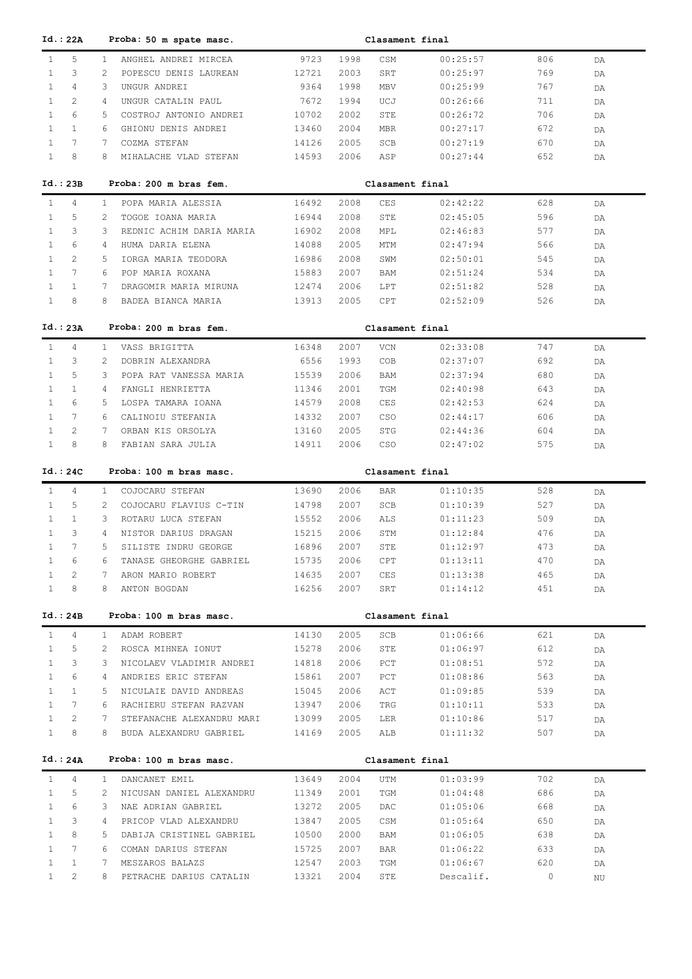| Id. : 22A                             |                | Proba: 50 m spate masc.   |       |              | Clasament final |           |         |          |
|---------------------------------------|----------------|---------------------------|-------|--------------|-----------------|-----------|---------|----------|
| 5<br>$\mathbf{1}$                     | $\mathbf{1}$   | ANGHEL ANDREI MIRCEA      | 9723  | 1998         | CSM             | 00:25:57  | 806     | DA       |
| $\mathbf{1}$<br>3                     | 2              | POPESCU DENIS LAUREAN     | 12721 | 2003         | SRT             | 00:25:97  | 769     | DA       |
| $\overline{4}$<br>$\mathbf{1}$        | 3              | UNGUR ANDREI              | 9364  | 1998         | MBV             | 00:25:99  | 767     | DA       |
| $\overline{2}$<br>$\mathbf{1}$        | 4              | UNGUR CATALIN PAUL        | 7672  | 1994         | UCJ             | 00:26:66  | 711     | DA       |
| 6<br>$\mathbf{1}$                     | 5              | COSTROJ ANTONIO ANDREI    | 10702 | 2002         | STE             | 00:26:72  | 706     | DA       |
| $\mathbf{1}$<br>$\mathbf{1}$          | 6              | GHIONU DENIS ANDREI       | 13460 | 2004         | <b>MBR</b>      | 00:27:17  | 672     |          |
| $7\phantom{.0}$<br>$\mathbf{1}$       | 7              |                           |       |              |                 |           |         | DA       |
|                                       |                | COZMA STEFAN              | 14126 | 2005         | SCB             | 00:27:19  | 670     | DA       |
| $\mathbf{1}$<br>8                     | 8              | MIHALACHE VLAD STEFAN     | 14593 | 2006         | ASP             | 00:27:44  | 652     | DA       |
|                                       |                |                           |       |              |                 |           |         |          |
| Id.: 23B                              |                | Proba: 200 m bras fem.    |       |              | Clasament final |           |         |          |
| $\mathbf{1}$<br>4                     | $\mathbf{1}$   | POPA MARIA ALESSIA        | 16492 | 2008         | CES             | 02:42:22  | 628     | DA       |
| 5<br>$\mathbf{1}$                     | 2              | TOGOE IOANA MARIA         | 16944 | 2008         | STE             | 02:45:05  | 596     | DA       |
| 3<br>$\mathbf{1}$                     | 3              | REDNIC ACHIM DARIA MARIA  | 16902 | 2008         | MPL             | 02:46:83  | 577     | DA       |
| 6<br>$\mathbf{1}$                     | 4              | HUMA DARIA ELENA          | 14088 | 2005         | MTM             | 02:47:94  | 566     | DA       |
| $\overline{2}$<br>$\mathbf{1}$        | 5              | IORGA MARIA TEODORA       | 16986 | 2008         | SWM             | 02:50:01  | 545     | DA       |
| $7\phantom{.0}$<br>$\mathbf{1}$       | 6              | POP MARIA ROXANA          | 15883 | 2007         | BAM             | 02:51:24  | 534     | DA       |
| $\mathbf{1}$<br>$\mathbf{1}$          | 7              | DRAGOMIR MARIA MIRUNA     | 12474 | 2006         | LPT             | 02:51:82  | 528     | DA       |
| 8<br>$\mathbf{1}$                     | 8              | BADEA BIANCA MARIA        | 13913 | 2005         | CPT             | 02:52:09  | 526     | DA       |
|                                       |                |                           |       |              |                 |           |         |          |
| Id.: 23A                              |                | Proba: 200 m bras fem.    |       |              | Clasament final |           |         |          |
| $\mathbf{1}$<br>4                     | $\mathbf{1}$   | VASS BRIGITTA             | 16348 | 2007         | VCN             | 02:33:08  | 747     |          |
| 3<br>$\mathbf{1}$                     | 2              | DOBRIN ALEXANDRA          | 6556  | 1993         | COB             | 02:37:07  | 692     | DA       |
| 5<br>$\mathbf{1}$                     | 3              |                           |       | 2006         |                 |           |         | DA       |
|                                       |                | POPA RAT VANESSA MARIA    | 15539 |              | BAM             | 02:37:94  | 680     | DA       |
| $\mathbf{1}$<br>$\mathbf{1}$          | 4              | FANGLI HENRIETTA          | 11346 | 2001         | TGM             | 02:40:98  | 643     | DA       |
| $\mathbf{1}$<br>6                     | 5              | LOSPA TAMARA IOANA        | 14579 | 2008         | CES             | 02:42:53  | 624     | DA       |
| $7\phantom{.0}$<br>$\mathbf{1}$       | 6              | CALINOIU STEFANIA         | 14332 | 2007         | <b>CSO</b>      | 02:44:17  | 606     | DA       |
| 2<br>$\mathbf{1}$                     | 7              | ORBAN KIS ORSOLYA         | 13160 | 2005         | STG             | 02:44:36  | 604     | DA       |
| 8<br>$\mathbf{1}$                     | 8              | FABIAN SARA JULIA         | 14911 | 2006         | <b>CSO</b>      | 02:47:02  | 575     | DA       |
|                                       |                |                           |       |              |                 |           |         |          |
| Id. : 24C                             |                | Proba: 100 m bras masc.   |       |              | Clasament final |           |         |          |
|                                       |                |                           |       |              |                 |           |         |          |
| $\mathbf{1}$<br>4                     | $\mathbf{1}$   | COJOCARU STEFAN           | 13690 | 2006         | BAR             | 01:10:35  | 528     | DA       |
| 5<br>$\mathbf{1}$                     | $\overline{2}$ | COJOCARU FLAVIUS C-TIN    | 14798 | 2007         | SCB             | 01:10:39  | 527     | DA       |
| $\mathbf{1}$<br>1                     | 3              | ROTARU LUCA STEFAN        | 15552 | 2006         | ALS             | 01:11:23  | 509     | DA       |
| $\mathbf{1}$<br>3                     | 4              | NISTOR DARIUS DRAGAN      | 15215 | 2006         | STM             | 01:12:84  | 476     | DA       |
| $7\phantom{.0}$<br>$\mathbf{1}$       | 5              | SILISTE INDRU GEORGE      | 16896 | 2007         | STE             | 01:12:97  | 473     | DA       |
| $\mathbf{1}$<br>6                     | 6              | TANASE GHEORGHE GABRIEL   | 15735 | 2006         | CPT             | 01:13:11  | 470     | DA       |
| 2<br>$\mathbf{1}$                     | 7              | ARON MARIO ROBERT         | 14635 | 2007         | CES             | 01:13:38  | 465     | DA       |
| 8<br>$\mathbf{1}$                     | 8              | ANTON BOGDAN              | 16256 | 2007         | SRT             | 01:14:12  | 451     | DA       |
|                                       |                |                           |       |              |                 |           |         |          |
| Id.: 24B                              |                | Proba: 100 m bras masc.   |       |              | Clasament final |           |         |          |
|                                       |                |                           |       |              |                 |           |         |          |
| 4<br>$\mathbf{1}$                     | $\mathbf{1}$   | ADAM ROBERT               | 14130 | 2005         | SCB             | 01:06:66  | 621     | DA       |
| 5<br>$\mathbf{1}$                     | 2              | ROSCA MIHNEA IONUT        | 15278 | 2006         | STE             | 01:06:97  | 612     | DA       |
| 3<br>$\mathbf{1}$                     | 3              | NICOLAEV VLADIMIR ANDREI  | 14818 | 2006         | PCT             | 01:08:51  | 572     | DA       |
| 6<br>$\mathbf{1}$                     | 4              | ANDRIES ERIC STEFAN       | 15861 | 2007         | PCT             | 01:08:86  | 563     | DA       |
| $\mathbf{1}$<br>$\mathbf{1}$          | 5              | NICULAIE DAVID ANDREAS    | 15045 | 2006         | ACT             | 01:09:85  | 539     | DA       |
| $7\phantom{.0}$<br>$\mathbf{1}$       | 6              | RACHIERU STEFAN RAZVAN    | 13947 | 2006         | TRG             | 01:10:11  | 533     | DA       |
| $\mathbf{2}^{\prime}$<br>$\mathbf{1}$ | 7              | STEFANACHE ALEXANDRU MARI | 13099 | 2005         | LER             | 01:10:86  | 517     | DA       |
| 8<br>$\mathbf{1}$                     | 8              | BUDA ALEXANDRU GABRIEL    | 14169 | 2005         | ALB             | 01:11:32  | 507     | DA       |
|                                       |                |                           |       |              |                 |           |         |          |
| Id.: 24A                              |                | Proba: 100 m bras masc.   |       |              | Clasament final |           |         |          |
| $\mathbf{1}$<br>$\overline{4}$        | $\mathbf{1}$   | DANCANET EMIL             | 13649 | 2004         | UTM             | 01:03:99  | 702     | DA       |
| $\mathbf{1}$<br>5                     | 2              | NICUSAN DANIEL ALEXANDRU  | 11349 | 2001         | TGM             | 01:04:48  | 686     | DA       |
| 6<br>$\mathbf{1}$                     | 3              | NAE ADRIAN GABRIEL        | 13272 | 2005         | DAC             | 01:05:06  | 668     | DA       |
| $\mathbf{1}$<br>3                     | 4              | PRICOP VLAD ALEXANDRU     | 13847 | 2005         | CSM             | 01:05:64  | 650     | DA       |
| 8<br>$\mathbf{1}$                     | 5              | DABIJA CRISTINEL GABRIEL  | 10500 | 2000         | BAM             | 01:06:05  | 638     |          |
| $\mathbf{1}$<br>7                     | 6              | COMAN DARIUS STEFAN       | 15725 | 2007         | BAR             | 01:06:22  | 633     | DA       |
| $\mathbf{1}$<br>$\mathbf{1}$          | 7              | MESZAROS BALAZS           | 12547 |              | TGM             | 01:06:67  | 620     | DA       |
| $\mathbf{2}^{\prime}$<br>$\mathbf{1}$ | 8              | PETRACHE DARIUS CATALIN   | 13321 | 2003<br>2004 | STE             | Descalif. | $\circ$ | DA<br>NU |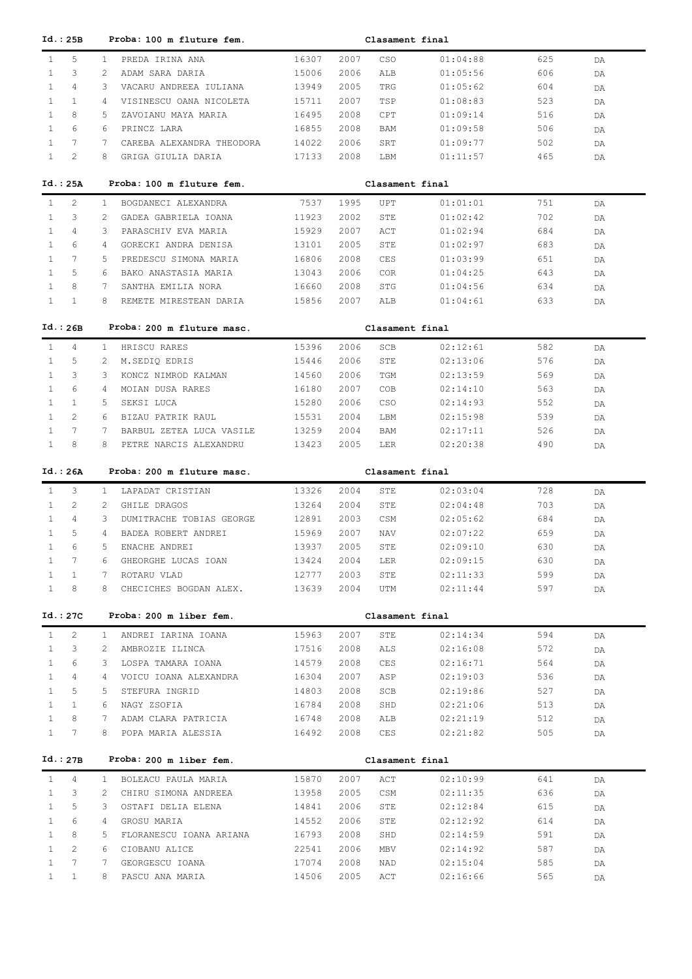| Id.: 25B                                          |              | Proba: 100 m fluture fem.          |                |              | Clasament final |                      |            |          |
|---------------------------------------------------|--------------|------------------------------------|----------------|--------------|-----------------|----------------------|------------|----------|
| $\mathbf{1}$<br>5                                 | $\mathbf{1}$ | PREDA IRINA ANA                    | 16307          | 2007         | CSO             | 01:04:88             | 625        | DA       |
| 3<br>1                                            | 2            | ADAM SARA DARIA                    | 15006          | 2006         | ALB             | 01:05:56             | 606        | DA       |
| $\mathbf{1}$<br>4                                 | 3            | VACARU ANDREEA IULIANA             | 13949          | 2005         | TRG             | 01:05:62             | 604        | DA       |
| $\mathbf{1}$<br>$\mathbf{1}$                      | 4            | VISINESCU OANA NICOLETA            | 15711          | 2007         | TSP             | 01:08:83             | 523        | DA       |
| $\mathbf{1}$<br>8                                 | 5            | ZAVOIANU MAYA MARIA                | 16495          | 2008         | CPT             | 01:09:14             | 516        | DA       |
| 6<br>$\mathbf{1}$                                 | 6            | PRINCZ LARA                        | 16855          | 2008         | BAM             | 01:09:58             | 506        | DA       |
| $7\phantom{.0}$<br>$\mathbf{1}$                   | 7            | CAREBA ALEXANDRA THEODORA          | 14022          | 2006         | SRT             | 01:09:77             | 502        | DA       |
| $\mathbf{1}$<br>2                                 | 8            | GRIGA GIULIA DARIA                 | 17133          | 2008         | LBM             | 01:11:57             | 465        | DA       |
|                                                   |              |                                    |                |              |                 |                      |            |          |
| Id.: 25A                                          |              | Proba: 100 m fluture fem.          |                |              | Clasament final |                      |            |          |
| 2<br>$\mathbf{1}$                                 | $\mathbf{1}$ | BOGDANECI ALEXANDRA                | 7537           | 1995         | UPT             | 01:01:01             | 751        | DA       |
| 3<br>1                                            | 2            | GADEA GABRIELA IOANA               | 11923          | 2002         | STE             | 01:02:42             | 702        | DA       |
| 4<br>1                                            | 3            | PARASCHIV EVA MARIA                | 15929          | 2007         | ACT             | 01:02:94             | 684        | DA       |
| 6<br>$\mathbf{1}$                                 | 4            | GORECKI ANDRA DENISA               | 13101          | 2005         | STE             | 01:02:97             | 683        | DA       |
| 7<br>1                                            | 5            | PREDESCU SIMONA MARIA              | 16806          | 2008         | CES             | 01:03:99             | 651        | DA       |
| 5<br>$\mathbf{1}$                                 | 6            | BAKO ANASTASIA MARIA               | 13043          | 2006         | <b>COR</b>      | 01:04:25             | 643        | DA       |
| 8<br>1                                            | 7            | SANTHA EMILIA NORA                 | 16660          | 2008         | STG             | 01:04:56             | 634        | DA       |
| $\mathbf{1}$<br>$\mathbf{1}$                      | 8            | REMETE MIRESTEAN DARIA             | 15856          | 2007         | ALB             | 01:04:61             | 633        | DA       |
|                                                   |              |                                    |                |              |                 |                      |            |          |
| Id.: 26B                                          |              | Proba: 200 m fluture masc.         |                |              | Clasament final |                      |            |          |
| $\mathbf{1}$<br>4                                 | $\mathbf{1}$ | HRISCU RARES                       | 15396          | 2006         | SCB             | 02:12:61             | 582        | DA       |
| 5<br>1                                            | 2            | M.SEDIQ EDRIS                      | 15446          | 2006         | STE             | 02:13:06             | 576        | DA       |
| 3<br>$\mathbf{1}$                                 | 3            | KONCZ NIMROD KALMAN                | 14560          | 2006         | TGM             | 02:13:59             | 569        | DA       |
| 6<br>$\mathbf{1}$                                 | 4            | MOIAN DUSA RARES                   | 16180          | 2007         | COB             | 02:14:10             | 563        | DA       |
| $\mathbf{1}$<br>$\mathbf{1}$                      | .5           | SEKSI LUCA                         | 15280          | 2006         | CSO             | 02:14:93             | 552        | DA       |
| $\overline{c}$<br>$\mathbf{1}$                    | 6            | BIZAU PATRIK RAUL                  | 15531          | 2004         | LBM             | 02:15:98             | 539        | DA       |
| 7<br>$\mathbf{1}$                                 | 7            | BARBUL ZETEA LUCA VASILE           | 13259          | 2004         | BAM             | 02:17:11             | 526        | DA       |
| $\mathbf{1}$<br>8                                 | 8            | PETRE NARCIS ALEXANDRU             | 13423          | 2005         | LER             | 02:20:38             | 490        | DA       |
|                                                   |              |                                    |                |              |                 |                      |            |          |
|                                                   |              |                                    |                |              |                 |                      |            |          |
| Id.: 26A                                          |              | Proba: 200 m fluture masc.         |                |              | Clasament final |                      |            |          |
| $\mathbf{1}$<br>3                                 | $\mathbf{1}$ | LAPADAT CRISTIAN                   | 13326          | 2004         | STE             | 02:03:04             | 728        | DA       |
| 2<br>1                                            | 2            | GHILE DRAGOS                       | 13264          | 2004         | STE             | 02:04:48             | 703        | DA       |
| $\mathbf{1}$<br>4                                 | 3            | DUMITRACHE TOBIAS GEORGE           | 12891          | 2003         | CSM             | 02:05:62             | 684        | DA       |
| $\mathbf{1}$<br>5                                 | 4            | BADEA ROBERT ANDREI                | 15969          | 2007         | NAV             | 02:07:22             | 659        | DA       |
| 6<br>$\mathbf{1}$                                 | 5            | ENACHE ANDREI                      | 13937          | 2005         | STE             | 02:09:10             | 630        | DA       |
| 7                                                 | 6            | GHEORGHE LUCAS IOAN                | 13424          | 2004         | LER             | 02:09:15             | 630        | DA       |
| $\mathbf{1}$<br>1                                 | 7            | ROTARU VLAD                        | 12777          | 2003         | STE             | 02:11:33             | 599        | DA       |
| $\mathbf{1}$<br>8                                 | 8            | CHECICHES BOGDAN ALEX.             | 13639          | 2004         | UTM             | 02:11:44             | 597        | DA       |
|                                                   |              |                                    |                |              |                 |                      |            |          |
| Id.:27C                                           |              | Proba: 200 m liber fem.            |                |              | Clasament final |                      |            |          |
| $\overline{c}$<br>$\mathbf{1}$                    | $\mathbf{1}$ | ANDREI IARINA IOANA                | 15963          | 2007         | STE             | 02:14:34             | 594        | DA       |
| 3<br>$\mathbf{1}$                                 | 2            | AMBROZIE ILINCA                    | 17516          | 2008         | ALS             | 02:16:08             | 572        | DA       |
| 6<br>$\mathbf{1}$                                 | 3            | LOSPA TAMARA IOANA                 | 14579          | 2008         | CES             | 02:16:71             | 564        | DA       |
| 4<br>$\mathbf{1}$                                 | 4            | VOICU IOANA ALEXANDRA              | 16304          | 2007         | ASP             | 02:19:03             | 536        | DA       |
| 5<br>1                                            | 5            | STEFURA INGRID                     | 14803          | 2008         | SCB             | 02:19:86             | 527        | DA       |
| $\mathbf{1}$<br>1                                 | 6            | NAGY ZSOFIA                        | 16784          | 2008         | SHD             | 02:21:06             | 513        | DA       |
| $\mathbf{1}$<br>8                                 | 7            | ADAM CLARA PATRICIA                | 16748          | 2008         | ALB             | 02:21:19             | 512        | DA       |
| $\mathbf{1}$<br>7                                 | 8            | POPA MARIA ALESSIA                 | 16492          | 2008         | CES             | 02:21:82             | 505        | DA       |
|                                                   |              |                                    |                |              |                 |                      |            |          |
| Id.: 27B                                          |              | Proba: 200 m liber fem.            |                |              | Clasament final |                      |            |          |
| $\mathbf{1}$<br>4                                 | $\mathbf{1}$ | BOLEACU PAULA MARIA                | 15870          | 2007         | ACT             | 02:10:99             | 641        | DA       |
| 3<br>$\mathbf{1}$                                 | 2            | CHIRU SIMONA ANDREEA               | 13958          | 2005         | CSM             | 02:11:35             | 636        | DA       |
| 5<br>$\mathbf{1}$                                 | 3            | OSTAFI DELIA ELENA                 | 14841          | 2006         | STE             | 02:12:84             | 615        | DA       |
| 6<br>$\mathbf{1}$                                 | 4            | GROSU MARIA                        | 14552          | 2006         | STE             | 02:12:92             | 614        | DA       |
| 8<br>$\mathbf{1}$                                 | 5            | FLORANESCU IOANA ARIANA            | 16793          | 2008         | SHD             | 02:14:59             | 591        | DA       |
| 2<br>$\mathbf{1}$                                 | 6            | CIOBANU ALICE                      | 22541          | 2006         | MBV             | 02:14:92             | 587        | DA       |
| 7<br>$\mathbf{1}$<br>$\mathbf{1}$<br>$\mathbf{1}$ | 7<br>8       | GEORGESCU IOANA<br>PASCU ANA MARIA | 17074<br>14506 | 2008<br>2005 | NAD<br>ACT      | 02:15:04<br>02:16:66 | 585<br>565 | DA<br>DA |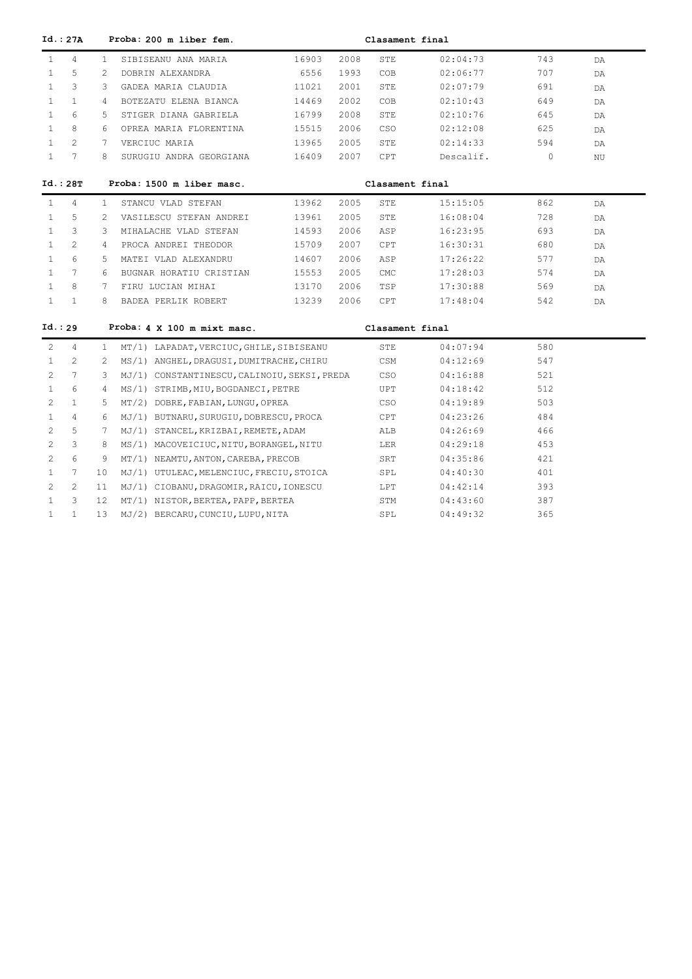|                       | Id.: 27A        |                | Proba: 200 m liber fem.                      |       |      | Clasament final |           |          |    |
|-----------------------|-----------------|----------------|----------------------------------------------|-------|------|-----------------|-----------|----------|----|
| $\mathbf{1}$          | 4               | $\mathbf{1}$   | SIBISEANU ANA MARIA                          | 16903 | 2008 | STE             | 02:04:73  | 743      | DA |
| $\mathbf{1}$          | 5               | 2              | DOBRIN ALEXANDRA                             | 6556  | 1993 | COB             | 02:06:77  | 707      | DA |
| $\mathbf{1}$          | 3               | 3              | GADEA MARIA CLAUDIA                          | 11021 | 2001 | STE             | 02:07:79  | 691      | DA |
| $\mathbf{1}$          | $\mathbf{1}$    | $\overline{4}$ | BOTEZATU ELENA BIANCA                        | 14469 | 2002 | COB             | 02:10:43  | 649      | DA |
| $\mathbf{1}$          | 6               | 5              | STIGER DIANA GABRIELA                        | 16799 | 2008 | STE             | 02:10:76  | 645      | DA |
| $\mathbf{1}$          | 8               | 6              | OPREA MARIA FLORENTINA                       | 15515 | 2006 | CSO             | 02:12:08  | 625      | DA |
| $\mathbf{1}$          | $\overline{2}$  | 7              | VERCIUC MARIA                                | 13965 | 2005 | STE             | 02:14:33  | 594      | DA |
| $\mathbf{1}$          | $7\overline{ }$ | 8              | SURUGIU ANDRA GEORGIANA                      | 16409 | 2007 | <b>CPT</b>      | Descalif. | $\Omega$ | ΝU |
|                       | Id.: 28T        |                | Proba: 1500 m liber masc.                    |       |      | Clasament final |           |          |    |
| $\mathbf{1}$          | 4               | 1              | STANCU VLAD STEFAN                           | 13962 | 2005 | STE             | 15:15:05  | 862      | DA |
| $\mathbf{1}$          | 5               | 2              | VASILESCU STEFAN ANDREI                      | 13961 | 2005 | STE             | 16:08:04  | 728      | DA |
| $\mathbf{1}$          | 3               | 3              | MIHALACHE VLAD STEFAN                        | 14593 | 2006 | ASP             | 16:23:95  | 693      | DA |
| $\mathbf{1}$          | $\overline{c}$  | 4              | PROCA ANDREI THEODOR                         | 15709 | 2007 | CPT             | 16:30:31  | 680      | DA |
| $\mathbf{1}$          | 6               | 5.             | MATEI VLAD ALEXANDRU                         | 14607 | 2006 | ASP             | 17:26:22  | 577      | DA |
| $\mathbf{1}$          | $7^{\circ}$     | 6              | BUGNAR HORATIU CRISTIAN                      | 15553 | 2005 | CMC             | 17:28:03  | 574      | DA |
| $\mathbf{1}$          | 8               | 7              | FIRU LUCIAN MIHAI                            | 13170 | 2006 | TSP             | 17:30:88  | 569      | DA |
| $\mathbf{1}$          | $\mathbf{1}$    | 8              | BADEA PERLIK ROBERT                          | 13239 | 2006 | CPT             | 17:48:04  | 542      | DA |
| Id.: 29               |                 |                | Proba: 4 X 100 m mixt masc.                  |       |      | Clasament final |           |          |    |
| 2                     | 4               | $\mathbf{1}$   | MT/1) LAPADAT, VERCIUC, GHILE, SIBISEANU     |       |      | STE             | 04:07:94  | 580      |    |
| $\mathbf{1}$          | 2               | 2              | MS/1) ANGHEL, DRAGUSI, DUMITRACHE, CHIRU     |       |      | CSM             | 04:12:69  | 547      |    |
| 2                     | $7\overline{ }$ | 3              | MJ/1) CONSTANTINESCU, CALINOIU, SEKSI, PREDA |       |      | CSO             | 04:16:88  | 521      |    |
| $\mathbf{1}$          | 6               | 4              | MS/1) STRIMB, MIU, BOGDANECI, PETRE          |       |      | UPT             | 04:18:42  | 512      |    |
| 2                     | $\mathbf{1}$    | 5              | MT/2) DOBRE, FABIAN, LUNGU, OPREA            |       |      | CSO             | 04:19:89  | 503      |    |
| $\mathbf{1}$          | 4               | 6              | MJ/1) BUTNARU, SURUGIU, DOBRESCU, PROCA      |       |      | CPT             | 04:23:26  | 484      |    |
| 2                     | 5               | 7              | MJ/1) STANCEL, KRIZBAI, REMETE, ADAM         |       |      | ALB             | 04:26:69  | 466      |    |
| $\mathbf{2}^{\prime}$ | 3               | 8              | MS/1) MACOVEICIUC, NITU, BORANGEL, NITU      |       |      | LER             | 04:29:18  | 453      |    |
| $\overline{2}$        | 6               | 9              | MT/1) NEAMTU, ANTON, CAREBA, PRECOB          |       |      | SRT             | 04:35:86  | 421      |    |
| $\mathbf{1}$          | 7               | 10             | MJ/1) UTULEAC, MELENCIUC, FRECIU, STOICA     |       |      | SPL             | 04:40:30  | 401      |    |
| $\mathbf{2}^{\prime}$ | $\overline{c}$  | 11             | MJ/1) CIOBANU, DRAGOMIR, RAICU, IONESCU      |       |      | LPT             | 04:42:14  | 393      |    |
| $\mathbf{1}$          | 3               | 12             | MT/1) NISTOR, BERTEA, PAPP, BERTEA           |       |      | STM             | 04:43:60  | 387      |    |
| $\mathbf{1}$          | $\mathbf{1}$    | 13             | MJ/2) BERCARU, CUNCIU, LUPU, NITA            |       |      | SPL             | 04:49:32  | 365      |    |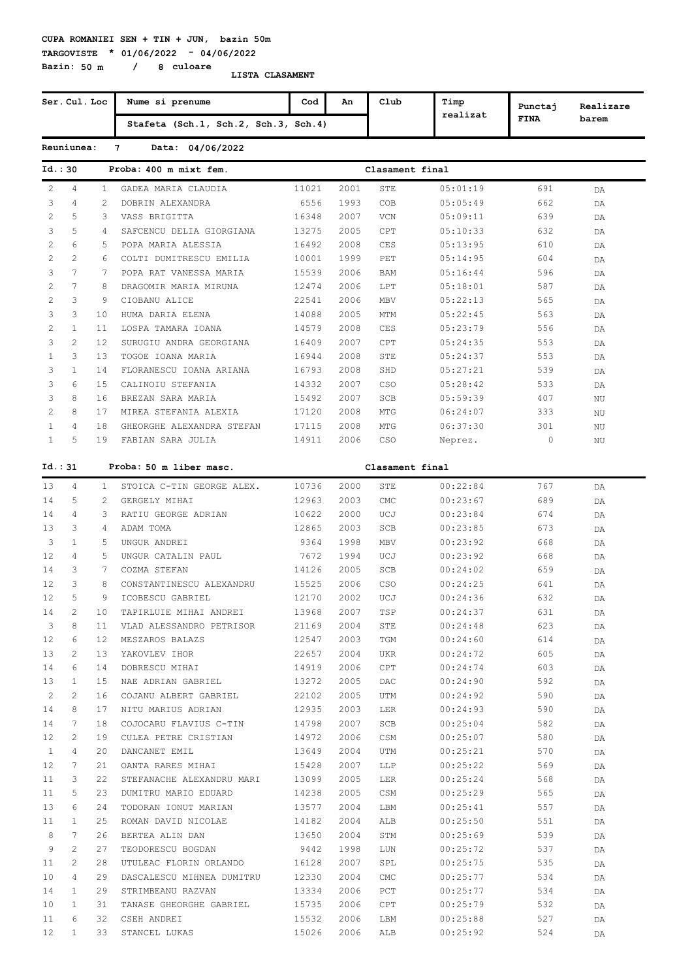**TARGOVISTE \* 01/06/2022 - 04/06/2022 Bazin: 50 m / 8 culoare**

| Ser. Cul. Loc     |                |                | Nume si prenume                      | Cod   | An   | Club            | Timp     | Punctaj     | Realizare |
|-------------------|----------------|----------------|--------------------------------------|-------|------|-----------------|----------|-------------|-----------|
|                   |                |                | Stafeta (Sch.1, Sch.2, Sch.3, Sch.4) |       |      |                 | realizat | <b>FINA</b> | barem     |
|                   | Reuniunea:     |                | $7\overline{ }$<br>Data: 04/06/2022  |       |      |                 |          |             |           |
|                   | Id.:30         |                | Proba: 400 m mixt fem.               |       |      | Clasament final |          |             |           |
| 2                 | 4              | $\mathbf{1}$   | GADEA MARIA CLAUDIA                  | 11021 | 2001 | STE             | 05:01:19 | 691         | DA        |
| 3                 | 4              | 2              | DOBRIN ALEXANDRA                     | 6556  | 1993 | COB             | 05:05:49 | 662         | DA        |
| 2                 | 5              | 3              | VASS BRIGITTA                        | 16348 | 2007 | VCN             | 05:09:11 | 639         | DA        |
| 3                 | 5              | 4              | SAFCENCU DELIA GIORGIANA             | 13275 | 2005 | CPT             | 05:10:33 | 632         | DA        |
| 2                 | 6              | .5             | POPA MARIA ALESSIA                   | 16492 | 2008 | CES             | 05:13:95 | 610         | DA        |
| 2                 | 2              | 6              | COLTI DUMITRESCU EMILIA              | 10001 | 1999 | PET             | 05:14:95 | 604         | DA        |
| 3                 | 7              | 7              | POPA RAT VANESSA MARIA               | 15539 | 2006 | BAM             | 05:16:44 | 596         | DA        |
| 2                 | 7              | 8              | DRAGOMIR MARIA MIRUNA                | 12474 | 2006 | LPT             | 05:18:01 | 587         | DA        |
| 2                 | 3              | 9              | CIOBANU ALICE                        | 22541 | 2006 | MBV             | 05:22:13 | 565         | DA        |
| 3                 | 3              | 10             | HUMA DARIA ELENA                     | 14088 | 2005 | MTM             | 05:22:45 | 563         | DA        |
| 2                 | $\mathbf{1}$   | 11             | LOSPA TAMARA IOANA                   | 14579 | 2008 | CES             | 05:23:79 | 556         | DA        |
| 3                 | $\overline{2}$ | 12             | SURUGIU ANDRA GEORGIANA              | 16409 | 2007 | CPT             | 05:24:35 | 553         | DA        |
| $\mathbf{1}$      | 3              | 13             | TOGOE IOANA MARIA                    | 16944 | 2008 | STE             | 05:24:37 | 553         | DA        |
| 3                 | $\mathbf{1}$   | 14             | FLORANESCU IOANA ARIANA              | 16793 | 2008 | SHD             | 05:27:21 | 539         | DA        |
| 3                 | 6              | 15             | CALINOIU STEFANIA                    | 14332 | 2007 | CSO             | 05:28:42 | 533         | DA        |
| 3                 | 8              | 16             | BREZAN SARA MARIA                    | 15492 | 2007 | SCB             | 05:59:39 | 407         | ΝU        |
| 2                 | 8              | 17             | MIREA STEFANIA ALEXIA                | 17120 | 2008 | MTG             | 06:24:07 | 333         | NU        |
| $\mathbf{1}$      | 4              | 18             | GHEORGHE ALEXANDRA STEFAN            | 17115 | 2008 | MTG             | 06:37:30 | 301         | ΝU        |
| $\mathbf{1}$      | 5              | 19             | FABIAN SARA JULIA                    | 14911 | 2006 | CSO             | Neprez.  | 0           | ΝU        |
|                   |                |                |                                      |       |      |                 |          |             |           |
|                   | Id.:31         |                | Proba: 50 m liber masc.              |       |      | Clasament final |          |             |           |
| 13                | 4              | $\mathbf{1}$   | STOICA C-TIN GEORGE ALEX.            | 10736 | 2000 | STE             | 00:22:84 | 767         | DA        |
| 14                | 5              | 2              | GERGELY MIHAI                        | 12963 | 2003 | <b>CMC</b>      | 00:23:67 | 689         | DA        |
| 14                | 4              | 3              | RATIU GEORGE ADRIAN                  | 10622 | 2000 | UCJ             | 00:23:84 | 674         | DA        |
| 13                | 3              | $\overline{4}$ | ADAM TOMA                            | 12865 | 2003 | SCB             | 00:23:85 | 673         | DA        |
| 3                 | $\mathbf{1}$   | 5              | UNGUR ANDREI                         | 9364  | 1998 | <b>MBV</b>      | 00:23:92 | 668         | DA        |
| $12 \overline{ }$ | 4              | 5              | UNGUR CATALIN PAUL                   | 7672  | 1994 | UCJ             | 00:23:92 | 668         | DA        |
| 14                | 3              | 7              | COZMA STEFAN                         | 14126 | 2005 | SCB             | 00:24:02 | 659         | DA        |
| 12                | 3              | 8              | CONSTANTINESCU ALEXANDRU             | 15525 | 2006 | CSO             | 00:24:25 | 641         | DA        |
| 12                | 5              | 9              | ICOBESCU GABRIEL                     | 12170 | 2002 | UCJ             | 00:24:36 | 632         | DA        |
| 14                | 2              | 10             | TAPIRLUIE MIHAI ANDREI               | 13968 | 2007 | TSP             | 00:24:37 | 631         | DA        |
| 3                 | 8              | 11             | VLAD ALESSANDRO PETRISOR             | 21169 | 2004 | STE             | 00:24:48 | 623         | DA        |
| $12 \overline{ }$ | 6              | 12             | MESZAROS BALAZS                      | 12547 | 2003 | TGM             | 00:24:60 | 614         | DA        |
| 13                | 2              | 13             | YAKOVLEV IHOR                        | 22657 | 2004 | UKR             | 00:24:72 | 605         | DA        |
| 14                | 6              | 14             | DOBRESCU MIHAI                       | 14919 | 2006 | CPT             | 00:24:74 | 603         | DA        |
| 13                | $\mathbf{1}$   | 15             | NAE ADRIAN GABRIEL                   | 13272 | 2005 | DAC             | 00:24:90 | 592         | DA        |
| 2                 | 2              | 16             | COJANU ALBERT GABRIEL                | 22102 | 2005 | UTM             | 00:24:92 | 590         | DA        |
| 14                | 8              | 17             | NITU MARIUS ADRIAN                   | 12935 | 2003 | <b>LER</b>      | 00:24:93 | 590         | DA        |
| 14                | 7              | 18             | COJOCARU FLAVIUS C-TIN               | 14798 | 2007 | SCB             | 00:25:04 | 582         | DA        |
| $12 \,$           | 2              | 19             | CULEA PETRE CRISTIAN                 | 14972 | 2006 | CSM             | 00:25:07 | 580         | DA        |
| $\mathbf{1}$      | 4              | 20             | DANCANET EMIL                        | 13649 | 2004 | UTM             | 00:25:21 | 570         | DA        |
| 12                | 7              | 21             | OANTA RARES MIHAI                    | 15428 | 2007 | LLP             | 00:25:22 | 569         | DA        |
| 11                | 3              | 22             | STEFANACHE ALEXANDRU MARI            | 13099 | 2005 | LER             | 00:25:24 | 568         | DA        |
| 11                | 5              | 23             | DUMITRU MARIO EDUARD                 | 14238 | 2005 | CSM             | 00:25:29 | 565         | DA        |
| 13                | 6              | 24             | TODORAN IONUT MARIAN                 | 13577 | 2004 | LBM             | 00:25:41 | 557         | DA        |
| 11                | $\mathbf{1}$   | 25             | ROMAN DAVID NICOLAE                  | 14182 | 2004 | ALB             | 00:25:50 | 551         | DA        |
| 8                 | 7              | 26             | BERTEA ALIN DAN                      | 13650 | 2004 | STM             | 00:25:69 | 539         | DA        |
| 9                 | 2              | 27             | TEODORESCU BOGDAN                    | 9442  | 1998 | LUN             | 00:25:72 | 537         | DA        |
| 11                | 2              | 28             | UTULEAC FLORIN ORLANDO               | 16128 | 2007 | SPL             | 00:25:75 | 535         | DA        |
| 10                | 4              | 29             | DASCALESCU MIHNEA DUMITRU            | 12330 | 2004 | CMC             | 00:25:77 | 534         | DA        |
| 14                | $\mathbf{1}$   | 29             | STRIMBEANU RAZVAN                    | 13334 | 2006 | PCT             | 00:25:77 | 534         | DA        |
| 10                | $\mathbf{1}$   | 31             | TANASE GHEORGHE GABRIEL              | 15735 | 2006 | CPT             | 00:25:79 | 532         | DA        |
| 11                | 6              | 32             | CSEH ANDREI                          | 15532 | 2006 | LBM             | 00:25:88 | 527         | DA        |
| 12 <sup>°</sup>   | $\mathbf{1}$   | 33             | STANCEL LUKAS                        | 15026 | 2006 | ALB             | 00:25:92 | 524         | DA        |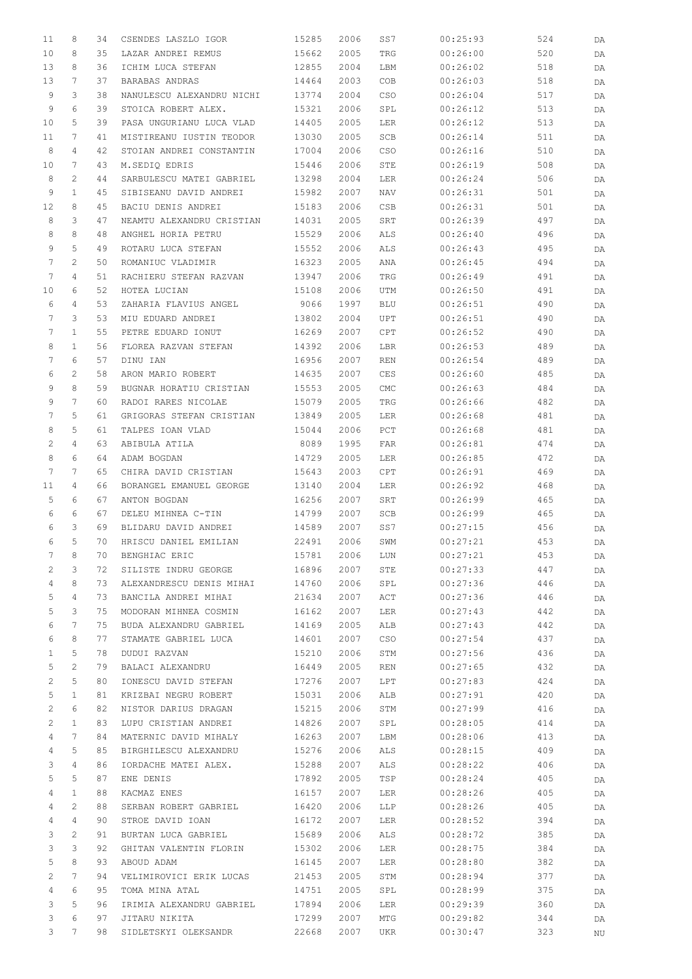| 11           | 8               | 34 | CSENDES LASZLO IGOR       | 15285          | 2006 | SS7                | 00:25:93 | 524 | DA |
|--------------|-----------------|----|---------------------------|----------------|------|--------------------|----------|-----|----|
| 10           | 8               | 35 | LAZAR ANDREI REMUS        | 15662          | 2005 | TRG                | 00:26:00 | 520 | DA |
| 13           | 8               | 36 | ICHIM LUCA STEFAN         | 12855          | 2004 | LBM                | 00:26:02 | 518 | DA |
| 13           | 7               | 37 | BARABAS ANDRAS            | 14464          | 2003 | COB                | 00:26:03 | 518 | DA |
| 9            | 3               | 38 | NANULESCU ALEXANDRU NICHI | 13774          | 2004 | CSO                | 00:26:04 | 517 | DA |
| 9            | 6               | 39 | STOICA ROBERT ALEX.       | 15321          | 2006 | SPL                | 00:26:12 | 513 |    |
|              |                 |    |                           |                |      |                    |          |     | DA |
| 10           | 5               | 39 | PASA UNGURIANU LUCA VLAD  | 14405          | 2005 | LER                | 00:26:12 | 513 | DA |
| 11           | 7               | 41 | MISTIREANU IUSTIN TEODOR  | 13030          | 2005 | SCB                | 00:26:14 | 511 | DA |
| 8            | 4               | 42 | STOIAN ANDREI CONSTANTIN  | 17004          | 2006 | CSO                | 00:26:16 | 510 | DA |
| 10           | 7               | 43 | M.SEDIQ EDRIS             | 15446          | 2006 | STE                | 00:26:19 | 508 | DA |
| 8            | 2               | 44 | SARBULESCU MATEI GABRIEL  | 13298          | 2004 | LER                | 00:26:24 | 506 | DA |
| 9            | $\mathbf{1}$    | 45 | SIBISEANU DAVID ANDREI    | 15982          | 2007 | <b>NAV</b>         | 00:26:31 | 501 | DA |
| 12           | 8               | 45 | BACIU DENIS ANDREI        | 15183          | 2006 | CSB                | 00:26:31 | 501 | DA |
| 8            | 3               | 47 | NEAMTU ALEXANDRU CRISTIAN | 14031          | 2005 | SRT                | 00:26:39 | 497 | DA |
| 8            | 8               | 48 | ANGHEL HORIA PETRU        | 15529          | 2006 | ALS                | 00:26:40 | 496 | DA |
| 9            | 5               | 49 | ROTARU LUCA STEFAN        | 15552          | 2006 | ALS                | 00:26:43 | 495 | DA |
| 7            | $\mathbf{2}$    | 50 | ROMANIUC VLADIMIR         | 16323          | 2005 | ANA                | 00:26:45 | 494 | DA |
| 7            | 4               | 51 | RACHIERU STEFAN RAZVAN    | 13947          | 2006 | TRG                | 00:26:49 | 491 | DA |
| 10           | 6               | 52 | HOTEA LUCIAN              | 15108          | 2006 | UTM                | 00:26:50 | 491 | DA |
| 6            | $\overline{4}$  | 53 | ZAHARIA FLAVIUS ANGEL     | 9066           | 1997 | <b>BLU</b>         | 00:26:51 | 490 | DA |
| 7            | 3               | 53 | MIU EDUARD ANDREI         | 13802          | 2004 | UPT                | 00:26:51 | 490 | DA |
| 7            | $\mathbf{1}$    | 55 | PETRE EDUARD IONUT        | 16269          | 2007 | CPT                | 00:26:52 | 490 | DA |
| 8            | $\mathbf{1}$    | 56 | FLOREA RAZVAN STEFAN      | 14392          | 2006 | LBR                | 00:26:53 | 489 | DA |
| 7            | 6               | 57 | DINU IAN                  | 16956          | 2007 | <b>REN</b>         | 00:26:54 | 489 | DA |
| 6            | 2               | 58 | ARON MARIO ROBERT         | 14635          | 2007 | CES                | 00:26:60 | 485 | DA |
| 9            | 8               | 59 | BUGNAR HORATIU CRISTIAN   | 15553          | 2005 | $\mathop{\rm CMC}$ | 00:26:63 | 484 | DA |
| 9            | 7               | 60 | RADOI RARES NICOLAE       | 15079          | 2005 | TRG                | 00:26:66 | 482 | DA |
| 7            | 5               | 61 | GRIGORAS STEFAN CRISTIAN  | 13849          | 2005 | LER                | 00:26:68 | 481 | DA |
| 8            | 5               | 61 | TALPES IOAN VLAD          | 15044          | 2006 | PCT                | 00:26:68 | 481 | DA |
| 2            | $\overline{4}$  | 63 | ABIBULA ATILA             | 8089           | 1995 | <b>FAR</b>         | 00:26:81 | 474 | DA |
| 8            | 6               | 64 | ADAM BOGDAN               | 14729          | 2005 | LER                | 00:26:85 | 472 | DA |
| 7            | 7               | 65 | CHIRA DAVID CRISTIAN      | 15643          | 2003 | CPT                | 00:26:91 | 469 | DA |
| 11           | 4               | 66 | BORANGEL EMANUEL GEORGE   | 13140          | 2004 | LER                | 00:26:92 | 468 | DA |
| 5            | 6               | 67 | ANTON BOGDAN              | 16256          | 2007 | SRT                | 00:26:99 | 465 | DA |
| 6            | 6               | 67 | DELEU MIHNEA C-TIN        | 14799          | 2007 | SCB                | 00:26:99 | 465 | DA |
| 6            | 3               | 69 | BLIDARU DAVID ANDREI      | 14589          | 2007 | SS7                | 00:27:15 | 456 | DA |
| 6            | 5               | 70 | HRISCU DANIEL EMILIAN     | 22491          | 2006 | SWM                | 00:27:21 | 453 | DA |
| 7            | 8               |    | 70 BENGHIAC ERIC          | 15781 2006 LUN |      |                    | 00:27:21 | 453 | DA |
| 2            | 3               | 72 | SILISTE INDRU GEORGE      | 16896          | 2007 | STE                | 00:27:33 | 447 | DA |
| 4            | 8               | 73 | ALEXANDRESCU DENIS MIHAI  | 14760          | 2006 | SPL                | 00:27:36 | 446 | DA |
| 5            | 4               | 73 | BANCILA ANDREI MIHAI      | 21634          | 2007 | ACT                | 00:27:36 | 446 | DA |
| 5            | 3               | 75 | MODORAN MIHNEA COSMIN     | 16162          | 2007 | LER                | 00:27:43 | 442 |    |
| 6            | 7               | 75 | BUDA ALEXANDRU GABRIEL    | 14169          | 2005 | ALB                | 00:27:43 | 442 | DA |
|              |                 |    |                           |                |      |                    |          |     | DA |
| 6            | 8               | 77 | STAMATE GABRIEL LUCA      | 14601          | 2007 | CSO                | 00:27:54 | 437 | DA |
| $\mathbf{1}$ | 5               | 78 | DUDUI RAZVAN              | 15210          | 2006 | STM                | 00:27:56 | 436 | DA |
| 5            | $\mathbf{2}$    | 79 | BALACI ALEXANDRU          | 16449          | 2005 | REN                | 00:27:65 | 432 | DA |
| 2            | 5               | 80 | IONESCU DAVID STEFAN      | 17276          | 2007 | LPT                | 00:27:83 | 424 | DA |
| 5            | $\mathbf{1}$    | 81 | KRIZBAI NEGRU ROBERT      | 15031          | 2006 | ALB                | 00:27:91 | 420 | DA |
| 2            | 6               | 82 | NISTOR DARIUS DRAGAN      | 15215          | 2006 | STM                | 00:27:99 | 416 | DA |
| 2            | $\mathbf{1}$    | 83 | LUPU CRISTIAN ANDREI      | 14826          | 2007 | SPL                | 00:28:05 | 414 | DA |
| 4            | $7\phantom{.0}$ | 84 | MATERNIC DAVID MIHALY     | 16263          | 2007 | LBM                | 00:28:06 | 413 | DA |
| 4            | 5               | 85 | BIRGHILESCU ALEXANDRU     | 15276          | 2006 | ALS                | 00:28:15 | 409 | DA |
| 3            | 4               | 86 | IORDACHE MATEI ALEX.      | 15288          | 2007 | ALS                | 00:28:22 | 406 | DA |
| 5            | 5               | 87 | ENE DENIS                 | 17892          | 2005 | TSP                | 00:28:24 | 405 | DA |
| 4            | $\mathbf{1}$    | 88 | KACMAZ ENES               | 16157          | 2007 | LER                | 00:28:26 | 405 | DA |
| 4            | $\overline{c}$  | 88 | SERBAN ROBERT GABRIEL     | 16420          | 2006 | LLP                | 00:28:26 | 405 | DA |
| 4            | 4               | 90 | STROE DAVID IOAN          | 16172          | 2007 | LER                | 00:28:52 | 394 | DA |
| 3            | $\overline{c}$  | 91 | BURTAN LUCA GABRIEL       | 15689          | 2006 | ALS                | 00:28:72 | 385 | DA |
| 3            | 3               | 92 | GHITAN VALENTIN FLORIN    | 15302          | 2006 | LER                | 00:28:75 | 384 | DA |
| 5            | 8               | 93 | ABOUD ADAM                | 16145          | 2007 | LER                | 00:28:80 | 382 | DA |
| 2            | $7\phantom{.0}$ | 94 | VELIMIROVICI ERIK LUCAS   | 21453          | 2005 | STM                | 00:28:94 | 377 | DA |
| 4            | 6               | 95 | TOMA MINA ATAL            | 14751          | 2005 | SPL                | 00:28:99 | 375 | DA |
| 3            | 5               | 96 | IRIMIA ALEXANDRU GABRIEL  | 17894          | 2006 | LER                | 00:29:39 | 360 | DA |
| 3            | 6               | 97 | JITARU NIKITA             | 17299          | 2007 | MTG                | 00:29:82 | 344 | DA |
| 3            | $7^{\circ}$     | 98 | SIDLETSKYI OLEKSANDR      | 22668          | 2007 | UKR                | 00:30:47 | 323 | ΝU |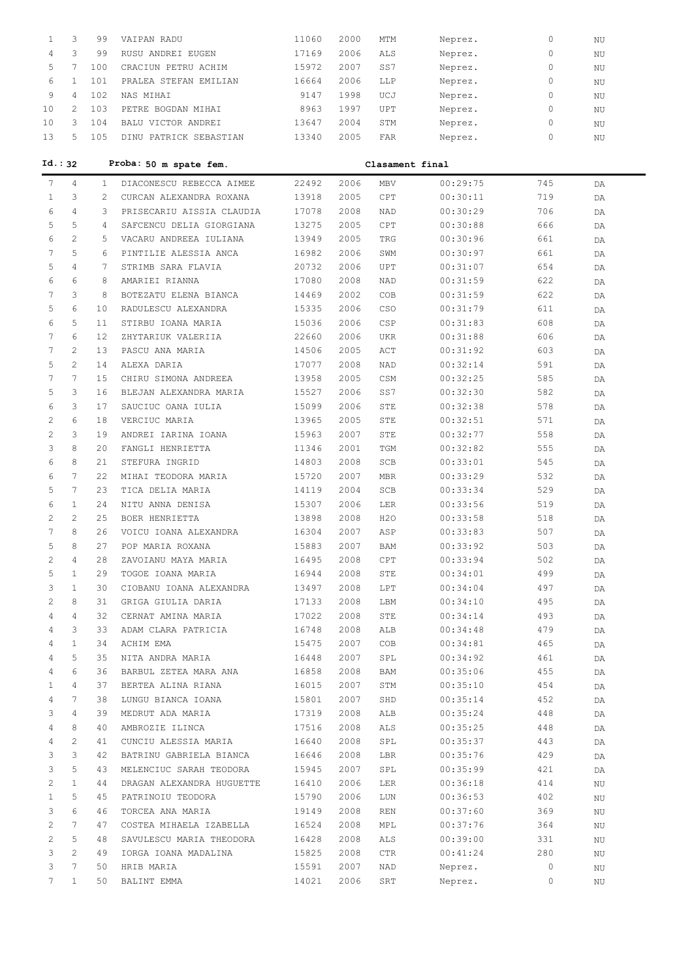| 1              | 3              | 99             | VAIPAN RADU               | 11060 | 2000 | MTM        | Neprez.         | 0   | ΝU       |
|----------------|----------------|----------------|---------------------------|-------|------|------------|-----------------|-----|----------|
| 4              | 3              | 99             | RUSU ANDREI EUGEN         | 17169 | 2006 | ALS        | Neprez.         | 0   | $\rm NU$ |
| 5              | 7              | 100            | CRACIUN PETRU ACHIM       | 15972 | 2007 | SS7        | Neprez.         | 0   | NU       |
| 6              | $\mathbf{1}$   | 101            | PRALEA STEFAN EMILIAN     | 16664 | 2006 | LLP        | Neprez.         | 0   | ΝU       |
| 9              | $\overline{4}$ | 102            | NAS MIHAI                 | 9147  | 1998 | UCJ        | Neprez.         | 0   | ΝU       |
| 10             | $\overline{2}$ | 103            | PETRE BOGDAN MIHAI        | 8963  | 1997 | UPT        | Neprez.         | 0   | ΝU       |
| 10             | 3              | 104            | BALU VICTOR ANDREI        | 13647 | 2004 | STM        | Neprez.         | 0   | NU       |
| 13             | 5              | 105            | DINU PATRICK SEBASTIAN    | 13340 | 2005 | FAR        | Neprez.         | 0   | ΝU       |
|                |                |                |                           |       |      |            |                 |     |          |
|                | Id.:32         |                | Proba: 50 m spate fem.    |       |      |            | Clasament final |     |          |
| 7              | 4              | 1              | DIACONESCU REBECCA AIMEE  | 22492 | 2006 | MBV        | 00:29:75        | 745 | DA       |
| $\mathbf{1}$   | 3              | $\overline{2}$ | CURCAN ALEXANDRA ROXANA   | 13918 | 2005 | CPT        | 00:30:11        | 719 | DA       |
| 6              | $\overline{4}$ | 3              | PRISECARIU AISSIA CLAUDIA | 17078 | 2008 | <b>NAD</b> | 00:30:29        | 706 | DA       |
| 5              | 5              | 4              | SAFCENCU DELIA GIORGIANA  | 13275 | 2005 | CPT        | 00:30:88        | 666 | DA       |
| 6              | $\overline{c}$ | 5              | VACARU ANDREEA IULIANA    | 13949 | 2005 | TRG        | 00:30:96        | 661 | DA       |
| 7              | 5              | 6              | PINTILIE ALESSIA ANCA     | 16982 | 2006 | SWM        | 00:30:97        | 661 | DA       |
| 5              | $\overline{4}$ | 7              | STRIMB SARA FLAVIA        | 20732 | 2006 | UPT        | 00:31:07        | 654 | DA       |
| 6              | 6              | 8              | AMARIEI RIANNA            | 17080 | 2008 | NAD        | 00:31:59        | 622 | DA       |
| 7              | 3              | 8              | BOTEZATU ELENA BIANCA     | 14469 | 2002 | COB        | 00:31:59        | 622 | DA       |
| 5              | 6              | 10             | RADULESCU ALEXANDRA       | 15335 | 2006 | CSO        | 00:31:79        | 611 | DA       |
| 6              | 5              | 11             | STIRBU IOANA MARIA        | 15036 | 2006 | CSP        | 00:31:83        | 608 | DA       |
| 7              | 6              | 12             | ZHYTARIUK VALERIIA        | 22660 | 2006 | UKR        | 00:31:88        | 606 | DA       |
| 7              | $\overline{2}$ | 13             | PASCU ANA MARIA           | 14506 | 2005 | ACT        | 00:31:92        | 603 | DA       |
| 5              | 2              | 14             | ALEXA DARIA               | 17077 | 2008 | NAD        | 00:32:14        | 591 | DA       |
| 7              | 7              | 15             | CHIRU SIMONA ANDREEA      | 13958 | 2005 | CSM        | 00:32:25        | 585 | DA       |
| 5              | 3              | 16             | BLEJAN ALEXANDRA MARIA    | 15527 | 2006 | SS7        | 00:32:30        | 582 | DA       |
| 6              | 3              | 17             | SAUCIUC OANA IULIA        | 15099 | 2006 | STE        | 00:32:38        | 578 | DA       |
| $\overline{c}$ | 6              | 18             | VERCIUC MARIA             | 13965 | 2005 | STE        | 00:32:51        | 571 | DA       |
| $\overline{c}$ | 3              | 19             | ANDREI IARINA IOANA       | 15963 | 2007 | STE        | 00:32:77        | 558 | DA       |
| 3              | 8              | 20             | FANGLI HENRIETTA          | 11346 | 2001 | TGM        | 00:32:82        | 555 | DA       |
| 6              | 8              | 21             | STEFURA INGRID            | 14803 | 2008 | SCB        | 00:33:01        | 545 | DA       |
| 6              | 7              | 22             | MIHAI TEODORA MARIA       | 15720 | 2007 | MBR        | 00:33:29        | 532 | DA       |
| 5              | 7              | 23             | TICA DELIA MARIA          | 14119 | 2004 | SCB        | 00:33:34        | 529 | DA       |
| 6              | $\mathbf{1}$   | 24             | NITU ANNA DENISA          | 15307 | 2006 | LER        | 00:33:56        | 519 | DA       |
| $\overline{c}$ | $\overline{2}$ | 25             | BOER HENRIETTA            | 13898 | 2008 | H2O        | 00:33:58        | 518 | DA       |
| 7              | 8              | 26             | VOICU IOANA ALEXANDRA     | 16304 | 2007 | ASP        | 00:33:83        | 507 | DA       |
| 5              | 8              | 27             | POP MARIA ROXANA          | 15883 | 2007 | BAM        | 00:33:92        | 503 | DA       |
| 2              | 4              | 28             | ZAVOIANU MAYA MARIA       | 16495 | 2008 | CPT        | 00:33:94        | 502 | DA       |
| 5              | $\mathbf{1}$   | 29             | TOGOE IOANA MARIA         | 16944 | 2008 | STE        | 00:34:01        | 499 | DA       |
| 3              | $\mathbf{1}$   | 30             | CIOBANU IOANA ALEXANDRA   | 13497 | 2008 | LPT        | 00:34:04        | 497 | DA       |
| 2              | 8              | 31             | GRIGA GIULIA DARIA        | 17133 | 2008 | LBM        | 00:34:10        | 495 | DA       |
| 4              | 4              | 32             | CERNAT AMINA MARIA        | 17022 | 2008 | STE        | 00:34:14        | 493 | DA       |
| 4              | 3              | 33             | ADAM CLARA PATRICIA       | 16748 | 2008 | ALB        | 00:34:48        | 479 | DA       |
| 4              | $\mathbf{1}$   | 34             | ACHIM EMA                 | 15475 | 2007 | COB        | 00:34:81        | 465 | DA       |
| 4              | 5              | 35             | NITA ANDRA MARIA          | 16448 | 2007 | SPL        | 00:34:92        | 461 | DA       |
| 4              | 6              | 36             | BARBUL ZETEA MARA ANA     | 16858 | 2008 | BAM        | 00:35:06        | 455 | DA       |
| 1              | 4              | 37             | BERTEA ALINA RIANA        | 16015 | 2007 | STM        | 00:35:10        | 454 | DA       |
| 4              | 7              | 38             | LUNGU BIANCA IOANA        | 15801 | 2007 | SHD        | 00:35:14        | 452 | DA       |
| 3              | 4              | 39             | MEDRUT ADA MARIA          | 17319 | 2008 | ALB        | 00:35:24        | 448 |          |
| 4              | 8              | 40             | AMBROZIE ILINCA           | 17516 | 2008 | ALS        | 00:35:25        | 448 | DA       |
| 4              | $\overline{c}$ | 41             | CUNCIU ALESSIA MARIA      | 16640 | 2008 | SPL        | 00:35:37        | 443 | DA       |
| 3              | 3              | 42             | BATRINU GABRIELA BIANCA   | 16646 | 2008 | LBR        | 00:35:76        | 429 | DA       |
|                | 5              |                |                           |       |      |            |                 |     | DA       |
| 3<br>2         | $\mathbf{1}$   | 43<br>44       | MELENCIUC SARAH TEODORA   | 15945 | 2007 | SPL        | 00:35:99        | 421 | DA       |
|                |                |                | DRAGAN ALEXANDRA HUGUETTE | 16410 | 2006 | LER        | 00:36:18        | 414 | NU       |
| $\mathbf{1}$   | 5<br>6         | 45             | PATRINOIU TEODORA         | 15790 | 2006 | LUN        | 00:36:53        | 402 | ΝU       |
| 3              | 7              | 46             | TORCEA ANA MARIA          | 19149 | 2008 | REN        | 00:37:60        | 369 | ΝU       |
| 2              | 5              | 47             | COSTEA MIHAELA IZABELLA   | 16524 | 2008 | MPL        | 00:37:76        | 364 | ΝU       |
| 2              | $\overline{c}$ | 48             | SAVULESCU MARIA THEODORA  | 16428 | 2008 | ALS        | 00:39:00        | 331 | ΝU       |
| 3<br>3         | 7              | 49             | IORGA IOANA MADALINA      | 15825 | 2008 | CTR        | 00:41:24        | 280 | ΝU       |
|                |                | 50             | HRIB MARIA                | 15591 | 2007 | NAD        | Neprez.         | 0   | ΝU       |
| 7              | $\mathbf{1}$   | 50             | BALINT EMMA               | 14021 | 2006 | SRT        | Neprez.         | 0   | ΝU       |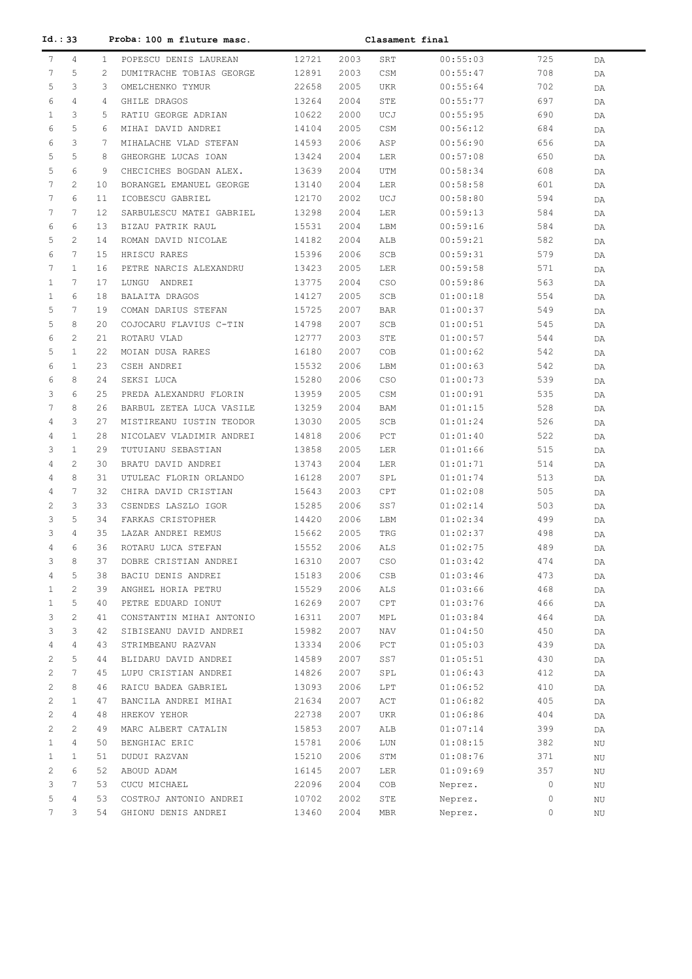|              | Id. : 33<br>Proba: 100 m fluture masc. |              |                          | Clasament final |      |                        |          |     |    |
|--------------|----------------------------------------|--------------|--------------------------|-----------------|------|------------------------|----------|-----|----|
| 7            | 4                                      | $\mathbf{1}$ | POPESCU DENIS LAUREAN    | 12721           | 2003 | SRT                    | 00:55:03 | 725 | DA |
| 7            | 5                                      | 2            | DUMITRACHE TOBIAS GEORGE | 12891           | 2003 | CSM                    | 00:55:47 | 708 | DA |
| 5            | 3                                      | 3            | OMELCHENKO TYMUR         | 22658           | 2005 | <b>UKR</b>             | 00:55:64 | 702 | DA |
| 6            | 4                                      | 4            | GHILE DRAGOS             | 13264           | 2004 | STE                    | 00:55:77 | 697 | DA |
| $\mathbf{1}$ | 3                                      | 5            | RATIU GEORGE ADRIAN      | 10622           | 2000 | UCJ                    | 00:55:95 | 690 | DA |
| 6            | 5                                      | 6            | MIHAI DAVID ANDREI       | 14104           | 2005 | CSM                    | 00:56:12 | 684 | DA |
| 6            | 3                                      | 7            | MIHALACHE VLAD STEFAN    | 14593           | 2006 | ASP                    | 00:56:90 | 656 | DA |
| 5            | 5                                      | 8            | GHEORGHE LUCAS IOAN      | 13424           | 2004 | LER                    | 00:57:08 | 650 | DA |
| 5            | 6                                      | 9            | CHECICHES BOGDAN ALEX.   | 13639           | 2004 | UTM                    | 00:58:34 | 608 | DA |
| 7            | $\mathbf{2}^{\prime}$                  | 10           | BORANGEL EMANUEL GEORGE  | 13140           | 2004 | LER                    | 00:58:58 | 601 | DA |
| 7            | 6                                      | 11           | ICOBESCU GABRIEL         | 12170           | 2002 | UCJ                    | 00:58:80 | 594 | DA |
| 7            | $7\phantom{.0}$                        | 12           | SARBULESCU MATEI GABRIEL | 13298           | 2004 | LER                    | 00:59:13 | 584 | DA |
| 6            | 6                                      | 13           | BIZAU PATRIK RAUL        | 15531           | 2004 | LBM                    | 00:59:16 | 584 | DA |
| 5            | $\mathbf{2}^{\prime}$                  | 14           | ROMAN DAVID NICOLAE      | 14182           | 2004 | ALB                    | 00:59:21 | 582 | DA |
| 6            | $7\phantom{.0}$                        | 15           | HRISCU RARES             | 15396           | 2006 | SCB                    | 00:59:31 | 579 | DA |
| 7            | $\mathbf{1}$                           | 16           | PETRE NARCIS ALEXANDRU   | 13423           | 2005 | LER                    | 00:59:58 | 571 | DA |
| $\mathbf{1}$ | $7\phantom{.0}$                        | 17           | LUNGU ANDREI             | 13775           | 2004 | CSO                    | 00:59:86 | 563 | DA |
| $\mathbf{1}$ | 6                                      | 18           | BALAITA DRAGOS           | 14127           | 2005 | SCB                    | 01:00:18 | 554 | DA |
| 5            | $7\phantom{.0}$                        | 19           | COMAN DARIUS STEFAN      | 15725           | 2007 | <b>BAR</b>             | 01:00:37 | 549 | DA |
| 5            | 8                                      | 20           | COJOCARU FLAVIUS C-TIN   | 14798           | 2007 | SCB                    | 01:00:51 | 545 | DA |
| 6            | $\overline{2}$                         | 21           | ROTARU VLAD              | 12777           | 2003 | STE                    | 01:00:57 | 544 | DA |
| 5            | $\mathbf{1}$                           | 22           | MOIAN DUSA RARES         | 16180           | 2007 | COB                    | 01:00:62 | 542 | DA |
| 6            | $\mathbf{1}$                           | 23           | CSEH ANDREI              | 15532           | 2006 | LBM                    | 01:00:63 | 542 | DA |
| 6            | 8                                      | 24           | SEKSI LUCA               | 15280           | 2006 | CSO                    | 01:00:73 | 539 | DA |
| 3            | 6                                      | 25           | PREDA ALEXANDRU FLORIN   | 13959           | 2005 | CSM                    | 01:00:91 | 535 | DA |
| 7            | 8                                      | 26           | BARBUL ZETEA LUCA VASILE | 13259           | 2004 | <b>BAM</b>             | 01:01:15 | 528 | DA |
| 4            | 3                                      | 27           | MISTIREANU IUSTIN TEODOR | 13030           | 2005 | SCB                    | 01:01:24 | 526 |    |
| 4            | $\mathbf{1}$                           | 28           | NICOLAEV VLADIMIR ANDREI | 14818           | 2006 | PCT                    | 01:01:40 | 522 | DA |
| 3            | $\mathbf{1}$                           | 29           | TUTUIANU SEBASTIAN       | 13858           | 2005 | LER                    | 01:01:66 | 515 | DA |
| 4            | $\mathbf{2}^{\prime}$                  | 30           | BRATU DAVID ANDREI       | 13743           | 2004 | LER                    | 01:01:71 | 514 | DA |
| 4            | 8                                      | 31           | UTULEAC FLORIN ORLANDO   | 16128           | 2007 | SPL                    | 01:01:74 | 513 | DA |
| 4            | $7\phantom{.0}$                        | 32           |                          |                 |      |                        | 01:02:08 |     | DA |
|              | 3                                      |              | CHIRA DAVID CRISTIAN     | 15643           | 2003 | CPT                    |          | 505 | DA |
| 2<br>3       | 5                                      | 33           | CSENDES LASZLO IGOR      | 15285           | 2006 | SS7                    | 01:02:14 | 503 | DA |
|              |                                        | 34           | FARKAS CRISTOPHER        | 14420           | 2006 | LBM                    | 01:02:34 | 499 | DA |
| 3            | 4                                      | 35           | LAZAR ANDREI REMUS       | 15662           | 2005 | TRG                    | 01:02:37 | 498 | DA |
| 4            | 6                                      | 36           | ROTARU LUCA STEFAN       | 15552           | 2006 | ALS                    | 01:02:75 | 489 | DA |
| 3            | 8                                      | 37           | DOBRE CRISTIAN ANDREI    | 16310           | 2007 | $_{\tiny{\mbox{CSO}}}$ | 01:03:42 | 474 | DA |
| 4            | 5                                      | 38           | BACIU DENIS ANDREI       | 15183           | 2006 | CSB                    | 01:03:46 | 473 | DA |
| $\mathbf{1}$ | $\overline{c}$                         | 39           | ANGHEL HORIA PETRU       | 15529           | 2006 | ALS                    | 01:03:66 | 468 | DA |
| $\mathbf{1}$ | 5                                      | 40           | PETRE EDUARD IONUT       | 16269           | 2007 | ${\tt CPT}$            | 01:03:76 | 466 | DA |
| 3            | $\mathbf{2}^{\prime}$                  | 41           | CONSTANTIN MIHAI ANTONIO | 16311           | 2007 | MPL                    | 01:03:84 | 464 | DA |
| 3            | 3                                      | 42           | SIBISEANU DAVID ANDREI   | 15982           | 2007 | NAV                    | 01:04:50 | 450 | DA |
| 4            | 4                                      | 43           | STRIMBEANU RAZVAN        | 13334           | 2006 | PCT                    | 01:05:03 | 439 | DA |
| 2            | 5                                      | 44           | BLIDARU DAVID ANDREI     | 14589           | 2007 | SS7                    | 01:05:51 | 430 | DA |
| 2            | $7\phantom{.0}$                        | 45           | LUPU CRISTIAN ANDREI     | 14826           | 2007 | SPL                    | 01:06:43 | 412 | DA |
| 2            | 8                                      | 46           | RAICU BADEA GABRIEL      | 13093           | 2006 | LPT                    | 01:06:52 | 410 | DA |
| 2            | $\mathbf{1}$                           | 47           | BANCILA ANDREI MIHAI     | 21634           | 2007 | ACT                    | 01:06:82 | 405 | DA |
| 2            | 4                                      | 48           | HREKOV YEHOR             | 22738           | 2007 | UKR                    | 01:06:86 | 404 | DA |
| 2            | $\mathbf{2}^{\prime}$                  | 49           | MARC ALBERT CATALIN      | 15853           | 2007 | ALB                    | 01:07:14 | 399 | DA |
| $\mathbf{1}$ | $\overline{4}$                         | 50           | BENGHIAC ERIC            | 15781           | 2006 | LUN                    | 01:08:15 | 382 | ΝU |
| $\mathbf{1}$ | $\mathbf{1}$                           | 51           | DUDUI RAZVAN             | 15210           | 2006 | STM                    | 01:08:76 | 371 | ΝU |
| 2            | 6                                      | 52           | ABOUD ADAM               | 16145           | 2007 | LER                    | 01:09:69 | 357 | ΝU |
| 3            | $7\phantom{.0}$                        | 53           | CUCU MICHAEL             | 22096           | 2004 | COB                    | Neprez.  | 0   | ΝU |
| 5            | $\overline{4}$                         | 53           | COSTROJ ANTONIO ANDREI   | 10702           | 2002 | STE                    | Neprez.  | 0   | ΝU |
| 7            | 3                                      | 54           | GHIONU DENIS ANDREI      | 13460           | 2004 | MBR                    | Neprez.  | 0   | ΝU |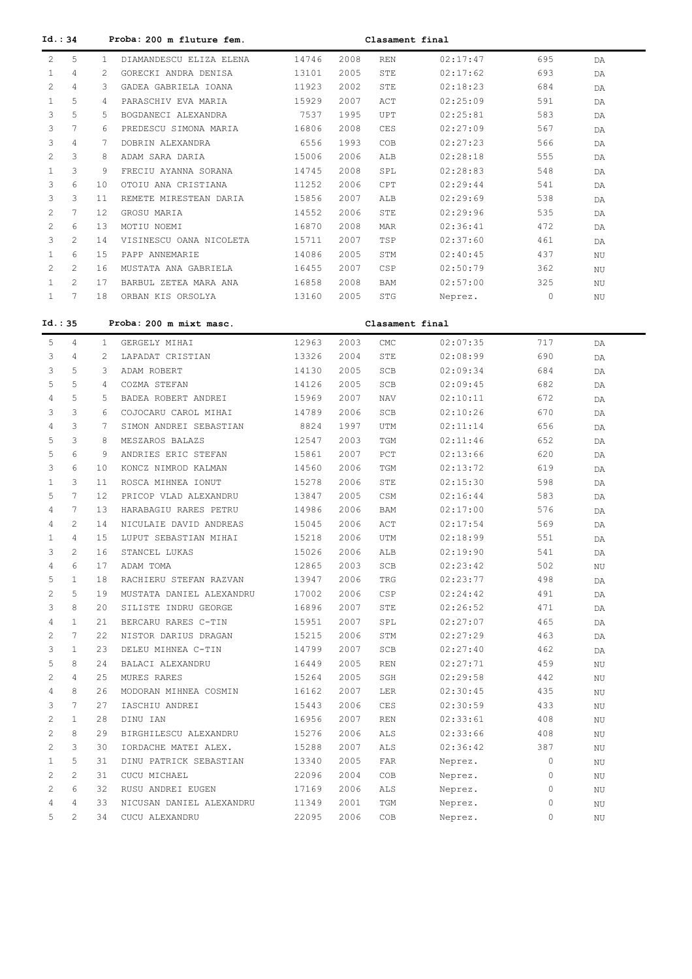| Id. : 34              |                       |              | Proba: 200 m fluture fem. |       |      | Clasament final |                      |            |             |
|-----------------------|-----------------------|--------------|---------------------------|-------|------|-----------------|----------------------|------------|-------------|
| $\mathbf{2}^{\prime}$ | 5                     | $\mathbf{1}$ | DIAMANDESCU ELIZA ELENA   | 14746 | 2008 | REN             | 02:17:47             | 695        | DA          |
| $\mathbf{1}$          | 4                     | 2            | GORECKI ANDRA DENISA      | 13101 | 2005 | STE             | 02:17:62             | 693        | DA          |
| 2                     | 4                     | 3            | GADEA GABRIELA IOANA      | 11923 | 2002 | STE             | 02:18:23             | 684        | DA          |
| $\mathbf{1}$          | 5                     | 4            | PARASCHIV EVA MARIA       | 15929 | 2007 | ACT             | 02:25:09             | 591        | DA          |
| 3                     | 5                     | 5            | BOGDANECI ALEXANDRA       | 7537  | 1995 | UPT             | 02:25:81             | 583        | DA          |
| 3                     | $7\phantom{.0}$       | 6            | PREDESCU SIMONA MARIA     | 16806 | 2008 | CES             | 02:27:09             | 567        | DA          |
| 3                     | 4                     | 7            | DOBRIN ALEXANDRA          | 6556  | 1993 | COB             | 02:27:23             | 566        | DA          |
| 2                     | 3                     | 8            | ADAM SARA DARIA           | 15006 | 2006 | ALB             | 02:28:18             | 555        | DA          |
| $\mathbf{1}$          | 3                     | 9            | FRECIU AYANNA SORANA      | 14745 | 2008 | SPL             | 02:28:83             | 548        | DA          |
| 3                     | 6                     | 10           | OTOIU ANA CRISTIANA       | 11252 | 2006 | CPT             | 02:29:44             | 541        |             |
| 3                     | 3                     | 11           | REMETE MIRESTEAN DARIA    | 15856 | 2007 | ALB             | 02:29:69             | 538        | DA          |
| 2                     | $7\phantom{.0}$       | 12           | GROSU MARIA               | 14552 | 2006 | STE             | 02:29:96             | 535        | DA          |
| 2                     | 6                     |              |                           |       |      |                 |                      | 472        | DA          |
|                       |                       | 13           | MOTIU NOEMI               | 16870 | 2008 | MAR             | 02:36:41             |            | DA          |
| 3                     | $\mathbf{2}^{\prime}$ | 14           | VISINESCU OANA NICOLETA   | 15711 | 2007 | TSP             | 02:37:60             | 461        | DA          |
| $\mathbf{1}$          | 6                     | 15           | PAPP ANNEMARIE            | 14086 | 2005 | STM             | 02:40:45             | 437        | ΝU          |
| 2                     | $\mathbf{2}^{\prime}$ | 16           | MUSTATA ANA GABRIELA      | 16455 | 2007 | <b>CSP</b>      | 02:50:79             | 362        | ΝU          |
| $\mathbf{1}$          | $\overline{2}$        | 17           | BARBUL ZETEA MARA ANA     | 16858 | 2008 | BAM             | 02:57:00             | 325        | ΝU          |
| $\mathbf{1}$          | $7\phantom{.0}$       | 18           | ORBAN KIS ORSOLYA         | 13160 | 2005 | <b>STG</b>      | Neprez.              | 0          | ΝU          |
| Id.: 35               |                       |              | Proba: 200 m mixt masc.   |       |      | Clasament final |                      |            |             |
|                       |                       |              |                           |       |      |                 |                      |            |             |
| 5                     | 4<br>4                | $\mathbf{1}$ | GERGELY MIHAI             | 12963 | 2003 | CMC<br>STE      | 02:07:35<br>02:08:99 | 717<br>690 | DA          |
| 3                     |                       | 2            | LAPADAT CRISTIAN          | 13326 | 2004 |                 |                      |            | DA          |
| 3                     | 5                     | 3            | ADAM ROBERT               | 14130 | 2005 | SCB             | 02:09:34             | 684        | DA          |
| 5                     | 5                     | 4            | COZMA STEFAN              | 14126 | 2005 | SCB             | 02:09:45             | 682        | DA          |
| 4                     | 5                     | 5            | BADEA ROBERT ANDREI       | 15969 | 2007 | NAV             | 02:10:11             | 672        | DA          |
| 3                     | 3                     | 6            | COJOCARU CAROL MIHAI      | 14789 | 2006 | SCB             | 02:10:26             | 670        | DA          |
| 4                     | 3                     | 7            | SIMON ANDREI SEBASTIAN    | 8824  | 1997 | UTM             | 02:11:14             | 656        | DA          |
| 5                     | 3                     | 8            | MESZAROS BALAZS           | 12547 | 2003 | TGM             | 02:11:46             | 652        | DA          |
| 5                     | 6                     | 9            | ANDRIES ERIC STEFAN       | 15861 | 2007 | PCT             | 02:13:66             | 620        | DA          |
| 3                     | 6                     | 10           | KONCZ NIMROD KALMAN       | 14560 | 2006 | TGM             | 02:13:72             | 619        | DA          |
| 1                     | 3                     | 11           | ROSCA MIHNEA IONUT        | 15278 | 2006 | STE             | 02:15:30             | 598        | DA          |
| 5                     | $7\phantom{.0}$       | 12           | PRICOP VLAD ALEXANDRU     | 13847 | 2005 | CSM             | 02:16:44             | 583        | DA          |
| 4                     | 7                     | 13           | HARABAGIU RARES PETRU     | 14986 | 2006 | BAM             | 02:17:00             | 576        | DA          |
| 4                     | $\mathbf{2}^{\prime}$ | 14           | NICULAIE DAVID ANDREAS    | 15045 | 2006 | ACT             | 02:17:54             | 569        | DA          |
| 1                     | $\overline{4}$        | 15           | LUPUT SEBASTIAN MIHAI     | 15218 | 2006 | UTM             | 02:18:99             | 551        | DA          |
| 3                     | $\mathfrak{D}$        | 16           | STANCEL LUKAS             | 15026 | 2006 | ALB             | 02:19:90             | 541        | DA          |
| 4                     | 6                     | 17           | ADAM TOMA                 | 12865 | 2003 | SCB             | 02:23:42             | 502        | ΝU          |
| 5                     | $\mathbf{1}$          | 18           | RACHIERU STEFAN RAZVAN    | 13947 | 2006 | TRG             | 02:23:77             | 498        | DA          |
| $\mathbf{2}^{\prime}$ | 5                     | 19           | MUSTATA DANIEL ALEXANDRU  | 17002 | 2006 | CSP             | 02:24:42             | 491        | DA          |
| 3                     | 8                     | 20           | SILISTE INDRU GEORGE      | 16896 | 2007 | STE             | 02:26:52             | 471        | DA          |
| 4                     | $\mathbf{1}$          | 21           | BERCARU RARES C-TIN       | 15951 | 2007 | SPL             | 02:27:07             | 465        | DA          |
| $\mathbf{2}^{\prime}$ | 7                     | 22           | NISTOR DARIUS DRAGAN      | 15215 | 2006 | STM             | 02:27:29             | 463        | DA          |
| 3                     | $\mathbf{1}$          | 23           | DELEU MIHNEA C-TIN        | 14799 | 2007 | SCB             | 02:27:40             | 462        | DA          |
| 5                     | 8                     | 24           | BALACI ALEXANDRU          | 16449 | 2005 | <b>REN</b>      | 02:27:71             | 459        | ΝU          |
| 2                     | $\overline{4}$        | 25           | MURES RARES               | 15264 | 2005 | SGH             | 02:29:58             | 442        | ΝU          |
| 4                     | 8                     | 26           | MODORAN MIHNEA COSMIN     | 16162 | 2007 | LER             | 02:30:45             | 435        | ΝU          |
| 3                     | 7                     | 27           | IASCHIU ANDREI            | 15443 | 2006 | CES             | 02:30:59             | 433        | ΝU          |
| 2                     | $\mathbf{1}$          | 28           | DINU IAN                  | 16956 | 2007 | <b>REN</b>      | 02:33:61             | 408        | ΝU          |
| $\mathbf{2}^{\prime}$ | 8                     | 29           | BIRGHILESCU ALEXANDRU     | 15276 | 2006 | <b>ALS</b>      | 02:33:66             | 408        | ΝU          |
| $\mathbf{2}^{\prime}$ | 3                     | 30           | IORDACHE MATEI ALEX.      | 15288 | 2007 | <b>ALS</b>      | 02:36:42             | 387        | ΝU          |
| $\mathbf{1}$          | 5                     | 31           | DINU PATRICK SEBASTIAN    | 13340 | 2005 | FAR             | Neprez.              | 0          | ΝU          |
| 2                     | 2                     | 31           | CUCU MICHAEL              | 22096 | 2004 | COB             | Neprez.              | 0          | $_{\rm NU}$ |
| 2                     | 6                     | 32           | RUSU ANDREI EUGEN         | 17169 | 2006 | ALS             | Neprez.              | 0          | $\rm NU$    |
| 4                     | $\overline{4}$        | 33           | NICUSAN DANIEL ALEXANDRU  | 11349 | 2001 | TGM             | Neprez.              | 0          | ΝU          |
| 5                     | 2                     | 34           | CUCU ALEXANDRU            | 22095 | 2006 | COB             | Neprez.              | 0          |             |
|                       |                       |              |                           |       |      |                 |                      |            | ΝU          |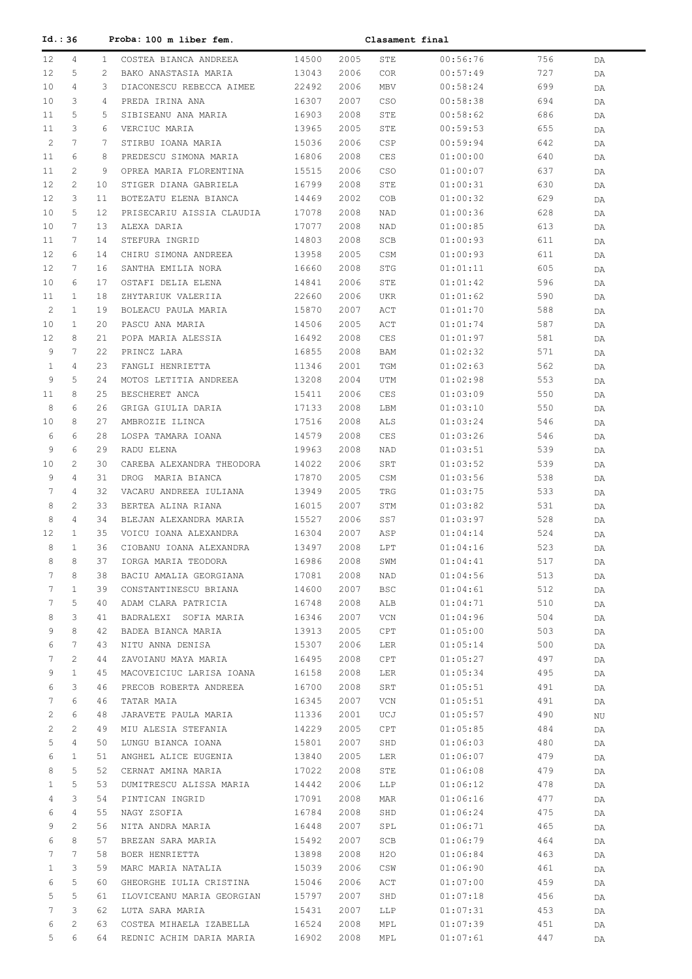| Id. : 36     |                       |              | Proba: 100 m liber fem.                    |                | Clasament final |            |                      |            |    |  |
|--------------|-----------------------|--------------|--------------------------------------------|----------------|-----------------|------------|----------------------|------------|----|--|
| 12           | 4                     | $\mathbf{1}$ | COSTEA BIANCA ANDREEA                      | 14500          | 2005            | STE        | 00:56:76             | 756        | DA |  |
| 12           | 5                     | 2            | BAKO ANASTASIA MARIA                       | 13043          | 2006            | <b>COR</b> | 00:57:49             | 727        | DA |  |
| 10           | 4                     | 3            | DIACONESCU REBECCA AIMEE                   | 22492          | 2006            | MBV        | 00:58:24             | 699        | DA |  |
| 10           | 3                     | 4            | PREDA IRINA ANA                            | 16307          | 2007            | CSO        | 00:58:38             | 694        | DA |  |
| 11           | 5                     | 5            | SIBISEANU ANA MARIA                        | 16903          | 2008            | STE        | 00:58:62             | 686        | DA |  |
| 11           | 3                     | 6            | VERCIUC MARIA                              | 13965          | 2005            | STE        | 00:59:53             | 655        | DA |  |
| 2            | 7                     | 7            | STIRBU IOANA MARIA                         | 15036          | 2006            | CSP        | 00:59:94             | 642        | DA |  |
| 11           | 6                     | 8            | PREDESCU SIMONA MARIA                      | 16806          | 2008            | CES        | 01:00:00             | 640        | DA |  |
| 11           | 2                     | 9            | OPREA MARIA FLORENTINA                     | 15515          | 2006            | CSO        | 01:00:07             | 637        | DA |  |
| 12           | 2                     | 10           | STIGER DIANA GABRIELA                      | 16799          | 2008            | STE        | 01:00:31             | 630        | DA |  |
| 12           | 3                     | 11           | BOTEZATU ELENA BIANCA                      | 14469          | 2002            | COB        | 01:00:32             | 629        | DA |  |
| 10           | 5                     | 12           | PRISECARIU AISSIA CLAUDIA                  | 17078          | 2008            | NAD        | 01:00:36             | 628        | DA |  |
| 10           | $7\phantom{.0}$       | 13           | ALEXA DARIA                                | 17077          | 2008            | NAD        | 01:00:85             | 613        | DA |  |
| 11           | $7\phantom{.0}$       | 14           | STEFURA INGRID                             | 14803          | 2008            | SCB        | 01:00:93             | 611        | DA |  |
| 12           | 6                     | 14           | CHIRU SIMONA ANDREEA                       | 13958          | 2005            | CSM        | 01:00:93             | 611        | DA |  |
| 12           | 7                     | 16           | SANTHA EMILIA NORA                         | 16660          | 2008            | <b>STG</b> | 01:01:11             | 605        | DA |  |
| 10           | 6                     | 17           | OSTAFI DELIA ELENA                         | 14841          | 2006            | STE        | 01:01:42             | 596        | DA |  |
| 11           | $\mathbf{1}$          | 18           | ZHYTARIUK VALERIIA                         | 22660          | 2006            | UKR        | 01:01:62             | 590        | DA |  |
| $\mathbf{2}$ | $\mathbf{1}$          | 19           | BOLEACU PAULA MARIA                        | 15870          | 2007            | ACT        | 01:01:70             | 588        | DA |  |
| 10           | $\mathbf{1}$          | 20           | PASCU ANA MARIA                            | 14506          | 2005            | ACT        | 01:01:74             | 587        | DA |  |
| 12           | 8                     | 21           | POPA MARIA ALESSIA                         | 16492          | 2008            | CES        | 01:01:97             | 581        | DA |  |
| 9            | $7\phantom{.0}$       | 22           | PRINCZ LARA                                | 16855          | 2008            | BAM        | 01:02:32             | 571        | DA |  |
| $\mathbf{1}$ | 4                     | 23           | FANGLI HENRIETTA                           | 11346          | 2001            | TGM        | 01:02:63             | 562        | DA |  |
| 9            | 5                     | 24           | MOTOS LETITIA ANDREEA                      | 13208          | 2004            | UTM        | 01:02:98             | 553        | DA |  |
| 11           | 8                     | 25           | BESCHERET ANCA                             | 15411          | 2006            | <b>CES</b> | 01:03:09             | 550        | DA |  |
| 8            | 6                     | 26           | GRIGA GIULIA DARIA                         | 17133          | 2008            | LBM        | 01:03:10             | 550        | DA |  |
| 10           | 8                     | 27           | AMBROZIE ILINCA                            | 17516          | 2008            | ALS        | 01:03:24             | 546        | DA |  |
| 6            | 6                     | 28           | LOSPA TAMARA IOANA                         | 14579          | 2008            | CES        | 01:03:26             | 546        | DA |  |
| 9            | 6                     | 29           | RADU ELENA                                 | 19963          | 2008            | NAD        | 01:03:51             | 539        | DA |  |
| 10           | 2                     | 30           | CAREBA ALEXANDRA THEODORA                  | 14022          | 2006            | SRT        | 01:03:52             | 539        | DA |  |
| 9            | 4                     | 31           | DROG MARIA BIANCA                          | 17870          | 2005            | CSM        | 01:03:56             | 538        | DA |  |
| 7            | 4                     | 32           | VACARU ANDREEA IULIANA                     | 13949          | 2005            | TRG        | 01:03:75             | 533        | DA |  |
| 8            | 2                     | 33           | BERTEA ALINA RIANA                         | 16015          | 2007            | STM        | 01:03:82             | 531        | DA |  |
| 8            | 4                     | 34           | BLEJAN ALEXANDRA MARIA                     | 15527          | 2006            | SS7        | 01:03:97             | 528        | DA |  |
| 12           | $\mathbf{1}$          | 35           | VOICU IOANA ALEXANDRA                      | 16304          | 2007            | ASP        | 01:04:14             | 524        | DA |  |
| 8            | $\mathbf{1}$          | 36           | CIOBANU IOANA ALEXANDRA                    | 13497          | 2008            | LPT        | 01:04:16             | 523        | DA |  |
| 8            | 8                     | 37           | IORGA MARIA TEODORA                        | 16986          | 2008            | SWM        | 01:04:41             | 517        | DA |  |
| 7            | 8                     | 38           | BACIU AMALIA GEORGIANA                     | 17081          | 2008            | NAD        | 01:04:56             | 513        | DA |  |
| 7            | $\mathbf{1}$          | 39           | CONSTANTINESCU BRIANA                      | 14600          | 2007            | <b>BSC</b> | 01:04:61             | 512        | DA |  |
| 7            | 5                     | 40           | ADAM CLARA PATRICIA                        | 16748          | 2008            | ALB        | 01:04:71             | 510        | DA |  |
| 8            | 3                     | 41           | BADRALEXI SOFIA MARIA                      | 16346          | 2007            | VCN        | 01:04:96             | 504        | DA |  |
| 9            | 8                     | 42           | BADEA BIANCA MARIA                         | 13913          | 2005            | CPT        | 01:05:00             | 503        | DA |  |
| 6            | 7                     | 43           | NITU ANNA DENISA                           | 15307          | 2006            | LER        | 01:05:14             | 500        | DA |  |
| 7            | $\mathbf{2}^{\prime}$ | 44           | ZAVOIANU MAYA MARIA                        | 16495          | 2008            | CPT        | 01:05:27             | 497        | DA |  |
| 9            | $\mathbf{1}$          | 45           | MACOVEICIUC LARISA IOANA                   | 16158          | 2008            | LER        | 01:05:34             | 495        | DA |  |
| 6            | 3                     | 46           | PRECOB ROBERTA ANDREEA                     | 16700          | 2008            | SRT        | 01:05:51             | 491        | DA |  |
| 7            | 6                     | 46           | TATAR MAIA                                 | 16345          | 2007            | VCN        | 01:05:51             | 491        | DA |  |
| 2            | 6                     | 48           | JARAVETE PAULA MARIA                       | 11336          | 2001            | UCJ        | 01:05:57             | 490        | ΝU |  |
| 2            | 2                     | 49           | MIU ALESIA STEFANIA                        | 14229          | 2005            | CPT        | 01:05:85             | 484        | DA |  |
| 5            | 4                     | 50           | LUNGU BIANCA IOANA                         | 15801          | 2007            | SHD        | 01:06:03             | 480        | DA |  |
| 6            | $\mathbf{1}$          | 51           | ANGHEL ALICE EUGENIA                       | 13840          | 2005            | LER        | 01:06:07             | 479        | DA |  |
| 8            | 5                     | 52           | CERNAT AMINA MARIA                         | 17022          | 2008            | STE        | 01:06:08             | 479        | DA |  |
| $\mathbf{1}$ | 5                     | 53           | DUMITRESCU ALISSA MARIA                    | 14442          | 2006            | LLP        | 01:06:12             | 478        | DA |  |
| 4            | 3                     | 54           | PINTICAN INGRID                            | 17091          | 2008            | MAR        | 01:06:16             | 477        | DA |  |
| 6            | 4                     | 55           | NAGY ZSOFIA                                | 16784          | 2008            | SHD        | 01:06:24             | 475        | DA |  |
| 9            | 2                     | 56           | NITA ANDRA MARIA                           | 16448          | 2007            | SPL        | 01:06:71             | 465        | DA |  |
| 6            | 8                     | 57           | BREZAN SARA MARIA                          | 15492          | 2007            | SCB        | 01:06:79             | 464        | DA |  |
| 7            | 7                     | 58           | BOER HENRIETTA                             | 13898          | 2008            | H2O        | 01:06:84             | 463        | DA |  |
| $\mathbf{1}$ | 3                     | 59           | MARC MARIA NATALIA                         | 15039          | 2006            | CSW        | 01:06:90             | 461        | DA |  |
| 6            | 5                     | 60           | GHEORGHE IULIA CRISTINA                    | 15046          | 2006            | ACT        | 01:07:00             | 459        | DA |  |
| 5            | 5                     | 61           | ILOVICEANU MARIA GEORGIAN                  | 15797          | 2007            | SHD        | 01:07:18             | 456        | DA |  |
| 7<br>6       | 3<br>2                | 62<br>63     | LUTA SARA MARIA<br>COSTEA MIHAELA IZABELLA | 15431          | 2007            | LLP        | 01:07:31             | 453        | DA |  |
| 5            | 6                     | 64           | REDNIC ACHIM DARIA MARIA                   | 16524<br>16902 | 2008<br>2008    | MPL<br>MPL | 01:07:39<br>01:07:61 | 451<br>447 | DA |  |
|              |                       |              |                                            |                |                 |            |                      |            | DA |  |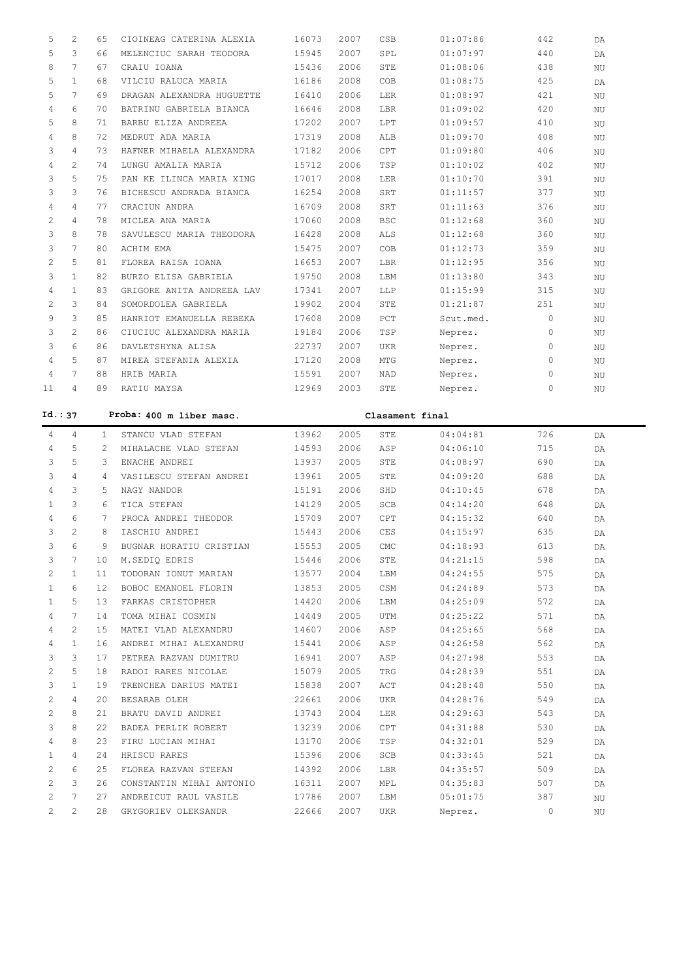| 5              | 2                     | 65           | CIOINEAG CATERINA ALEXIA  | 16073 | 2007 | CSB             | 01:07:86  | 442          | DA |
|----------------|-----------------------|--------------|---------------------------|-------|------|-----------------|-----------|--------------|----|
| 5              | 3                     | 66           | MELENCIUC SARAH TEODORA   | 15945 | 2007 | SPL             | 01:07:97  | 440          | DA |
| 8              | $7\phantom{.0}$       | 67           | CRAIU IOANA               | 15436 | 2006 | STE             | 01:08:06  | 438          | NU |
| 5              | $\mathbf{1}$          | 68           | VILCIU RALUCA MARIA       | 16186 | 2008 | COB             | 01:08:75  | 425          | DA |
| 5              | 7                     | 69           | DRAGAN ALEXANDRA HUGUETTE | 16410 | 2006 | LER             | 01:08:97  | 421          | NU |
| 4              | 6                     | 70           | BATRINU GABRIELA BIANCA   | 16646 | 2008 | LBR             | 01:09:02  | 420          | NU |
| 5              | 8                     | 71           | BARBU ELIZA ANDREEA       | 17202 | 2007 | LPT             | 01:09:57  | 410          | NU |
| 4              | 8                     | 72           | MEDRUT ADA MARIA          | 17319 | 2008 | ALB             | 01:09:70  | 408          | NU |
| 3              | $\overline{4}$        | 73           | HAFNER MIHAELA ALEXANDRA  | 17182 | 2006 | CPT             | 01:09:80  | 406          | NU |
| 4              | $\overline{2}$        | 74           | LUNGU AMALIA MARIA        | 15712 | 2006 | TSP             | 01:10:02  | 402          | NU |
| 3              | 5                     | 75           | PAN KE ILINCA MARIA XING  | 17017 | 2008 | LER             | 01:10:70  | 391          | ΝU |
| 3              | 3                     | 76           | BICHESCU ANDRADA BIANCA   | 16254 | 2008 | SRT             | 01:11:57  | 377          | NU |
| 4              | $\overline{4}$        | 77           | CRACIUN ANDRA             | 16709 | 2008 | SRT             | 01:11:63  | 376          | NU |
| $\overline{c}$ | $\overline{4}$        | 78           | MICLEA ANA MARIA          | 17060 | 2008 | <b>BSC</b>      | 01:12:68  | 360          | NU |
| 3              | 8                     | 78           | SAVULESCU MARIA THEODORA  | 16428 | 2008 | ALS             | 01:12:68  | 360          | NU |
| 3              | 7                     | 80           | ACHIM EMA                 | 15475 | 2007 | COB             | 01:12:73  | 359          | NU |
| 2              | 5                     | 81           | FLOREA RAISA IOANA        | 16653 | 2007 | LBR             | 01:12:95  | 356          | NU |
| 3              | $\mathbf{1}$          | 82           | BURZO ELISA GABRIELA      | 19750 | 2008 | LBM             | 01:13:80  | 343          | NU |
| 4              | $\mathbf{1}$          | 83           | GRIGORE ANITA ANDREEA LAV | 17341 | 2007 | LLP             | 01:15:99  | 315          | NU |
| $\overline{c}$ | 3                     | 84           | SOMORDOLEA GABRIELA       | 19902 | 2004 | STE             | 01:21:87  | 251          | ΝU |
| 9              | 3                     | 85           | HANRIOT EMANUELLA REBEKA  | 17608 | 2008 | PCT             | Scut.med. | $\mathbf{0}$ | NU |
| 3              | $\overline{2}$        | 86           | CIUCIUC ALEXANDRA MARIA   | 19184 | 2006 | TSP             | Neprez.   | $\mathbf{0}$ | ΝU |
| 3              | 6                     | 86           | DAVLETSHYNA ALISA         | 22737 | 2007 | <b>UKR</b>      | Neprez.   | $\mathbf{0}$ |    |
| $\overline{4}$ | 5                     | 87           | MIREA STEFANIA ALEXIA     | 17120 | 2008 | MTG             | Neprez.   | $\mathbf{0}$ | NU |
| 4              | 7                     | 88           | HRIB MARIA                | 15591 | 2007 | NAD             |           | $\circ$      | ΝU |
| 11             | $\overline{4}$        | 89           | RATIU MAYSA               | 12969 | 2003 | STE             | Neprez.   | 0            | ΝU |
|                |                       |              |                           |       |      |                 | Neprez.   |              | NU |
| Id.: 37        |                       |              | Proba: 400 m liber masc.  |       |      | Clasament final |           |              |    |
|                |                       |              |                           |       |      |                 |           |              |    |
|                |                       |              |                           |       |      |                 |           |              |    |
| 4              | 4                     | $\mathbf{1}$ | STANCU VLAD STEFAN        | 13962 | 2005 | STE             | 04:04:81  | 726          | DA |
| 4              | 5                     | 2            | MIHALACHE VLAD STEFAN     | 14593 | 2006 | ASP             | 04:06:10  | 715          | DA |
| 3              | 5                     | 3            | ENACHE ANDREI             | 13937 | 2005 | STE             | 04:08:97  | 690          | DA |
| 3              | $\overline{4}$        | 4            | VASILESCU STEFAN ANDREI   | 13961 | 2005 | STE             | 04:09:20  | 688          | DA |
| 4              | 3                     | 5            | NAGY NANDOR               | 15191 | 2006 | SHD             | 04:10:45  | 678          | DA |
| 1              | 3                     | 6            | TICA STEFAN               | 14129 | 2005 | SCB             | 04:14:20  | 648          | DA |
| 4              | 6                     | 7            | PROCA ANDREI THEODOR      | 15709 | 2007 | CPT             | 04:15:32  | 640          | DA |
| 3              | $\mathfrak{D}$        | 8            | IASCHIU ANDREI            | 15443 | 2006 | CES             | 04:15:97  | 635          | DA |
| 3              | 6                     | 9            | BUGNAR HORATIU CRISTIAN   | 15553 | 2005 | CMC             | 04:18:93  | 613          | DA |
| 3              | 7                     | 10           | M.SEDIO EDRIS             | 15446 | 2006 | STE             | 04:21:15  | 598          | DA |
| 2              | 1                     | 11           | TODORAN IONUT MARIAN      | 13577 | 2004 | LBM             | 04:24:55  | 575          | DA |
| 1              | 6                     | 12           | BOBOC EMANOEL FLORIN      | 13853 | 2005 | CSM             | 04:24:89  | 573          | DA |
| 1              | 5                     | 13           | FARKAS CRISTOPHER         | 14420 | 2006 | LBM             | 04:25:09  | 572          | DA |
| 4              | 7                     | 14           | TOMA MIHAI COSMIN         | 14449 | 2005 | UTM             | 04:25:22  | 571          | DA |
| 4              | $\mathbf{2}^{\prime}$ | 15           | MATEI VLAD ALEXANDRU      | 14607 | 2006 | ASP             | 04:25:65  | 568          | DA |
| 4              | $\mathbf{1}$          | 16           | ANDREI MIHAI ALEXANDRU    | 15441 | 2006 | ASP             | 04:26:58  | 562          | DA |
| 3              | 3                     | 17           | PETREA RAZVAN DUMITRU     | 16941 | 2007 | ASP             | 04:27:98  | 553          | DA |
| 2              | 5                     | 18           | RADOI RARES NICOLAE       | 15079 | 2005 | TRG             | 04:28:39  | 551          | DA |
| 3              | $\mathbf{1}$          | 19           | TRENCHEA DARIUS MATEI     | 15838 | 2007 | ACT             | 04:28:48  | 550          | DA |
| 2              | 4                     | 20           | BESARAB OLEH              | 22661 | 2006 | UKR             | 04:28:76  | 549          | DA |
| 2              | 8                     | 21           | BRATU DAVID ANDREI        | 13743 | 2004 | LER             | 04:29:63  | 543          | DA |
| 3              | 8                     | 22           | BADEA PERLIK ROBERT       | 13239 | 2006 | CPT             | 04:31:88  | 530          | DA |
| 4              | 8                     | 23           | FIRU LUCIAN MIHAI         | 13170 | 2006 | TSP             | 04:32:01  | 529          | DA |
| 1              | 4                     | 24           | HRISCU RARES              | 15396 | 2006 | SCB             | 04:33:45  | 521          | DA |
| 2              | 6                     | 25           | FLOREA RAZVAN STEFAN      | 14392 | 2006 | LBR             | 04:35:57  | 509          | DA |
| 2              | 3                     | 26           | CONSTANTIN MIHAI ANTONIO  | 16311 | 2007 | MPL             | 04:35:83  | 507          | DA |
| 2              | 7                     | 27           | ANDREICUT RAUL VASILE     | 17786 | 2007 | LBM             | 05:01:75  | 387          | ΝU |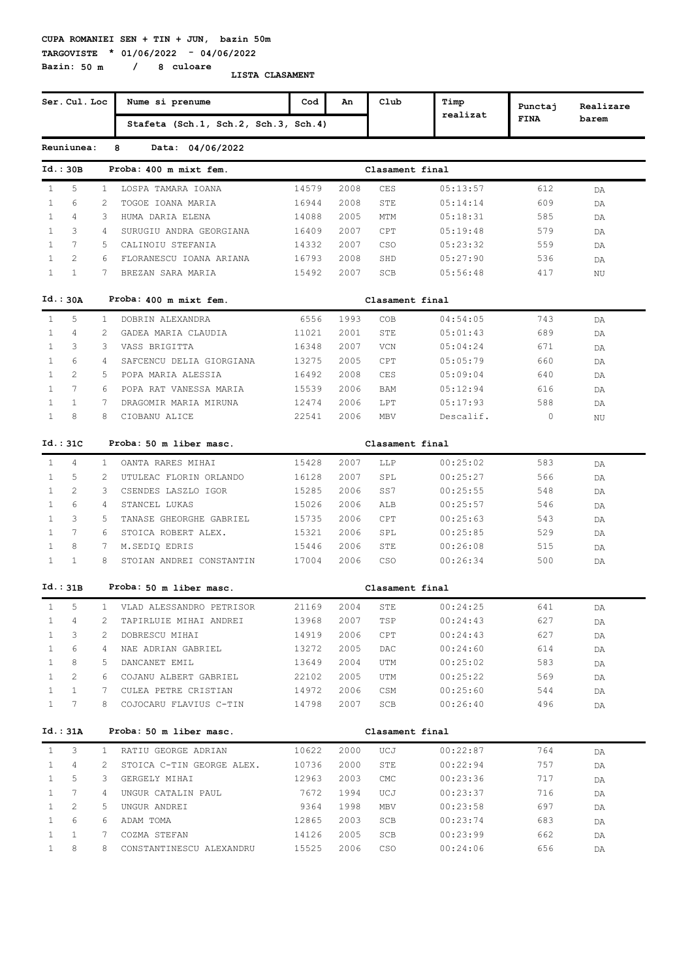#### **CUPA ROMANIEI SEN + TIN + JUN, bazin 50m TARGOVISTE \* 01/06/2022 - 04/06/2022**

**Bazin: 50 m / 8 culoare**

|              | Ser. Cul. Loc  |                | Nume si prenume                      | Cod             | An   | Club            | Timp      | Punctaj      | Realizare |
|--------------|----------------|----------------|--------------------------------------|-----------------|------|-----------------|-----------|--------------|-----------|
|              |                |                | Stafeta (Sch.1, Sch.2, Sch.3, Sch.4) |                 |      |                 | realizat  | <b>FINA</b>  | barem     |
|              | Reuniunea:     |                | 8<br>Data: 04/06/2022                |                 |      |                 |           |              |           |
|              | Id.: 30B       |                | Proba: 400 m mixt fem.               |                 |      | Clasament final |           |              |           |
| $\mathbf{1}$ | 5              | 1              | LOSPA TAMARA IOANA                   | 14579           | 2008 | CES             | 05:13:57  | 612          | DA        |
| $\mathbf{1}$ | 6              | 2              | TOGOE IOANA MARIA                    | 16944           | 2008 | STE             | 05:14:14  | 609          | DA        |
| $\mathbf{1}$ | 4              | 3              | HUMA DARIA ELENA                     | 14088           | 2005 | MTM             | 05:18:31  | 585          | DA        |
| $\mathbf{1}$ | 3              | $\overline{4}$ | SURUGIU ANDRA GEORGIANA              | 16409           | 2007 | CPT             | 05:19:48  | 579          | DA        |
| $\mathbf{1}$ | 7              | 5              | CALINOIU STEFANIA                    | 14332           | 2007 | <b>CSO</b>      | 05:23:32  | 559          | DA        |
| $\mathbf{1}$ | 2              | 6              | FLORANESCU IOANA ARIANA              | 16793           | 2008 | SHD             | 05:27:90  | 536          | DA        |
| $\mathbf{1}$ | $\mathbf{1}$   | 7              | BREZAN SARA MARIA                    | 15492           | 2007 | SCB             | 05:56:48  | 417          | ΝU        |
|              | Id.: 30A       |                | Proba: 400 m mixt fem.               |                 |      | Clasament final |           |              |           |
| $\mathbf{1}$ | 5              | $\mathbf{1}$   | DOBRIN ALEXANDRA                     | 6556            | 1993 | COB             | 04:54:05  | 743          | DA        |
| 1            | 4              | 2              | GADEA MARIA CLAUDIA                  | 11021           | 2001 | STE             | 05:01:43  | 689          | DA        |
| $\mathbf{1}$ | 3              | 3              | VASS BRIGITTA                        | 16348           | 2007 | VCN             | 05:04:24  | 671          | DA        |
| $\mathbf{1}$ | 6              | 4              | SAFCENCU DELIA GIORGIANA             | 13275           | 2005 | CPT             | 05:05:79  | 660          | DA        |
| $\mathbf{1}$ | 2              | 5              | POPA MARIA ALESSIA                   | 16492           | 2008 | CES             | 05:09:04  | 640          | DA        |
| $\mathbf{1}$ | $\overline{7}$ | 6              | POPA RAT VANESSA MARIA               | 15539           | 2006 | <b>BAM</b>      | 05:12:94  | 616          | DA        |
| $\mathbf{1}$ | $\mathbf{1}$   | 7              | DRAGOMIR MARIA MIRUNA                | 12474           | 2006 | LPT             | 05:17:93  | 588          | DA        |
| $\mathbf{1}$ | 8              | 8              | CIOBANU ALICE                        | 22541           | 2006 | MBV             | Descalif. | $\mathbf{0}$ | ΝU        |
|              | Id.:31C        |                | Proba: 50 m liber masc.              | Clasament final |      |                 |           |              |           |
| $\mathbf{1}$ | 4              | $\mathbf{1}$   | OANTA RARES MIHAI                    | 15428           | 2007 | LLP             | 00:25:02  | 583          | DA        |
| $\mathbf{1}$ | 5              | $\mathcal{L}$  | UTULEAC FLORIN ORLANDO               | 16128           | 2007 | SPL             | 00:25:27  | 566          | DA        |
| $\mathbf{1}$ | 2              | 3              | CSENDES LASZLO IGOR                  | 15285           | 2006 | SS7             | 00:25:55  | 548          | DA        |
| $\mathbf{1}$ | 6              | $\overline{4}$ | STANCEL LUKAS                        | 15026           | 2006 | ALB             | 00:25:57  | 546          | DA        |
| $\mathbf{1}$ | 3              | 5.             | TANASE GHEORGHE GABRIEL              | 15735           | 2006 | CPT             | 00:25:63  | 543          | DA        |
| $\mathbf{1}$ | 7              | 6              | STOICA ROBERT ALEX.                  | 15321           | 2006 | SPL             | 00:25:85  | 529          | DA        |
| $\mathbf{1}$ | 8              | $7^{\circ}$    | M.SEDIQ EDRIS                        | 15446           | 2006 | STE             | 00:26:08  | 515          | DA        |
| $\mathbf{1}$ | $\mathbf{1}$   | 8              | STOIAN ANDREI CONSTANTIN             | 17004           | 2006 | CSO             | 00:26:34  | 500          | DA        |
|              | Id.:31B        |                | Proba: 50 m liber masc.              |                 |      | Clasament final |           |              |           |
| $\mathbf{1}$ | 5              | 1.             | VLAD ALESSANDRO PETRISOR             | 21169           | 2004 | STE             | 00:24:25  | 641          | DA        |
| 1            | 4              | 2              | TAPIRLUIE MIHAI ANDREI               | 13968           | 2007 | TSP             | 00:24:43  | 627          | DA        |
| $\mathbf{1}$ | 3              | 2              | DOBRESCU MIHAI                       | 14919           | 2006 | CPT             | 00:24:43  | 627          | DA        |
| $\mathbf{1}$ | 6              | 4              | NAE ADRIAN GABRIEL                   | 13272           | 2005 | DAC             | 00:24:60  | 614          | DA        |
| $\mathbf{1}$ | 8              | 5              | DANCANET EMIL                        | 13649           | 2004 | UTM             | 00:25:02  | 583          | DA        |
| $\mathbf{1}$ | 2              | 6              | COJANU ALBERT GABRIEL                | 22102           | 2005 | UTM             | 00:25:22  | 569          | DA        |
| $\mathbf{1}$ | $\mathbf{1}$   | 7              | CULEA PETRE CRISTIAN                 | 14972           | 2006 | CSM             | 00:25:60  | 544          | DA        |
| $\mathbf{1}$ | 7              | 8              | COJOCARU FLAVIUS C-TIN               | 14798           | 2007 | SCB             | 00:26:40  | 496          | DA        |
|              | Id.: 31A       |                | Proba: 50 m liber masc.              |                 |      | Clasament final |           |              |           |
| $\mathbf{1}$ | 3              | $\mathbf{1}$   | RATIU GEORGE ADRIAN                  | 10622           | 2000 | UCJ             | 00:22:87  | 764          | DA        |
| $\mathbf{1}$ | 4              | 2              | STOICA C-TIN GEORGE ALEX.            | 10736           | 2000 | STE             | 00:22:94  | 757          | DA        |
| $\mathbf{1}$ | 5              | 3              | GERGELY MIHAI                        | 12963           | 2003 | CMC             | 00:23:36  | 717          | DA        |
| $\mathbf{1}$ | 7              | 4              | UNGUR CATALIN PAUL                   | 7672            | 1994 | UCJ             | 00:23:37  | 716          | DA        |
| $\mathbf{1}$ | 2              | 5.             | UNGUR ANDREI                         | 9364            | 1998 | MBV             | 00:23:58  | 697          | DA        |
| $\mathbf{1}$ | 6              | 6              | ADAM TOMA                            | 12865           | 2003 | SCB             | 00:23:74  | 683          | DA        |
| $\mathbf{1}$ | $\mathbf{1}$   | 7              | COZMA STEFAN                         | 14126           | 2005 | SCB             | 00:23:99  | 662          | DA        |
| $\mathbf{1}$ | 8              | 8              | CONSTANTINESCU ALEXANDRU             | 15525           | 2006 | CSO             | 00:24:06  | 656          | DA        |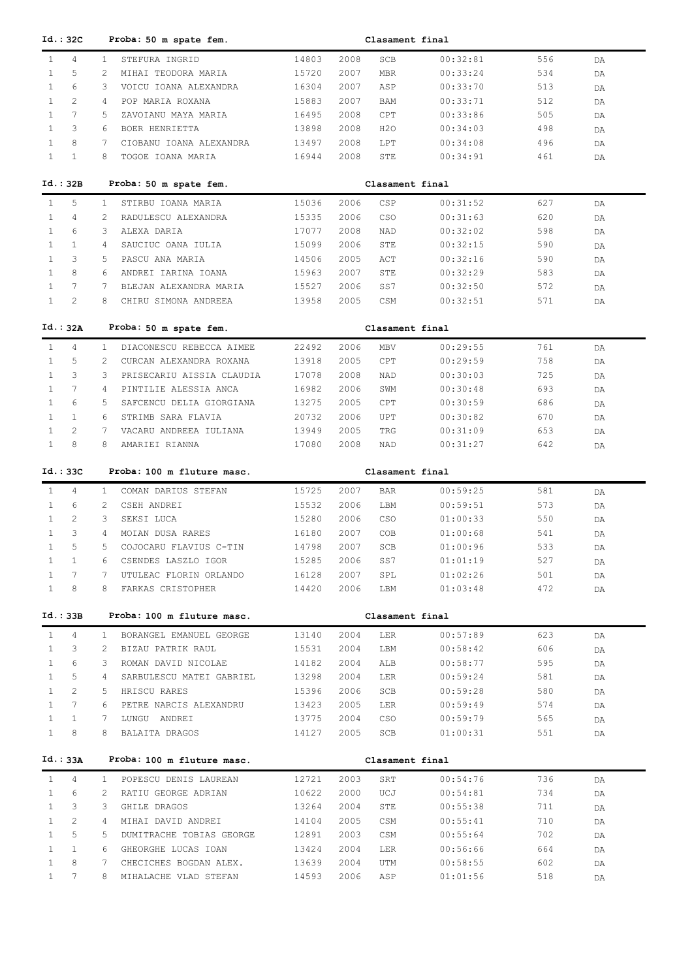| Id.:32C                                |                | Proba: 50 m spate fem.                          |                |              | Clasament final |                      |            |          |
|----------------------------------------|----------------|-------------------------------------------------|----------------|--------------|-----------------|----------------------|------------|----------|
| $\overline{4}$<br>$\mathbf{1}$         | $\mathbf{1}$   | STEFURA INGRID                                  | 14803          | 2008         | SCB             | 00:32:81             | 556        | DA       |
| 5<br>$\mathbf{1}$                      | 2              | MIHAI TEODORA MARIA                             | 15720          | 2007         | <b>MBR</b>      | 00:33:24             | 534        | DA       |
| 6<br>$\mathbf{1}$                      | 3              | VOICU IOANA ALEXANDRA                           | 16304          | 2007         | ASP             | 00:33:70             | 513        | DA       |
| $\overline{2}$<br>$\mathbf{1}$         | 4              | POP MARIA ROXANA                                | 15883          | 2007         | BAM             | 00:33:71             | 512        | DA       |
| $7\phantom{.0}$<br>$\mathbf{1}$        | 5              | ZAVOIANU MAYA MARIA                             | 16495          | 2008         | CPT             | 00:33:86             | 505        | DA       |
| 3<br>$\mathbf{1}$                      | 6              | BOER HENRIETTA                                  | 13898          | 2008         | H2O             | 00:34:03             | 498        | DA       |
| 8<br>$\mathbf{1}$                      | 7              | CIOBANU IOANA ALEXANDRA                         | 13497          | 2008         | LPT             | 00:34:08             | 496        | DA       |
| $\mathbf{1}$<br>$\mathbf{1}$           | 8              | TOGOE IOANA MARIA                               | 16944          | 2008         | STE             | 00:34:91             | 461        | DA       |
|                                        |                |                                                 |                |              |                 |                      |            |          |
| Id.:32B                                |                | Proba: 50 m spate fem.                          |                |              | Clasament final |                      |            |          |
| 5<br>$\mathbf{1}$                      | $\mathbf{1}$   | STIRBU IOANA MARIA                              | 15036          | 2006         | CSP             | 00:31:52             | 627        | DA       |
| 4<br>$\mathbf{1}$                      | 2              | RADULESCU ALEXANDRA                             | 15335          | 2006         | CSO             | 00:31:63             | 620        | DA       |
| 6<br>$\mathbf{1}$                      | 3              | ALEXA DARIA                                     | 17077          | 2008         | NAD             | 00:32:02             | 598        | DA       |
| $\mathbf{1}$<br>$\mathbf{1}$           | 4              | SAUCIUC OANA IULIA                              | 15099          | 2006         | STE             | 00:32:15             | 590        | DA       |
| 3<br>$\mathbf{1}$                      | 5              | PASCU ANA MARIA                                 | 14506          | 2005         | ACT             | 00:32:16             | 590        | DA       |
| 8<br>$\mathbf{1}$                      | 6              | ANDREI IARINA IOANA                             | 15963          | 2007         | STE             | 00:32:29             | 583        | DA       |
| $7\phantom{.0}$<br>$\mathbf{1}$        | 7              | BLEJAN ALEXANDRA MARIA                          | 15527          | 2006         | SS7             | 00:32:50             | 572        | DA       |
| 2<br>$\mathbf{1}$                      | 8              | CHIRU SIMONA ANDREEA                            | 13958          | 2005         | CSM             | 00:32:51             | 571        | DA       |
|                                        |                |                                                 |                |              |                 |                      |            |          |
| Id.: 32A                               |                | Proba: 50 m spate fem.                          |                |              | Clasament final |                      |            |          |
| $\mathbf{1}$<br>4                      | $\mathbf{1}$   | DIACONESCU REBECCA AIMEE                        | 22492          | 2006         | <b>MBV</b>      | 00:29:55             | 761        | DA       |
| $\mathbf{1}$<br>5                      | 2              | CURCAN ALEXANDRA ROXANA                         | 13918          | 2005         | CPT             | 00:29:59             | 758        | DA       |
| 3<br>$\mathbf{1}$                      | 3              | PRISECARIU AISSIA CLAUDIA                       | 17078          | 2008         | NAD             | 00:30:03             | 725        | DA       |
| $7\phantom{.0}$<br>$\mathbf{1}$        | 4              | PINTILIE ALESSIA ANCA                           | 16982          | 2006         | SWM             | 00:30:48             | 693        | DA       |
| $\mathbf{1}$<br>6                      | 5              | SAFCENCU DELIA GIORGIANA                        | 13275          | 2005         | CPT             | 00:30:59             | 686        | DA       |
| $\mathbf{1}$<br>$\mathbf{1}$           | 6              | STRIMB SARA FLAVIA                              | 20732          | 2006         | UPT             | 00:30:82             | 670        | DA       |
| $\mathbf{1}$<br>2                      | 7              | VACARU ANDREEA IULIANA                          | 13949          | 2005         | TRG             | 00:31:09             | 653        | DA       |
| 8<br>$\mathbf{1}$                      | 8              | AMARIEI RIANNA                                  | 17080          | 2008         | NAD             | 00:31:27             | 642        | DA       |
|                                        |                |                                                 |                |              |                 |                      |            |          |
|                                        |                |                                                 |                |              |                 |                      |            |          |
| Id.:33C                                |                | Proba: 100 m fluture masc.                      |                |              | Clasament final |                      |            |          |
| $\mathbf{1}$<br>4                      | $\mathbf{1}$   | COMAN DARIUS STEFAN                             | 15725          | 2007         | <b>BAR</b>      | 00:59:25             | 581        | DA       |
| $\mathbf{1}$<br>6                      | $\overline{2}$ | CSEH ANDREI                                     | 15532          | 2006         | LBM             | 00:59:51             | 573        | DA       |
| $\mathbf{2}^{\prime}$<br>$\mathbf{1}$  | 3              | SEKSI LUCA                                      | 15280          | 2006         | CSO             | 01:00:33             | 550        | DA       |
| 3<br>$\mathbf{1}$                      | 4              | MOIAN DUSA RARES                                | 16180          | 2007         | COB             | 01:00:68             | 541        | DA       |
| 5<br>$\mathbf{1}$                      | 5              | COJOCARU FLAVIUS C-TIN                          | 14798          | 2007         | SCB             | 01:00:96             | 533        | DA       |
| $\mathbf{1}$<br>1                      | 6              | CSENDES LASZLO IGOR                             | 15285          | 2006         | SS7             | 01:01:19             | 527        | DA       |
| 7<br>$\mathbf{1}$                      | 7              | UTULEAC FLORIN ORLANDO                          | 16128          | 2007         | SPL             | 01:02:26             | 501        | DA       |
| 8<br>$\mathbf{1}$                      | 8              | FARKAS CRISTOPHER                               | 14420          | 2006         | LBM             | 01:03:48             | 472        | DA       |
|                                        |                |                                                 |                |              |                 |                      |            |          |
| Id.:33B                                |                | Proba: 100 m fluture masc.                      |                |              | Clasament final |                      |            |          |
| 4<br>$\mathbf{1}$                      | $\mathbf{1}$   | BORANGEL EMANUEL GEORGE                         | 13140          | 2004         | LER             | 00:57:89             | 623        | DA       |
| 3<br>$\mathbf{1}$                      | 2              | BIZAU PATRIK RAUL                               | 15531          | 2004         | LBM             | 00:58:42             | 606        | DA       |
| 6<br>$\mathbf{1}$                      | 3              | ROMAN DAVID NICOLAE                             | 14182          | 2004         | ALB             | 00:58:77             | 595        | DA       |
| 5<br>$\mathbf{1}$                      | 4              | SARBULESCU MATEI GABRIEL                        | 13298          | 2004         | LER             | 00:59:24             | 581        | DA       |
| 2<br>$\mathbf{1}$                      | 5              | HRISCU RARES                                    | 15396          | 2006         | SCB             | 00:59:28             | 580        | DA       |
| 7<br>$\mathbf{1}$                      | 6              | PETRE NARCIS ALEXANDRU                          | 13423          | 2005         | LER             | 00:59:49             | 574        | DA       |
| $\mathbf{1}$<br>$\mathbf{1}$           | 7              | LUNGU ANDREI                                    | 13775          | 2004         | CSO             | 00:59:79             | 565        | DA       |
| 8<br>$\mathbf{1}$                      | 8              | BALAITA DRAGOS                                  | 14127          | 2005         | SCB             | 01:00:31             | 551        | DA       |
|                                        |                |                                                 |                |              |                 |                      |            |          |
| Id.: 33A                               |                | Proba: 100 m fluture masc.                      |                |              | Clasament final |                      |            |          |
| $\mathbf{1}$<br>$\overline{4}$         | $\mathbf{1}$   | POPESCU DENIS LAUREAN                           | 12721          | 2003         | SRT             | 00:54:76             | 736        | DA       |
| 6<br>$\mathbf{1}$                      | $\overline{2}$ | RATIU GEORGE ADRIAN                             | 10622          | 2000         | UCJ             | 00:54:81             | 734        | DA       |
| 3<br>$\mathbf{1}$                      | 3              | GHILE DRAGOS                                    | 13264          | 2004         | STE             | 00:55:38             | 711        | DA       |
| 2<br>$\mathbf{1}$                      | 4              | MIHAI DAVID ANDREI                              | 14104          | 2005         | CSM             | 00:55:41             | 710        | DA       |
| 5<br>$\mathbf{1}$                      | 5              | DUMITRACHE TOBIAS GEORGE                        | 12891          | 2003         | CSM             | 00:55:64             | 702        | DA       |
| $\mathbf{1}$<br>$\mathbf{1}$           | 6              | GHEORGHE LUCAS IOAN                             | 13424          | 2004         | LER             | 00:56:66             | 664        | DA       |
| $\mathbf{1}$<br>8<br>$\mathbf{1}$<br>7 | 7<br>8         | CHECICHES BOGDAN ALEX.<br>MIHALACHE VLAD STEFAN | 13639<br>14593 | 2004<br>2006 | UTM<br>ASP      | 00:58:55<br>01:01:56 | 602<br>518 | DA<br>DA |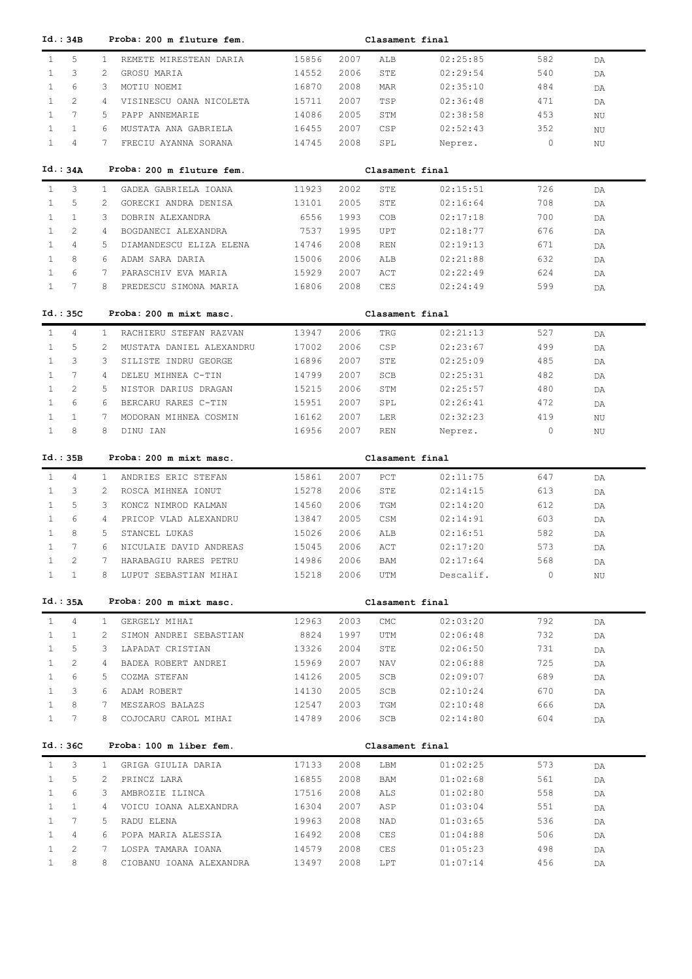| Id.:34B                               |                | Proba: 200 m fluture fem.<br>Clasament final |       |      |                 |           |         |    |  |  |  |
|---------------------------------------|----------------|----------------------------------------------|-------|------|-----------------|-----------|---------|----|--|--|--|
| 5<br>$\mathbf{1}$                     | $\mathbf{1}$   | REMETE MIRESTEAN DARIA                       | 15856 | 2007 | ALB             | 02:25:85  | 582     | DA |  |  |  |
| 3<br>$\mathbf{1}$                     | 2              | GROSU MARIA                                  | 14552 | 2006 | STE             | 02:29:54  | 540     | DA |  |  |  |
| 6<br>$\mathbf{1}$                     | 3              | MOTIU NOEMI                                  | 16870 | 2008 | <b>MAR</b>      | 02:35:10  | 484     | DA |  |  |  |
| $\overline{2}$<br>$\mathbf{1}$        | 4              | VISINESCU OANA NICOLETA                      | 15711 | 2007 | TSP             | 02:36:48  | 471     | DA |  |  |  |
| 7<br>$\mathbf{1}$                     | 5              | PAPP ANNEMARIE                               | 14086 | 2005 | STM             | 02:38:58  | 453     | ΝU |  |  |  |
| $\mathbf{1}$<br>$\mathbf{1}$          | 6              | MUSTATA ANA GABRIELA                         | 16455 | 2007 | CSP             | 02:52:43  | 352     | ΝU |  |  |  |
| $\overline{4}$<br>$\mathbf{1}$        | 7              | FRECIU AYANNA SORANA                         | 14745 | 2008 | SPL             | Neprez.   | $\circ$ | ΝU |  |  |  |
|                                       |                |                                              |       |      |                 |           |         |    |  |  |  |
| Id.:34A                               |                | Proba: 200 m fluture fem.                    |       |      | Clasament final |           |         |    |  |  |  |
| 3<br>$\mathbf{1}$                     | $\mathbf{1}$   | GADEA GABRIELA IOANA                         | 11923 | 2002 | STE             | 02:15:51  | 726     | DA |  |  |  |
| 5<br>1                                | 2              | GORECKI ANDRA DENISA                         | 13101 | 2005 | STE             | 02:16:64  | 708     | DA |  |  |  |
| $\mathbf{1}$<br>1                     | 3              | DOBRIN ALEXANDRA                             | 6556  | 1993 | COB             | 02:17:18  | 700     | DA |  |  |  |
| $\overline{2}$<br>$\mathbf{1}$        | 4              | BOGDANECI ALEXANDRA                          | 7537  | 1995 | UPT             | 02:18:77  | 676     | DA |  |  |  |
| $\overline{4}$<br>1                   | 5              | DIAMANDESCU ELIZA ELENA                      | 14746 | 2008 | <b>REN</b>      | 02:19:13  | 671     | DA |  |  |  |
| 8<br>1                                | 6              | ADAM SARA DARIA                              | 15006 | 2006 | ALB             | 02:21:88  | 632     | DA |  |  |  |
| 6<br>1                                | 7              | PARASCHIV EVA MARIA                          | 15929 | 2007 | ACT             | 02:22:49  | 624     | DA |  |  |  |
| $7\phantom{.0}$<br>$\mathbf{1}$       | 8              | PREDESCU SIMONA MARIA                        | 16806 | 2008 | CES             | 02:24:49  | 599     | DA |  |  |  |
| Id.:35C                               |                | Proba: 200 m mixt masc.                      |       |      | Clasament final |           |         |    |  |  |  |
| 4<br>$\mathbf{1}$                     | $\mathbf{1}$   | RACHIERU STEFAN RAZVAN                       | 13947 | 2006 | TRG             | 02:21:13  | 527     | DA |  |  |  |
| 5<br>$\mathbf{1}$                     | 2              | MUSTATA DANIEL ALEXANDRU                     | 17002 | 2006 | CSP             | 02:23:67  | 499     | DA |  |  |  |
| 3<br>$\mathbf{1}$                     | 3              | SILISTE INDRU GEORGE                         | 16896 | 2007 | STE             | 02:25:09  | 485     | DA |  |  |  |
| $7\phantom{.0}$<br>$\mathbf{1}$       | 4              | DELEU MIHNEA C-TIN                           | 14799 | 2007 | SCB             | 02:25:31  | 482     | DA |  |  |  |
| $\overline{2}$<br>$\mathbf{1}$        | 5              | NISTOR DARIUS DRAGAN                         | 15215 | 2006 | STM             | 02:25:57  | 480     | DA |  |  |  |
| 6<br>$\mathbf{1}$                     | 6              | BERCARU RARES C-TIN                          | 15951 | 2007 | SPL             | 02:26:41  | 472     | DA |  |  |  |
| $\mathbf{1}$<br>$\mathbf{1}$          | 7              | MODORAN MIHNEA COSMIN                        | 16162 | 2007 | LER             | 02:32:23  | 419     | ΝU |  |  |  |
| 8<br>$\mathbf{1}$                     | 8              | DINU IAN                                     | 16956 | 2007 | REN             | Neprez.   | $\circ$ | ΝU |  |  |  |
|                                       |                |                                              |       |      |                 |           |         |    |  |  |  |
| Id.:35B                               |                | Proba: 200 m mixt masc.                      |       |      | Clasament final |           |         |    |  |  |  |
| $\mathbf{1}$<br>4                     | $\mathbf{1}$   | ANDRIES ERIC STEFAN                          | 15861 | 2007 | PCT             | 02:11:75  | 647     | DA |  |  |  |
| 3<br>$\mathbf{1}$                     | 2              | ROSCA MIHNEA IONUT                           | 15278 | 2006 | STE             | 02:14:15  | 613     | DA |  |  |  |
| 5<br>$\mathbf{1}$                     | 3              | KONCZ NIMROD KALMAN                          | 14560 | 2006 | TGM             | 02:14:20  | 612     | DA |  |  |  |
| 6<br>$\mathbf{1}$                     | 4              | PRICOP VLAD ALEXANDRU                        | 13847 | 2005 | CSM             | 02:14:91  | 603     | DA |  |  |  |
| 8<br>$\mathbf{1}$                     | 5              | STANCEL LUKAS                                | 15026 | 2006 | ALB             | 02:16:51  | 582     | DA |  |  |  |
| 7<br>$\mathbf{1}$                     | 6              | NICULAIE DAVID ANDREAS                       | 15045 | 2006 | ACT             | 02:17:20  | 573     | DA |  |  |  |
| 2                                     |                | HARABAGIU RARES PETRU                        | 14986 | 2006 | BAM             | 02:17:64  | 568     | DA |  |  |  |
| $\mathbf{1}$<br>1                     | 8              | LUPUT SEBASTIAN MIHAI                        | 15218 | 2006 | UTM             | Descalif. | 0       | ΝU |  |  |  |
| Id.: 35A                              |                | Proba: 200 m mixt masc.                      |       |      | Clasament final |           |         |    |  |  |  |
| 4<br>$\mathbf{1}$                     | $\mathbf{1}$   | GERGELY MIHAI                                | 12963 | 2003 | CMC             | 02:03:20  | 792     | DA |  |  |  |
| $\mathbf{1}$<br>$\mathbf{1}$          | 2              | SIMON ANDREI SEBASTIAN                       | 8824  | 1997 | UTM             | 02:06:48  | 732     | DA |  |  |  |
| 5<br>$\mathbf{1}$                     | 3              | LAPADAT CRISTIAN                             | 13326 | 2004 | STE             | 02:06:50  | 731     | DA |  |  |  |
| $\mathbf{2}^{\prime}$<br>$\mathbf{1}$ | $\overline{4}$ | BADEA ROBERT ANDREI                          | 15969 | 2007 | NAV             | 02:06:88  | 725     | DA |  |  |  |
| 6<br>$\mathbf{1}$                     | 5              | COZMA STEFAN                                 | 14126 | 2005 | SCB             | 02:09:07  | 689     | DA |  |  |  |
| 3<br>$\mathbf{1}$                     | 6              | ADAM ROBERT                                  | 14130 | 2005 | SCB             | 02:10:24  | 670     | DA |  |  |  |
| 8<br>$\mathbf{1}$                     | 7              | MESZAROS BALAZS                              | 12547 | 2003 | TGM             | 02:10:48  | 666     | DA |  |  |  |
| $7\phantom{.0}$<br>$\mathbf{1}$       | 8              | COJOCARU CAROL MIHAI                         | 14789 | 2006 | SCB             | 02:14:80  | 604     | DA |  |  |  |
|                                       |                |                                              |       |      |                 |           |         |    |  |  |  |
| Id.:36C                               |                | Proba: 100 m liber fem.                      |       |      | Clasament final |           |         |    |  |  |  |
| $\mathbf{1}$<br>3                     | $\mathbf{1}$   | GRIGA GIULIA DARIA                           | 17133 | 2008 | LBM             | 01:02:25  | 573     | DA |  |  |  |
| 5<br>$\mathbf{1}$                     | 2              | PRINCZ LARA                                  | 16855 | 2008 | BAM             | 01:02:68  | 561     | DA |  |  |  |
| 6<br>$\mathbf{1}$                     | 3              | AMBROZIE ILINCA                              | 17516 | 2008 | ALS             | 01:02:80  | 558     | DA |  |  |  |
| $\mathbf{1}$<br>$\mathbf{1}$          | 4              | VOICU IOANA ALEXANDRA                        | 16304 | 2007 | ASP             | 01:03:04  | 551     | DA |  |  |  |
| 7<br>$\mathbf{1}$                     | 5              | RADU ELENA                                   | 19963 | 2008 | NAD             | 01:03:65  | 536     | DA |  |  |  |
| $\overline{4}$<br>$\mathbf{1}$        | 6              | POPA MARIA ALESSIA                           | 16492 | 2008 | CES             | 01:04:88  | 506     | DA |  |  |  |
| $\mathbf{2}$<br>$\mathbf{1}$          | 7              | LOSPA TAMARA IOANA                           | 14579 | 2008 | CES             | 01:05:23  | 498     | DA |  |  |  |
| 8<br>$\mathbf{1}$                     | 8              | CIOBANU IOANA ALEXANDRA                      | 13497 | 2008 | LPT             | 01:07:14  | 456     | DA |  |  |  |
|                                       |                |                                              |       |      |                 |           |         |    |  |  |  |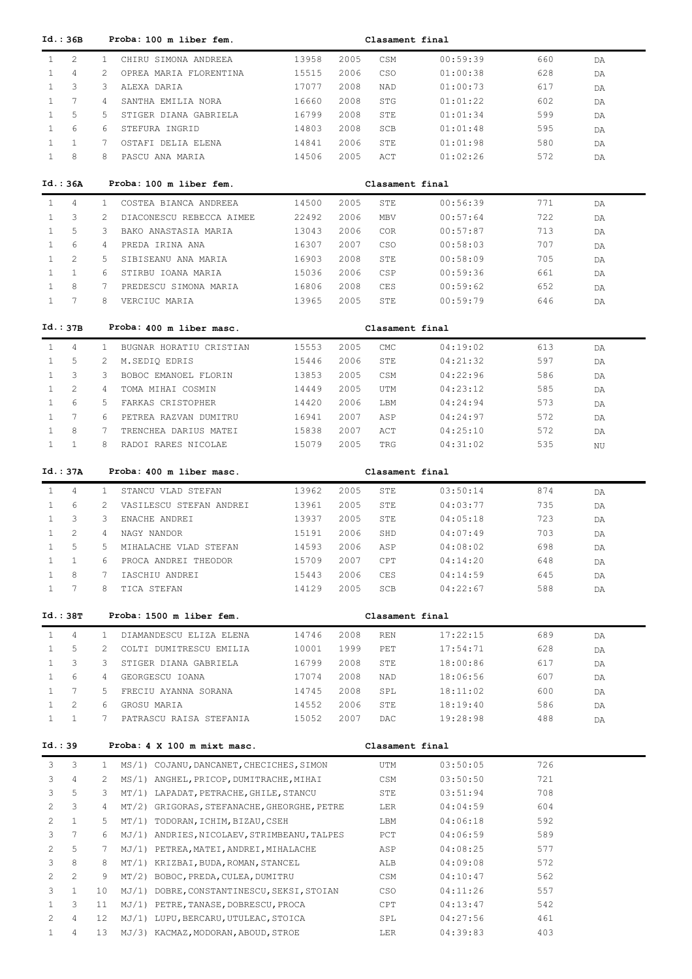| Id.: 36B                              |                | Proba: 100 m liber fem.                     |       |      | Clasament final |          |     |     |
|---------------------------------------|----------------|---------------------------------------------|-------|------|-----------------|----------|-----|-----|
| $\mathbf{1}$<br>2                     | $\mathbf{1}$   | CHIRU SIMONA ANDREEA                        | 13958 | 2005 | CSM             | 00:59:39 | 660 | DA  |
| $\mathbf{1}$<br>4                     | 2              | OPREA MARIA FLORENTINA                      | 15515 | 2006 | CSO             | 01:00:38 | 628 | DA  |
| 3<br>$\mathbf{1}$                     | 3              | ALEXA DARIA                                 | 17077 | 2008 | NAD             | 01:00:73 | 617 | DA  |
| $\mathbf{1}$<br>7                     | 4              | SANTHA EMILIA NORA                          | 16660 | 2008 | <b>STG</b>      | 01:01:22 | 602 | DA  |
| 5<br>$\mathbf{1}$                     | 5              | STIGER DIANA GABRIELA                       | 16799 | 2008 | STE             | 01:01:34 | 599 | DA  |
| $\mathbf{1}$<br>6                     | 6              | STEFURA INGRID                              |       | 2008 | SCB             | 01:01:48 | 595 |     |
|                                       |                |                                             | 14803 |      |                 |          |     | DA  |
| $\mathbf{1}$<br>$\mathbf{1}$          | 7              | OSTAFI DELIA ELENA                          | 14841 | 2006 | STE             | 01:01:98 | 580 | DA  |
| $\mathbf{1}$<br>8                     | 8              | PASCU ANA MARIA                             | 14506 | 2005 | ACT             | 01:02:26 | 572 | DA  |
| Id.: 36A                              |                | Proba: 100 m liber fem.                     |       |      | Clasament final |          |     |     |
| $\mathbf{1}$<br>4                     | $\mathbf{1}$   | COSTEA BIANCA ANDREEA                       | 14500 | 2005 | STE             | 00:56:39 | 771 | DA  |
| $\mathbf{1}$<br>3                     | 2              | DIACONESCU REBECCA AIMEE                    | 22492 | 2006 | MBV             | 00:57:64 | 722 | DA  |
| 5<br>1                                | 3              | BAKO ANASTASIA MARIA                        | 13043 | 2006 | <b>COR</b>      | 00:57:87 | 713 | DA  |
| 6<br>1                                | 4              | PREDA IRINA ANA                             | 16307 | 2007 | CSO             | 00:58:03 | 707 | DA  |
| 2<br>1                                | 5              | SIBISEANU ANA MARIA                         | 16903 | 2008 | STE             | 00:58:09 | 705 | DA  |
| $\mathbf{1}$<br>1                     | 6              | STIRBU IOANA MARIA                          | 15036 | 2006 | CSP             | 00:59:36 | 661 | DA  |
| $\mathbf{1}$<br>8                     | 7              | PREDESCU SIMONA MARIA                       | 16806 | 2008 | CES             | 00:59:62 | 652 |     |
| $\mathbf{1}$<br>7                     | 8              | VERCIUC MARIA                               | 13965 | 2005 | STE             | 00:59:79 | 646 | DA  |
|                                       |                |                                             |       |      |                 |          |     | DA  |
| Id.:37B                               |                | Proba: 400 m liber masc.                    |       |      | Clasament final |          |     |     |
| $\mathbf{1}$<br>4                     | $\mathbf{1}$   | BUGNAR HORATIU CRISTIAN                     | 15553 | 2005 | CMC             | 04:19:02 | 613 | DA  |
| $\mathbf{1}$<br>5                     | 2              | M.SEDIQ EDRIS                               | 15446 | 2006 | STE             | 04:21:32 | 597 | DA  |
| 3<br>$\mathbf{1}$                     | 3              | BOBOC EMANOEL FLORIN                        | 13853 | 2005 | CSM             | 04:22:96 | 586 | DA  |
| $\overline{2}$<br>$\mathbf{1}$        | $\overline{4}$ | TOMA MIHAI COSMIN                           | 14449 | 2005 | UTM             | 04:23:12 | 585 | DA  |
| $\mathbf{1}$<br>6                     | 5              | FARKAS CRISTOPHER                           | 14420 | 2006 | LBM             | 04:24:94 | 573 | DA  |
| $\mathbf{1}$<br>7                     | 6              | PETREA RAZVAN DUMITRU                       | 16941 | 2007 | ASP             | 04:24:97 | 572 | DA  |
| $\mathbf{1}$<br>8                     | 7              | TRENCHEA DARIUS MATEI                       | 15838 | 2007 | ACT             | 04:25:10 | 572 | DA  |
| $\mathbf{1}$<br>$\mathbf{1}$          | 8              | RADOI RARES NICOLAE                         | 15079 | 2005 | TRG             | 04:31:02 | 535 | NU  |
|                                       |                |                                             |       |      |                 |          |     |     |
| Id.: 37A                              |                | Proba: 400 m liber masc.                    |       |      | Clasament final |          |     |     |
| $\mathbf{1}$<br>$\overline{4}$        | $\mathbf{1}$   | STANCU VLAD STEFAN                          | 13962 | 2005 | STE             | 03:50:14 | 874 | DA. |
| 6<br>1                                | 2              | VASILESCU STEFAN ANDREI                     | 13961 | 2005 | STE             | 04:03:77 | 735 | DA  |
| $\mathbf{1}$<br>3                     | 3              | ENACHE ANDREI                               | 13937 | 2005 | STE             | 04:05:18 | 723 | DA  |
| $\mathbf{1}$<br>2                     | 4              | NAGY NANDOR                                 | 15191 | 2006 | SHD             | 04:07:49 | 703 | DA  |
| 5<br>$\mathbf{1}$                     | 5              | MIHALACHE VLAD STEFAN                       | 14593 | 2006 | ASP             | 04:08:02 | 698 | DA  |
| 1<br>$\mathbf{1}$                     | 6              | PROCA ANDREI THEODOR                        | 15709 | 2007 | CPT             | 04:14:20 | 648 | DA  |
| $\mathbf{1}$<br>8                     | 7              | IASCHIU ANDREI                              | 15443 | 2006 | CES             | 04:14:59 | 645 | DA  |
| $\mathbf{1}$<br>$7\phantom{.0}$       | 8              | TICA STEFAN                                 | 14129 | 2005 | SCB             | 04:22:67 | 588 | DA  |
| Id.:38T                               |                | Proba: 1500 m liber fem.                    |       |      | Clasament final |          |     |     |
|                                       |                |                                             |       |      |                 |          |     |     |
| $\mathbf{1}$<br>4                     | $\mathbf{1}$   | DIAMANDESCU ELIZA ELENA                     | 14746 | 2008 | REN             | 17:22:15 | 689 | DA  |
| 5<br>$\mathbf{1}$                     | 2              | COLTI DUMITRESCU EMILIA                     | 10001 | 1999 | PET             | 17:54:71 | 628 | DA  |
| 3<br>1                                | 3              | STIGER DIANA GABRIELA                       | 16799 | 2008 | STE             | 18:00:86 | 617 | DA  |
| 6<br>$\mathbf{1}$                     | $\overline{4}$ | GEORGESCU IOANA                             | 17074 | 2008 | NAD             | 18:06:56 | 607 | DA  |
| $7\phantom{.0}$<br>$\mathbf{1}$       | 5              | FRECIU AYANNA SORANA                        | 14745 | 2008 | SPL             | 18:11:02 | 600 | DA  |
| $\mathbf{2}^{\prime}$<br>$\mathbf{1}$ | 6              | GROSU MARIA                                 | 14552 | 2006 | STE             | 18:19:40 | 586 | DA  |
| $\mathbf{1}$<br>$\mathbf{1}$          | $7^{\circ}$    | PATRASCU RAISA STEFANIA                     | 15052 | 2007 | DAC             | 19:28:98 | 488 | DA  |
| Id.: 39                               |                | Proba: 4 X 100 m mixt masc.                 |       |      | Clasament final |          |     |     |
| 3<br>3                                | $\mathbf{1}$   | MS/1) COJANU, DANCANET, CHECICHES, SIMON    |       |      | UTM             | 03:50:05 | 726 |     |
| 3<br>4                                | 2              | MS/1) ANGHEL, PRICOP, DUMITRACHE, MIHAI     |       |      | CSM             | 03:50:50 | 721 |     |
| 5<br>3                                | 3              | MT/1) LAPADAT, PETRACHE, GHILE, STANCU      |       |      | STE             | 03:51:94 | 708 |     |
|                                       |                |                                             |       |      |                 |          |     |     |
| $\overline{2}$<br>3                   | 4              | MT/2) GRIGORAS, STEFANACHE, GHEORGHE, PETRE |       |      | LER             | 04:04:59 | 604 |     |
| 2<br>$\mathbf{1}$                     | 5              | MT/1) TODORAN, ICHIM, BIZAU, CSEH           |       |      | LBM             | 04:06:18 | 592 |     |
| 3<br>$7\phantom{.0}$                  | 6              | MJ/1) ANDRIES, NICOLAEV, STRIMBEANU, TALPES |       |      | PCT             | 04:06:59 | 589 |     |
| 5<br>2                                | 7              | MJ/1) PETREA, MATEI, ANDREI, MIHALACHE      |       |      | ASP             | 04:08:25 | 577 |     |
| 8<br>3                                | 8              | MT/1) KRIZBAI, BUDA, ROMAN, STANCEL         |       |      | ALB             | 04:09:08 | 572 |     |
| $\mathbf{2}^{\prime}$<br>2            | 9              | MT/2) BOBOC, PREDA, CULEA, DUMITRU          |       |      | CSM             | 04:10:47 | 562 |     |
| 3<br>$\mathbf{1}$                     | 10             | MJ/1) DOBRE, CONSTANTINESCU, SEKSI, STOIAN  |       |      | CSO             | 04:11:26 | 557 |     |
| $\mathbf{1}$<br>3                     | 11             | MJ/1) PETRE, TANASE, DOBRESCU, PROCA        |       |      | CPT             | 04:13:47 | 542 |     |
| 2<br>4                                | 12             | MJ/1) LUPU, BERCARU, UTULEAC, STOICA        |       |      | SPL             | 04:27:56 | 461 |     |
| $\mathbf{1}$<br>4                     | 13             | MJ/3) KACMAZ, MODORAN, ABOUD, STROE         |       |      | LER             | 04:39:83 | 403 |     |